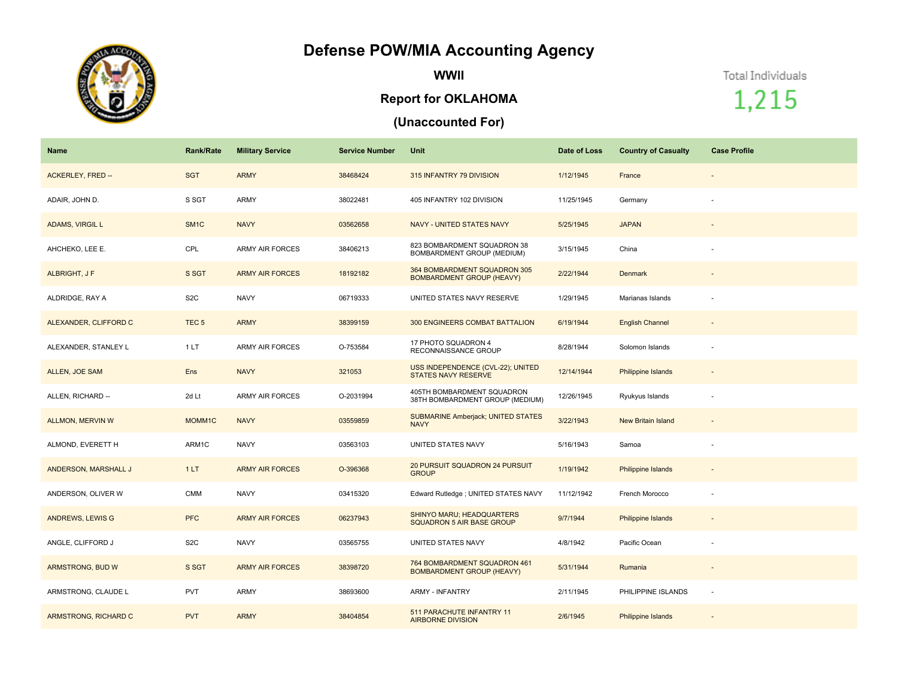## **Defense POW/MIA Accounting Agency**



**WWII**

## **Report for OKLAHOMA**

## **(Unaccounted For)**

Total Individuals

1,215

| <b>Name</b>              | <b>Rank/Rate</b>  | <b>Military Service</b> | <b>Service Number</b> | Unit                                                             | Date of Loss | <b>Country of Casualty</b> | <b>Case Profile</b>      |
|--------------------------|-------------------|-------------------------|-----------------------|------------------------------------------------------------------|--------------|----------------------------|--------------------------|
| <b>ACKERLEY, FRED --</b> | <b>SGT</b>        | <b>ARMY</b>             | 38468424              | 315 INFANTRY 79 DIVISION                                         | 1/12/1945    | France                     | $\overline{\phantom{a}}$ |
| ADAIR, JOHN D.           | S SGT             | ARMY                    | 38022481              | 405 INFANTRY 102 DIVISION                                        | 11/25/1945   | Germany                    |                          |
| <b>ADAMS, VIRGIL L</b>   | SM <sub>1</sub> C | <b>NAVY</b>             | 03562658              | NAVY - UNITED STATES NAVY                                        | 5/25/1945    | <b>JAPAN</b>               |                          |
| AHCHEKO, LEE E.          | CPL               | <b>ARMY AIR FORCES</b>  | 38406213              | 823 BOMBARDMENT SQUADRON 38<br>BOMBARDMENT GROUP (MEDIUM)        | 3/15/1945    | China                      |                          |
| ALBRIGHT, J F            | S SGT             | <b>ARMY AIR FORCES</b>  | 18192182              | 364 BOMBARDMENT SQUADRON 305<br><b>BOMBARDMENT GROUP (HEAVY)</b> | 2/22/1944    | Denmark                    | $\overline{\phantom{a}}$ |
| ALDRIDGE, RAY A          | S <sub>2</sub> C  | <b>NAVY</b>             | 06719333              | UNITED STATES NAVY RESERVE                                       | 1/29/1945    | Marianas Islands           | $\sim$                   |
| ALEXANDER, CLIFFORD C    | TEC <sub>5</sub>  | <b>ARMY</b>             | 38399159              | 300 ENGINEERS COMBAT BATTALION                                   | 6/19/1944    | <b>English Channel</b>     |                          |
| ALEXANDER, STANLEY L     | 1LT               | <b>ARMY AIR FORCES</b>  | O-753584              | 17 PHOTO SQUADRON 4<br>RECONNAISSANCE GROUP                      | 8/28/1944    | Solomon Islands            | $\overline{\phantom{a}}$ |
| ALLEN, JOE SAM           | Ens               | <b>NAVY</b>             | 321053                | USS INDEPENDENCE (CVL-22); UNITED<br><b>STATES NAVY RESERVE</b>  | 12/14/1944   | Philippine Islands         | $\overline{\phantom{a}}$ |
| ALLEN, RICHARD --        | 2d Lt             | <b>ARMY AIR FORCES</b>  | O-2031994             | 405TH BOMBARDMENT SQUADRON<br>38TH BOMBARDMENT GROUP (MEDIUM)    | 12/26/1945   | Ryukyus Islands            | $\overline{\phantom{a}}$ |
| <b>ALLMON, MERVIN W</b>  | MOMM1C            | <b>NAVY</b>             | 03559859              | <b>SUBMARINE Amberjack; UNITED STATES</b><br><b>NAVY</b>         | 3/22/1943    | <b>New Britain Island</b>  | $\sim$                   |
| ALMOND, EVERETT H        | ARM1C             | <b>NAVY</b>             | 03563103              | UNITED STATES NAVY                                               | 5/16/1943    | Samoa                      |                          |
| ANDERSON, MARSHALL J     | 1LT               | <b>ARMY AIR FORCES</b>  | O-396368              | 20 PURSUIT SQUADRON 24 PURSUIT<br><b>GROUP</b>                   | 1/19/1942    | Philippine Islands         | $\overline{\phantom{a}}$ |
| ANDERSON, OLIVER W       | <b>CMM</b>        | <b>NAVY</b>             | 03415320              | Edward Rutledge ; UNITED STATES NAVY                             | 11/12/1942   | French Morocco             |                          |
| ANDREWS, LEWIS G         | <b>PFC</b>        | <b>ARMY AIR FORCES</b>  | 06237943              | SHINYO MARU; HEADQUARTERS<br><b>SQUADRON 5 AIR BASE GROUP</b>    | 9/7/1944     | Philippine Islands         | $\overline{\phantom{a}}$ |
| ANGLE, CLIFFORD J        | S <sub>2</sub> C  | <b>NAVY</b>             | 03565755              | UNITED STATES NAVY                                               | 4/8/1942     | Pacific Ocean              |                          |
| ARMSTRONG, BUD W         | S SGT             | <b>ARMY AIR FORCES</b>  | 38398720              | 764 BOMBARDMENT SQUADRON 461<br><b>BOMBARDMENT GROUP (HEAVY)</b> | 5/31/1944    | Rumania                    | $\overline{\phantom{a}}$ |
| ARMSTRONG, CLAUDE L      | <b>PVT</b>        | ARMY                    | 38693600              | <b>ARMY - INFANTRY</b>                                           | 2/11/1945    | PHILIPPINE ISLANDS         | $\sim$                   |
| ARMSTRONG, RICHARD C     | <b>PVT</b>        | <b>ARMY</b>             | 38404854              | 511 PARACHUTE INFANTRY 11<br><b>AIRBORNE DIVISION</b>            | 2/6/1945     | Philippine Islands         |                          |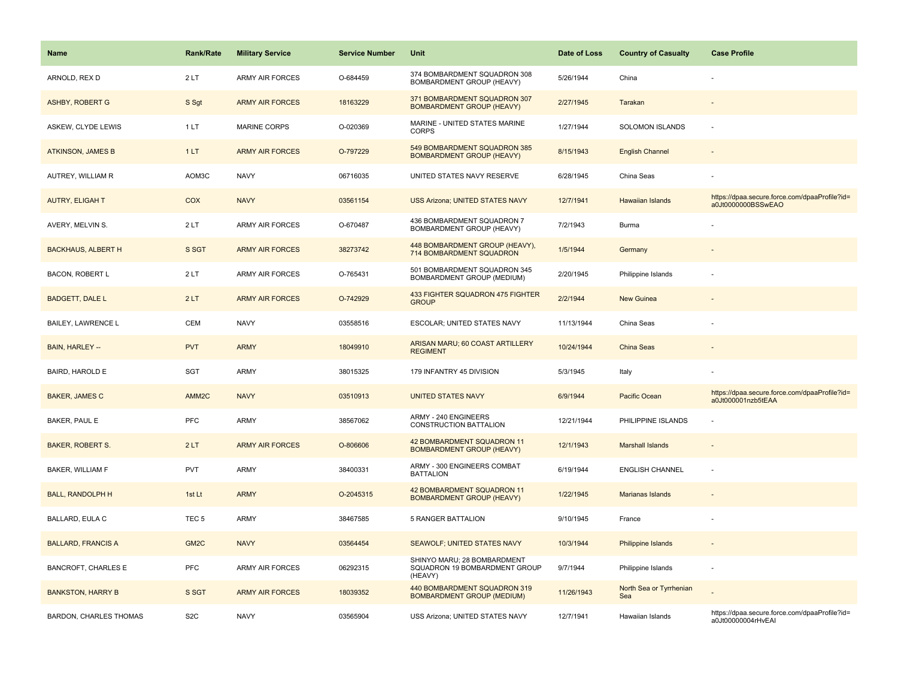| <b>Name</b>                   | <b>Rank/Rate</b>  | <b>Military Service</b> | <b>Service Number</b> | Unit                                                                    | Date of Loss | <b>Country of Casualty</b>     | <b>Case Profile</b>                                                 |
|-------------------------------|-------------------|-------------------------|-----------------------|-------------------------------------------------------------------------|--------------|--------------------------------|---------------------------------------------------------------------|
| ARNOLD, REX D                 | 2LT               | <b>ARMY AIR FORCES</b>  | O-684459              | 374 BOMBARDMENT SQUADRON 308<br>BOMBARDMENT GROUP (HEAVY)               | 5/26/1944    | China                          |                                                                     |
| <b>ASHBY, ROBERT G</b>        | S Sgt             | <b>ARMY AIR FORCES</b>  | 18163229              | 371 BOMBARDMENT SQUADRON 307<br><b>BOMBARDMENT GROUP (HEAVY)</b>        | 2/27/1945    | Tarakan                        |                                                                     |
| ASKEW, CLYDE LEWIS            | 1LT               | MARINE CORPS            | O-020369              | MARINE - UNITED STATES MARINE<br><b>CORPS</b>                           | 1/27/1944    | SOLOMON ISLANDS                | ä,                                                                  |
| <b>ATKINSON, JAMES B</b>      | 1LT               | <b>ARMY AIR FORCES</b>  | O-797229              | 549 BOMBARDMENT SQUADRON 385<br><b>BOMBARDMENT GROUP (HEAVY)</b>        | 8/15/1943    | <b>English Channel</b>         |                                                                     |
| AUTREY, WILLIAM R             | AOM3C             | <b>NAVY</b>             | 06716035              | UNITED STATES NAVY RESERVE                                              | 6/28/1945    | China Seas                     |                                                                     |
| <b>AUTRY, ELIGAH T</b>        | COX               | <b>NAVY</b>             | 03561154              | USS Arizona; UNITED STATES NAVY                                         | 12/7/1941    | Hawaiian Islands               | https://dpaa.secure.force.com/dpaaProfile?id=<br>a0Jt0000000BSSwEAO |
| AVERY, MELVIN S.              | 2LT               | <b>ARMY AIR FORCES</b>  | O-670487              | 436 BOMBARDMENT SQUADRON 7<br>BOMBARDMENT GROUP (HEAVY)                 | 7/2/1943     | Burma                          |                                                                     |
| <b>BACKHAUS, ALBERT H</b>     | S SGT             | <b>ARMY AIR FORCES</b>  | 38273742              | 448 BOMBARDMENT GROUP (HEAVY),<br>714 BOMBARDMENT SQUADRON              | 1/5/1944     | Germany                        |                                                                     |
| <b>BACON, ROBERT L</b>        | 2LT               | <b>ARMY AIR FORCES</b>  | O-765431              | 501 BOMBARDMENT SQUADRON 345<br>BOMBARDMENT GROUP (MEDIUM)              | 2/20/1945    | Philippine Islands             |                                                                     |
| <b>BADGETT, DALE L</b>        | 2LT               | <b>ARMY AIR FORCES</b>  | O-742929              | 433 FIGHTER SQUADRON 475 FIGHTER<br><b>GROUP</b>                        | 2/2/1944     | <b>New Guinea</b>              |                                                                     |
| <b>BAILEY, LAWRENCE L</b>     | CEM               | <b>NAVY</b>             | 03558516              | ESCOLAR; UNITED STATES NAVY                                             | 11/13/1944   | China Seas                     |                                                                     |
| BAIN, HARLEY --               | <b>PVT</b>        | <b>ARMY</b>             | 18049910              | ARISAN MARU; 60 COAST ARTILLERY<br><b>REGIMENT</b>                      | 10/24/1944   | China Seas                     |                                                                     |
| BAIRD, HAROLD E               | SGT               | <b>ARMY</b>             | 38015325              | 179 INFANTRY 45 DIVISION                                                | 5/3/1945     | Italy                          |                                                                     |
| <b>BAKER, JAMES C</b>         | AMM <sub>2C</sub> | <b>NAVY</b>             | 03510913              | <b>UNITED STATES NAVY</b>                                               | 6/9/1944     | <b>Pacific Ocean</b>           | https://dpaa.secure.force.com/dpaaProfile?id=<br>a0Jt000001nzb5tEAA |
| BAKER, PAUL E                 | PFC               | <b>ARMY</b>             | 38567062              | ARMY - 240 ENGINEERS<br>CONSTRUCTION BATTALION                          | 12/21/1944   | PHILIPPINE ISLANDS             |                                                                     |
| <b>BAKER, ROBERT S.</b>       | 2LT               | <b>ARMY AIR FORCES</b>  | O-806606              | 42 BOMBARDMENT SQUADRON 11<br><b>BOMBARDMENT GROUP (HEAVY)</b>          | 12/1/1943    | <b>Marshall Islands</b>        |                                                                     |
| BAKER, WILLIAM F              | <b>PVT</b>        | <b>ARMY</b>             | 38400331              | ARMY - 300 ENGINEERS COMBAT<br><b>BATTALION</b>                         | 6/19/1944    | <b>ENGLISH CHANNEL</b>         |                                                                     |
| <b>BALL, RANDOLPH H</b>       | 1st Lt            | <b>ARMY</b>             | O-2045315             | 42 BOMBARDMENT SQUADRON 11<br><b>BOMBARDMENT GROUP (HEAVY)</b>          | 1/22/1945    | Marianas Islands               |                                                                     |
| <b>BALLARD, EULA C</b>        | TEC <sub>5</sub>  | <b>ARMY</b>             | 38467585              | <b>5 RANGER BATTALION</b>                                               | 9/10/1945    | France                         |                                                                     |
| <b>BALLARD, FRANCIS A</b>     | GM <sub>2C</sub>  | <b>NAVY</b>             | 03564454              | SEAWOLF; UNITED STATES NAVY                                             | 10/3/1944    | <b>Philippine Islands</b>      |                                                                     |
| <b>BANCROFT, CHARLES E</b>    | <b>PFC</b>        | <b>ARMY AIR FORCES</b>  | 06292315              | SHINYO MARU; 28 BOMBARDMENT<br>SQUADRON 19 BOMBARDMENT GROUP<br>(HEAVY) | 9/7/1944     | Philippine Islands             | ÷,                                                                  |
| <b>BANKSTON, HARRY B</b>      | S SGT             | <b>ARMY AIR FORCES</b>  | 18039352              | 440 BOMBARDMENT SQUADRON 319<br><b>BOMBARDMENT GROUP (MEDIUM)</b>       | 11/26/1943   | North Sea or Tyrrhenian<br>Sea |                                                                     |
| <b>BARDON, CHARLES THOMAS</b> | S <sub>2</sub> C  | <b>NAVY</b>             | 03565904              | USS Arizona; UNITED STATES NAVY                                         | 12/7/1941    | Hawaiian Islands               | https://dpaa.secure.force.com/dpaaProfile?id=<br>a0Jt00000004rHvEAI |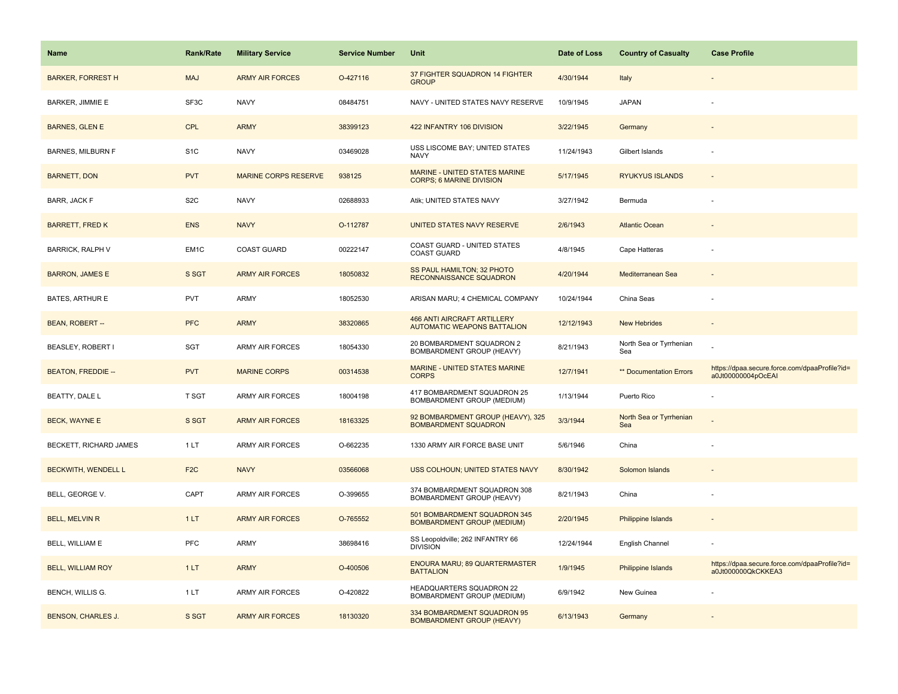| <b>Name</b>               | <b>Rank/Rate</b>  | <b>Military Service</b>     | <b>Service Number</b> | Unit                                                                     | Date of Loss | <b>Country of Casualty</b>     | <b>Case Profile</b>                                                 |
|---------------------------|-------------------|-----------------------------|-----------------------|--------------------------------------------------------------------------|--------------|--------------------------------|---------------------------------------------------------------------|
| <b>BARKER, FORREST H</b>  | <b>MAJ</b>        | <b>ARMY AIR FORCES</b>      | O-427116              | 37 FIGHTER SQUADRON 14 FIGHTER<br><b>GROUP</b>                           | 4/30/1944    | Italy                          |                                                                     |
| <b>BARKER, JIMMIE E</b>   | SF3C              | <b>NAVY</b>                 | 08484751              | NAVY - UNITED STATES NAVY RESERVE                                        | 10/9/1945    | <b>JAPAN</b>                   |                                                                     |
| <b>BARNES, GLEN E</b>     | CPL               | <b>ARMY</b>                 | 38399123              | 422 INFANTRY 106 DIVISION                                                | 3/22/1945    | Germany                        |                                                                     |
| <b>BARNES, MILBURN F</b>  | S <sub>1C</sub>   | <b>NAVY</b>                 | 03469028              | USS LISCOME BAY; UNITED STATES<br><b>NAVY</b>                            | 11/24/1943   | Gilbert Islands                |                                                                     |
| <b>BARNETT, DON</b>       | <b>PVT</b>        | <b>MARINE CORPS RESERVE</b> | 938125                | MARINE - UNITED STATES MARINE<br><b>CORPS; 6 MARINE DIVISION</b>         | 5/17/1945    | <b>RYUKYUS ISLANDS</b>         |                                                                     |
| BARR, JACK F              | S <sub>2</sub> C  | <b>NAVY</b>                 | 02688933              | Atik; UNITED STATES NAVY                                                 | 3/27/1942    | Bermuda                        |                                                                     |
| <b>BARRETT, FRED K</b>    | <b>ENS</b>        | <b>NAVY</b>                 | O-112787              | UNITED STATES NAVY RESERVE                                               | 2/6/1943     | <b>Atlantic Ocean</b>          |                                                                     |
| <b>BARRICK, RALPH V</b>   | EM <sub>1</sub> C | <b>COAST GUARD</b>          | 00222147              | COAST GUARD - UNITED STATES<br><b>COAST GUARD</b>                        | 4/8/1945     | Cape Hatteras                  |                                                                     |
| <b>BARRON, JAMES E</b>    | S SGT             | <b>ARMY AIR FORCES</b>      | 18050832              | <b>SS PAUL HAMILTON; 32 PHOTO</b><br>RECONNAISSANCE SQUADRON             | 4/20/1944    | Mediterranean Sea              |                                                                     |
| BATES, ARTHUR E           | <b>PVT</b>        | ARMY                        | 18052530              | ARISAN MARU; 4 CHEMICAL COMPANY                                          | 10/24/1944   | China Seas                     |                                                                     |
| BEAN, ROBERT --           | <b>PFC</b>        | <b>ARMY</b>                 | 38320865              | <b>466 ANTI AIRCRAFT ARTILLERY</b><br><b>AUTOMATIC WEAPONS BATTALION</b> | 12/12/1943   | <b>New Hebrides</b>            |                                                                     |
| BEASLEY, ROBERT I         | SGT               | ARMY AIR FORCES             | 18054330              | 20 BOMBARDMENT SQUADRON 2<br>BOMBARDMENT GROUP (HEAVY)                   | 8/21/1943    | North Sea or Tyrrhenian<br>Sea |                                                                     |
| <b>BEATON, FREDDIE --</b> | <b>PVT</b>        | <b>MARINE CORPS</b>         | 00314538              | MARINE - UNITED STATES MARINE<br><b>CORPS</b>                            | 12/7/1941    | <b>** Documentation Errors</b> | https://dpaa.secure.force.com/dpaaProfile?id=<br>a0Jt00000004pOcEAI |
| BEATTY, DALE L            | T SGT             | ARMY AIR FORCES             | 18004198              | 417 BOMBARDMENT SQUADRON 25<br>BOMBARDMENT GROUP (MEDIUM)                | 1/13/1944    | Puerto Rico                    |                                                                     |
| <b>BECK, WAYNE E</b>      | S SGT             | <b>ARMY AIR FORCES</b>      | 18163325              | 92 BOMBARDMENT GROUP (HEAVY), 325<br><b>BOMBARDMENT SQUADRON</b>         | 3/3/1944     | North Sea or Tyrrhenian<br>Sea |                                                                     |
| BECKETT, RICHARD JAMES    | 1LT               | ARMY AIR FORCES             | O-662235              | 1330 ARMY AIR FORCE BASE UNIT                                            | 5/6/1946     | China                          |                                                                     |
| BECKWITH, WENDELL L       | F <sub>2</sub> C  | <b>NAVY</b>                 | 03566068              | USS COLHOUN; UNITED STATES NAVY                                          | 8/30/1942    | Solomon Islands                |                                                                     |
| BELL, GEORGE V.           | CAPT              | <b>ARMY AIR FORCES</b>      | O-399655              | 374 BOMBARDMENT SQUADRON 308<br>BOMBARDMENT GROUP (HEAVY)                | 8/21/1943    | China                          |                                                                     |
| <b>BELL, MELVIN R</b>     | 1LT               | <b>ARMY AIR FORCES</b>      | O-765552              | 501 BOMBARDMENT SQUADRON 345<br><b>BOMBARDMENT GROUP (MEDIUM)</b>        | 2/20/1945    | <b>Philippine Islands</b>      |                                                                     |
| BELL, WILLIAM E           | <b>PFC</b>        | ARMY                        | 38698416              | SS Leopoldville; 262 INFANTRY 66<br><b>DIVISION</b>                      | 12/24/1944   | English Channel                |                                                                     |
| <b>BELL, WILLIAM ROY</b>  | 1LT               | <b>ARMY</b>                 | O-400506              | ENOURA MARU; 89 QUARTERMASTER<br><b>BATTALION</b>                        | 1/9/1945     | Philippine Islands             | https://dpaa.secure.force.com/dpaaProfile?id=<br>a0Jt000000QkCKKEA3 |
| <b>BENCH, WILLIS G.</b>   | 1LT               | <b>ARMY AIR FORCES</b>      | O-420822              | HEADQUARTERS SQUADRON 22<br>BOMBARDMENT GROUP (MEDIUM)                   | 6/9/1942     | New Guinea                     |                                                                     |
| <b>BENSON, CHARLES J.</b> | S SGT             | <b>ARMY AIR FORCES</b>      | 18130320              | 334 BOMBARDMENT SQUADRON 95<br><b>BOMBARDMENT GROUP (HEAVY)</b>          | 6/13/1943    | Germany                        |                                                                     |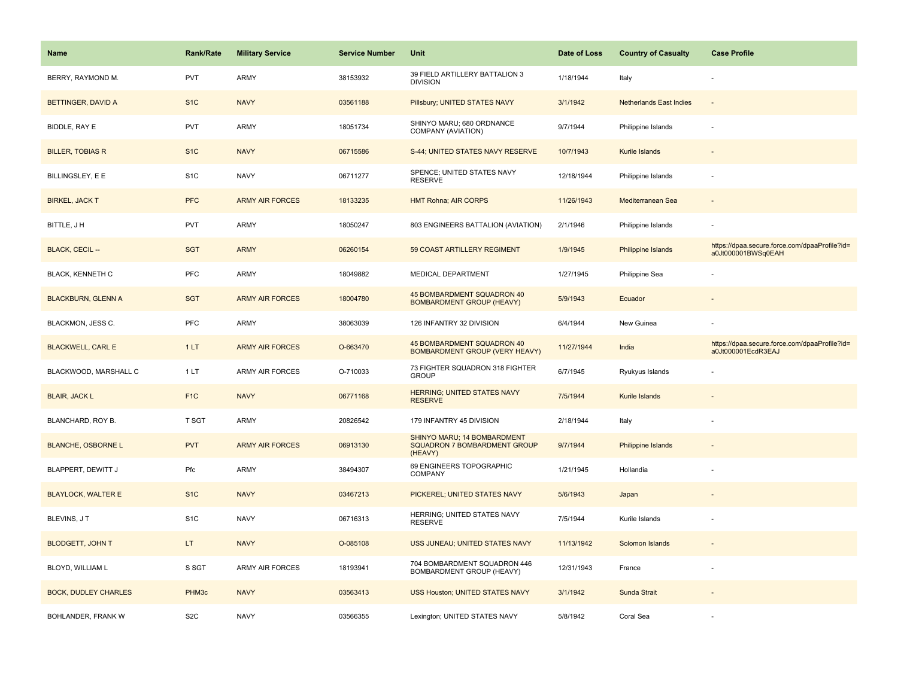| <b>Name</b>                 | Rank/Rate        | <b>Military Service</b> | <b>Service Number</b> | Unit                                                                   | Date of Loss | <b>Country of Casualty</b>     | <b>Case Profile</b>                                                 |
|-----------------------------|------------------|-------------------------|-----------------------|------------------------------------------------------------------------|--------------|--------------------------------|---------------------------------------------------------------------|
| BERRY, RAYMOND M.           | <b>PVT</b>       | ARMY                    | 38153932              | 39 FIELD ARTILLERY BATTALION 3<br><b>DIVISION</b>                      | 1/18/1944    | Italy                          |                                                                     |
| BETTINGER, DAVID A          | S <sub>1</sub> C | <b>NAVY</b>             | 03561188              | Pillsbury; UNITED STATES NAVY                                          | 3/1/1942     | <b>Netherlands East Indies</b> | $\overline{\phantom{a}}$                                            |
| BIDDLE, RAY E               | <b>PVT</b>       | <b>ARMY</b>             | 18051734              | SHINYO MARU; 680 ORDNANCE<br>COMPANY (AVIATION)                        | 9/7/1944     | Philippine Islands             |                                                                     |
| <b>BILLER, TOBIAS R</b>     | S <sub>1</sub> C | <b>NAVY</b>             | 06715586              | S-44; UNITED STATES NAVY RESERVE                                       | 10/7/1943    | Kurile Islands                 |                                                                     |
| BILLINGSLEY, E E            | S <sub>1</sub> C | <b>NAVY</b>             | 06711277              | SPENCE; UNITED STATES NAVY<br><b>RESERVE</b>                           | 12/18/1944   | Philippine Islands             |                                                                     |
| <b>BIRKEL, JACK T</b>       | <b>PFC</b>       | <b>ARMY AIR FORCES</b>  | 18133235              | <b>HMT Rohna; AIR CORPS</b>                                            | 11/26/1943   | Mediterranean Sea              | $\overline{\phantom{a}}$                                            |
| BITTLE, J H                 | PVT              | <b>ARMY</b>             | 18050247              | 803 ENGINEERS BATTALION (AVIATION)                                     | 2/1/1946     | Philippine Islands             |                                                                     |
| BLACK, CECIL --             | <b>SGT</b>       | <b>ARMY</b>             | 06260154              | 59 COAST ARTILLERY REGIMENT                                            | 1/9/1945     | Philippine Islands             | https://dpaa.secure.force.com/dpaaProfile?id=<br>a0Jt000001BWSq0EAH |
| <b>BLACK, KENNETH C</b>     | PFC              | <b>ARMY</b>             | 18049882              | MEDICAL DEPARTMENT                                                     | 1/27/1945    | Philippine Sea                 |                                                                     |
| <b>BLACKBURN, GLENN A</b>   | <b>SGT</b>       | <b>ARMY AIR FORCES</b>  | 18004780              | 45 BOMBARDMENT SQUADRON 40<br><b>BOMBARDMENT GROUP (HEAVY)</b>         | 5/9/1943     | Ecuador                        |                                                                     |
| BLACKMON, JESS C.           | PFC              | ARMY                    | 38063039              | 126 INFANTRY 32 DIVISION                                               | 6/4/1944     | New Guinea                     |                                                                     |
| <b>BLACKWELL, CARL E</b>    | 1LT              | <b>ARMY AIR FORCES</b>  | O-663470              | 45 BOMBARDMENT SQUADRON 40<br><b>BOMBARDMENT GROUP (VERY HEAVY)</b>    | 11/27/1944   | India                          | https://dpaa.secure.force.com/dpaaProfile?id=<br>a0Jt000001EcdR3EAJ |
| BLACKWOOD, MARSHALL C       | 1LT              | <b>ARMY AIR FORCES</b>  | O-710033              | 73 FIGHTER SQUADRON 318 FIGHTER<br><b>GROUP</b>                        | 6/7/1945     | Ryukyus Islands                |                                                                     |
| <b>BLAIR, JACK L</b>        | F <sub>1</sub> C | <b>NAVY</b>             | 06771168              | HERRING; UNITED STATES NAVY<br><b>RESERVE</b>                          | 7/5/1944     | Kurile Islands                 |                                                                     |
| BLANCHARD, ROY B.           | T SGT            | ARMY                    | 20826542              | 179 INFANTRY 45 DIVISION                                               | 2/18/1944    | Italy                          |                                                                     |
| <b>BLANCHE, OSBORNE L</b>   | <b>PVT</b>       | <b>ARMY AIR FORCES</b>  | 06913130              | SHINYO MARU; 14 BOMBARDMENT<br>SQUADRON 7 BOMBARDMENT GROUP<br>(HEAVY) | 9/7/1944     | Philippine Islands             |                                                                     |
| BLAPPERT, DEWITT J          | Pfc              | <b>ARMY</b>             | 38494307              | 69 ENGINEERS TOPOGRAPHIC<br>COMPANY                                    | 1/21/1945    | Hollandia                      |                                                                     |
| <b>BLAYLOCK, WALTER E</b>   | S <sub>1</sub> C | <b>NAVY</b>             | 03467213              | PICKEREL; UNITED STATES NAVY                                           | 5/6/1943     | Japan                          |                                                                     |
| BLEVINS, JT                 | S <sub>1</sub> C | <b>NAVY</b>             | 06716313              | HERRING; UNITED STATES NAVY<br><b>RESERVE</b>                          | 7/5/1944     | Kurile Islands                 |                                                                     |
| <b>BLODGETT, JOHN T</b>     | LT.              | <b>NAVY</b>             | O-085108              | USS JUNEAU; UNITED STATES NAVY                                         | 11/13/1942   | Solomon Islands                |                                                                     |
| BLOYD, WILLIAM L            | S SGT            | <b>ARMY AIR FORCES</b>  | 18193941              | 704 BOMBARDMENT SQUADRON 446<br>BOMBARDMENT GROUP (HEAVY)              | 12/31/1943   | France                         |                                                                     |
| <b>BOCK, DUDLEY CHARLES</b> | PHM3c            | <b>NAVY</b>             | 03563413              | USS Houston; UNITED STATES NAVY                                        | 3/1/1942     | Sunda Strait                   |                                                                     |
| BOHLANDER, FRANK W          | S <sub>2</sub> C | <b>NAVY</b>             | 03566355              | Lexington; UNITED STATES NAVY                                          | 5/8/1942     | Coral Sea                      |                                                                     |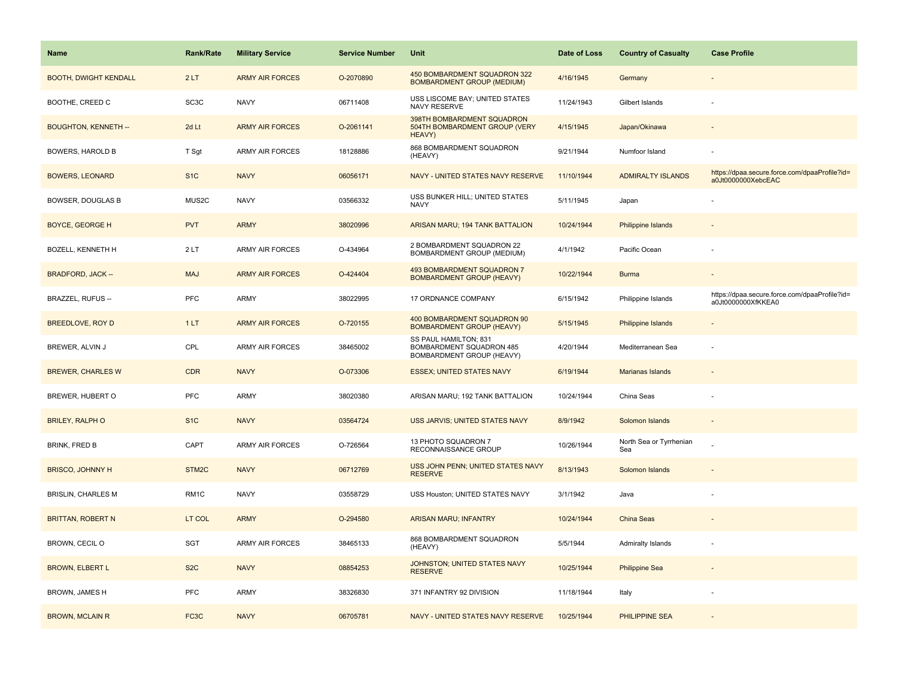| <b>Name</b>                  | Rank/Rate         | <b>Military Service</b> | <b>Service Number</b> | Unit                                                                           | Date of Loss | <b>Country of Casualty</b>     | <b>Case Profile</b>                                                 |
|------------------------------|-------------------|-------------------------|-----------------------|--------------------------------------------------------------------------------|--------------|--------------------------------|---------------------------------------------------------------------|
| <b>BOOTH, DWIGHT KENDALL</b> | 2LT               | <b>ARMY AIR FORCES</b>  | O-2070890             | 450 BOMBARDMENT SQUADRON 322<br><b>BOMBARDMENT GROUP (MEDIUM)</b>              | 4/16/1945    | Germany                        |                                                                     |
| BOOTHE, CREED C              | SC <sub>3</sub> C | <b>NAVY</b>             | 06711408              | USS LISCOME BAY; UNITED STATES<br><b>NAVY RESERVE</b>                          | 11/24/1943   | Gilbert Islands                |                                                                     |
| <b>BOUGHTON, KENNETH --</b>  | 2d Lt             | <b>ARMY AIR FORCES</b>  | O-2061141             | 398TH BOMBARDMENT SQUADRON<br>504TH BOMBARDMENT GROUP (VERY<br>HEAVY)          | 4/15/1945    | Japan/Okinawa                  |                                                                     |
| <b>BOWERS, HAROLD B</b>      | T Sgt             | <b>ARMY AIR FORCES</b>  | 18128886              | 868 BOMBARDMENT SQUADRON<br>(HEAVY)                                            | 9/21/1944    | Numfoor Island                 |                                                                     |
| <b>BOWERS, LEONARD</b>       | S <sub>1</sub> C  | <b>NAVY</b>             | 06056171              | NAVY - UNITED STATES NAVY RESERVE                                              | 11/10/1944   | <b>ADMIRALTY ISLANDS</b>       | https://dpaa.secure.force.com/dpaaProfile?id=<br>a0Jt0000000XebcEAC |
| <b>BOWSER, DOUGLAS B</b>     | MUS2C             | <b>NAVY</b>             | 03566332              | USS BUNKER HILL; UNITED STATES<br><b>NAVY</b>                                  | 5/11/1945    | Japan                          |                                                                     |
| <b>BOYCE, GEORGE H</b>       | <b>PVT</b>        | <b>ARMY</b>             | 38020996              | ARISAN MARU; 194 TANK BATTALION                                                | 10/24/1944   | Philippine Islands             |                                                                     |
| <b>BOZELL, KENNETH H</b>     | 2LT               | <b>ARMY AIR FORCES</b>  | O-434964              | 2 BOMBARDMENT SQUADRON 22<br>BOMBARDMENT GROUP (MEDIUM)                        | 4/1/1942     | Pacific Ocean                  |                                                                     |
| <b>BRADFORD, JACK --</b>     | <b>MAJ</b>        | <b>ARMY AIR FORCES</b>  | O-424404              | 493 BOMBARDMENT SQUADRON 7<br><b>BOMBARDMENT GROUP (HEAVY)</b>                 | 10/22/1944   | <b>Burma</b>                   |                                                                     |
| BRAZZEL, RUFUS --            | <b>PFC</b>        | ARMY                    | 38022995              | 17 ORDNANCE COMPANY                                                            | 6/15/1942    | Philippine Islands             | https://dpaa.secure.force.com/dpaaProfile?id=<br>a0Jt0000000XfKKEA0 |
| <b>BREEDLOVE, ROY D</b>      | 1LT               | <b>ARMY AIR FORCES</b>  | O-720155              | 400 BOMBARDMENT SQUADRON 90<br><b>BOMBARDMENT GROUP (HEAVY)</b>                | 5/15/1945    | <b>Philippine Islands</b>      |                                                                     |
| BREWER, ALVIN J              | CPL               | <b>ARMY AIR FORCES</b>  | 38465002              | SS PAUL HAMILTON; 831<br>BOMBARDMENT SQUADRON 485<br>BOMBARDMENT GROUP (HEAVY) | 4/20/1944    | Mediterranean Sea              |                                                                     |
| <b>BREWER, CHARLES W</b>     | <b>CDR</b>        | <b>NAVY</b>             | O-073306              | <b>ESSEX; UNITED STATES NAVY</b>                                               | 6/19/1944    | <b>Marianas Islands</b>        |                                                                     |
| BREWER, HUBERT O             | PFC               | <b>ARMY</b>             | 38020380              | ARISAN MARU; 192 TANK BATTALION                                                | 10/24/1944   | China Seas                     |                                                                     |
| <b>BRILEY, RALPH O</b>       | S <sub>1</sub> C  | <b>NAVY</b>             | 03564724              | USS JARVIS; UNITED STATES NAVY                                                 | 8/9/1942     | Solomon Islands                | $\sim$                                                              |
| <b>BRINK, FRED B</b>         | CAPT              | <b>ARMY AIR FORCES</b>  | O-726564              | 13 PHOTO SQUADRON 7<br>RECONNAISSANCE GROUP                                    | 10/26/1944   | North Sea or Tyrrhenian<br>Sea |                                                                     |
| <b>BRISCO, JOHNNY H</b>      | STM2C             | <b>NAVY</b>             | 06712769              | USS JOHN PENN; UNITED STATES NAVY<br><b>RESERVE</b>                            | 8/13/1943    | Solomon Islands                |                                                                     |
| <b>BRISLIN, CHARLES M</b>    | RM <sub>1</sub> C | <b>NAVY</b>             | 03558729              | USS Houston; UNITED STATES NAVY                                                | 3/1/1942     | Java                           |                                                                     |
| <b>BRITTAN, ROBERT N</b>     | LT COL            | <b>ARMY</b>             | O-294580              | <b>ARISAN MARU; INFANTRY</b>                                                   | 10/24/1944   | China Seas                     |                                                                     |
| BROWN, CECIL O               | SGT               | <b>ARMY AIR FORCES</b>  | 38465133              | 868 BOMBARDMENT SQUADRON<br>(HEAVY)                                            | 5/5/1944     | Admiralty Islands              |                                                                     |
| <b>BROWN, ELBERT L</b>       | S <sub>2</sub> C  | <b>NAVY</b>             | 08854253              | JOHNSTON; UNITED STATES NAVY<br><b>RESERVE</b>                                 | 10/25/1944   | <b>Philippine Sea</b>          |                                                                     |
| BROWN, JAMES H               | <b>PFC</b>        | <b>ARMY</b>             | 38326830              | 371 INFANTRY 92 DIVISION                                                       | 11/18/1944   | Italy                          |                                                                     |
| <b>BROWN, MCLAIN R</b>       | FC3C              | <b>NAVY</b>             | 06705781              | NAVY - UNITED STATES NAVY RESERVE                                              | 10/25/1944   | <b>PHILIPPINE SEA</b>          |                                                                     |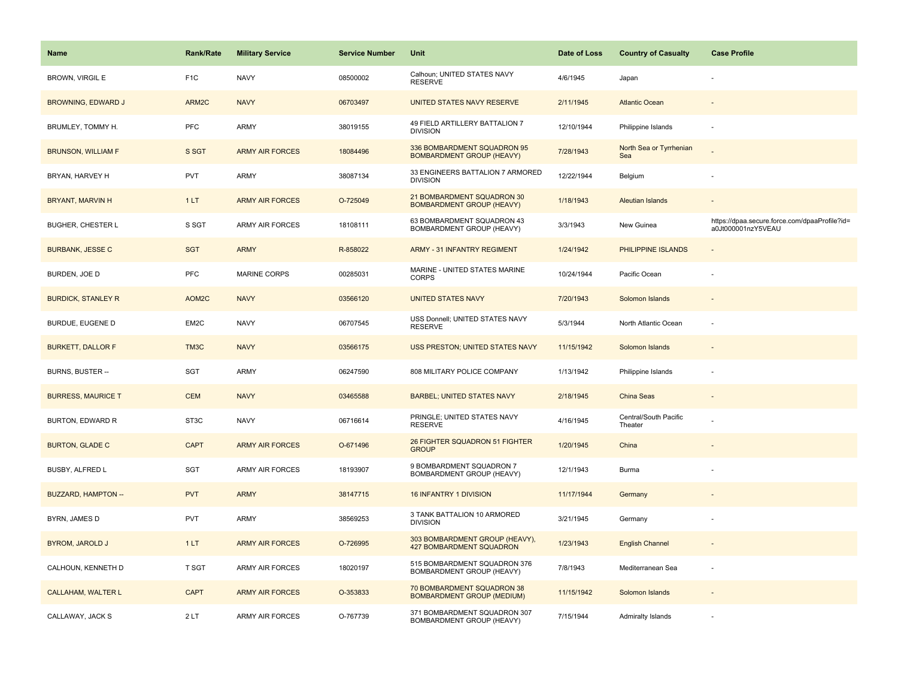| Name                      | <b>Rank/Rate</b>  | <b>Military Service</b> | <b>Service Number</b> | Unit                                                              | Date of Loss | <b>Country of Casualty</b>       | <b>Case Profile</b>                                                 |
|---------------------------|-------------------|-------------------------|-----------------------|-------------------------------------------------------------------|--------------|----------------------------------|---------------------------------------------------------------------|
| <b>BROWN, VIRGIL E</b>    | F <sub>1</sub> C  | <b>NAVY</b>             | 08500002              | Calhoun; UNITED STATES NAVY<br><b>RESERVE</b>                     | 4/6/1945     | Japan                            |                                                                     |
| <b>BROWNING, EDWARD J</b> | ARM2C             | <b>NAVY</b>             | 06703497              | UNITED STATES NAVY RESERVE                                        | 2/11/1945    | <b>Atlantic Ocean</b>            |                                                                     |
| BRUMLEY, TOMMY H.         | <b>PFC</b>        | ARMY                    | 38019155              | 49 FIELD ARTILLERY BATTALION 7<br><b>DIVISION</b>                 | 12/10/1944   | Philippine Islands               |                                                                     |
| <b>BRUNSON, WILLIAM F</b> | S SGT             | <b>ARMY AIR FORCES</b>  | 18084496              | 336 BOMBARDMENT SQUADRON 95<br><b>BOMBARDMENT GROUP (HEAVY)</b>   | 7/28/1943    | North Sea or Tyrrhenian<br>Sea   |                                                                     |
| BRYAN, HARVEY H           | <b>PVT</b>        | ARMY                    | 38087134              | 33 ENGINEERS BATTALION 7 ARMORED<br><b>DIVISION</b>               | 12/22/1944   | Belgium                          |                                                                     |
| BRYANT, MARVIN H          | 1LT               | <b>ARMY AIR FORCES</b>  | O-725049              | 21 BOMBARDMENT SQUADRON 30<br><b>BOMBARDMENT GROUP (HEAVY)</b>    | 1/18/1943    | <b>Aleutian Islands</b>          | $\overline{\phantom{a}}$                                            |
| <b>BUGHER, CHESTER L</b>  | S SGT             | <b>ARMY AIR FORCES</b>  | 18108111              | 63 BOMBARDMENT SQUADRON 43<br>BOMBARDMENT GROUP (HEAVY)           | 3/3/1943     | New Guinea                       | https://dpaa.secure.force.com/dpaaProfile?id=<br>a0Jt000001nzY5VEAU |
| <b>BURBANK, JESSE C</b>   | <b>SGT</b>        | <b>ARMY</b>             | R-858022              | <b>ARMY - 31 INFANTRY REGIMENT</b>                                | 1/24/1942    | PHILIPPINE ISLANDS               | ÷,                                                                  |
| BURDEN, JOE D             | PFC               | <b>MARINE CORPS</b>     | 00285031              | MARINE - UNITED STATES MARINE<br><b>CORPS</b>                     | 10/24/1944   | Pacific Ocean                    |                                                                     |
| <b>BURDICK, STANLEY R</b> | AOM2C             | <b>NAVY</b>             | 03566120              | <b>UNITED STATES NAVY</b>                                         | 7/20/1943    | Solomon Islands                  |                                                                     |
| BURDUE, EUGENE D          | EM2C              | <b>NAVY</b>             | 06707545              | USS Donnell; UNITED STATES NAVY<br><b>RESERVE</b>                 | 5/3/1944     | North Atlantic Ocean             |                                                                     |
| <b>BURKETT, DALLOR F</b>  | TM3C              | <b>NAVY</b>             | 03566175              | USS PRESTON; UNITED STATES NAVY                                   | 11/15/1942   | Solomon Islands                  | $\overline{\phantom{a}}$                                            |
| BURNS, BUSTER --          | SGT               | <b>ARMY</b>             | 06247590              | 808 MILITARY POLICE COMPANY                                       | 1/13/1942    | Philippine Islands               |                                                                     |
| <b>BURRESS, MAURICE T</b> | <b>CEM</b>        | <b>NAVY</b>             | 03465588              | <b>BARBEL; UNITED STATES NAVY</b>                                 | 2/18/1945    | China Seas                       | $\overline{a}$                                                      |
| BURTON, EDWARD R          | ST <sub>3</sub> C | <b>NAVY</b>             | 06716614              | PRINGLE; UNITED STATES NAVY<br><b>RESERVE</b>                     | 4/16/1945    | Central/South Pacific<br>Theater |                                                                     |
| <b>BURTON, GLADE C</b>    | <b>CAPT</b>       | <b>ARMY AIR FORCES</b>  | O-671496              | 26 FIGHTER SQUADRON 51 FIGHTER<br><b>GROUP</b>                    | 1/20/1945    | China                            |                                                                     |
| BUSBY, ALFRED L           | SGT               | ARMY AIR FORCES         | 18193907              | 9 BOMBARDMENT SQUADRON 7<br>BOMBARDMENT GROUP (HEAVY)             | 12/1/1943    | Burma                            |                                                                     |
| BUZZARD, HAMPTON --       | <b>PVT</b>        | <b>ARMY</b>             | 38147715              | 16 INFANTRY 1 DIVISION                                            | 11/17/1944   | Germany                          |                                                                     |
| BYRN, JAMES D             | PVT               | ARMY                    | 38569253              | 3 TANK BATTALION 10 ARMORED<br><b>DIVISION</b>                    | 3/21/1945    | Germany                          |                                                                     |
| <b>BYROM, JAROLD J</b>    | 1LT               | <b>ARMY AIR FORCES</b>  | O-726995              | 303 BOMBARDMENT GROUP (HEAVY),<br><b>427 BOMBARDMENT SQUADRON</b> | 1/23/1943    | <b>English Channel</b>           |                                                                     |
| CALHOUN, KENNETH D        | T SGT             | <b>ARMY AIR FORCES</b>  | 18020197              | 515 BOMBARDMENT SQUADRON 376<br>BOMBARDMENT GROUP (HEAVY)         | 7/8/1943     | Mediterranean Sea                | $\sim$                                                              |
| <b>CALLAHAM, WALTER L</b> | <b>CAPT</b>       | <b>ARMY AIR FORCES</b>  | O-353833              | 70 BOMBARDMENT SQUADRON 38<br><b>BOMBARDMENT GROUP (MEDIUM)</b>   | 11/15/1942   | Solomon Islands                  |                                                                     |
| CALLAWAY, JACK S          | 2LT               | ARMY AIR FORCES         | O-767739              | 371 BOMBARDMENT SQUADRON 307<br><b>BOMBARDMENT GROUP (HEAVY)</b>  | 7/15/1944    | Admiralty Islands                |                                                                     |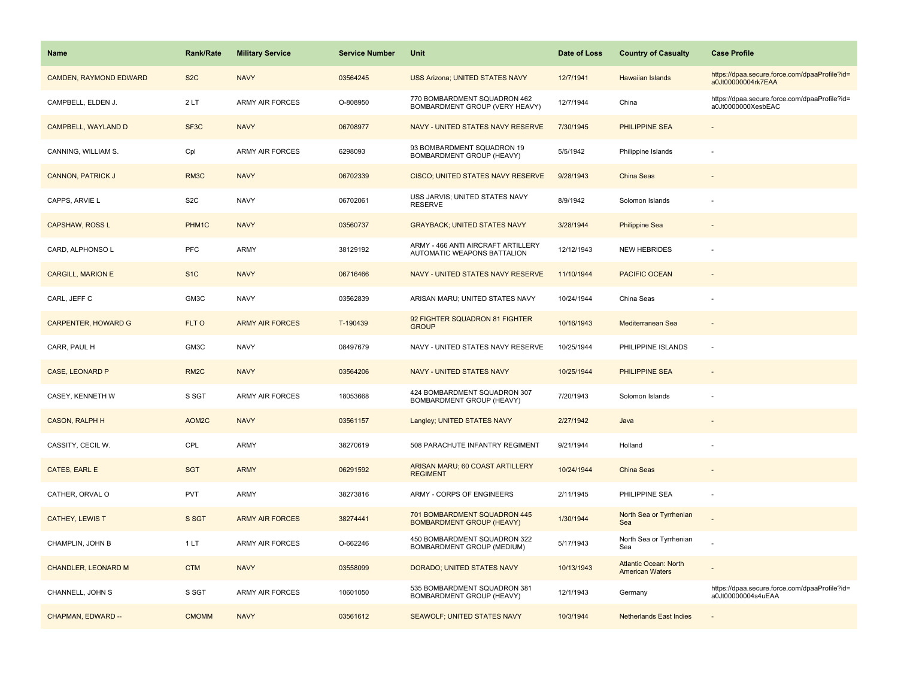| Name                          | <b>Rank/Rate</b>  | <b>Military Service</b> | <b>Service Number</b> | Unit                                                              | Date of Loss | <b>Country of Casualty</b>                             | <b>Case Profile</b>                                                 |
|-------------------------------|-------------------|-------------------------|-----------------------|-------------------------------------------------------------------|--------------|--------------------------------------------------------|---------------------------------------------------------------------|
| <b>CAMDEN, RAYMOND EDWARD</b> | S <sub>2</sub> C  | <b>NAVY</b>             | 03564245              | <b>USS Arizona; UNITED STATES NAVY</b>                            | 12/7/1941    | <b>Hawaiian Islands</b>                                | https://dpaa.secure.force.com/dpaaProfile?id=<br>a0Jt00000004rk7EAA |
| CAMPBELL, ELDEN J.            | 2LT               | <b>ARMY AIR FORCES</b>  | O-808950              | 770 BOMBARDMENT SQUADRON 462<br>BOMBARDMENT GROUP (VERY HEAVY)    | 12/7/1944    | China                                                  | https://dpaa.secure.force.com/dpaaProfile?id=<br>a0Jt0000000XesbEAC |
| CAMPBELL, WAYLAND D           | SF <sub>3</sub> C | <b>NAVY</b>             | 06708977              | NAVY - UNITED STATES NAVY RESERVE                                 | 7/30/1945    | <b>PHILIPPINE SEA</b>                                  |                                                                     |
| CANNING, WILLIAM S.           | Cpl               | <b>ARMY AIR FORCES</b>  | 6298093               | 93 BOMBARDMENT SQUADRON 19<br>BOMBARDMENT GROUP (HEAVY)           | 5/5/1942     | Philippine Islands                                     |                                                                     |
| <b>CANNON, PATRICK J</b>      | RM3C              | <b>NAVY</b>             | 06702339              | <b>CISCO; UNITED STATES NAVY RESERVE</b>                          | 9/28/1943    | China Seas                                             |                                                                     |
| CAPPS, ARVIE L                | S <sub>2</sub> C  | <b>NAVY</b>             | 06702061              | USS JARVIS; UNITED STATES NAVY<br><b>RESERVE</b>                  | 8/9/1942     | Solomon Islands                                        |                                                                     |
| <b>CAPSHAW, ROSS L</b>        | PHM1C             | <b>NAVY</b>             | 03560737              | <b>GRAYBACK; UNITED STATES NAVY</b>                               | 3/28/1944    | <b>Philippine Sea</b>                                  |                                                                     |
| CARD, ALPHONSO L              | PFC               | ARMY                    | 38129192              | ARMY - 466 ANTI AIRCRAFT ARTILLERY<br>AUTOMATIC WEAPONS BATTALION | 12/12/1943   | <b>NEW HEBRIDES</b>                                    |                                                                     |
| <b>CARGILL, MARION E</b>      | S <sub>1</sub> C  | <b>NAVY</b>             | 06716466              | NAVY - UNITED STATES NAVY RESERVE                                 | 11/10/1944   | PACIFIC OCEAN                                          |                                                                     |
| CARL, JEFF C                  | GM3C              | <b>NAVY</b>             | 03562839              | ARISAN MARU; UNITED STATES NAVY                                   | 10/24/1944   | China Seas                                             |                                                                     |
| <b>CARPENTER, HOWARD G</b>    | FLT O             | <b>ARMY AIR FORCES</b>  | T-190439              | 92 FIGHTER SQUADRON 81 FIGHTER<br><b>GROUP</b>                    | 10/16/1943   | Mediterranean Sea                                      |                                                                     |
| CARR, PAUL H                  | GM3C              | <b>NAVY</b>             | 08497679              | NAVY - UNITED STATES NAVY RESERVE                                 | 10/25/1944   | PHILIPPINE ISLANDS                                     |                                                                     |
| <b>CASE, LEONARD P</b>        | RM <sub>2</sub> C | <b>NAVY</b>             | 03564206              | <b>NAVY - UNITED STATES NAVY</b>                                  | 10/25/1944   | <b>PHILIPPINE SEA</b>                                  |                                                                     |
| CASEY, KENNETH W              | S SGT             | ARMY AIR FORCES         | 18053668              | 424 BOMBARDMENT SQUADRON 307<br>BOMBARDMENT GROUP (HEAVY)         | 7/20/1943    | Solomon Islands                                        |                                                                     |
| <b>CASON, RALPH H</b>         | AOM2C             | <b>NAVY</b>             | 03561157              | Langley; UNITED STATES NAVY                                       | 2/27/1942    | Java                                                   |                                                                     |
| CASSITY, CECIL W.             | CPL               | <b>ARMY</b>             | 38270619              | 508 PARACHUTE INFANTRY REGIMENT                                   | 9/21/1944    | Holland                                                |                                                                     |
| CATES, EARL E                 | <b>SGT</b>        | <b>ARMY</b>             | 06291592              | ARISAN MARU; 60 COAST ARTILLERY<br><b>REGIMENT</b>                | 10/24/1944   | China Seas                                             |                                                                     |
| CATHER, ORVAL O               | <b>PVT</b>        | ARMY                    | 38273816              | ARMY - CORPS OF ENGINEERS                                         | 2/11/1945    | PHILIPPINE SEA                                         |                                                                     |
| <b>CATHEY, LEWIS T</b>        | S SGT             | <b>ARMY AIR FORCES</b>  | 38274441              | 701 BOMBARDMENT SQUADRON 445<br><b>BOMBARDMENT GROUP (HEAVY)</b>  | 1/30/1944    | North Sea or Tyrrhenian<br>Sea                         |                                                                     |
| CHAMPLIN, JOHN B              | 1LT               | <b>ARMY AIR FORCES</b>  | O-662246              | 450 BOMBARDMENT SQUADRON 322<br>BOMBARDMENT GROUP (MEDIUM)        | 5/17/1943    | North Sea or Tyrrhenian<br>Sea                         |                                                                     |
| <b>CHANDLER, LEONARD M</b>    | <b>CTM</b>        | <b>NAVY</b>             | 03558099              | DORADO; UNITED STATES NAVY                                        | 10/13/1943   | <b>Atlantic Ocean: North</b><br><b>American Waters</b> |                                                                     |
| CHANNELL, JOHN S              | S SGT             | <b>ARMY AIR FORCES</b>  | 10601050              | 535 BOMBARDMENT SQUADRON 381<br>BOMBARDMENT GROUP (HEAVY)         | 12/1/1943    | Germany                                                | https://dpaa.secure.force.com/dpaaProfile?id=<br>a0Jt00000004s4uEAA |
| CHAPMAN, EDWARD --            | <b>CMOMM</b>      | <b>NAVY</b>             | 03561612              | <b>SEAWOLF; UNITED STATES NAVY</b>                                | 10/3/1944    | <b>Netherlands East Indies</b>                         |                                                                     |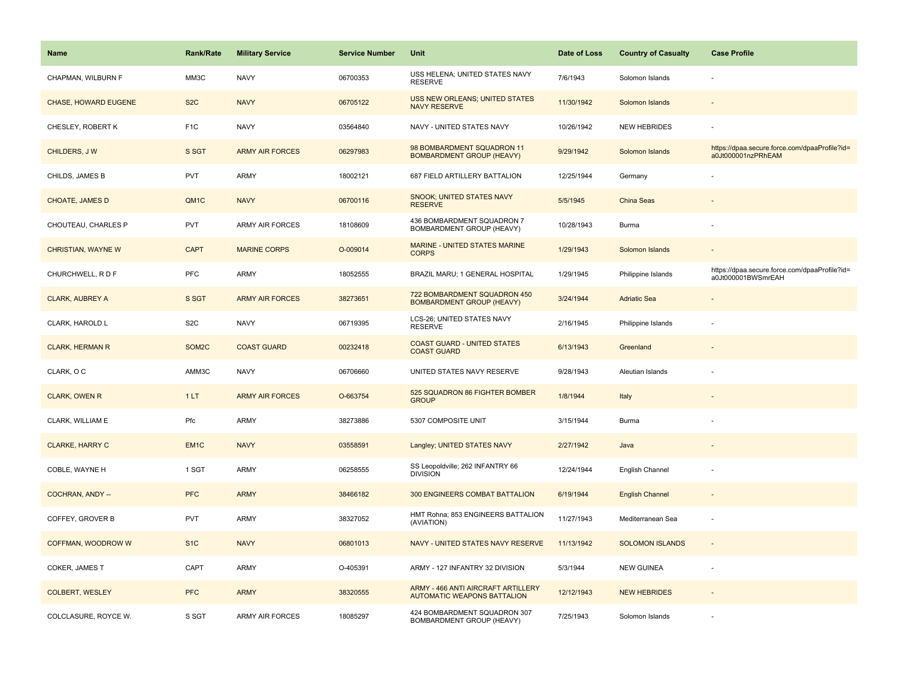| <b>Name</b>            | Rank/Rate         | <b>Military Service</b> | <b>Service Number</b> | Unit                                                                     | Date of Loss | <b>Country of Casualty</b> | <b>Case Profile</b>                                                 |
|------------------------|-------------------|-------------------------|-----------------------|--------------------------------------------------------------------------|--------------|----------------------------|---------------------------------------------------------------------|
| CHAPMAN, WILBURN F     | ММЗС              | <b>NAVY</b>             | 06700353              | USS HELENA; UNITED STATES NAVY<br><b>RESERVE</b>                         | 7/6/1943     | Solomon Islands            |                                                                     |
| CHASE, HOWARD EUGENE   | S <sub>2</sub> C  | <b>NAVY</b>             | 06705122              | USS NEW ORLEANS; UNITED STATES<br><b>NAVY RESERVE</b>                    | 11/30/1942   | Solomon Islands            |                                                                     |
| CHESLEY, ROBERT K      | F <sub>1</sub> C  | <b>NAVY</b>             | 03564840              | NAVY - UNITED STATES NAVY                                                | 10/26/1942   | <b>NEW HEBRIDES</b>        |                                                                     |
| CHILDERS, J W          | S SGT             | <b>ARMY AIR FORCES</b>  | 06297983              | 98 BOMBARDMENT SQUADRON 11<br><b>BOMBARDMENT GROUP (HEAVY)</b>           | 9/29/1942    | Solomon Islands            | https://dpaa.secure.force.com/dpaaProfile?id=<br>a0Jt000001nzPRhEAM |
| CHILDS, JAMES B        | <b>PVT</b>        | <b>ARMY</b>             | 18002121              | 687 FIELD ARTILLERY BATTALION                                            | 12/25/1944   | Germany                    |                                                                     |
| <b>CHOATE, JAMES D</b> | QM <sub>1</sub> C | <b>NAVY</b>             | 06700116              | SNOOK; UNITED STATES NAVY<br><b>RESERVE</b>                              | 5/5/1945     | <b>China Seas</b>          |                                                                     |
| CHOUTEAU, CHARLES P    | <b>PVT</b>        | <b>ARMY AIR FORCES</b>  | 18108609              | 436 BOMBARDMENT SQUADRON 7<br>BOMBARDMENT GROUP (HEAVY)                  | 10/28/1943   | Burma                      |                                                                     |
| CHRISTIAN, WAYNE W     | <b>CAPT</b>       | <b>MARINE CORPS</b>     | O-009014              | MARINE - UNITED STATES MARINE<br><b>CORPS</b>                            | 1/29/1943    | Solomon Islands            |                                                                     |
| CHURCHWELL, R D F      | <b>PFC</b>        | ARMY                    | 18052555              | BRAZIL MARU; 1 GENERAL HOSPITAL                                          | 1/29/1945    | Philippine Islands         | https://dpaa.secure.force.com/dpaaProfile?id=<br>a0Jt000001BWSmrEAH |
| <b>CLARK, AUBREY A</b> | S SGT             | <b>ARMY AIR FORCES</b>  | 38273651              | 722 BOMBARDMENT SQUADRON 450<br><b>BOMBARDMENT GROUP (HEAVY)</b>         | 3/24/1944    | <b>Adriatic Sea</b>        |                                                                     |
| CLARK, HAROLD L        | S <sub>2</sub> C  | <b>NAVY</b>             | 06719395              | LCS-26; UNITED STATES NAVY<br><b>RESERVE</b>                             | 2/16/1945    | Philippine Islands         |                                                                     |
| <b>CLARK, HERMAN R</b> | SOM2C             | <b>COAST GUARD</b>      | 00232418              | <b>COAST GUARD - UNITED STATES</b><br><b>COAST GUARD</b>                 | 6/13/1943    | Greenland                  | $\sim$                                                              |
| CLARK, OC              | AMM3C             | <b>NAVY</b>             | 06706660              | UNITED STATES NAVY RESERVE                                               | 9/28/1943    | Aleutian Islands           |                                                                     |
| <b>CLARK, OWEN R</b>   | 1LT               | <b>ARMY AIR FORCES</b>  | O-663754              | 525 SQUADRON 86 FIGHTER BOMBER<br><b>GROUP</b>                           | 1/8/1944     | Italy                      |                                                                     |
| CLARK, WILLIAM E       | Pfc               | <b>ARMY</b>             | 38273886              | 5307 COMPOSITE UNIT                                                      | 3/15/1944    | Burma                      |                                                                     |
| <b>CLARKE, HARRY C</b> | EM <sub>1C</sub>  | <b>NAVY</b>             | 03558591              | Langley; UNITED STATES NAVY                                              | 2/27/1942    | Java                       |                                                                     |
| COBLE, WAYNE H         | 1 SGT             | ARMY                    | 06258555              | SS Leopoldville; 262 INFANTRY 66<br><b>DIVISION</b>                      | 12/24/1944   | English Channel            |                                                                     |
| COCHRAN, ANDY --       | <b>PFC</b>        | <b>ARMY</b>             | 38466182              | <b>300 ENGINEERS COMBAT BATTALION</b>                                    | 6/19/1944    | <b>English Channel</b>     |                                                                     |
| COFFEY, GROVER B       | <b>PVT</b>        | <b>ARMY</b>             | 38327052              | HMT Rohna; 853 ENGINEERS BATTALION<br>(AVIATION)                         | 11/27/1943   | Mediterranean Sea          | $\overline{\phantom{a}}$                                            |
| COFFMAN, WOODROW W     | S <sub>1</sub> C  | <b>NAVY</b>             | 06801013              | NAVY - UNITED STATES NAVY RESERVE                                        | 11/13/1942   | <b>SOLOMON ISLANDS</b>     | $\blacksquare$                                                      |
| COKER, JAMES T         | CAPT              | <b>ARMY</b>             | O-405391              | ARMY - 127 INFANTRY 32 DIVISION                                          | 5/3/1944     | <b>NEW GUINEA</b>          |                                                                     |
| <b>COLBERT, WESLEY</b> | <b>PFC</b>        | <b>ARMY</b>             | 38320555              | ARMY - 466 ANTI AIRCRAFT ARTILLERY<br><b>AUTOMATIC WEAPONS BATTALION</b> | 12/12/1943   | <b>NEW HEBRIDES</b>        |                                                                     |
| COLCLASURE, ROYCE W.   | S SGT             | <b>ARMY AIR FORCES</b>  | 18085297              | 424 BOMBARDMENT SQUADRON 307<br>BOMBARDMENT GROUP (HEAVY)                | 7/25/1943    | Solomon Islands            |                                                                     |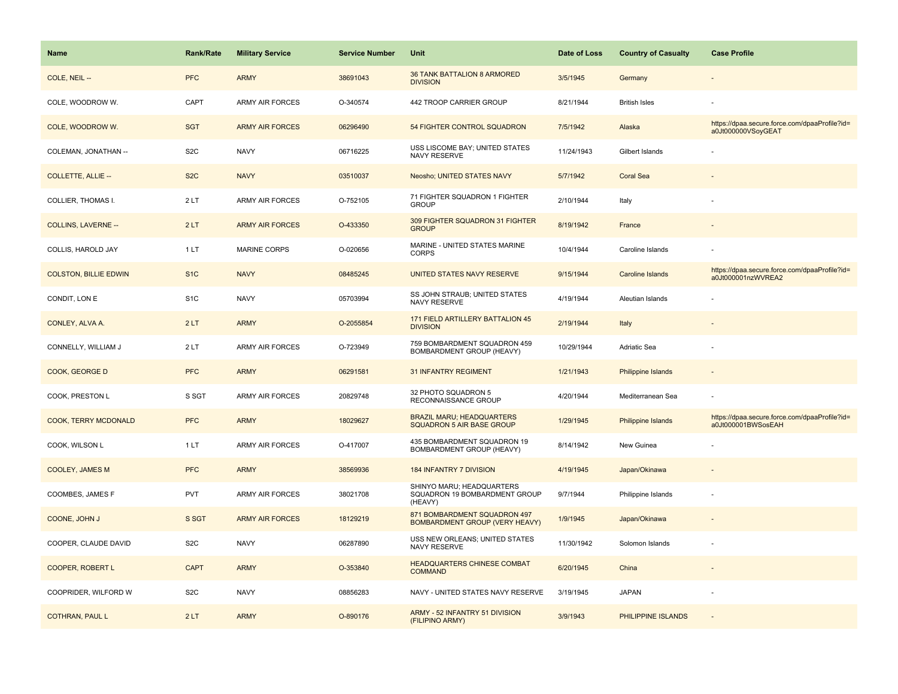| Name                         | <b>Rank/Rate</b> | <b>Military Service</b> | <b>Service Number</b> | Unit                                                                  | Date of Loss | <b>Country of Casualty</b> | <b>Case Profile</b>                                                 |
|------------------------------|------------------|-------------------------|-----------------------|-----------------------------------------------------------------------|--------------|----------------------------|---------------------------------------------------------------------|
| COLE, NEIL --                | <b>PFC</b>       | <b>ARMY</b>             | 38691043              | 36 TANK BATTALION 8 ARMORED<br><b>DIVISION</b>                        | 3/5/1945     | Germany                    |                                                                     |
| COLE, WOODROW W.             | CAPT             | <b>ARMY AIR FORCES</b>  | O-340574              | 442 TROOP CARRIER GROUP                                               | 8/21/1944    | <b>British Isles</b>       |                                                                     |
| COLE, WOODROW W.             | <b>SGT</b>       | <b>ARMY AIR FORCES</b>  | 06296490              | 54 FIGHTER CONTROL SQUADRON                                           | 7/5/1942     | Alaska                     | https://dpaa.secure.force.com/dpaaProfile?id=<br>a0Jt000000VSoyGEAT |
| COLEMAN, JONATHAN --         | S <sub>2</sub> C | <b>NAVY</b>             | 06716225              | USS LISCOME BAY; UNITED STATES<br>NAVY RESERVE                        | 11/24/1943   | Gilbert Islands            |                                                                     |
| <b>COLLETTE, ALLIE --</b>    | S <sub>2</sub> C | <b>NAVY</b>             | 03510037              | Neosho; UNITED STATES NAVY                                            | 5/7/1942     | Coral Sea                  |                                                                     |
| COLLIER, THOMAS I.           | 2LT              | <b>ARMY AIR FORCES</b>  | O-752105              | 71 FIGHTER SQUADRON 1 FIGHTER<br><b>GROUP</b>                         | 2/10/1944    | Italy                      |                                                                     |
| <b>COLLINS, LAVERNE --</b>   | 2LT              | <b>ARMY AIR FORCES</b>  | O-433350              | 309 FIGHTER SQUADRON 31 FIGHTER<br><b>GROUP</b>                       | 8/19/1942    | France                     |                                                                     |
| COLLIS, HAROLD JAY           | 1LT              | <b>MARINE CORPS</b>     | O-020656              | MARINE - UNITED STATES MARINE<br><b>CORPS</b>                         | 10/4/1944    | Caroline Islands           |                                                                     |
| <b>COLSTON, BILLIE EDWIN</b> | S <sub>1C</sub>  | <b>NAVY</b>             | 08485245              | UNITED STATES NAVY RESERVE                                            | 9/15/1944    | <b>Caroline Islands</b>    | https://dpaa.secure.force.com/dpaaProfile?id=<br>a0Jt000001nzWVREA2 |
| CONDIT, LON E                | S <sub>1</sub> C | <b>NAVY</b>             | 05703994              | SS JOHN STRAUB; UNITED STATES<br>NAVY RESERVE                         | 4/19/1944    | Aleutian Islands           |                                                                     |
| CONLEY, ALVA A.              | 2LT              | <b>ARMY</b>             | O-2055854             | 171 FIELD ARTILLERY BATTALION 45<br><b>DIVISION</b>                   | 2/19/1944    | Italy                      |                                                                     |
| CONNELLY, WILLIAM J          | 2LT              | ARMY AIR FORCES         | O-723949              | 759 BOMBARDMENT SQUADRON 459<br>BOMBARDMENT GROUP (HEAVY)             | 10/29/1944   | Adriatic Sea               |                                                                     |
| COOK, GEORGE D               | <b>PFC</b>       | <b>ARMY</b>             | 06291581              | <b>31 INFANTRY REGIMENT</b>                                           | 1/21/1943    | <b>Philippine Islands</b>  |                                                                     |
| COOK, PRESTON L              | S SGT            | ARMY AIR FORCES         | 20829748              | 32 PHOTO SQUADRON 5<br>RECONNAISSANCE GROUP                           | 4/20/1944    | Mediterranean Sea          |                                                                     |
| COOK, TERRY MCDONALD         | <b>PFC</b>       | <b>ARMY</b>             | 18029627              | <b>BRAZIL MARU; HEADQUARTERS</b><br><b>SQUADRON 5 AIR BASE GROUP</b>  | 1/29/1945    | Philippine Islands         | https://dpaa.secure.force.com/dpaaProfile?id=<br>a0Jt000001BWSosEAH |
| COOK, WILSON L               | 1LT              | ARMY AIR FORCES         | O-417007              | 435 BOMBARDMENT SQUADRON 19<br>BOMBARDMENT GROUP (HEAVY)              | 8/14/1942    | New Guinea                 |                                                                     |
| <b>COOLEY, JAMES M</b>       | <b>PFC</b>       | <b>ARMY</b>             | 38569936              | <b>184 INFANTRY 7 DIVISION</b>                                        | 4/19/1945    | Japan/Okinawa              |                                                                     |
| COOMBES, JAMES F             | PVT              | <b>ARMY AIR FORCES</b>  | 38021708              | SHINYO MARU; HEADQUARTERS<br>SQUADRON 19 BOMBARDMENT GROUP<br>(HEAVY) | 9/7/1944     | Philippine Islands         |                                                                     |
| COONE, JOHN J                | S SGT            | <b>ARMY AIR FORCES</b>  | 18129219              | 871 BOMBARDMENT SQUADRON 497<br><b>BOMBARDMENT GROUP (VERY HEAVY)</b> | 1/9/1945     | Japan/Okinawa              |                                                                     |
| COOPER, CLAUDE DAVID         | S <sub>2</sub> C | <b>NAVY</b>             | 06287890              | USS NEW ORLEANS; UNITED STATES<br>NAVY RESERVE                        | 11/30/1942   | Solomon Islands            |                                                                     |
| <b>COOPER, ROBERT L</b>      | <b>CAPT</b>      | <b>ARMY</b>             | O-353840              | <b>HEADQUARTERS CHINESE COMBAT</b><br><b>COMMAND</b>                  | 6/20/1945    | China                      |                                                                     |
| COOPRIDER, WILFORD W         | S <sub>2</sub> C | <b>NAVY</b>             | 08856283              | NAVY - UNITED STATES NAVY RESERVE                                     | 3/19/1945    | <b>JAPAN</b>               |                                                                     |
| <b>COTHRAN, PAUL L</b>       | 2LT              | <b>ARMY</b>             | O-890176              | ARMY - 52 INFANTRY 51 DIVISION<br>(FILIPINO ARMY)                     | 3/9/1943     | PHILIPPINE ISLANDS         |                                                                     |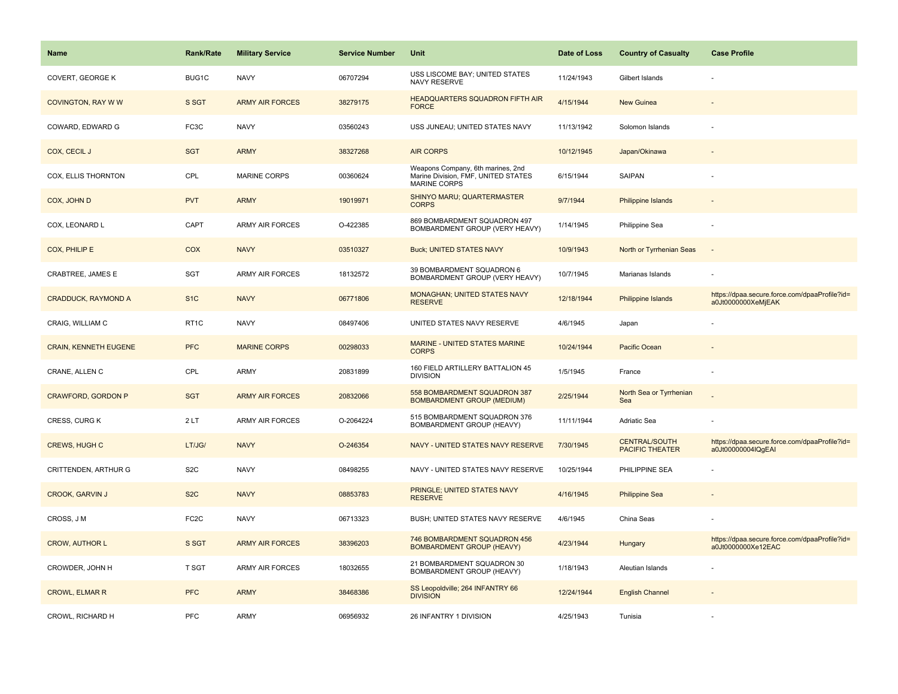| <b>Name</b>                  | <b>Rank/Rate</b>  | <b>Military Service</b> | <b>Service Number</b> | Unit                                                                                            | Date of Loss | <b>Country of Casualty</b>                     | <b>Case Profile</b>                                                 |
|------------------------------|-------------------|-------------------------|-----------------------|-------------------------------------------------------------------------------------------------|--------------|------------------------------------------------|---------------------------------------------------------------------|
| COVERT, GEORGE K             | BUG1C             | <b>NAVY</b>             | 06707294              | USS LISCOME BAY; UNITED STATES<br>NAVY RESERVE                                                  | 11/24/1943   | Gilbert Islands                                |                                                                     |
| COVINGTON, RAY W W           | S SGT             | <b>ARMY AIR FORCES</b>  | 38279175              | HEADQUARTERS SQUADRON FIFTH AIR<br><b>FORCE</b>                                                 | 4/15/1944    | New Guinea                                     |                                                                     |
| COWARD, EDWARD G             | FC3C              | <b>NAVY</b>             | 03560243              | USS JUNEAU; UNITED STATES NAVY                                                                  | 11/13/1942   | Solomon Islands                                |                                                                     |
| COX, CECIL J                 | <b>SGT</b>        | <b>ARMY</b>             | 38327268              | <b>AIR CORPS</b>                                                                                | 10/12/1945   | Japan/Okinawa                                  |                                                                     |
| COX, ELLIS THORNTON          | CPL               | <b>MARINE CORPS</b>     | 00360624              | Weapons Company, 6th marines, 2nd<br>Marine Division, FMF, UNITED STATES<br><b>MARINE CORPS</b> | 6/15/1944    | <b>SAIPAN</b>                                  |                                                                     |
| COX, JOHN D                  | <b>PVT</b>        | <b>ARMY</b>             | 19019971              | SHINYO MARU; QUARTERMASTER<br><b>CORPS</b>                                                      | 9/7/1944     | Philippine Islands                             |                                                                     |
| COX, LEONARD L               | CAPT              | <b>ARMY AIR FORCES</b>  | O-422385              | 869 BOMBARDMENT SQUADRON 497<br>BOMBARDMENT GROUP (VERY HEAVY)                                  | 1/14/1945    | Philippine Sea                                 |                                                                     |
| COX, PHILIP E                | <b>COX</b>        | <b>NAVY</b>             | 03510327              | <b>Buck; UNITED STATES NAVY</b>                                                                 | 10/9/1943    | North or Tyrrhenian Seas                       |                                                                     |
| CRABTREE, JAMES E            | <b>SGT</b>        | <b>ARMY AIR FORCES</b>  | 18132572              | 39 BOMBARDMENT SQUADRON 6<br>BOMBARDMENT GROUP (VERY HEAVY)                                     | 10/7/1945    | Marianas Islands                               |                                                                     |
| <b>CRADDUCK, RAYMOND A</b>   | S <sub>1</sub> C  | <b>NAVY</b>             | 06771806              | <b>MONAGHAN; UNITED STATES NAVY</b><br><b>RESERVE</b>                                           | 12/18/1944   | Philippine Islands                             | https://dpaa.secure.force.com/dpaaProfile?id=<br>a0Jt0000000XeMjEAK |
| CRAIG, WILLIAM C             | RT <sub>1</sub> C | <b>NAVY</b>             | 08497406              | UNITED STATES NAVY RESERVE                                                                      | 4/6/1945     | Japan                                          |                                                                     |
| <b>CRAIN, KENNETH EUGENE</b> | <b>PFC</b>        | <b>MARINE CORPS</b>     | 00298033              | MARINE - UNITED STATES MARINE<br><b>CORPS</b>                                                   | 10/24/1944   | Pacific Ocean                                  |                                                                     |
| CRANE, ALLEN C               | CPL               | <b>ARMY</b>             | 20831899              | 160 FIELD ARTILLERY BATTALION 45<br><b>DIVISION</b>                                             | 1/5/1945     | France                                         |                                                                     |
| CRAWFORD, GORDON P           | <b>SGT</b>        | <b>ARMY AIR FORCES</b>  | 20832066              | 558 BOMBARDMENT SQUADRON 387<br><b>BOMBARDMENT GROUP (MEDIUM)</b>                               | 2/25/1944    | North Sea or Tyrrhenian<br>Sea                 |                                                                     |
| CRESS, CURG K                | 2LT               | <b>ARMY AIR FORCES</b>  | O-2064224             | 515 BOMBARDMENT SQUADRON 376<br>BOMBARDMENT GROUP (HEAVY)                                       | 11/11/1944   | Adriatic Sea                                   |                                                                     |
| CREWS, HUGH C                | LT/JG/            | <b>NAVY</b>             | O-246354              | NAVY - UNITED STATES NAVY RESERVE                                                               | 7/30/1945    | <b>CENTRAL/SOUTH</b><br><b>PACIFIC THEATER</b> | https://dpaa.secure.force.com/dpaaProfile?id=<br>a0Jt00000004IQgEAI |
| CRITTENDEN, ARTHUR G         | S <sub>2</sub> C  | <b>NAVY</b>             | 08498255              | NAVY - UNITED STATES NAVY RESERVE                                                               | 10/25/1944   | PHILIPPINE SEA                                 |                                                                     |
| <b>CROOK, GARVIN J</b>       | S <sub>2</sub> C  | <b>NAVY</b>             | 08853783              | PRINGLE; UNITED STATES NAVY<br><b>RESERVE</b>                                                   | 4/16/1945    | <b>Philippine Sea</b>                          |                                                                     |
| CROSS, J M                   | FC <sub>2</sub> C | <b>NAVY</b>             | 06713323              | BUSH; UNITED STATES NAVY RESERVE                                                                | 4/6/1945     | China Seas                                     |                                                                     |
| <b>CROW, AUTHOR L</b>        | S SGT             | <b>ARMY AIR FORCES</b>  | 38396203              | 746 BOMBARDMENT SQUADRON 456<br><b>BOMBARDMENT GROUP (HEAVY)</b>                                | 4/23/1944    | Hungary                                        | https://dpaa.secure.force.com/dpaaProfile?id=<br>a0Jt0000000Xe12EAC |
| CROWDER, JOHN H              | T SGT             | <b>ARMY AIR FORCES</b>  | 18032655              | 21 BOMBARDMENT SQUADRON 30<br>BOMBARDMENT GROUP (HEAVY)                                         | 1/18/1943    | Aleutian Islands                               |                                                                     |
| <b>CROWL, ELMAR R</b>        | <b>PFC</b>        | <b>ARMY</b>             | 38468386              | SS Leopoldville; 264 INFANTRY 66<br><b>DIVISION</b>                                             | 12/24/1944   | <b>English Channel</b>                         |                                                                     |
| CROWL, RICHARD H             | PFC               | <b>ARMY</b>             | 06956932              | 26 INFANTRY 1 DIVISION                                                                          | 4/25/1943    | Tunisia                                        |                                                                     |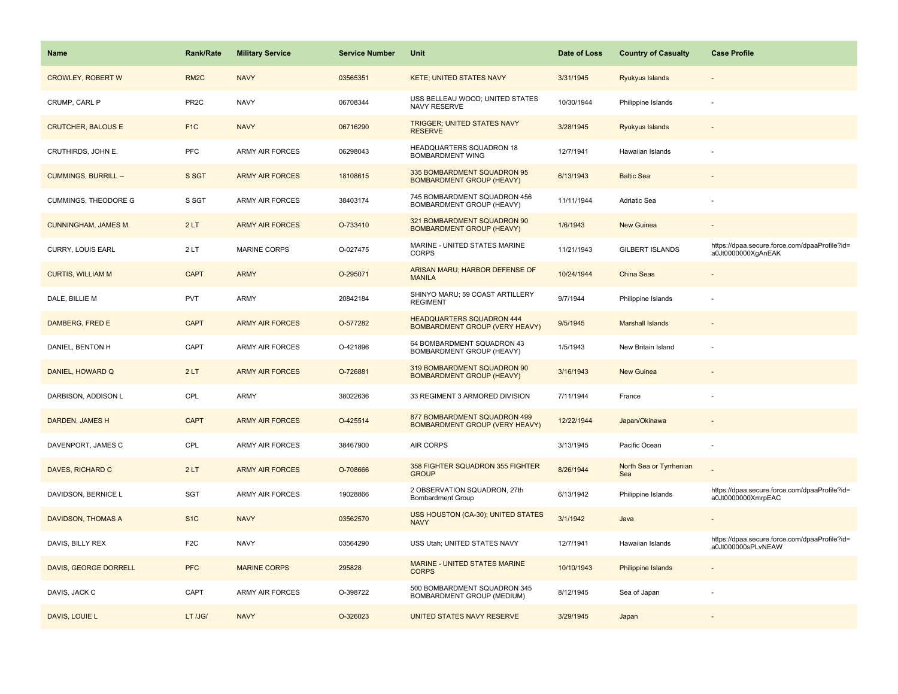| Name                        | <b>Rank/Rate</b>  | <b>Military Service</b> | <b>Service Number</b> | Unit                                                                      | Date of Loss | <b>Country of Casualty</b>     | <b>Case Profile</b>                                                 |
|-----------------------------|-------------------|-------------------------|-----------------------|---------------------------------------------------------------------------|--------------|--------------------------------|---------------------------------------------------------------------|
| <b>CROWLEY, ROBERT W</b>    | RM <sub>2</sub> C | <b>NAVY</b>             | 03565351              | <b>KETE; UNITED STATES NAVY</b>                                           | 3/31/1945    | <b>Ryukyus Islands</b>         |                                                                     |
| CRUMP, CARL P               | PR <sub>2C</sub>  | <b>NAVY</b>             | 06708344              | USS BELLEAU WOOD; UNITED STATES<br>NAVY RESERVE                           | 10/30/1944   | Philippine Islands             |                                                                     |
| <b>CRUTCHER, BALOUS E</b>   | F <sub>1</sub> C  | <b>NAVY</b>             | 06716290              | TRIGGER; UNITED STATES NAVY<br><b>RESERVE</b>                             | 3/28/1945    | <b>Ryukyus Islands</b>         |                                                                     |
| CRUTHIRDS, JOHN E.          | <b>PFC</b>        | <b>ARMY AIR FORCES</b>  | 06298043              | HEADQUARTERS SQUADRON 18<br><b>BOMBARDMENT WING</b>                       | 12/7/1941    | Hawaiian Islands               |                                                                     |
| <b>CUMMINGS, BURRILL --</b> | S SGT             | <b>ARMY AIR FORCES</b>  | 18108615              | 335 BOMBARDMENT SQUADRON 95<br><b>BOMBARDMENT GROUP (HEAVY)</b>           | 6/13/1943    | <b>Baltic Sea</b>              |                                                                     |
| <b>CUMMINGS, THEODORE G</b> | S SGT             | <b>ARMY AIR FORCES</b>  | 38403174              | 745 BOMBARDMENT SQUADRON 456<br>BOMBARDMENT GROUP (HEAVY)                 | 11/11/1944   | Adriatic Sea                   |                                                                     |
| <b>CUNNINGHAM, JAMES M.</b> | 2LT               | <b>ARMY AIR FORCES</b>  | O-733410              | 321 BOMBARDMENT SQUADRON 90<br><b>BOMBARDMENT GROUP (HEAVY)</b>           | 1/6/1943     | <b>New Guinea</b>              |                                                                     |
| CURRY, LOUIS EARL           | 2LT               | <b>MARINE CORPS</b>     | O-027475              | MARINE - UNITED STATES MARINE<br><b>CORPS</b>                             | 11/21/1943   | <b>GILBERT ISLANDS</b>         | https://dpaa.secure.force.com/dpaaProfile?id=<br>a0Jt0000000XgAnEAK |
| <b>CURTIS, WILLIAM M</b>    | <b>CAPT</b>       | <b>ARMY</b>             | O-295071              | ARISAN MARU; HARBOR DEFENSE OF<br><b>MANILA</b>                           | 10/24/1944   | China Seas                     |                                                                     |
| DALE, BILLIE M              | <b>PVT</b>        | ARMY                    | 20842184              | SHINYO MARU; 59 COAST ARTILLERY<br><b>REGIMENT</b>                        | 9/7/1944     | Philippine Islands             |                                                                     |
| DAMBERG, FRED E             | <b>CAPT</b>       | <b>ARMY AIR FORCES</b>  | O-577282              | <b>HEADQUARTERS SQUADRON 444</b><br><b>BOMBARDMENT GROUP (VERY HEAVY)</b> | 9/5/1945     | <b>Marshall Islands</b>        |                                                                     |
| DANIEL, BENTON H            | CAPT              | <b>ARMY AIR FORCES</b>  | O-421896              | 64 BOMBARDMENT SQUADRON 43<br>BOMBARDMENT GROUP (HEAVY)                   | 1/5/1943     | New Britain Island             |                                                                     |
| DANIEL, HOWARD Q            | 2LT               | <b>ARMY AIR FORCES</b>  | O-726881              | 319 BOMBARDMENT SQUADRON 90<br><b>BOMBARDMENT GROUP (HEAVY)</b>           | 3/16/1943    | <b>New Guinea</b>              |                                                                     |
| DARBISON, ADDISON L         | CPL               | <b>ARMY</b>             | 38022636              | 33 REGIMENT 3 ARMORED DIVISION                                            | 7/11/1944    | France                         |                                                                     |
| DARDEN, JAMES H             | <b>CAPT</b>       | <b>ARMY AIR FORCES</b>  | O-425514              | 877 BOMBARDMENT SQUADRON 499<br><b>BOMBARDMENT GROUP (VERY HEAVY)</b>     | 12/22/1944   | Japan/Okinawa                  |                                                                     |
| DAVENPORT, JAMES C          | CPL               | ARMY AIR FORCES         | 38467900              | <b>AIR CORPS</b>                                                          | 3/13/1945    | Pacific Ocean                  |                                                                     |
| DAVES, RICHARD C            | 2LT               | <b>ARMY AIR FORCES</b>  | O-708666              | 358 FIGHTER SQUADRON 355 FIGHTER<br><b>GROUP</b>                          | 8/26/1944    | North Sea or Tyrrhenian<br>Sea |                                                                     |
| DAVIDSON, BERNICE L         | <b>SGT</b>        | <b>ARMY AIR FORCES</b>  | 19028866              | 2 OBSERVATION SQUADRON, 27th<br>Bombardment Group                         | 6/13/1942    | Philippine Islands             | https://dpaa.secure.force.com/dpaaProfile?id=<br>a0Jt0000000XmrpEAC |
| DAVIDSON, THOMAS A          | S <sub>1</sub> C  | <b>NAVY</b>             | 03562570              | USS HOUSTON (CA-30); UNITED STATES<br><b>NAVY</b>                         | 3/1/1942     | Java                           |                                                                     |
| DAVIS, BILLY REX            | F <sub>2</sub> C  | <b>NAVY</b>             | 03564290              | USS Utah; UNITED STATES NAVY                                              | 12/7/1941    | Hawaiian Islands               | https://dpaa.secure.force.com/dpaaProfile?id=<br>a0Jt000000sPLvNEAW |
| DAVIS, GEORGE DORRELL       | <b>PFC</b>        | <b>MARINE CORPS</b>     | 295828                | MARINE - UNITED STATES MARINE<br><b>CORPS</b>                             | 10/10/1943   | <b>Philippine Islands</b>      |                                                                     |
| DAVIS, JACK C               | CAPT              | <b>ARMY AIR FORCES</b>  | O-398722              | 500 BOMBARDMENT SQUADRON 345<br>BOMBARDMENT GROUP (MEDIUM)                | 8/12/1945    | Sea of Japan                   |                                                                     |
| DAVIS, LOUIE L              | LT /JG/           | <b>NAVY</b>             | O-326023              | UNITED STATES NAVY RESERVE                                                | 3/29/1945    | Japan                          |                                                                     |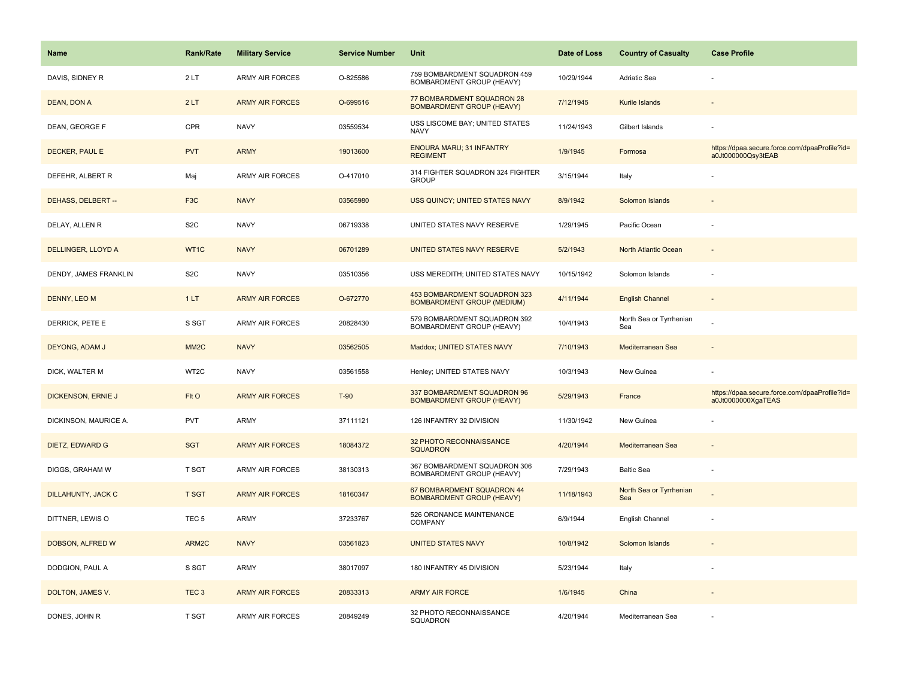| <b>Name</b>               | Rank/Rate         | <b>Military Service</b> | <b>Service Number</b> | Unit                                                              | Date of Loss | <b>Country of Casualty</b>     | <b>Case Profile</b>                                                 |
|---------------------------|-------------------|-------------------------|-----------------------|-------------------------------------------------------------------|--------------|--------------------------------|---------------------------------------------------------------------|
| DAVIS, SIDNEY R           | 2LT               | <b>ARMY AIR FORCES</b>  | O-825586              | 759 BOMBARDMENT SQUADRON 459<br>BOMBARDMENT GROUP (HEAVY)         | 10/29/1944   | Adriatic Sea                   |                                                                     |
| DEAN, DON A               | 2LT               | <b>ARMY AIR FORCES</b>  | O-699516              | 77 BOMBARDMENT SQUADRON 28<br><b>BOMBARDMENT GROUP (HEAVY)</b>    | 7/12/1945    | Kurile Islands                 |                                                                     |
| DEAN, GEORGE F            | CPR               | <b>NAVY</b>             | 03559534              | USS LISCOME BAY; UNITED STATES<br><b>NAVY</b>                     | 11/24/1943   | Gilbert Islands                |                                                                     |
| DECKER, PAUL E            | <b>PVT</b>        | <b>ARMY</b>             | 19013600              | <b>ENOURA MARU; 31 INFANTRY</b><br><b>REGIMENT</b>                | 1/9/1945     | Formosa                        | https://dpaa.secure.force.com/dpaaProfile?id=<br>a0Jt000000Qsy3tEAB |
| DEFEHR, ALBERT R          | Maj               | <b>ARMY AIR FORCES</b>  | O-417010              | 314 FIGHTER SQUADRON 324 FIGHTER<br><b>GROUP</b>                  | 3/15/1944    | Italy                          |                                                                     |
| DEHASS, DELBERT --        | F <sub>3</sub> C  | <b>NAVY</b>             | 03565980              | USS QUINCY; UNITED STATES NAVY                                    | 8/9/1942     | Solomon Islands                |                                                                     |
| DELAY, ALLEN R            | S <sub>2</sub> C  | <b>NAVY</b>             | 06719338              | UNITED STATES NAVY RESERVE                                        | 1/29/1945    | Pacific Ocean                  |                                                                     |
| DELLINGER, LLOYD A        | WT1C              | <b>NAVY</b>             | 06701289              | <b>UNITED STATES NAVY RESERVE</b>                                 | 5/2/1943     | North Atlantic Ocean           |                                                                     |
| DENDY, JAMES FRANKLIN     | S <sub>2</sub> C  | <b>NAVY</b>             | 03510356              | USS MEREDITH; UNITED STATES NAVY                                  | 10/15/1942   | Solomon Islands                |                                                                     |
| DENNY, LEO M              | 1LT               | <b>ARMY AIR FORCES</b>  | O-672770              | 453 BOMBARDMENT SQUADRON 323<br><b>BOMBARDMENT GROUP (MEDIUM)</b> | 4/11/1944    | <b>English Channel</b>         |                                                                     |
| DERRICK, PETE E           | S SGT             | <b>ARMY AIR FORCES</b>  | 20828430              | 579 BOMBARDMENT SQUADRON 392<br>BOMBARDMENT GROUP (HEAVY)         | 10/4/1943    | North Sea or Tyrrhenian<br>Sea |                                                                     |
| DEYONG, ADAM J            | MM <sub>2</sub> C | <b>NAVY</b>             | 03562505              | Maddox; UNITED STATES NAVY                                        | 7/10/1943    | Mediterranean Sea              | $\sim$                                                              |
| DICK, WALTER M            | WT2C              | <b>NAVY</b>             | 03561558              | Henley; UNITED STATES NAVY                                        | 10/3/1943    | New Guinea                     |                                                                     |
| <b>DICKENSON, ERNIE J</b> | Flt O             | <b>ARMY AIR FORCES</b>  | $T-90$                | 337 BOMBARDMENT SQUADRON 96<br><b>BOMBARDMENT GROUP (HEAVY)</b>   | 5/29/1943    | France                         | https://dpaa.secure.force.com/dpaaProfile?id=<br>a0Jt0000000XgaTEAS |
| DICKINSON, MAURICE A.     | <b>PVT</b>        | ARMY                    | 37111121              | 126 INFANTRY 32 DIVISION                                          | 11/30/1942   | New Guinea                     |                                                                     |
| DIETZ, EDWARD G           | <b>SGT</b>        | <b>ARMY AIR FORCES</b>  | 18084372              | 32 PHOTO RECONNAISSANCE<br><b>SQUADRON</b>                        | 4/20/1944    | Mediterranean Sea              |                                                                     |
| DIGGS, GRAHAM W           | T SGT             | <b>ARMY AIR FORCES</b>  | 38130313              | 367 BOMBARDMENT SQUADRON 306<br>BOMBARDMENT GROUP (HEAVY)         | 7/29/1943    | <b>Baltic Sea</b>              |                                                                     |
| <b>DILLAHUNTY, JACK C</b> | <b>T SGT</b>      | <b>ARMY AIR FORCES</b>  | 18160347              | 67 BOMBARDMENT SQUADRON 44<br><b>BOMBARDMENT GROUP (HEAVY)</b>    | 11/18/1943   | North Sea or Tyrrhenian<br>Sea |                                                                     |
| DITTNER, LEWIS O          | TEC <sub>5</sub>  | <b>ARMY</b>             | 37233767              | 526 ORDNANCE MAINTENANCE<br><b>COMPANY</b>                        | 6/9/1944     | English Channel                |                                                                     |
| DOBSON, ALFRED W          | ARM2C             | <b>NAVY</b>             | 03561823              | <b>UNITED STATES NAVY</b>                                         | 10/8/1942    | Solomon Islands                |                                                                     |
| DODGION, PAUL A           | S SGT             | <b>ARMY</b>             | 38017097              | 180 INFANTRY 45 DIVISION                                          | 5/23/1944    | Italy                          |                                                                     |
| DOLTON, JAMES V.          | TEC <sub>3</sub>  | <b>ARMY AIR FORCES</b>  | 20833313              | <b>ARMY AIR FORCE</b>                                             | 1/6/1945     | China                          |                                                                     |
| DONES, JOHN R             | T SGT             | <b>ARMY AIR FORCES</b>  | 20849249              | 32 PHOTO RECONNAISSANCE<br>SQUADRON                               | 4/20/1944    | Mediterranean Sea              |                                                                     |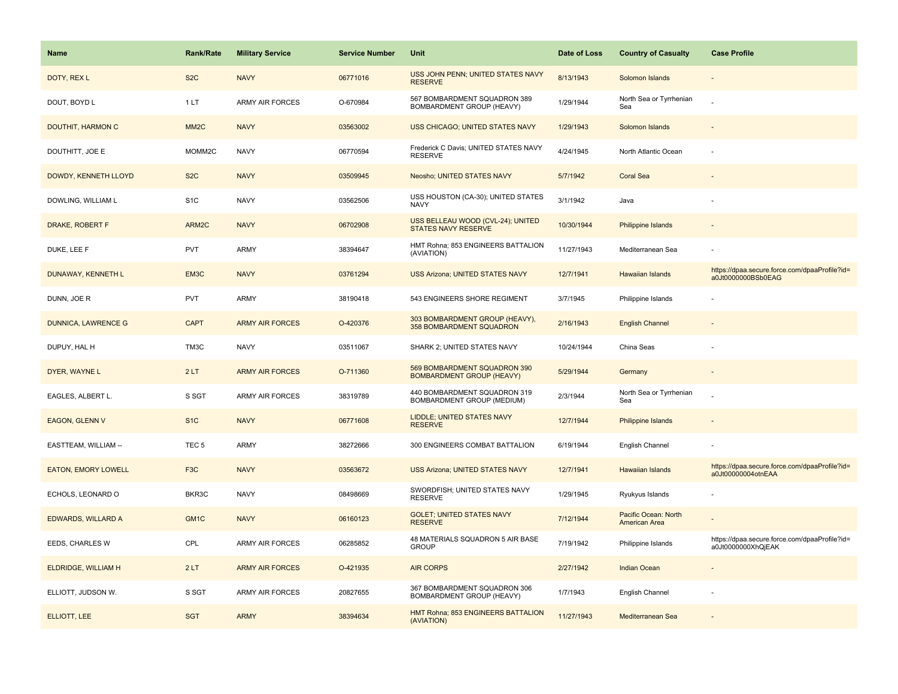| Name                       | <b>Rank/Rate</b>  | <b>Military Service</b> | <b>Service Number</b> | Unit                                                             | Date of Loss | <b>Country of Casualty</b>            | <b>Case Profile</b>                                                 |
|----------------------------|-------------------|-------------------------|-----------------------|------------------------------------------------------------------|--------------|---------------------------------------|---------------------------------------------------------------------|
| DOTY, REX L                | S <sub>2</sub> C  | <b>NAVY</b>             | 06771016              | USS JOHN PENN; UNITED STATES NAVY<br><b>RESERVE</b>              | 8/13/1943    | Solomon Islands                       |                                                                     |
| DOUT, BOYD L               | 1 LT              | ARMY AIR FORCES         | O-670984              | 567 BOMBARDMENT SQUADRON 389<br>BOMBARDMENT GROUP (HEAVY)        | 1/29/1944    | North Sea or Tyrrhenian<br>Sea        |                                                                     |
| <b>DOUTHIT, HARMON C</b>   | MM <sub>2</sub> C | <b>NAVY</b>             | 03563002              | USS CHICAGO; UNITED STATES NAVY                                  | 1/29/1943    | Solomon Islands                       |                                                                     |
| DOUTHITT, JOE E            | MOMM2C            | <b>NAVY</b>             | 06770594              | Frederick C Davis; UNITED STATES NAVY<br><b>RESERVE</b>          | 4/24/1945    | North Atlantic Ocean                  |                                                                     |
| DOWDY, KENNETH LLOYD       | S <sub>2</sub> C  | <b>NAVY</b>             | 03509945              | Neosho; UNITED STATES NAVY                                       | 5/7/1942     | <b>Coral Sea</b>                      |                                                                     |
| DOWLING, WILLIAM L         | S <sub>1</sub> C  | <b>NAVY</b>             | 03562506              | USS HOUSTON (CA-30); UNITED STATES<br><b>NAVY</b>                | 3/1/1942     | Java                                  |                                                                     |
| DRAKE, ROBERT F            | ARM2C             | <b>NAVY</b>             | 06702908              | USS BELLEAU WOOD (CVL-24); UNITED<br><b>STATES NAVY RESERVE</b>  | 10/30/1944   | Philippine Islands                    |                                                                     |
| DUKE, LEE F                | <b>PVT</b>        | <b>ARMY</b>             | 38394647              | HMT Rohna; 853 ENGINEERS BATTALION<br>(AVIATION)                 | 11/27/1943   | Mediterranean Sea                     |                                                                     |
| DUNAWAY, KENNETH L         | EM3C              | <b>NAVY</b>             | 03761294              | USS Arizona; UNITED STATES NAVY                                  | 12/7/1941    | Hawaiian Islands                      | https://dpaa.secure.force.com/dpaaProfile?id=<br>a0Jt0000000BSb0EAG |
| DUNN, JOE R                | <b>PVT</b>        | <b>ARMY</b>             | 38190418              | 543 ENGINEERS SHORE REGIMENT                                     | 3/7/1945     | Philippine Islands                    |                                                                     |
| <b>DUNNICA, LAWRENCE G</b> | <b>CAPT</b>       | <b>ARMY AIR FORCES</b>  | O-420376              | 303 BOMBARDMENT GROUP (HEAVY),<br>358 BOMBARDMENT SQUADRON       | 2/16/1943    | <b>English Channel</b>                |                                                                     |
| DUPUY, HAL H               | TM3C              | <b>NAVY</b>             | 03511067              | SHARK 2; UNITED STATES NAVY                                      | 10/24/1944   | China Seas                            |                                                                     |
| DYER, WAYNE L              | 2LT               | <b>ARMY AIR FORCES</b>  | O-711360              | 569 BOMBARDMENT SQUADRON 390<br><b>BOMBARDMENT GROUP (HEAVY)</b> | 5/29/1944    | Germany                               |                                                                     |
| EAGLES, ALBERT L.          | S SGT             | <b>ARMY AIR FORCES</b>  | 38319789              | 440 BOMBARDMENT SQUADRON 319<br>BOMBARDMENT GROUP (MEDIUM)       | 2/3/1944     | North Sea or Tyrrhenian<br>Sea        |                                                                     |
| EAGON, GLENN V             | S <sub>1</sub> C  | <b>NAVY</b>             | 06771608              | LIDDLE; UNITED STATES NAVY<br><b>RESERVE</b>                     | 12/7/1944    | Philippine Islands                    |                                                                     |
| EASTTEAM, WILLIAM --       | TEC <sub>5</sub>  | ARMY                    | 38272666              | 300 ENGINEERS COMBAT BATTALION                                   | 6/19/1944    | English Channel                       |                                                                     |
| <b>EATON, EMORY LOWELL</b> | F <sub>3</sub> C  | <b>NAVY</b>             | 03563672              | USS Arizona; UNITED STATES NAVY                                  | 12/7/1941    | Hawaiian Islands                      | https://dpaa.secure.force.com/dpaaProfile?id=<br>a0Jt00000004otnEAA |
| ECHOLS, LEONARD O          | BKR3C             | <b>NAVY</b>             | 08498669              | SWORDFISH; UNITED STATES NAVY<br><b>RESERVE</b>                  | 1/29/1945    | Ryukyus Islands                       |                                                                     |
| EDWARDS, WILLARD A         | GM1C              | <b>NAVY</b>             | 06160123              | <b>GOLET; UNITED STATES NAVY</b><br><b>RESERVE</b>               | 7/12/1944    | Pacific Ocean: North<br>American Area |                                                                     |
| EEDS, CHARLES W            | CPL               | <b>ARMY AIR FORCES</b>  | 06285852              | 48 MATERIALS SQUADRON 5 AIR BASE<br><b>GROUP</b>                 | 7/19/1942    | Philippine Islands                    | https://dpaa.secure.force.com/dpaaProfile?id=<br>a0Jt0000000XhQjEAK |
| ELDRIDGE, WILLIAM H        | 2LT               | <b>ARMY AIR FORCES</b>  | O-421935              | <b>AIR CORPS</b>                                                 | 2/27/1942    | <b>Indian Ocean</b>                   |                                                                     |
| ELLIOTT, JUDSON W.         | S SGT             | <b>ARMY AIR FORCES</b>  | 20827655              | 367 BOMBARDMENT SQUADRON 306<br>BOMBARDMENT GROUP (HEAVY)        | 1/7/1943     | English Channel                       |                                                                     |
| ELLIOTT, LEE               | <b>SGT</b>        | <b>ARMY</b>             | 38394634              | HMT Rohna; 853 ENGINEERS BATTALION<br>(AVIATION)                 | 11/27/1943   | Mediterranean Sea                     |                                                                     |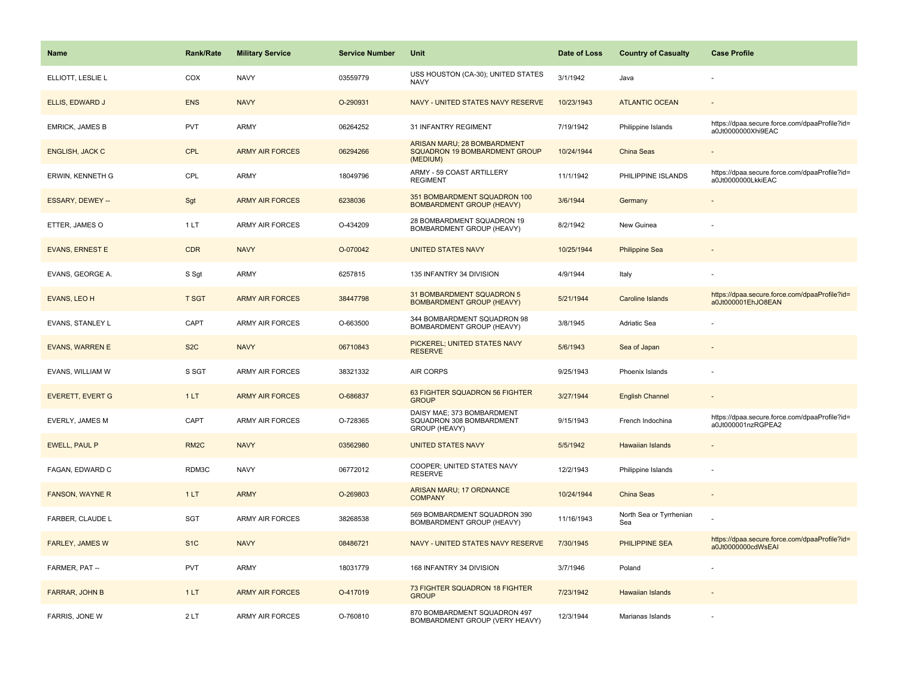| Name                    | <b>Rank/Rate</b>  | <b>Military Service</b> | <b>Service Number</b> | Unit                                                                     | Date of Loss | <b>Country of Casualty</b>     | <b>Case Profile</b>                                                 |
|-------------------------|-------------------|-------------------------|-----------------------|--------------------------------------------------------------------------|--------------|--------------------------------|---------------------------------------------------------------------|
| ELLIOTT, LESLIE L       | COX               | <b>NAVY</b>             | 03559779              | USS HOUSTON (CA-30); UNITED STATES<br><b>NAVY</b>                        | 3/1/1942     | Java                           |                                                                     |
| ELLIS, EDWARD J         | <b>ENS</b>        | <b>NAVY</b>             | O-290931              | NAVY - UNITED STATES NAVY RESERVE                                        | 10/23/1943   | <b>ATLANTIC OCEAN</b>          |                                                                     |
| <b>EMRICK, JAMES B</b>  | <b>PVT</b>        | ARMY                    | 06264252              | 31 INFANTRY REGIMENT                                                     | 7/19/1942    | Philippine Islands             | https://dpaa.secure.force.com/dpaaProfile?id=<br>a0Jt0000000Xhi9EAC |
| <b>ENGLISH, JACK C</b>  | <b>CPL</b>        | <b>ARMY AIR FORCES</b>  | 06294266              | ARISAN MARU; 28 BOMBARDMENT<br>SQUADRON 19 BOMBARDMENT GROUP<br>(MEDIUM) | 10/24/1944   | China Seas                     |                                                                     |
| <b>ERWIN, KENNETH G</b> | CPL               | <b>ARMY</b>             | 18049796              | ARMY - 59 COAST ARTILLERY<br><b>REGIMENT</b>                             | 11/1/1942    | PHILIPPINE ISLANDS             | https://dpaa.secure.force.com/dpaaProfile?id=<br>a0Jt0000000LkkiEAC |
| ESSARY, DEWEY --        | Sgt               | <b>ARMY AIR FORCES</b>  | 6238036               | 351 BOMBARDMENT SQUADRON 100<br><b>BOMBARDMENT GROUP (HEAVY)</b>         | 3/6/1944     | Germany                        |                                                                     |
| ETTER, JAMES O          | 1LT               | ARMY AIR FORCES         | O-434209              | 28 BOMBARDMENT SQUADRON 19<br>BOMBARDMENT GROUP (HEAVY)                  | 8/2/1942     | New Guinea                     |                                                                     |
| <b>EVANS, ERNEST E</b>  | <b>CDR</b>        | <b>NAVY</b>             | O-070042              | <b>UNITED STATES NAVY</b>                                                | 10/25/1944   | <b>Philippine Sea</b>          |                                                                     |
| EVANS, GEORGE A.        | S Sgt             | ARMY                    | 6257815               | 135 INFANTRY 34 DIVISION                                                 | 4/9/1944     | Italy                          |                                                                     |
| EVANS, LEO H            | <b>T SGT</b>      | <b>ARMY AIR FORCES</b>  | 38447798              | 31 BOMBARDMENT SQUADRON 5<br><b>BOMBARDMENT GROUP (HEAVY)</b>            | 5/21/1944    | <b>Caroline Islands</b>        | https://dpaa.secure.force.com/dpaaProfile?id=<br>a0Jt000001EhJO8EAN |
| EVANS, STANLEY L        | CAPT              | <b>ARMY AIR FORCES</b>  | O-663500              | 344 BOMBARDMENT SQUADRON 98<br>BOMBARDMENT GROUP (HEAVY)                 | 3/8/1945     | Adriatic Sea                   |                                                                     |
| <b>EVANS, WARREN E</b>  | S <sub>2</sub> C  | <b>NAVY</b>             | 06710843              | PICKEREL; UNITED STATES NAVY<br><b>RESERVE</b>                           | 5/6/1943     | Sea of Japan                   |                                                                     |
| EVANS, WILLIAM W        | S SGT             | <b>ARMY AIR FORCES</b>  | 38321332              | <b>AIR CORPS</b>                                                         | 9/25/1943    | Phoenix Islands                |                                                                     |
| <b>EVERETT, EVERT G</b> | 1LT               | <b>ARMY AIR FORCES</b>  | O-686837              | 63 FIGHTER SQUADRON 56 FIGHTER<br><b>GROUP</b>                           | 3/27/1944    | <b>English Channel</b>         |                                                                     |
| EVERLY, JAMES M         | CAPT              | <b>ARMY AIR FORCES</b>  | O-728365              | DAISY MAE; 373 BOMBARDMENT<br>SQUADRON 308 BOMBARDMENT<br>GROUP (HEAVY)  | 9/15/1943    | French Indochina               | https://dpaa.secure.force.com/dpaaProfile?id=<br>a0Jt000001nzRGPEA2 |
| <b>EWELL, PAUL P</b>    | RM <sub>2</sub> C | <b>NAVY</b>             | 03562980              | <b>UNITED STATES NAVY</b>                                                | 5/5/1942     | <b>Hawaiian Islands</b>        |                                                                     |
| FAGAN, EDWARD C         | RDM3C             | <b>NAVY</b>             | 06772012              | COOPER; UNITED STATES NAVY<br><b>RESERVE</b>                             | 12/2/1943    | Philippine Islands             |                                                                     |
| <b>FANSON, WAYNE R</b>  | 1LT               | <b>ARMY</b>             | O-269803              | ARISAN MARU; 17 ORDNANCE<br><b>COMPANY</b>                               | 10/24/1944   | China Seas                     |                                                                     |
| FARBER, CLAUDE L        | SGT               | ARMY AIR FORCES         | 38268538              | 569 BOMBARDMENT SQUADRON 390<br>BOMBARDMENT GROUP (HEAVY)                | 11/16/1943   | North Sea or Tyrrhenian<br>Sea |                                                                     |
| <b>FARLEY, JAMES W</b>  | S <sub>1</sub> C  | <b>NAVY</b>             | 08486721              | NAVY - UNITED STATES NAVY RESERVE                                        | 7/30/1945    | PHILIPPINE SEA                 | https://dpaa.secure.force.com/dpaaProfile?id=<br>a0Jt0000000cdWsEAI |
| FARMER, PAT --          | <b>PVT</b>        | ARMY                    | 18031779              | 168 INFANTRY 34 DIVISION                                                 | 3/7/1946     | Poland                         |                                                                     |
| FARRAR, JOHN B          | 1LT               | <b>ARMY AIR FORCES</b>  | O-417019              | 73 FIGHTER SQUADRON 18 FIGHTER<br><b>GROUP</b>                           | 7/23/1942    | <b>Hawaiian Islands</b>        |                                                                     |
| FARRIS, JONE W          | 2LT               | <b>ARMY AIR FORCES</b>  | O-760810              | 870 BOMBARDMENT SQUADRON 497<br>BOMBARDMENT GROUP (VERY HEAVY)           | 12/3/1944    | Marianas Islands               |                                                                     |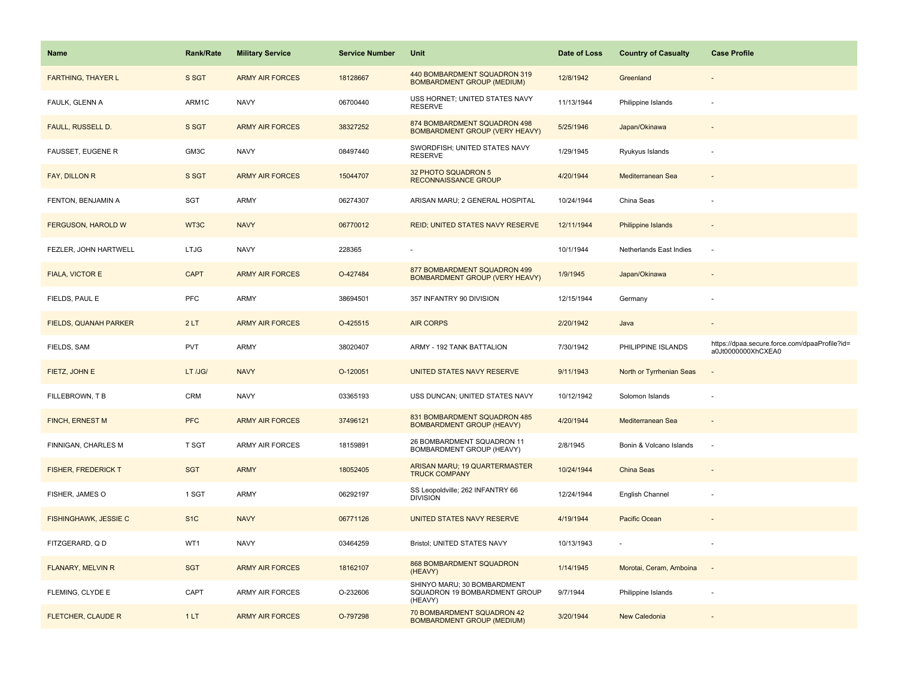| Name                       | <b>Rank/Rate</b> | <b>Military Service</b> | <b>Service Number</b> | Unit                                                                  | Date of Loss | <b>Country of Casualty</b> | <b>Case Profile</b>                                                 |
|----------------------------|------------------|-------------------------|-----------------------|-----------------------------------------------------------------------|--------------|----------------------------|---------------------------------------------------------------------|
| <b>FARTHING, THAYER L</b>  | S SGT            | <b>ARMY AIR FORCES</b>  | 18128667              | 440 BOMBARDMENT SQUADRON 319<br><b>BOMBARDMENT GROUP (MEDIUM)</b>     | 12/8/1942    | Greenland                  |                                                                     |
| FAULK, GLENN A             | ARM1C            | <b>NAVY</b>             | 06700440              | USS HORNET; UNITED STATES NAVY<br><b>RESERVE</b>                      | 11/13/1944   | Philippine Islands         |                                                                     |
| FAULL, RUSSELL D.          | S SGT            | <b>ARMY AIR FORCES</b>  | 38327252              | 874 BOMBARDMENT SQUADRON 498<br>BOMBARDMENT GROUP (VERY HEAVY)        | 5/25/1946    | Japan/Okinawa              |                                                                     |
| <b>FAUSSET, EUGENE R</b>   | GM3C             | <b>NAVY</b>             | 08497440              | SWORDFISH; UNITED STATES NAVY<br><b>RESERVE</b>                       | 1/29/1945    | Ryukyus Islands            |                                                                     |
| FAY, DILLON R              | S SGT            | <b>ARMY AIR FORCES</b>  | 15044707              | 32 PHOTO SQUADRON 5<br><b>RECONNAISSANCE GROUP</b>                    | 4/20/1944    | Mediterranean Sea          |                                                                     |
| FENTON, BENJAMIN A         | SGT              | ARMY                    | 06274307              | ARISAN MARU; 2 GENERAL HOSPITAL                                       | 10/24/1944   | China Seas                 |                                                                     |
| FERGUSON, HAROLD W         | WT3C             | <b>NAVY</b>             | 06770012              | REID; UNITED STATES NAVY RESERVE                                      | 12/11/1944   | Philippine Islands         | $\overline{\phantom{a}}$                                            |
| FEZLER, JOHN HARTWELL      | <b>LTJG</b>      | <b>NAVY</b>             | 228365                |                                                                       | 10/1/1944    | Netherlands East Indies    | ÷.                                                                  |
| <b>FIALA, VICTOR E</b>     | <b>CAPT</b>      | <b>ARMY AIR FORCES</b>  | O-427484              | 877 BOMBARDMENT SQUADRON 499<br><b>BOMBARDMENT GROUP (VERY HEAVY)</b> | 1/9/1945     | Japan/Okinawa              |                                                                     |
| FIELDS, PAUL E             | PFC              | ARMY                    | 38694501              | 357 INFANTRY 90 DIVISION                                              | 12/15/1944   | Germany                    |                                                                     |
| FIELDS, QUANAH PARKER      | 2LT              | <b>ARMY AIR FORCES</b>  | O-425515              | <b>AIR CORPS</b>                                                      | 2/20/1942    | Java                       |                                                                     |
| FIELDS, SAM                | <b>PVT</b>       | <b>ARMY</b>             | 38020407              | ARMY - 192 TANK BATTALION                                             | 7/30/1942    | PHILIPPINE ISLANDS         | https://dpaa.secure.force.com/dpaaProfile?id=<br>a0Jt0000000XhCXEA0 |
| FIETZ, JOHN E              | LT /JG/          | <b>NAVY</b>             | O-120051              | UNITED STATES NAVY RESERVE                                            | 9/11/1943    | North or Tyrrhenian Seas   |                                                                     |
| FILLEBROWN, T B            | <b>CRM</b>       | <b>NAVY</b>             | 03365193              | USS DUNCAN; UNITED STATES NAVY                                        | 10/12/1942   | Solomon Islands            |                                                                     |
| FINCH, ERNEST M            | <b>PFC</b>       | <b>ARMY AIR FORCES</b>  | 37496121              | 831 BOMBARDMENT SQUADRON 485<br><b>BOMBARDMENT GROUP (HEAVY)</b>      | 4/20/1944    | Mediterranean Sea          |                                                                     |
| FINNIGAN, CHARLES M        | <b>T SGT</b>     | ARMY AIR FORCES         | 18159891              | 26 BOMBARDMENT SQUADRON 11<br>BOMBARDMENT GROUP (HEAVY)               | 2/8/1945     | Bonin & Volcano Islands    | $\sim$                                                              |
| <b>FISHER, FREDERICK T</b> | <b>SGT</b>       | <b>ARMY</b>             | 18052405              | ARISAN MARU; 19 QUARTERMASTER<br><b>TRUCK COMPANY</b>                 | 10/24/1944   | China Seas                 |                                                                     |
| FISHER, JAMES O            | 1 SGT            | ARMY                    | 06292197              | SS Leopoldville; 262 INFANTRY 66<br><b>DIVISION</b>                   | 12/24/1944   | English Channel            |                                                                     |
| FISHINGHAWK, JESSIE C      | S <sub>1C</sub>  | <b>NAVY</b>             | 06771126              | UNITED STATES NAVY RESERVE                                            | 4/19/1944    | Pacific Ocean              |                                                                     |
| FITZGERARD, Q D            | WT1              | <b>NAVY</b>             | 03464259              | Bristol; UNITED STATES NAVY                                           | 10/13/1943   |                            |                                                                     |
| FLANARY, MELVIN R          | <b>SGT</b>       | <b>ARMY AIR FORCES</b>  | 18162107              | 868 BOMBARDMENT SQUADRON<br>(HEAVY)                                   | 1/14/1945    | Morotai, Ceram, Amboina    | $\sim$                                                              |
| FLEMING, CLYDE E           |                  | ARMY AIR FORCES         | O-232606              | SHINYO MARU; 30 BOMBARDMENT<br>SQUADRON 19 BOMBARDMENT GROUP          | 9/7/1944     | Philippine Islands         |                                                                     |
|                            | CAPT             |                         |                       | (HEAVY)                                                               |              |                            |                                                                     |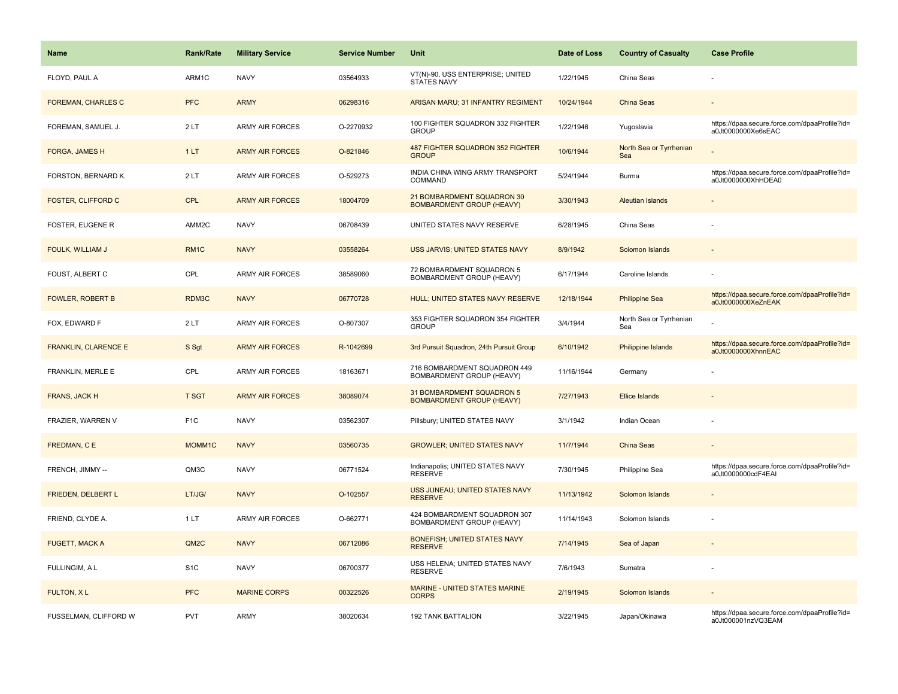| <b>Name</b>                 | Rank/Rate         | <b>Military Service</b> | <b>Service Number</b> | Unit                                                           | Date of Loss | <b>Country of Casualty</b>     | <b>Case Profile</b>                                                 |
|-----------------------------|-------------------|-------------------------|-----------------------|----------------------------------------------------------------|--------------|--------------------------------|---------------------------------------------------------------------|
| FLOYD, PAUL A               | ARM1C             | <b>NAVY</b>             | 03564933              | VT(N)-90, USS ENTERPRISE; UNITED<br><b>STATES NAVY</b>         | 1/22/1945    | China Seas                     |                                                                     |
| <b>FOREMAN, CHARLES C</b>   | <b>PFC</b>        | <b>ARMY</b>             | 06298316              | ARISAN MARU; 31 INFANTRY REGIMENT                              | 10/24/1944   | <b>China Seas</b>              |                                                                     |
| FOREMAN, SAMUEL J.          | 2LT               | <b>ARMY AIR FORCES</b>  | O-2270932             | 100 FIGHTER SQUADRON 332 FIGHTER<br><b>GROUP</b>               | 1/22/1946    | Yugoslavia                     | https://dpaa.secure.force.com/dpaaProfile?id=<br>a0Jt0000000Xe6sEAC |
| FORGA, JAMES H              | 1LT               | <b>ARMY AIR FORCES</b>  | O-821846              | 487 FIGHTER SQUADRON 352 FIGHTER<br><b>GROUP</b>               | 10/6/1944    | North Sea or Tyrrhenian<br>Sea |                                                                     |
| FORSTON, BERNARD K.         | 2LT               | ARMY AIR FORCES         | O-529273              | INDIA CHINA WING ARMY TRANSPORT<br>COMMAND                     | 5/24/1944    | Burma                          | https://dpaa.secure.force.com/dpaaProfile?id=<br>a0Jt0000000XhHDEA0 |
| FOSTER, CLIFFORD C          | <b>CPL</b>        | <b>ARMY AIR FORCES</b>  | 18004709              | 21 BOMBARDMENT SQUADRON 30<br><b>BOMBARDMENT GROUP (HEAVY)</b> | 3/30/1943    | Aleutian Islands               |                                                                     |
| <b>FOSTER, EUGENE R</b>     | AMM2C             | <b>NAVY</b>             | 06708439              | UNITED STATES NAVY RESERVE                                     | 6/28/1945    | China Seas                     |                                                                     |
| FOULK, WILLIAM J            | RM <sub>1C</sub>  | <b>NAVY</b>             | 03558264              | USS JARVIS; UNITED STATES NAVY                                 | 8/9/1942     | Solomon Islands                |                                                                     |
| FOUST, ALBERT C             | CPL               | <b>ARMY AIR FORCES</b>  | 38589060              | 72 BOMBARDMENT SQUADRON 5<br>BOMBARDMENT GROUP (HEAVY)         | 6/17/1944    | Caroline Islands               |                                                                     |
| <b>FOWLER, ROBERT B</b>     | RDM3C             | <b>NAVY</b>             | 06770728              | HULL; UNITED STATES NAVY RESERVE                               | 12/18/1944   | <b>Philippine Sea</b>          | https://dpaa.secure.force.com/dpaaProfile?id=<br>a0Jt0000000XeZnEAK |
| FOX, EDWARD F               | 2LT               | <b>ARMY AIR FORCES</b>  | O-807307              | 353 FIGHTER SQUADRON 354 FIGHTER<br><b>GROUP</b>               | 3/4/1944     | North Sea or Tyrrhenian<br>Sea |                                                                     |
| <b>FRANKLIN, CLARENCE E</b> | S Sgt             | <b>ARMY AIR FORCES</b>  | R-1042699             | 3rd Pursuit Squadron, 24th Pursuit Group                       | 6/10/1942    | Philippine Islands             | https://dpaa.secure.force.com/dpaaProfile?id=<br>a0Jt0000000XhnnEAC |
| FRANKLIN, MERLE E           | CPL               | <b>ARMY AIR FORCES</b>  | 18163671              | 716 BOMBARDMENT SQUADRON 449<br>BOMBARDMENT GROUP (HEAVY)      | 11/16/1944   | Germany                        |                                                                     |
| FRANS, JACK H               | <b>T SGT</b>      | <b>ARMY AIR FORCES</b>  | 38089074              | 31 BOMBARDMENT SQUADRON 5<br><b>BOMBARDMENT GROUP (HEAVY)</b>  | 7/27/1943    | <b>Ellice Islands</b>          |                                                                     |
| FRAZIER, WARREN V           | F <sub>1</sub> C  | <b>NAVY</b>             | 03562307              | Pillsbury; UNITED STATES NAVY                                  | 3/1/1942     | Indian Ocean                   |                                                                     |
| FREDMAN, CE                 | MOMM1C            | <b>NAVY</b>             | 03560735              | <b>GROWLER; UNITED STATES NAVY</b>                             | 11/7/1944    | China Seas                     |                                                                     |
| FRENCH, JIMMY --            | QM3C              | <b>NAVY</b>             | 06771524              | Indianapolis; UNITED STATES NAVY<br><b>RESERVE</b>             | 7/30/1945    | Philippine Sea                 | https://dpaa.secure.force.com/dpaaProfile?id=<br>a0Jt0000000cdF4EAI |
| FRIEDEN, DELBERT L          | LT/JG/            | <b>NAVY</b>             | O-102557              | USS JUNEAU; UNITED STATES NAVY<br><b>RESERVE</b>               | 11/13/1942   | Solomon Islands                |                                                                     |
| FRIEND, CLYDE A.            | 1LT               | <b>ARMY AIR FORCES</b>  | O-662771              | 424 BOMBARDMENT SQUADRON 307<br>BOMBARDMENT GROUP (HEAVY)      | 11/14/1943   | Solomon Islands                |                                                                     |
| <b>FUGETT, MACK A</b>       | QM <sub>2</sub> C | <b>NAVY</b>             | 06712086              | <b>BONEFISH: UNITED STATES NAVY</b><br><b>RESERVE</b>          | 7/14/1945    | Sea of Japan                   |                                                                     |
| FULLINGIM, A L              | S <sub>1</sub> C  | <b>NAVY</b>             | 06700377              | USS HELENA; UNITED STATES NAVY<br><b>RESERVE</b>               | 7/6/1943     | Sumatra                        |                                                                     |
| <b>FULTON, XL</b>           | <b>PFC</b>        | <b>MARINE CORPS</b>     | 00322526              | MARINE - UNITED STATES MARINE<br><b>CORPS</b>                  | 2/19/1945    | Solomon Islands                |                                                                     |
| FUSSELMAN, CLIFFORD W       | PVT               | <b>ARMY</b>             | 38020634              | <b>192 TANK BATTALION</b>                                      | 3/22/1945    | Japan/Okinawa                  | https://dpaa.secure.force.com/dpaaProfile?id=<br>a0Jt000001nzVQ3EAM |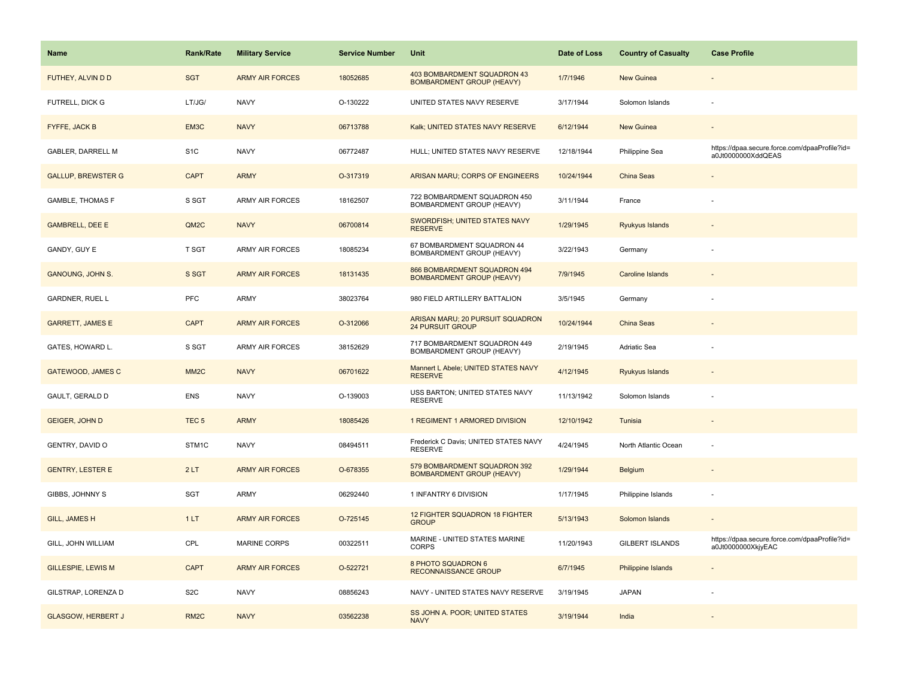| <b>Name</b>               | <b>Rank/Rate</b>  | <b>Military Service</b> | <b>Service Number</b> | Unit                                                             | Date of Loss | <b>Country of Casualty</b> | <b>Case Profile</b>                                                 |
|---------------------------|-------------------|-------------------------|-----------------------|------------------------------------------------------------------|--------------|----------------------------|---------------------------------------------------------------------|
| FUTHEY, ALVIN D D         | <b>SGT</b>        | <b>ARMY AIR FORCES</b>  | 18052685              | 403 BOMBARDMENT SQUADRON 43<br><b>BOMBARDMENT GROUP (HEAVY)</b>  | 1/7/1946     | <b>New Guinea</b>          |                                                                     |
| FUTRELL, DICK G           | LT/JG/            | <b>NAVY</b>             | O-130222              | UNITED STATES NAVY RESERVE                                       | 3/17/1944    | Solomon Islands            |                                                                     |
| FYFFE, JACK B             | EM3C              | <b>NAVY</b>             | 06713788              | Kalk; UNITED STATES NAVY RESERVE                                 | 6/12/1944    | New Guinea                 |                                                                     |
| <b>GABLER, DARRELL M</b>  | S <sub>1</sub> C  | <b>NAVY</b>             | 06772487              | HULL; UNITED STATES NAVY RESERVE                                 | 12/18/1944   | Philippine Sea             | https://dpaa.secure.force.com/dpaaProfile?id=<br>a0Jt0000000XddQEAS |
| <b>GALLUP, BREWSTER G</b> | <b>CAPT</b>       | <b>ARMY</b>             | O-317319              | ARISAN MARU; CORPS OF ENGINEERS                                  | 10/24/1944   | China Seas                 |                                                                     |
| <b>GAMBLE, THOMAS F</b>   | S SGT             | <b>ARMY AIR FORCES</b>  | 18162507              | 722 BOMBARDMENT SQUADRON 450<br>BOMBARDMENT GROUP (HEAVY)        | 3/11/1944    | France                     |                                                                     |
| <b>GAMBRELL, DEE E</b>    | QM2C              | <b>NAVY</b>             | 06700814              | SWORDFISH; UNITED STATES NAVY<br><b>RESERVE</b>                  | 1/29/1945    | Ryukyus Islands            |                                                                     |
| GANDY, GUY E              | T SGT             | <b>ARMY AIR FORCES</b>  | 18085234              | 67 BOMBARDMENT SQUADRON 44<br>BOMBARDMENT GROUP (HEAVY)          | 3/22/1943    | Germany                    |                                                                     |
| <b>GANOUNG, JOHN S.</b>   | S SGT             | <b>ARMY AIR FORCES</b>  | 18131435              | 866 BOMBARDMENT SQUADRON 494<br><b>BOMBARDMENT GROUP (HEAVY)</b> | 7/9/1945     | Caroline Islands           |                                                                     |
| GARDNER, RUEL L           | PFC               | ARMY                    | 38023764              | 980 FIELD ARTILLERY BATTALION                                    | 3/5/1945     | Germany                    |                                                                     |
| <b>GARRETT, JAMES E</b>   | <b>CAPT</b>       | <b>ARMY AIR FORCES</b>  | O-312066              | ARISAN MARU; 20 PURSUIT SQUADRON<br><b>24 PURSUIT GROUP</b>      | 10/24/1944   | <b>China Seas</b>          |                                                                     |
| GATES, HOWARD L.          | S SGT             | <b>ARMY AIR FORCES</b>  | 38152629              | 717 BOMBARDMENT SQUADRON 449<br>BOMBARDMENT GROUP (HEAVY)        | 2/19/1945    | Adriatic Sea               |                                                                     |
| <b>GATEWOOD, JAMES C</b>  | MM <sub>2</sub> C | <b>NAVY</b>             | 06701622              | Mannert L Abele; UNITED STATES NAVY<br><b>RESERVE</b>            | 4/12/1945    | Ryukyus Islands            |                                                                     |
| GAULT, GERALD D           | <b>ENS</b>        | <b>NAVY</b>             | O-139003              | USS BARTON; UNITED STATES NAVY<br><b>RESERVE</b>                 | 11/13/1942   | Solomon Islands            |                                                                     |
| <b>GEIGER, JOHN D</b>     | TEC <sub>5</sub>  | <b>ARMY</b>             | 18085426              | 1 REGIMENT 1 ARMORED DIVISION                                    | 12/10/1942   | Tunisia                    |                                                                     |
| GENTRY, DAVID O           | STM1C             | <b>NAVY</b>             | 08494511              | Frederick C Davis; UNITED STATES NAVY<br><b>RESERVE</b>          | 4/24/1945    | North Atlantic Ocean       | $\overline{\phantom{a}}$                                            |
| <b>GENTRY, LESTER E</b>   | 2LT               | <b>ARMY AIR FORCES</b>  | O-678355              | 579 BOMBARDMENT SQUADRON 392<br><b>BOMBARDMENT GROUP (HEAVY)</b> | 1/29/1944    | Belgium                    |                                                                     |
| GIBBS, JOHNNY S           | SGT               | ARMY                    | 06292440              | 1 INFANTRY 6 DIVISION                                            | 1/17/1945    | Philippine Islands         |                                                                     |
| <b>GILL, JAMES H</b>      | 1LT               | <b>ARMY AIR FORCES</b>  | O-725145              | 12 FIGHTER SQUADRON 18 FIGHTER<br><b>GROUP</b>                   | 5/13/1943    | Solomon Islands            |                                                                     |
| GILL, JOHN WILLIAM        | CPL               | <b>MARINE CORPS</b>     | 00322511              | MARINE - UNITED STATES MARINE<br><b>CORPS</b>                    | 11/20/1943   | <b>GILBERT ISLANDS</b>     | https://dpaa.secure.force.com/dpaaProfile?id=<br>a0Jt0000000XkjyEAC |
| <b>GILLESPIE, LEWIS M</b> | <b>CAPT</b>       | <b>ARMY AIR FORCES</b>  | O-522721              | <b>8 PHOTO SQUADRON 6</b><br><b>RECONNAISSANCE GROUP</b>         | 6/7/1945     | <b>Philippine Islands</b>  |                                                                     |
| GILSTRAP, LORENZA D       | S <sub>2</sub> C  | <b>NAVY</b>             | 08856243              | NAVY - UNITED STATES NAVY RESERVE                                | 3/19/1945    | <b>JAPAN</b>               |                                                                     |
| <b>GLASGOW, HERBERT J</b> | RM <sub>2</sub> C | <b>NAVY</b>             | 03562238              | SS JOHN A. POOR; UNITED STATES<br><b>NAVY</b>                    | 3/19/1944    | India                      |                                                                     |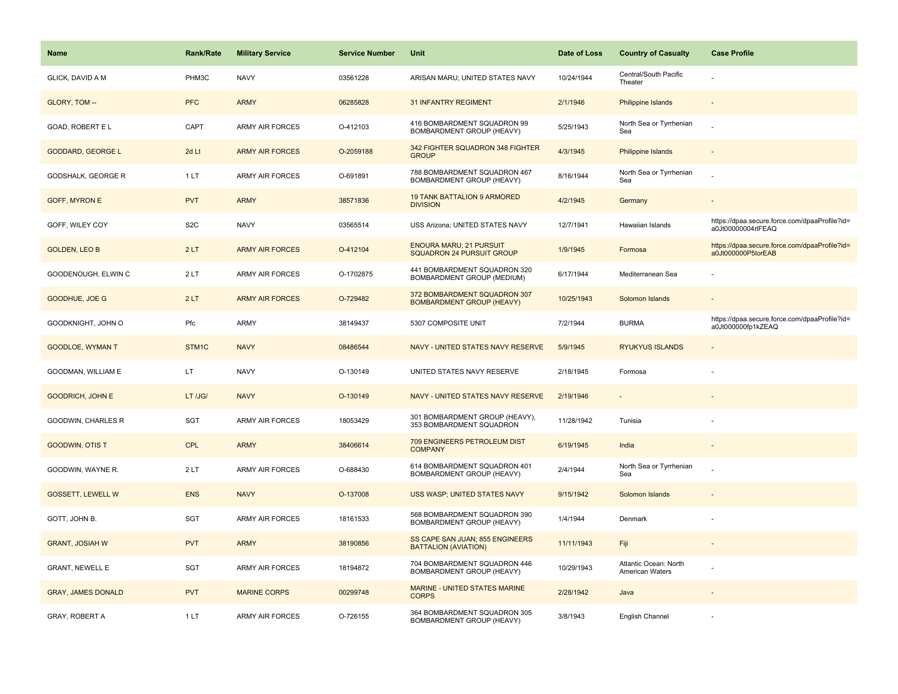| Name                      | <b>Rank/Rate</b> | <b>Military Service</b> | <b>Service Number</b> | Unit                                                             | Date of Loss | <b>Country of Casualty</b>               | <b>Case Profile</b>                                                 |
|---------------------------|------------------|-------------------------|-----------------------|------------------------------------------------------------------|--------------|------------------------------------------|---------------------------------------------------------------------|
| GLICK, DAVID A M          | PHM3C            | <b>NAVY</b>             | 03561228              | ARISAN MARU; UNITED STATES NAVY                                  | 10/24/1944   | Central/South Pacific<br>Theater         |                                                                     |
| GLORY, TOM --             | <b>PFC</b>       | <b>ARMY</b>             | 06285828              | <b>31 INFANTRY REGIMENT</b>                                      | 2/1/1946     | <b>Philippine Islands</b>                |                                                                     |
| GOAD, ROBERT E L          | CAPT             | <b>ARMY AIR FORCES</b>  | O-412103              | 416 BOMBARDMENT SQUADRON 99<br>BOMBARDMENT GROUP (HEAVY)         | 5/25/1943    | North Sea or Tyrrhenian<br>Sea           |                                                                     |
| <b>GODDARD, GEORGE L</b>  | 2d Lt            | <b>ARMY AIR FORCES</b>  | O-2059188             | 342 FIGHTER SQUADRON 348 FIGHTER<br><b>GROUP</b>                 | 4/3/1945     | <b>Philippine Islands</b>                |                                                                     |
| <b>GODSHALK, GEORGE R</b> | 1LT              | <b>ARMY AIR FORCES</b>  | O-691891              | 788 BOMBARDMENT SQUADRON 467<br><b>BOMBARDMENT GROUP (HEAVY)</b> | 8/16/1944    | North Sea or Tyrrhenian<br>Sea           |                                                                     |
| <b>GOFF, MYRON E</b>      | <b>PVT</b>       | <b>ARMY</b>             | 38571836              | <b>19 TANK BATTALION 9 ARMORED</b><br><b>DIVISION</b>            | 4/2/1945     | Germany                                  | $\sim$                                                              |
| GOFF, WILEY COY           | S <sub>2</sub> C | <b>NAVY</b>             | 03565514              | USS Arizona; UNITED STATES NAVY                                  | 12/7/1941    | Hawaiian Islands                         | https://dpaa.secure.force.com/dpaaProfile?id=<br>a0Jt00000004rlFEAQ |
| <b>GOLDEN, LEO B</b>      | 2LT              | <b>ARMY AIR FORCES</b>  | O-412104              | <b>ENOURA MARU; 21 PURSUIT</b><br>SQUADRON 24 PURSUIT GROUP      | 1/9/1945     | Formosa                                  | https://dpaa.secure.force.com/dpaaProfile?id=<br>a0Jt000000P5lorEAB |
| GOODENOUGH, ELWIN C       | 2LT              | ARMY AIR FORCES         | O-1702875             | 441 BOMBARDMENT SQUADRON 320<br>BOMBARDMENT GROUP (MEDIUM)       | 6/17/1944    | Mediterranean Sea                        |                                                                     |
| GOODHUE, JOE G            | 2LT              | <b>ARMY AIR FORCES</b>  | O-729482              | 372 BOMBARDMENT SQUADRON 307<br><b>BOMBARDMENT GROUP (HEAVY)</b> | 10/25/1943   | Solomon Islands                          |                                                                     |
| GOODKNIGHT, JOHN O        | Pfc              | <b>ARMY</b>             | 38149437              | 5307 COMPOSITE UNIT                                              | 7/2/1944     | <b>BURMA</b>                             | https://dpaa.secure.force.com/dpaaProfile?id=<br>a0Jt000000fp1kZEAQ |
| <b>GOODLOE, WYMAN T</b>   | STM1C            | <b>NAVY</b>             | 08486544              | NAVY - UNITED STATES NAVY RESERVE                                | 5/9/1945     | <b>RYUKYUS ISLANDS</b>                   |                                                                     |
| GOODMAN, WILLIAM E        | LT               | <b>NAVY</b>             | O-130149              | UNITED STATES NAVY RESERVE                                       | 2/18/1945    | Formosa                                  |                                                                     |
| <b>GOODRICH, JOHN E</b>   | LT /JG/          | <b>NAVY</b>             | O-130149              | NAVY - UNITED STATES NAVY RESERVE                                | 2/19/1946    | $\sim$                                   |                                                                     |
| GOODWIN, CHARLES R        | <b>SGT</b>       | <b>ARMY AIR FORCES</b>  | 18053429              | 301 BOMBARDMENT GROUP (HEAVY),<br>353 BOMBARDMENT SQUADRON       | 11/28/1942   | Tunisia                                  |                                                                     |
| <b>GOODWIN, OTIS T</b>    | CPL              | <b>ARMY</b>             | 38406614              | 709 ENGINEERS PETROLEUM DIST<br><b>COMPANY</b>                   | 6/19/1945    | India                                    |                                                                     |
| GOODWIN, WAYNE R.         | 2LT              | <b>ARMY AIR FORCES</b>  | O-688430              | 614 BOMBARDMENT SQUADRON 401<br>BOMBARDMENT GROUP (HEAVY)        | 2/4/1944     | North Sea or Tyrrhenian<br>Sea           |                                                                     |
| <b>GOSSETT, LEWELL W</b>  | <b>ENS</b>       | <b>NAVY</b>             | O-137008              | USS WASP; UNITED STATES NAVY                                     | 9/15/1942    | Solomon Islands                          |                                                                     |
| GOTT, JOHN B.             | SGT              | ARMY AIR FORCES         | 18161533              | 568 BOMBARDMENT SQUADRON 390<br>BOMBARDMENT GROUP (HEAVY)        | 1/4/1944     | Denmark                                  |                                                                     |
| <b>GRANT, JOSIAH W</b>    | <b>PVT</b>       | <b>ARMY</b>             | 38190856              | SS CAPE SAN JUAN; 855 ENGINEERS<br><b>BATTALION (AVIATION)</b>   | 11/11/1943   | Fiji                                     |                                                                     |
| <b>GRANT, NEWELL E</b>    | SGT              | <b>ARMY AIR FORCES</b>  | 18194872              | 704 BOMBARDMENT SQUADRON 446<br>BOMBARDMENT GROUP (HEAVY)        | 10/29/1943   | Atlantic Ocean: North<br>American Waters |                                                                     |
| <b>GRAY, JAMES DONALD</b> | <b>PVT</b>       | <b>MARINE CORPS</b>     | 00299748              | MARINE - UNITED STATES MARINE<br><b>CORPS</b>                    | 2/28/1942    | Java                                     |                                                                     |
| GRAY, ROBERT A            | 1LT              | <b>ARMY AIR FORCES</b>  | O-726155              | 364 BOMBARDMENT SQUADRON 305<br><b>BOMBARDMENT GROUP (HEAVY)</b> | 3/8/1943     | English Channel                          |                                                                     |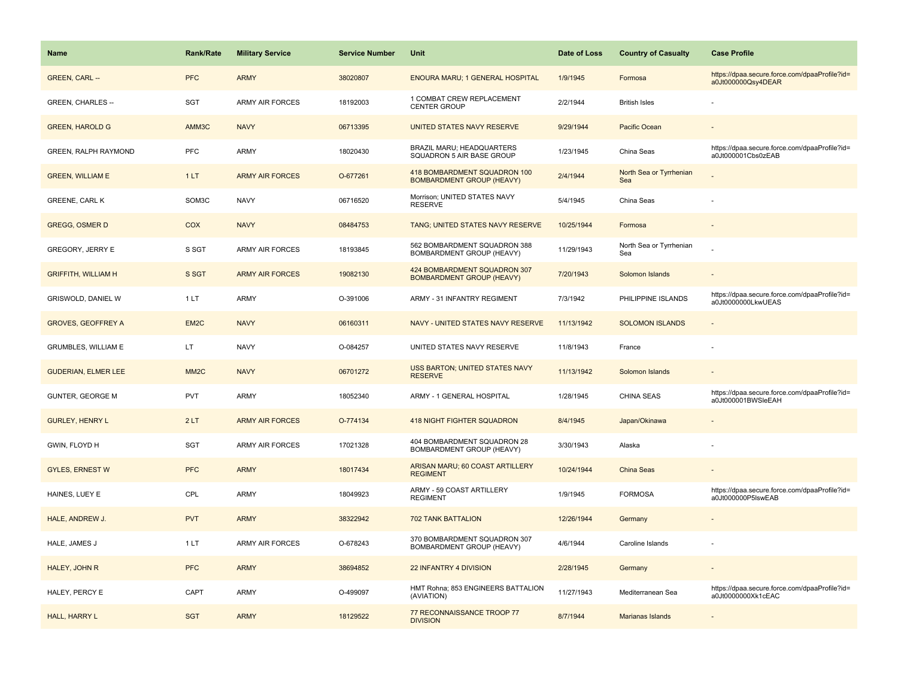| <b>Name</b>                | <b>Rank/Rate</b>  | <b>Military Service</b> | <b>Service Number</b> | Unit                                                             | Date of Loss | <b>Country of Casualty</b>     | <b>Case Profile</b>                                                 |
|----------------------------|-------------------|-------------------------|-----------------------|------------------------------------------------------------------|--------------|--------------------------------|---------------------------------------------------------------------|
| <b>GREEN, CARL --</b>      | <b>PFC</b>        | <b>ARMY</b>             | 38020807              | <b>ENOURA MARU; 1 GENERAL HOSPITAL</b>                           | 1/9/1945     | Formosa                        | https://dpaa.secure.force.com/dpaaProfile?id=<br>a0Jt000000Qsy4DEAR |
| GREEN, CHARLES --          | <b>SGT</b>        | ARMY AIR FORCES         | 18192003              | 1 COMBAT CREW REPLACEMENT<br><b>CENTER GROUP</b>                 | 2/2/1944     | <b>British Isles</b>           |                                                                     |
| <b>GREEN, HAROLD G</b>     | AMM3C             | <b>NAVY</b>             | 06713395              | UNITED STATES NAVY RESERVE                                       | 9/29/1944    | Pacific Ocean                  |                                                                     |
| GREEN, RALPH RAYMOND       | <b>PFC</b>        | ARMY                    | 18020430              | BRAZIL MARU; HEADQUARTERS<br>SQUADRON 5 AIR BASE GROUP           | 1/23/1945    | China Seas                     | https://dpaa.secure.force.com/dpaaProfile?id=<br>a0Jt000001Cbs0zEAB |
| <b>GREEN, WILLIAM E</b>    | 1LT               | <b>ARMY AIR FORCES</b>  | O-677261              | 418 BOMBARDMENT SQUADRON 100<br><b>BOMBARDMENT GROUP (HEAVY)</b> | 2/4/1944     | North Sea or Tyrrhenian<br>Sea |                                                                     |
| <b>GREENE, CARL K</b>      | SOM3C             | <b>NAVY</b>             | 06716520              | Morrison; UNITED STATES NAVY<br><b>RESERVE</b>                   | 5/4/1945     | China Seas                     |                                                                     |
| <b>GREGG, OSMER D</b>      | COX               | <b>NAVY</b>             | 08484753              | TANG; UNITED STATES NAVY RESERVE                                 | 10/25/1944   | Formosa                        |                                                                     |
| GREGORY, JERRY E           | S SGT             | <b>ARMY AIR FORCES</b>  | 18193845              | 562 BOMBARDMENT SQUADRON 388<br><b>BOMBARDMENT GROUP (HEAVY)</b> | 11/29/1943   | North Sea or Tyrrhenian<br>Sea |                                                                     |
| <b>GRIFFITH, WILLIAM H</b> | S SGT             | <b>ARMY AIR FORCES</b>  | 19082130              | 424 BOMBARDMENT SQUADRON 307<br><b>BOMBARDMENT GROUP (HEAVY)</b> | 7/20/1943    | Solomon Islands                |                                                                     |
| GRISWOLD, DANIEL W         | 1LT               | ARMY                    | O-391006              | ARMY - 31 INFANTRY REGIMENT                                      | 7/3/1942     | PHILIPPINE ISLANDS             | https://dpaa.secure.force.com/dpaaProfile?id=<br>a0Jt0000000LkwUEAS |
| <b>GROVES, GEOFFREY A</b>  | EM <sub>2</sub> C | <b>NAVY</b>             | 06160311              | NAVY - UNITED STATES NAVY RESERVE                                | 11/13/1942   | <b>SOLOMON ISLANDS</b>         |                                                                     |
| GRUMBLES, WILLIAM E        | LT                | <b>NAVY</b>             | O-084257              | UNITED STATES NAVY RESERVE                                       | 11/8/1943    | France                         |                                                                     |
| <b>GUDERIAN, ELMER LEE</b> | MM <sub>2</sub> C | <b>NAVY</b>             | 06701272              | <b>USS BARTON; UNITED STATES NAVY</b><br><b>RESERVE</b>          | 11/13/1942   | Solomon Islands                |                                                                     |
| <b>GUNTER, GEORGE M</b>    | <b>PVT</b>        | <b>ARMY</b>             | 18052340              | ARMY - 1 GENERAL HOSPITAL                                        | 1/28/1945    | CHINA SEAS                     | https://dpaa.secure.force.com/dpaaProfile?id=<br>a0Jt000001BWSleEAH |
| <b>GURLEY, HENRY L</b>     | 2LT               | <b>ARMY AIR FORCES</b>  | O-774134              | <b>418 NIGHT FIGHTER SQUADRON</b>                                | 8/4/1945     | Japan/Okinawa                  |                                                                     |
| GWIN, FLOYD H              | <b>SGT</b>        | ARMY AIR FORCES         | 17021328              | 404 BOMBARDMENT SQUADRON 28<br>BOMBARDMENT GROUP (HEAVY)         | 3/30/1943    | Alaska                         |                                                                     |
| <b>GYLES, ERNEST W</b>     | <b>PFC</b>        | <b>ARMY</b>             | 18017434              | ARISAN MARU; 60 COAST ARTILLERY<br><b>REGIMENT</b>               | 10/24/1944   | China Seas                     |                                                                     |
| HAINES, LUEY E             | CPL               | ARMY                    | 18049923              | ARMY - 59 COAST ARTILLERY<br><b>REGIMENT</b>                     | 1/9/1945     | <b>FORMOSA</b>                 | https://dpaa.secure.force.com/dpaaProfile?id=<br>a0Jt000000P5IswEAB |
| HALE, ANDREW J.            | <b>PVT</b>        | <b>ARMY</b>             | 38322942              | 702 TANK BATTALION                                               | 12/26/1944   | Germany                        |                                                                     |
| HALE, JAMES J              | 1LT               | <b>ARMY AIR FORCES</b>  | O-678243              | 370 BOMBARDMENT SQUADRON 307<br>BOMBARDMENT GROUP (HEAVY)        | 4/6/1944     | Caroline Islands               |                                                                     |
| HALEY, JOHN R              | <b>PFC</b>        | <b>ARMY</b>             | 38694852              | 22 INFANTRY 4 DIVISION                                           | 2/28/1945    | Germany                        |                                                                     |
| HALEY, PERCY E             | CAPT              | <b>ARMY</b>             | O-499097              | HMT Rohna; 853 ENGINEERS BATTALION<br>(AVIATION)                 | 11/27/1943   | Mediterranean Sea              | https://dpaa.secure.force.com/dpaaProfile?id=<br>a0Jt0000000Xk1cEAC |
| HALL, HARRY L              | <b>SGT</b>        | <b>ARMY</b>             | 18129522              | 77 RECONNAISSANCE TROOP 77<br><b>DIVISION</b>                    | 8/7/1944     | Marianas Islands               |                                                                     |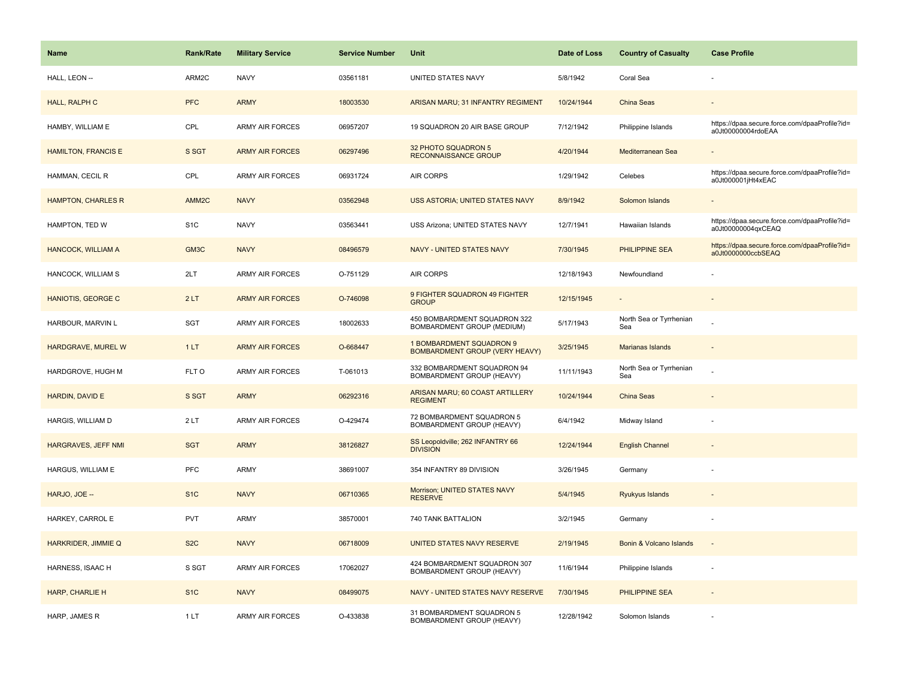| Name                       | <b>Rank/Rate</b>  | <b>Military Service</b> | <b>Service Number</b> | Unit                                                              | Date of Loss | <b>Country of Casualty</b>     | <b>Case Profile</b>                                                 |
|----------------------------|-------------------|-------------------------|-----------------------|-------------------------------------------------------------------|--------------|--------------------------------|---------------------------------------------------------------------|
| HALL, LEON --              | ARM2C             | <b>NAVY</b>             | 03561181              | UNITED STATES NAVY                                                | 5/8/1942     | Coral Sea                      |                                                                     |
| HALL, RALPH C              | <b>PFC</b>        | <b>ARMY</b>             | 18003530              | ARISAN MARU; 31 INFANTRY REGIMENT                                 | 10/24/1944   | <b>China Seas</b>              |                                                                     |
| HAMBY, WILLIAM E           | CPL               | <b>ARMY AIR FORCES</b>  | 06957207              | 19 SQUADRON 20 AIR BASE GROUP                                     | 7/12/1942    | Philippine Islands             | https://dpaa.secure.force.com/dpaaProfile?id=<br>a0Jt00000004rdoEAA |
| <b>HAMILTON, FRANCIS E</b> | S SGT             | <b>ARMY AIR FORCES</b>  | 06297496              | 32 PHOTO SQUADRON 5<br>RECONNAISSANCE GROUP                       | 4/20/1944    | Mediterranean Sea              |                                                                     |
| HAMMAN, CECIL R            | CPL               | <b>ARMY AIR FORCES</b>  | 06931724              | <b>AIR CORPS</b>                                                  | 1/29/1942    | Celebes                        | https://dpaa.secure.force.com/dpaaProfile?id=<br>a0Jt000001jHt4xEAC |
| <b>HAMPTON, CHARLES R</b>  | AMM <sub>2C</sub> | <b>NAVY</b>             | 03562948              | USS ASTORIA; UNITED STATES NAVY                                   | 8/9/1942     | Solomon Islands                |                                                                     |
| HAMPTON, TED W             | S <sub>1</sub> C  | <b>NAVY</b>             | 03563441              | USS Arizona; UNITED STATES NAVY                                   | 12/7/1941    | Hawaiian Islands               | https://dpaa.secure.force.com/dpaaProfile?id=<br>a0Jt00000004qxCEAQ |
| <b>HANCOCK, WILLIAM A</b>  | GM3C              | <b>NAVY</b>             | 08496579              | <b>NAVY - UNITED STATES NAVY</b>                                  | 7/30/1945    | <b>PHILIPPINE SEA</b>          | https://dpaa.secure.force.com/dpaaProfile?id=<br>a0Jt0000000ccbSEAQ |
| HANCOCK, WILLIAM S         | 2LT               | ARMY AIR FORCES         | O-751129              | <b>AIR CORPS</b>                                                  | 12/18/1943   | Newfoundland                   |                                                                     |
| HANIOTIS, GEORGE C         | 2LT               | <b>ARMY AIR FORCES</b>  | O-746098              | 9 FIGHTER SQUADRON 49 FIGHTER<br><b>GROUP</b>                     | 12/15/1945   |                                |                                                                     |
| HARBOUR, MARVIN L          | SGT               | ARMY AIR FORCES         | 18002633              | 450 BOMBARDMENT SQUADRON 322<br>BOMBARDMENT GROUP (MEDIUM)        | 5/17/1943    | North Sea or Tyrrhenian<br>Sea |                                                                     |
| HARDGRAVE, MUREL W         | 1LT               | <b>ARMY AIR FORCES</b>  | O-668447              | 1 BOMBARDMENT SQUADRON 9<br><b>BOMBARDMENT GROUP (VERY HEAVY)</b> | 3/25/1945    | <b>Marianas Islands</b>        |                                                                     |
| HARDGROVE, HUGH M          | FLT O             | ARMY AIR FORCES         | T-061013              | 332 BOMBARDMENT SQUADRON 94<br>BOMBARDMENT GROUP (HEAVY)          | 11/11/1943   | North Sea or Tyrrhenian<br>Sea |                                                                     |
| HARDIN, DAVID E            | S SGT             | <b>ARMY</b>             | 06292316              | ARISAN MARU; 60 COAST ARTILLERY<br><b>REGIMENT</b>                | 10/24/1944   | China Seas                     |                                                                     |
| HARGIS, WILLIAM D          | 2LT               | <b>ARMY AIR FORCES</b>  | O-429474              | 72 BOMBARDMENT SQUADRON 5<br>BOMBARDMENT GROUP (HEAVY)            | 6/4/1942     | Midway Island                  |                                                                     |
| HARGRAVES, JEFF NMI        | <b>SGT</b>        | <b>ARMY</b>             | 38126827              | SS Leopoldville; 262 INFANTRY 66<br><b>DIVISION</b>               | 12/24/1944   | <b>English Channel</b>         |                                                                     |
| HARGUS, WILLIAM E          | PFC               | ARMY                    | 38691007              | 354 INFANTRY 89 DIVISION                                          | 3/26/1945    | Germany                        |                                                                     |
| HARJO, JOE --              | S <sub>1</sub> C  | <b>NAVY</b>             | 06710365              | Morrison; UNITED STATES NAVY<br><b>RESERVE</b>                    | 5/4/1945     | Ryukyus Islands                |                                                                     |
| HARKEY, CARROL E           | <b>PVT</b>        | ARMY                    | 38570001              | 740 TANK BATTALION                                                | 3/2/1945     | Germany                        |                                                                     |
| HARKRIDER, JIMMIE Q        | S <sub>2</sub> C  | <b>NAVY</b>             | 06718009              | UNITED STATES NAVY RESERVE                                        | 2/19/1945    | Bonin & Volcano Islands        |                                                                     |
| HARNESS, ISAAC H           | S SGT             | ARMY AIR FORCES         | 17062027              | 424 BOMBARDMENT SQUADRON 307<br>BOMBARDMENT GROUP (HEAVY)         | 11/6/1944    | Philippine Islands             |                                                                     |
| HARP, CHARLIE H            | S <sub>1C</sub>   | <b>NAVY</b>             | 08499075              | NAVY - UNITED STATES NAVY RESERVE                                 | 7/30/1945    | PHILIPPINE SEA                 |                                                                     |
| HARP, JAMES R              | 1LT               | <b>ARMY AIR FORCES</b>  | O-433838              | 31 BOMBARDMENT SQUADRON 5<br>BOMBARDMENT GROUP (HEAVY)            | 12/28/1942   | Solomon Islands                |                                                                     |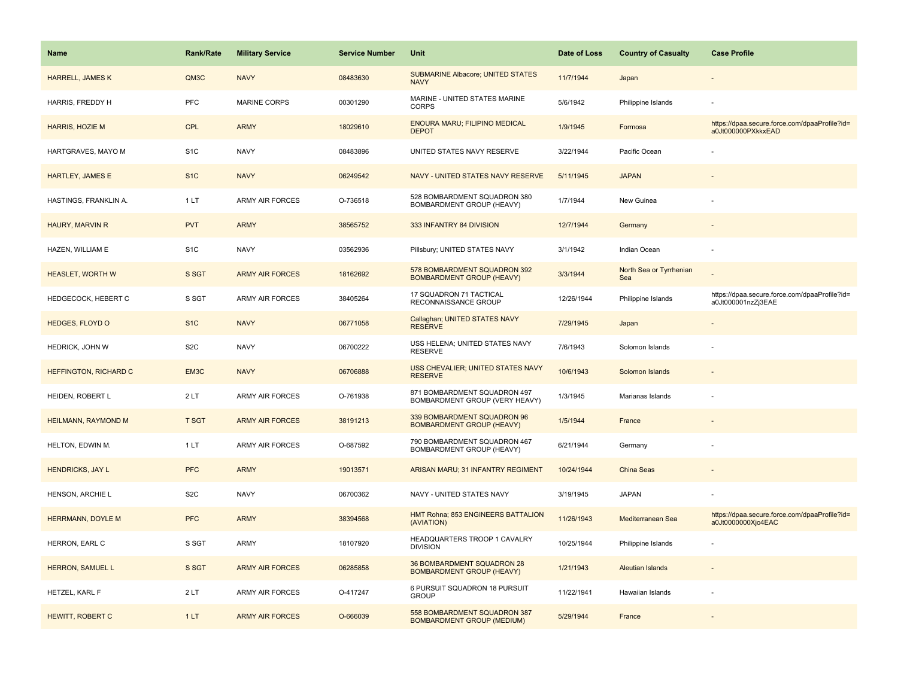| Name                         | <b>Rank/Rate</b> | <b>Military Service</b> | <b>Service Number</b> | Unit                                                              | Date of Loss | <b>Country of Casualty</b>     | <b>Case Profile</b>                                                 |
|------------------------------|------------------|-------------------------|-----------------------|-------------------------------------------------------------------|--------------|--------------------------------|---------------------------------------------------------------------|
| <b>HARRELL, JAMES K</b>      | QM3C             | <b>NAVY</b>             | 08483630              | <b>SUBMARINE Albacore; UNITED STATES</b><br><b>NAVY</b>           | 11/7/1944    | Japan                          |                                                                     |
| HARRIS, FREDDY H             | PFC              | MARINE CORPS            | 00301290              | MARINE - UNITED STATES MARINE<br><b>CORPS</b>                     | 5/6/1942     | Philippine Islands             |                                                                     |
| <b>HARRIS, HOZIE M</b>       | <b>CPL</b>       | <b>ARMY</b>             | 18029610              | <b>ENOURA MARU; FILIPINO MEDICAL</b><br><b>DEPOT</b>              | 1/9/1945     | Formosa                        | https://dpaa.secure.force.com/dpaaProfile?id=<br>a0Jt000000PXkkxEAD |
| HARTGRAVES, MAYO M           | S <sub>1</sub> C | <b>NAVY</b>             | 08483896              | UNITED STATES NAVY RESERVE                                        | 3/22/1944    | Pacific Ocean                  |                                                                     |
| <b>HARTLEY, JAMES E</b>      | S <sub>1</sub> C | <b>NAVY</b>             | 06249542              | NAVY - UNITED STATES NAVY RESERVE                                 | 5/11/1945    | <b>JAPAN</b>                   |                                                                     |
| HASTINGS, FRANKLIN A.        | 1LT              | <b>ARMY AIR FORCES</b>  | O-736518              | 528 BOMBARDMENT SQUADRON 380<br>BOMBARDMENT GROUP (HEAVY)         | 1/7/1944     | New Guinea                     |                                                                     |
| HAURY, MARVIN R              | <b>PVT</b>       | <b>ARMY</b>             | 38565752              | 333 INFANTRY 84 DIVISION                                          | 12/7/1944    | Germany                        |                                                                     |
| HAZEN, WILLIAM E             | S <sub>1</sub> C | <b>NAVY</b>             | 03562936              | Pillsbury; UNITED STATES NAVY                                     | 3/1/1942     | Indian Ocean                   |                                                                     |
| <b>HEASLET, WORTH W</b>      | S SGT            | <b>ARMY AIR FORCES</b>  | 18162692              | 578 BOMBARDMENT SQUADRON 392<br><b>BOMBARDMENT GROUP (HEAVY)</b>  | 3/3/1944     | North Sea or Tyrrhenian<br>Sea |                                                                     |
| HEDGECOCK, HEBERT C          | S SGT            | ARMY AIR FORCES         | 38405264              | 17 SQUADRON 71 TACTICAL<br>RECONNAISSANCE GROUP                   | 12/26/1944   | Philippine Islands             | https://dpaa.secure.force.com/dpaaProfile?id=<br>a0Jt000001nzZj3EAE |
| <b>HEDGES, FLOYD O</b>       | S <sub>1</sub> C | <b>NAVY</b>             | 06771058              | Callaghan; UNITED STATES NAVY<br><b>RESERVE</b>                   | 7/29/1945    | Japan                          |                                                                     |
| HEDRICK, JOHN W              | S <sub>2</sub> C | <b>NAVY</b>             | 06700222              | USS HELENA; UNITED STATES NAVY<br><b>RESERVE</b>                  | 7/6/1943     | Solomon Islands                |                                                                     |
| <b>HEFFINGTON, RICHARD C</b> | EM3C             | <b>NAVY</b>             | 06706888              | USS CHEVALIER; UNITED STATES NAVY<br><b>RESERVE</b>               | 10/6/1943    | Solomon Islands                |                                                                     |
| HEIDEN, ROBERT L             | 2LT              | ARMY AIR FORCES         | O-761938              | 871 BOMBARDMENT SQUADRON 497<br>BOMBARDMENT GROUP (VERY HEAVY)    | 1/3/1945     | Marianas Islands               |                                                                     |
| <b>HEILMANN, RAYMOND M</b>   | <b>T SGT</b>     | <b>ARMY AIR FORCES</b>  | 38191213              | 339 BOMBARDMENT SQUADRON 96<br><b>BOMBARDMENT GROUP (HEAVY)</b>   | 1/5/1944     | France                         |                                                                     |
| HELTON, EDWIN M.             | 1LT              | <b>ARMY AIR FORCES</b>  | O-687592              | 790 BOMBARDMENT SQUADRON 467<br>BOMBARDMENT GROUP (HEAVY)         | 6/21/1944    | Germany                        |                                                                     |
| <b>HENDRICKS, JAY L</b>      | <b>PFC</b>       | <b>ARMY</b>             | 19013571              | ARISAN MARU; 31 INFANTRY REGIMENT                                 | 10/24/1944   | China Seas                     |                                                                     |
| HENSON, ARCHIE L             | S <sub>2</sub> C | <b>NAVY</b>             | 06700362              | NAVY - UNITED STATES NAVY                                         | 3/19/1945    | <b>JAPAN</b>                   |                                                                     |
| <b>HERRMANN, DOYLE M</b>     | <b>PFC</b>       | <b>ARMY</b>             | 38394568              | HMT Rohna; 853 ENGINEERS BATTALION<br>(AVIATION)                  | 11/26/1943   | Mediterranean Sea              | https://dpaa.secure.force.com/dpaaProfile?id=<br>a0Jt0000000Xjo4EAC |
| HERRON, EARL C               | S SGT            | ARMY                    | 18107920              | HEADQUARTERS TROOP 1 CAVALRY<br><b>DIVISION</b>                   | 10/25/1944   | Philippine Islands             |                                                                     |
| <b>HERRON, SAMUEL L</b>      | S SGT            | <b>ARMY AIR FORCES</b>  | 06285858              | 36 BOMBARDMENT SQUADRON 28<br><b>BOMBARDMENT GROUP (HEAVY)</b>    | 1/21/1943    | Aleutian Islands               |                                                                     |
| HETZEL, KARL F               | 2LT              | <b>ARMY AIR FORCES</b>  | O-417247              | 6 PURSUIT SQUADRON 18 PURSUIT<br><b>GROUP</b>                     | 11/22/1941   | Hawaiian Islands               |                                                                     |
| HEWITT, ROBERT C             | 1LT              | <b>ARMY AIR FORCES</b>  | O-666039              | 558 BOMBARDMENT SQUADRON 387<br><b>BOMBARDMENT GROUP (MEDIUM)</b> | 5/29/1944    | France                         |                                                                     |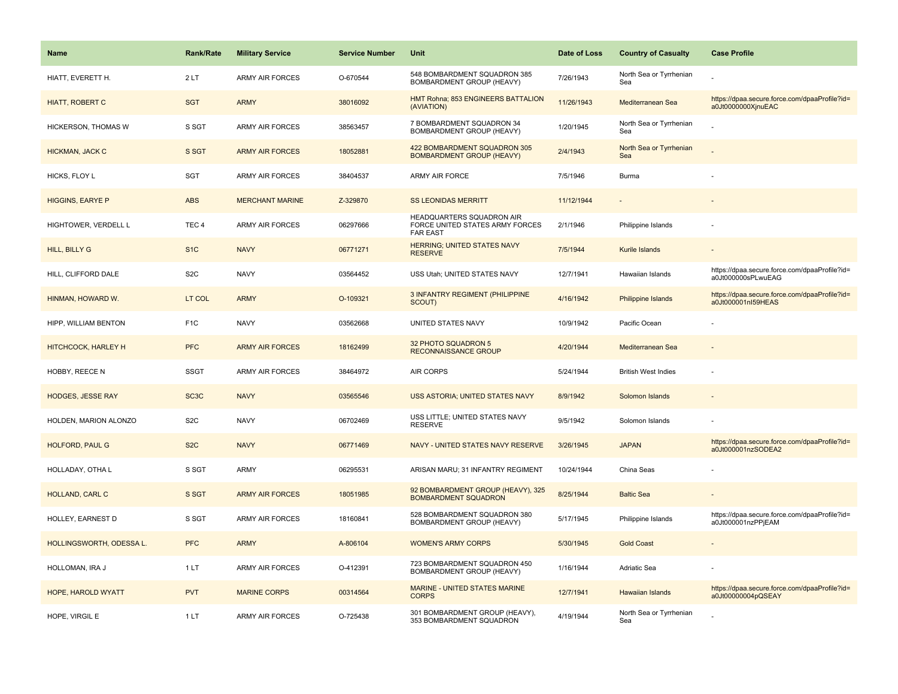| <b>Name</b>              | <b>Rank/Rate</b>  | <b>Military Service</b> | <b>Service Number</b> | Unit                                                                            | Date of Loss | <b>Country of Casualty</b>     | <b>Case Profile</b>                                                 |
|--------------------------|-------------------|-------------------------|-----------------------|---------------------------------------------------------------------------------|--------------|--------------------------------|---------------------------------------------------------------------|
| HIATT, EVERETT H.        | 2LT               | <b>ARMY AIR FORCES</b>  | O-670544              | 548 BOMBARDMENT SQUADRON 385<br>BOMBARDMENT GROUP (HEAVY)                       | 7/26/1943    | North Sea or Tyrrhenian<br>Sea |                                                                     |
| <b>HIATT, ROBERT C</b>   | <b>SGT</b>        | <b>ARMY</b>             | 38016092              | HMT Rohna; 853 ENGINEERS BATTALION<br>(AVIATION)                                | 11/26/1943   | Mediterranean Sea              | https://dpaa.secure.force.com/dpaaProfile?id=<br>a0Jt0000000XjnuEAC |
| HICKERSON, THOMAS W      | S SGT             | <b>ARMY AIR FORCES</b>  | 38563457              | 7 BOMBARDMENT SQUADRON 34<br>BOMBARDMENT GROUP (HEAVY)                          | 1/20/1945    | North Sea or Tyrrhenian<br>Sea |                                                                     |
| <b>HICKMAN, JACK C</b>   | S SGT             | <b>ARMY AIR FORCES</b>  | 18052881              | 422 BOMBARDMENT SQUADRON 305<br><b>BOMBARDMENT GROUP (HEAVY)</b>                | 2/4/1943     | North Sea or Tyrrhenian<br>Sea |                                                                     |
| HICKS, FLOY L            | SGT               | <b>ARMY AIR FORCES</b>  | 38404537              | <b>ARMY AIR FORCE</b>                                                           | 7/5/1946     | Burma                          |                                                                     |
| <b>HIGGINS, EARYE P</b>  | <b>ABS</b>        | <b>MERCHANT MARINE</b>  | Z-329870              | <b>SS LEONIDAS MERRITT</b>                                                      | 11/12/1944   |                                |                                                                     |
| HIGHTOWER, VERDELL L     | TEC <sub>4</sub>  | <b>ARMY AIR FORCES</b>  | 06297666              | HEADQUARTERS SQUADRON AIR<br>FORCE UNITED STATES ARMY FORCES<br><b>FAR EAST</b> | 2/1/1946     | Philippine Islands             |                                                                     |
| <b>HILL, BILLY G</b>     | S <sub>1</sub> C  | <b>NAVY</b>             | 06771271              | <b>HERRING: UNITED STATES NAVY</b><br><b>RESERVE</b>                            | 7/5/1944     | Kurile Islands                 |                                                                     |
| HILL, CLIFFORD DALE      | S <sub>2</sub> C  | <b>NAVY</b>             | 03564452              | USS Utah; UNITED STATES NAVY                                                    | 12/7/1941    | Hawaiian Islands               | https://dpaa.secure.force.com/dpaaProfile?id=<br>a0Jt000000sPLwuEAG |
| HINMAN, HOWARD W.        | LT COL            | <b>ARMY</b>             | O-109321              | 3 INFANTRY REGIMENT (PHILIPPINE<br>SCOUT)                                       | 4/16/1942    | <b>Philippine Islands</b>      | https://dpaa.secure.force.com/dpaaProfile?id=<br>a0Jt000001nl59HEAS |
| HIPP, WILLIAM BENTON     | F <sub>1</sub> C  | <b>NAVY</b>             | 03562668              | UNITED STATES NAVY                                                              | 10/9/1942    | Pacific Ocean                  |                                                                     |
| HITCHCOCK, HARLEY H      | <b>PFC</b>        | <b>ARMY AIR FORCES</b>  | 18162499              | 32 PHOTO SQUADRON 5<br><b>RECONNAISSANCE GROUP</b>                              | 4/20/1944    | Mediterranean Sea              |                                                                     |
| HOBBY, REECE N           | <b>SSGT</b>       | <b>ARMY AIR FORCES</b>  | 38464972              | <b>AIR CORPS</b>                                                                | 5/24/1944    | <b>British West Indies</b>     |                                                                     |
| <b>HODGES, JESSE RAY</b> | SC <sub>3</sub> C | <b>NAVY</b>             | 03565546              | USS ASTORIA; UNITED STATES NAVY                                                 | 8/9/1942     | Solomon Islands                |                                                                     |
| HOLDEN, MARION ALONZO    | S <sub>2</sub> C  | <b>NAVY</b>             | 06702469              | USS LITTLE; UNITED STATES NAVY<br><b>RESERVE</b>                                | 9/5/1942     | Solomon Islands                |                                                                     |
| HOLFORD, PAUL G          | S <sub>2</sub> C  | <b>NAVY</b>             | 06771469              | NAVY - UNITED STATES NAVY RESERVE                                               | 3/26/1945    | <b>JAPAN</b>                   | https://dpaa.secure.force.com/dpaaProfile?id=<br>a0Jt000001nzSODEA2 |
| HOLLADAY, OTHA L         | S SGT             | <b>ARMY</b>             | 06295531              | ARISAN MARU; 31 INFANTRY REGIMENT                                               | 10/24/1944   | China Seas                     |                                                                     |
| HOLLAND, CARL C          | S SGT             | <b>ARMY AIR FORCES</b>  | 18051985              | 92 BOMBARDMENT GROUP (HEAVY), 325<br><b>BOMBARDMENT SQUADRON</b>                | 8/25/1944    | <b>Baltic Sea</b>              |                                                                     |
| HOLLEY, EARNEST D        | S SGT             | <b>ARMY AIR FORCES</b>  | 18160841              | 528 BOMBARDMENT SQUADRON 380<br><b>BOMBARDMENT GROUP (HEAVY)</b>                | 5/17/1945    | Philippine Islands             | https://dpaa.secure.force.com/dpaaProfile?id=<br>a0Jt000001nzPPjEAM |
| HOLLINGSWORTH, ODESSA L. | <b>PFC</b>        | <b>ARMY</b>             | A-806104              | <b>WOMEN'S ARMY CORPS</b>                                                       | 5/30/1945    | <b>Gold Coast</b>              |                                                                     |
| HOLLOMAN, IRA J          | 1LT               | <b>ARMY AIR FORCES</b>  | O-412391              | 723 BOMBARDMENT SQUADRON 450<br>BOMBARDMENT GROUP (HEAVY)                       | 1/16/1944    | <b>Adriatic Sea</b>            |                                                                     |
| HOPE, HAROLD WYATT       | <b>PVT</b>        | <b>MARINE CORPS</b>     | 00314564              | MARINE - UNITED STATES MARINE<br><b>CORPS</b>                                   | 12/7/1941    | <b>Hawaiian Islands</b>        | https://dpaa.secure.force.com/dpaaProfile?id=<br>a0Jt00000004pQSEAY |
| HOPE, VIRGIL E           | 1LT               | <b>ARMY AIR FORCES</b>  | O-725438              | 301 BOMBARDMENT GROUP (HEAVY),<br>353 BOMBARDMENT SQUADRON                      | 4/19/1944    | North Sea or Tyrrhenian<br>Sea |                                                                     |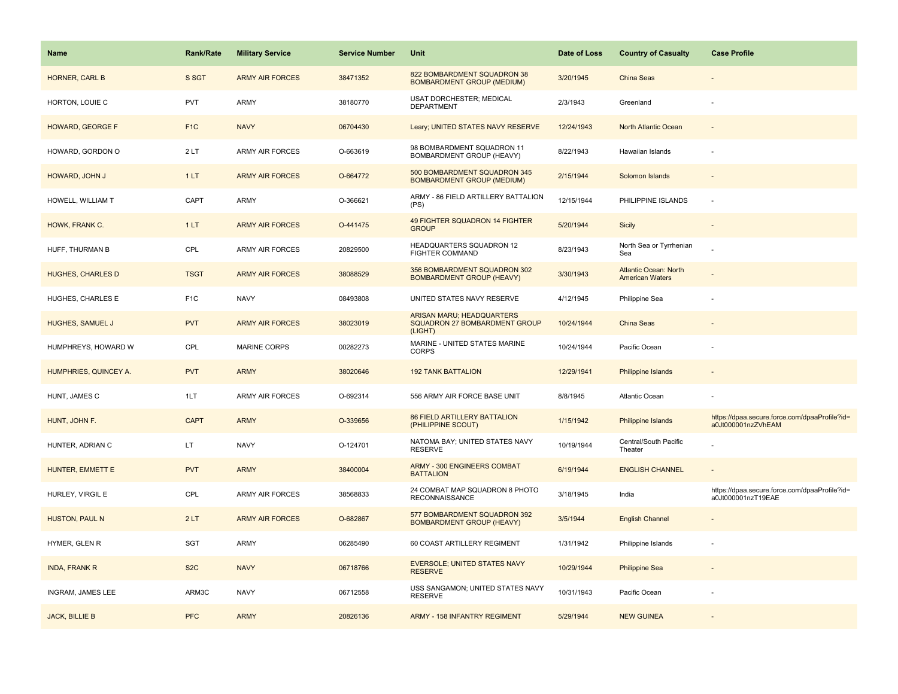| <b>Name</b>              | <b>Rank/Rate</b> | <b>Military Service</b> | <b>Service Number</b> | Unit                                                                         | Date of Loss | <b>Country of Casualty</b>                             | <b>Case Profile</b>                                                 |
|--------------------------|------------------|-------------------------|-----------------------|------------------------------------------------------------------------------|--------------|--------------------------------------------------------|---------------------------------------------------------------------|
| HORNER, CARL B           | S SGT            | <b>ARMY AIR FORCES</b>  | 38471352              | 822 BOMBARDMENT SQUADRON 38<br><b>BOMBARDMENT GROUP (MEDIUM)</b>             | 3/20/1945    | China Seas                                             |                                                                     |
| HORTON, LOUIE C          | <b>PVT</b>       | ARMY                    | 38180770              | USAT DORCHESTER; MEDICAL<br><b>DEPARTMENT</b>                                | 2/3/1943     | Greenland                                              |                                                                     |
| <b>HOWARD, GEORGE F</b>  | F <sub>1</sub> C | <b>NAVY</b>             | 06704430              | Leary; UNITED STATES NAVY RESERVE                                            | 12/24/1943   | North Atlantic Ocean                                   |                                                                     |
| HOWARD, GORDON O         | 2LT              | <b>ARMY AIR FORCES</b>  | O-663619              | 98 BOMBARDMENT SQUADRON 11<br>BOMBARDMENT GROUP (HEAVY)                      | 8/22/1943    | Hawaiian Islands                                       |                                                                     |
| HOWARD, JOHN J           | 1LT              | <b>ARMY AIR FORCES</b>  | O-664772              | 500 BOMBARDMENT SQUADRON 345<br><b>BOMBARDMENT GROUP (MEDIUM)</b>            | 2/15/1944    | Solomon Islands                                        |                                                                     |
| HOWELL, WILLIAM T        | CAPT             | ARMY                    | O-366621              | ARMY - 86 FIELD ARTILLERY BATTALION<br>(PS)                                  | 12/15/1944   | PHILIPPINE ISLANDS                                     |                                                                     |
| HOWK, FRANK C.           | 1LT              | <b>ARMY AIR FORCES</b>  | O-441475              | 49 FIGHTER SQUADRON 14 FIGHTER<br><b>GROUP</b>                               | 5/20/1944    | Sicily                                                 | $\sim$                                                              |
| HUFF, THURMAN B          | CPL              | ARMY AIR FORCES         | 20829500              | HEADQUARTERS SQUADRON 12<br><b>FIGHTER COMMAND</b>                           | 8/23/1943    | North Sea or Tyrrhenian<br>Sea                         |                                                                     |
| <b>HUGHES, CHARLES D</b> | <b>TSGT</b>      | <b>ARMY AIR FORCES</b>  | 38088529              | 356 BOMBARDMENT SQUADRON 302<br><b>BOMBARDMENT GROUP (HEAVY)</b>             | 3/30/1943    | <b>Atlantic Ocean: North</b><br><b>American Waters</b> |                                                                     |
| HUGHES, CHARLES E        | F <sub>1</sub> C | <b>NAVY</b>             | 08493808              | UNITED STATES NAVY RESERVE                                                   | 4/12/1945    | Philippine Sea                                         |                                                                     |
| <b>HUGHES, SAMUEL J</b>  | <b>PVT</b>       | <b>ARMY AIR FORCES</b>  | 38023019              | ARISAN MARU; HEADQUARTERS<br><b>SQUADRON 27 BOMBARDMENT GROUP</b><br>(LIGHT) | 10/24/1944   | China Seas                                             |                                                                     |
| HUMPHREYS, HOWARD W      | CPL              | <b>MARINE CORPS</b>     | 00282273              | MARINE - UNITED STATES MARINE<br>CORPS                                       | 10/24/1944   | Pacific Ocean                                          |                                                                     |
| HUMPHRIES, QUINCEY A.    | <b>PVT</b>       | <b>ARMY</b>             | 38020646              | <b>192 TANK BATTALION</b>                                                    | 12/29/1941   | Philippine Islands                                     |                                                                     |
| HUNT, JAMES C            | 1LT              | ARMY AIR FORCES         | O-692314              | 556 ARMY AIR FORCE BASE UNIT                                                 | 8/8/1945     | Atlantic Ocean                                         |                                                                     |
| HUNT, JOHN F.            | <b>CAPT</b>      | <b>ARMY</b>             | O-339656              | <b>86 FIELD ARTILLERY BATTALION</b><br>(PHILIPPINE SCOUT)                    | 1/15/1942    | Philippine Islands                                     | https://dpaa.secure.force.com/dpaaProfile?id=<br>a0Jt000001nzZVhEAM |
| HUNTER, ADRIAN C         | LT.              | <b>NAVY</b>             | O-124701              | NATOMA BAY; UNITED STATES NAVY<br><b>RESERVE</b>                             | 10/19/1944   | Central/South Pacific<br>Theater                       |                                                                     |
| HUNTER, EMMETT E         | <b>PVT</b>       | <b>ARMY</b>             | 38400004              | ARMY - 300 ENGINEERS COMBAT<br><b>BATTALION</b>                              | 6/19/1944    | <b>ENGLISH CHANNEL</b>                                 |                                                                     |
| HURLEY, VIRGIL E         | CPL              | ARMY AIR FORCES         | 38568833              | 24 COMBAT MAP SQUADRON 8 PHOTO<br><b>RECONNAISSANCE</b>                      | 3/18/1945    | India                                                  | https://dpaa.secure.force.com/dpaaProfile?id=<br>a0Jt000001nzT19EAE |
| HUSTON, PAUL N           | 2LT              | <b>ARMY AIR FORCES</b>  | O-682867              | 577 BOMBARDMENT SQUADRON 392<br><b>BOMBARDMENT GROUP (HEAVY)</b>             | 3/5/1944     | <b>English Channel</b>                                 |                                                                     |
| HYMER, GLEN R            | <b>SGT</b>       | ARMY                    | 06285490              | 60 COAST ARTILLERY REGIMENT                                                  | 1/31/1942    | Philippine Islands                                     |                                                                     |
| <b>INDA, FRANK R</b>     | S <sub>2</sub> C | <b>NAVY</b>             | 06718766              | <b>EVERSOLE; UNITED STATES NAVY</b><br><b>RESERVE</b>                        | 10/29/1944   | <b>Philippine Sea</b>                                  |                                                                     |
| INGRAM, JAMES LEE        | ARM3C            | <b>NAVY</b>             | 06712558              | USS SANGAMON; UNITED STATES NAVY<br><b>RESERVE</b>                           | 10/31/1943   | Pacific Ocean                                          |                                                                     |
| <b>JACK, BILLIE B</b>    | <b>PFC</b>       | <b>ARMY</b>             | 20826136              | ARMY - 158 INFANTRY REGIMENT                                                 | 5/29/1944    | <b>NEW GUINEA</b>                                      |                                                                     |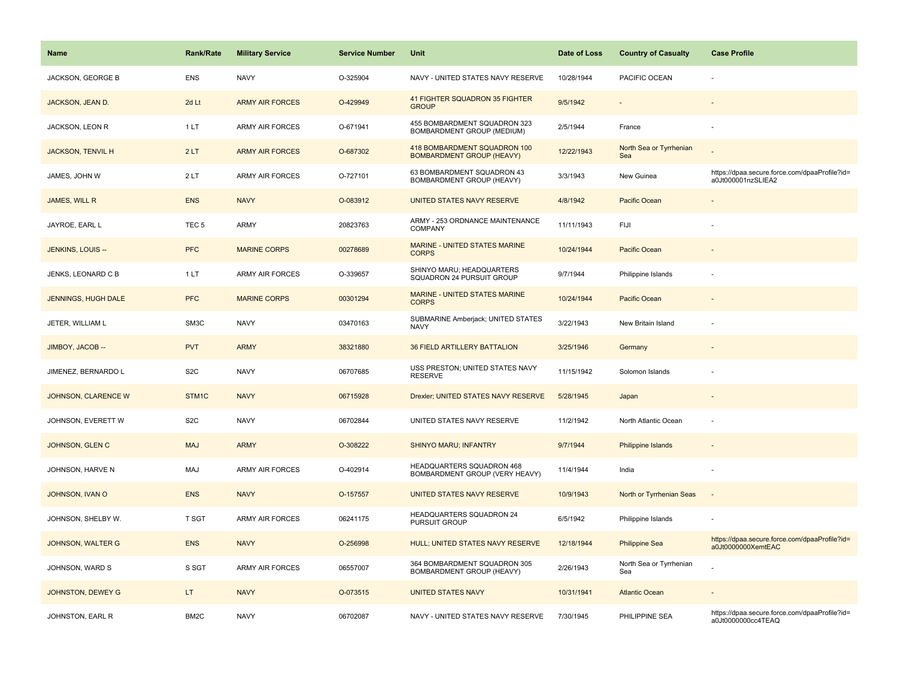| Name                       | <b>Rank/Rate</b>  | <b>Military Service</b> | <b>Service Number</b> | Unit                                                             | Date of Loss | <b>Country of Casualty</b>     | <b>Case Profile</b>                                                 |
|----------------------------|-------------------|-------------------------|-----------------------|------------------------------------------------------------------|--------------|--------------------------------|---------------------------------------------------------------------|
| JACKSON, GEORGE B          | <b>ENS</b>        | <b>NAVY</b>             | O-325904              | NAVY - UNITED STATES NAVY RESERVE                                | 10/28/1944   | PACIFIC OCEAN                  |                                                                     |
| JACKSON, JEAN D.           | 2d Lt             | <b>ARMY AIR FORCES</b>  | O-429949              | 41 FIGHTER SQUADRON 35 FIGHTER<br><b>GROUP</b>                   | 9/5/1942     |                                |                                                                     |
| JACKSON, LEON R            | 1LT               | <b>ARMY AIR FORCES</b>  | O-671941              | 455 BOMBARDMENT SQUADRON 323<br>BOMBARDMENT GROUP (MEDIUM)       | 2/5/1944     | France                         | $\overline{\phantom{a}}$                                            |
| <b>JACKSON, TENVIL H</b>   | 2LT               | <b>ARMY AIR FORCES</b>  | O-687302              | 418 BOMBARDMENT SQUADRON 100<br><b>BOMBARDMENT GROUP (HEAVY)</b> | 12/22/1943   | North Sea or Tyrrhenian<br>Sea |                                                                     |
| JAMES, JOHN W              | 2LT               | <b>ARMY AIR FORCES</b>  | O-727101              | 63 BOMBARDMENT SQUADRON 43<br>BOMBARDMENT GROUP (HEAVY)          | 3/3/1943     | New Guinea                     | https://dpaa.secure.force.com/dpaaProfile?id=<br>a0Jt000001nzSLIEA2 |
| JAMES, WILL R              | <b>ENS</b>        | <b>NAVY</b>             | O-083912              | UNITED STATES NAVY RESERVE                                       | 4/8/1942     | Pacific Ocean                  |                                                                     |
| JAYROE, EARL L             | TEC <sub>5</sub>  | <b>ARMY</b>             | 20823763              | ARMY - 253 ORDNANCE MAINTENANCE<br>COMPANY                       | 11/11/1943   | FIJI                           |                                                                     |
| JENKINS, LOUIS --          | <b>PFC</b>        | <b>MARINE CORPS</b>     | 00278689              | MARINE - UNITED STATES MARINE<br><b>CORPS</b>                    | 10/24/1944   | Pacific Ocean                  |                                                                     |
| JENKS, LEONARD C B         | 1LT               | <b>ARMY AIR FORCES</b>  | O-339657              | SHINYO MARU; HEADQUARTERS<br>SQUADRON 24 PURSUIT GROUP           | 9/7/1944     | Philippine Islands             |                                                                     |
| <b>JENNINGS, HUGH DALE</b> | <b>PFC</b>        | <b>MARINE CORPS</b>     | 00301294              | <b>MARINE - UNITED STATES MARINE</b><br><b>CORPS</b>             | 10/24/1944   | Pacific Ocean                  |                                                                     |
| JETER, WILLIAM L           | SM3C              | <b>NAVY</b>             | 03470163              | SUBMARINE Amberjack; UNITED STATES<br><b>NAVY</b>                | 3/22/1943    | New Britain Island             |                                                                     |
| JIMBOY, JACOB --           | <b>PVT</b>        | <b>ARMY</b>             | 38321880              | <b>36 FIELD ARTILLERY BATTALION</b>                              | 3/25/1946    | Germany                        |                                                                     |
| JIMENEZ, BERNARDO L        | S <sub>2</sub> C  | <b>NAVY</b>             | 06707685              | USS PRESTON; UNITED STATES NAVY<br><b>RESERVE</b>                | 11/15/1942   | Solomon Islands                |                                                                     |
| JOHNSON, CLARENCE W        | STM1C             | <b>NAVY</b>             | 06715928              | Drexler; UNITED STATES NAVY RESERVE                              | 5/28/1945    | Japan                          | $\overline{\phantom{a}}$                                            |
| JOHNSON, EVERETT W         | S <sub>2</sub> C  | <b>NAVY</b>             | 06702844              | UNITED STATES NAVY RESERVE                                       | 11/2/1942    | North Atlantic Ocean           |                                                                     |
| JOHNSON, GLEN C            | <b>MAJ</b>        | <b>ARMY</b>             | O-308222              | <b>SHINYO MARU; INFANTRY</b>                                     | 9/7/1944     | <b>Philippine Islands</b>      |                                                                     |
| JOHNSON, HARVE N           | <b>MAJ</b>        | ARMY AIR FORCES         | O-402914              | HEADQUARTERS SQUADRON 468<br>BOMBARDMENT GROUP (VERY HEAVY)      | 11/4/1944    | India                          |                                                                     |
| JOHNSON, IVAN O            | <b>ENS</b>        | <b>NAVY</b>             | O-157557              | UNITED STATES NAVY RESERVE                                       | 10/9/1943    | North or Tyrrhenian Seas       |                                                                     |
| JOHNSON, SHELBY W.         | T SGT             | ARMY AIR FORCES         | 06241175              | HEADQUARTERS SQUADRON 24<br>PURSUIT GROUP                        | 6/5/1942     | Philippine Islands             |                                                                     |
| <b>JOHNSON, WALTER G</b>   | <b>ENS</b>        | <b>NAVY</b>             | O-256998              | HULL; UNITED STATES NAVY RESERVE                                 | 12/18/1944   | <b>Philippine Sea</b>          | https://dpaa.secure.force.com/dpaaProfile?id=<br>a0Jt0000000XemtEAC |
| JOHNSON, WARD S            | S SGT             | <b>ARMY AIR FORCES</b>  | 06557007              | 364 BOMBARDMENT SQUADRON 305<br>BOMBARDMENT GROUP (HEAVY)        | 2/26/1943    | North Sea or Tyrrhenian<br>Sea |                                                                     |
| JOHNSTON, DEWEY G          | LT.               | <b>NAVY</b>             | O-073515              | <b>UNITED STATES NAVY</b>                                        | 10/31/1941   | <b>Atlantic Ocean</b>          |                                                                     |
| JOHNSTON, EARL R           | BM <sub>2</sub> C | <b>NAVY</b>             | 06702087              | NAVY - UNITED STATES NAVY RESERVE                                | 7/30/1945    | PHILIPPINE SEA                 | https://dpaa.secure.force.com/dpaaProfile?id=<br>a0Jt0000000cc4TEAQ |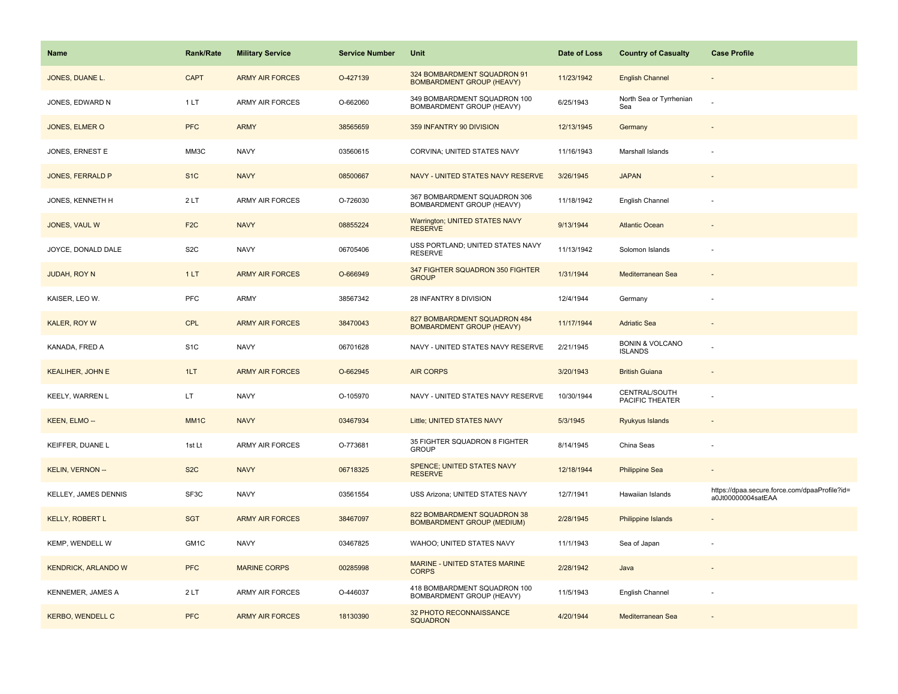| <b>Name</b>                | <b>Rank/Rate</b> | <b>Military Service</b> | <b>Service Number</b> | Unit                                                             | Date of Loss | <b>Country of Casualty</b>                   | <b>Case Profile</b>                                                 |
|----------------------------|------------------|-------------------------|-----------------------|------------------------------------------------------------------|--------------|----------------------------------------------|---------------------------------------------------------------------|
| JONES, DUANE L.            | <b>CAPT</b>      | <b>ARMY AIR FORCES</b>  | O-427139              | 324 BOMBARDMENT SQUADRON 91<br><b>BOMBARDMENT GROUP (HEAVY)</b>  | 11/23/1942   | <b>English Channel</b>                       |                                                                     |
| JONES, EDWARD N            | 1LT              | <b>ARMY AIR FORCES</b>  | O-662060              | 349 BOMBARDMENT SQUADRON 100<br>BOMBARDMENT GROUP (HEAVY)        | 6/25/1943    | North Sea or Tyrrhenian<br>Sea               |                                                                     |
| JONES, ELMER O             | <b>PFC</b>       | <b>ARMY</b>             | 38565659              | 359 INFANTRY 90 DIVISION                                         | 12/13/1945   | Germany                                      |                                                                     |
| JONES, ERNEST E            | MM3C             | <b>NAVY</b>             | 03560615              | CORVINA; UNITED STATES NAVY                                      | 11/16/1943   | Marshall Islands                             |                                                                     |
| JONES, FERRALD P           | S <sub>1</sub> C | <b>NAVY</b>             | 08500667              | NAVY - UNITED STATES NAVY RESERVE                                | 3/26/1945    | <b>JAPAN</b>                                 |                                                                     |
| JONES, KENNETH H           | 2LT              | <b>ARMY AIR FORCES</b>  | O-726030              | 367 BOMBARDMENT SQUADRON 306<br>BOMBARDMENT GROUP (HEAVY)        | 11/18/1942   | English Channel                              |                                                                     |
| JONES, VAUL W              | F <sub>2</sub> C | <b>NAVY</b>             | 08855224              | <b>Warrington; UNITED STATES NAVY</b><br><b>RESERVE</b>          | 9/13/1944    | <b>Atlantic Ocean</b>                        |                                                                     |
| JOYCE, DONALD DALE         | S <sub>2</sub> C | <b>NAVY</b>             | 06705406              | USS PORTLAND; UNITED STATES NAVY<br><b>RESERVE</b>               | 11/13/1942   | Solomon Islands                              |                                                                     |
| JUDAH, ROY N               | 1LT              | <b>ARMY AIR FORCES</b>  | O-666949              | 347 FIGHTER SQUADRON 350 FIGHTER<br><b>GROUP</b>                 | 1/31/1944    | Mediterranean Sea                            |                                                                     |
| KAISER, LEO W.             | <b>PFC</b>       | ARMY                    | 38567342              | 28 INFANTRY 8 DIVISION                                           | 12/4/1944    | Germany                                      |                                                                     |
| <b>KALER, ROY W</b>        | <b>CPL</b>       | <b>ARMY AIR FORCES</b>  | 38470043              | 827 BOMBARDMENT SQUADRON 484<br><b>BOMBARDMENT GROUP (HEAVY)</b> | 11/17/1944   | <b>Adriatic Sea</b>                          |                                                                     |
| KANADA, FRED A             | S <sub>1</sub> C | <b>NAVY</b>             | 06701628              | NAVY - UNITED STATES NAVY RESERVE                                | 2/21/1945    | <b>BONIN &amp; VOLCANO</b><br><b>ISLANDS</b> |                                                                     |
| <b>KEALIHER, JOHN E</b>    | 1LT              | <b>ARMY AIR FORCES</b>  | O-662945              | <b>AIR CORPS</b>                                                 | 3/20/1943    | <b>British Guiana</b>                        |                                                                     |
| KEELY, WARREN L            | LT               | <b>NAVY</b>             | O-105970              | NAVY - UNITED STATES NAVY RESERVE                                | 10/30/1944   | CENTRAL/SOUTH<br>PACIFIC THEATER             |                                                                     |
| KEEN, ELMO --              | MM <sub>1C</sub> | <b>NAVY</b>             | 03467934              | Little; UNITED STATES NAVY                                       | 5/3/1945     | Ryukyus Islands                              |                                                                     |
| KEIFFER, DUANE L           | 1st Lt           | ARMY AIR FORCES         | O-773681              | 35 FIGHTER SQUADRON 8 FIGHTER<br><b>GROUP</b>                    | 8/14/1945    | China Seas                                   |                                                                     |
| KELIN, VERNON --           | S <sub>2</sub> C | <b>NAVY</b>             | 06718325              | <b>SPENCE; UNITED STATES NAVY</b><br><b>RESERVE</b>              | 12/18/1944   | <b>Philippine Sea</b>                        |                                                                     |
| KELLEY, JAMES DENNIS       | SF3C             | <b>NAVY</b>             | 03561554              | USS Arizona; UNITED STATES NAVY                                  | 12/7/1941    | Hawaiian Islands                             | https://dpaa.secure.force.com/dpaaProfile?id=<br>a0Jt00000004satEAA |
| <b>KELLY, ROBERT L</b>     | <b>SGT</b>       | <b>ARMY AIR FORCES</b>  | 38467097              | 822 BOMBARDMENT SQUADRON 38<br><b>BOMBARDMENT GROUP (MEDIUM)</b> | 2/28/1945    | Philippine Islands                           |                                                                     |
| KEMP, WENDELL W            | GM1C             | <b>NAVY</b>             | 03467825              | WAHOO; UNITED STATES NAVY                                        | 11/1/1943    | Sea of Japan                                 |                                                                     |
| <b>KENDRICK, ARLANDO W</b> | <b>PFC</b>       | <b>MARINE CORPS</b>     | 00285998              | MARINE - UNITED STATES MARINE<br><b>CORPS</b>                    | 2/28/1942    | Java                                         |                                                                     |
| KENNEMER, JAMES A          | 2LT              | ARMY AIR FORCES         | O-446037              | 418 BOMBARDMENT SQUADRON 100<br>BOMBARDMENT GROUP (HEAVY)        | 11/5/1943    | English Channel                              |                                                                     |
| <b>KERBO, WENDELL C</b>    | <b>PFC</b>       | <b>ARMY AIR FORCES</b>  | 18130390              | 32 PHOTO RECONNAISSANCE<br><b>SQUADRON</b>                       | 4/20/1944    | Mediterranean Sea                            |                                                                     |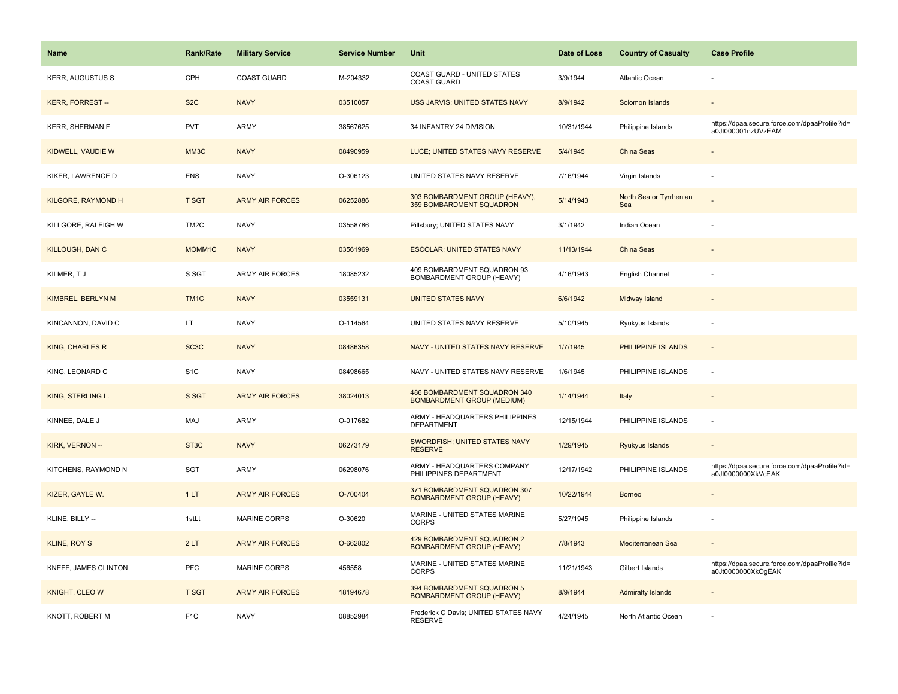| <b>Name</b>               | <b>Rank/Rate</b>  | <b>Military Service</b> | <b>Service Number</b> | Unit                                                              | Date of Loss | <b>Country of Casualty</b>     | <b>Case Profile</b>                                                 |
|---------------------------|-------------------|-------------------------|-----------------------|-------------------------------------------------------------------|--------------|--------------------------------|---------------------------------------------------------------------|
| <b>KERR, AUGUSTUS S</b>   | CPH               | <b>COAST GUARD</b>      | M-204332              | COAST GUARD - UNITED STATES<br>COAST GUARD                        | 3/9/1944     | <b>Atlantic Ocean</b>          |                                                                     |
| <b>KERR, FORREST--</b>    | S <sub>2</sub> C  | <b>NAVY</b>             | 03510057              | USS JARVIS; UNITED STATES NAVY                                    | 8/9/1942     | Solomon Islands                |                                                                     |
| <b>KERR, SHERMAN F</b>    | <b>PVT</b>        | <b>ARMY</b>             | 38567625              | 34 INFANTRY 24 DIVISION                                           | 10/31/1944   | Philippine Islands             | https://dpaa.secure.force.com/dpaaProfile?id=<br>a0Jt000001nzUVzEAM |
| KIDWELL, VAUDIE W         | MM3C              | <b>NAVY</b>             | 08490959              | LUCE; UNITED STATES NAVY RESERVE                                  | 5/4/1945     | China Seas                     |                                                                     |
| KIKER, LAWRENCE D         | <b>ENS</b>        | <b>NAVY</b>             | O-306123              | UNITED STATES NAVY RESERVE                                        | 7/16/1944    | Virgin Islands                 |                                                                     |
| <b>KILGORE, RAYMOND H</b> | <b>T SGT</b>      | <b>ARMY AIR FORCES</b>  | 06252886              | 303 BOMBARDMENT GROUP (HEAVY),<br>359 BOMBARDMENT SQUADRON        | 5/14/1943    | North Sea or Tyrrhenian<br>Sea |                                                                     |
| KILLGORE, RALEIGH W       | TM <sub>2</sub> C | <b>NAVY</b>             | 03558786              | Pillsbury; UNITED STATES NAVY                                     | 3/1/1942     | Indian Ocean                   |                                                                     |
| <b>KILLOUGH, DAN C</b>    | MOMM1C            | <b>NAVY</b>             | 03561969              | <b>ESCOLAR; UNITED STATES NAVY</b>                                | 11/13/1944   | China Seas                     |                                                                     |
| KILMER, TJ                | S SGT             | ARMY AIR FORCES         | 18085232              | 409 BOMBARDMENT SQUADRON 93<br>BOMBARDMENT GROUP (HEAVY)          | 4/16/1943    | English Channel                |                                                                     |
| KIMBREL, BERLYN M         | TM <sub>1</sub> C | <b>NAVY</b>             | 03559131              | <b>UNITED STATES NAVY</b>                                         | 6/6/1942     | Midway Island                  |                                                                     |
| KINCANNON, DAVID C        | LT.               | <b>NAVY</b>             | O-114564              | UNITED STATES NAVY RESERVE                                        | 5/10/1945    | Ryukyus Islands                |                                                                     |
| <b>KING, CHARLES R</b>    | SC <sub>3</sub> C | <b>NAVY</b>             | 08486358              | NAVY - UNITED STATES NAVY RESERVE                                 | 1/7/1945     | PHILIPPINE ISLANDS             |                                                                     |
| KING, LEONARD C           | S <sub>1</sub> C  | <b>NAVY</b>             | 08498665              | NAVY - UNITED STATES NAVY RESERVE                                 | 1/6/1945     | PHILIPPINE ISLANDS             |                                                                     |
| KING, STERLING L.         | S SGT             | <b>ARMY AIR FORCES</b>  | 38024013              | 486 BOMBARDMENT SQUADRON 340<br><b>BOMBARDMENT GROUP (MEDIUM)</b> | 1/14/1944    | Italy                          | $\overline{\phantom{a}}$                                            |
| KINNEE, DALE J            | MAJ               | <b>ARMY</b>             | O-017682              | ARMY - HEADQUARTERS PHILIPPINES<br><b>DEPARTMENT</b>              | 12/15/1944   | PHILIPPINE ISLANDS             | ÷.                                                                  |
| KIRK, VERNON --           | ST <sub>3</sub> C | <b>NAVY</b>             | 06273179              | SWORDFISH; UNITED STATES NAVY<br><b>RESERVE</b>                   | 1/29/1945    | Ryukyus Islands                |                                                                     |
| KITCHENS, RAYMOND N       | <b>SGT</b>        | ARMY                    | 06298076              | ARMY - HEADQUARTERS COMPANY<br>PHILIPPINES DEPARTMENT             | 12/17/1942   | PHILIPPINE ISLANDS             | https://dpaa.secure.force.com/dpaaProfile?id=<br>a0Jt0000000XkVcEAK |
| KIZER, GAYLE W.           | 1LT               | <b>ARMY AIR FORCES</b>  | O-700404              | 371 BOMBARDMENT SQUADRON 307<br><b>BOMBARDMENT GROUP (HEAVY)</b>  | 10/22/1944   | <b>Borneo</b>                  |                                                                     |
| KLINE, BILLY --           | 1stLt             | <b>MARINE CORPS</b>     | O-30620               | MARINE - UNITED STATES MARINE<br><b>CORPS</b>                     | 5/27/1945    | Philippine Islands             |                                                                     |
| <b>KLINE, ROY S</b>       | 2LT               | <b>ARMY AIR FORCES</b>  | O-662802              | 429 BOMBARDMENT SQUADRON 2<br><b>BOMBARDMENT GROUP (HEAVY)</b>    | 7/8/1943     | Mediterranean Sea              |                                                                     |
| KNEFF, JAMES CLINTON      | <b>PFC</b>        | <b>MARINE CORPS</b>     | 456558                | MARINE - UNITED STATES MARINE<br><b>CORPS</b>                     | 11/21/1943   | Gilbert Islands                | https://dpaa.secure.force.com/dpaaProfile?id=<br>a0Jt0000000XkOgEAK |
| KNIGHT, CLEO W            | <b>T SGT</b>      | <b>ARMY AIR FORCES</b>  | 18194678              | 394 BOMBARDMENT SQUADRON 5<br><b>BOMBARDMENT GROUP (HEAVY)</b>    | 8/9/1944     | <b>Admiralty Islands</b>       |                                                                     |
| KNOTT, ROBERT M           | F <sub>1</sub> C  | <b>NAVY</b>             | 08852984              | Frederick C Davis; UNITED STATES NAVY<br><b>RESERVE</b>           | 4/24/1945    | North Atlantic Ocean           |                                                                     |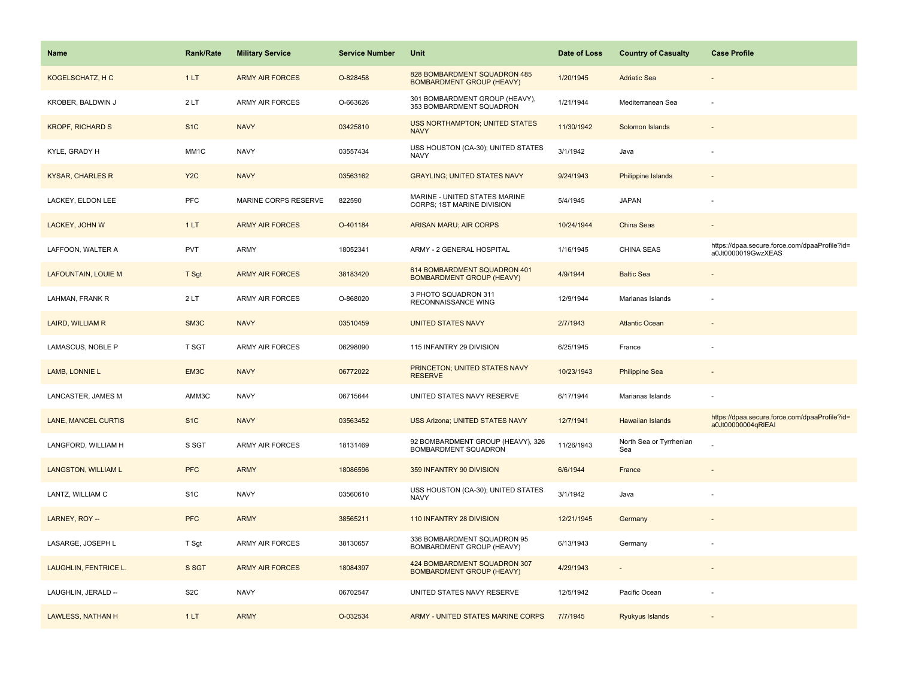| Name                       | <b>Rank/Rate</b>  | <b>Military Service</b> | <b>Service Number</b> | Unit                                                             | Date of Loss | <b>Country of Casualty</b>     | <b>Case Profile</b>                                                 |
|----------------------------|-------------------|-------------------------|-----------------------|------------------------------------------------------------------|--------------|--------------------------------|---------------------------------------------------------------------|
| KOGELSCHATZ, HC            | 1LT               | <b>ARMY AIR FORCES</b>  | O-828458              | 828 BOMBARDMENT SQUADRON 485<br><b>BOMBARDMENT GROUP (HEAVY)</b> | 1/20/1945    | <b>Adriatic Sea</b>            |                                                                     |
| KROBER, BALDWIN J          | 2LT               | <b>ARMY AIR FORCES</b>  | O-663626              | 301 BOMBARDMENT GROUP (HEAVY),<br>353 BOMBARDMENT SQUADRON       | 1/21/1944    | Mediterranean Sea              |                                                                     |
| <b>KROPF, RICHARD S</b>    | S <sub>1</sub> C  | <b>NAVY</b>             | 03425810              | <b>USS NORTHAMPTON; UNITED STATES</b><br><b>NAVY</b>             | 11/30/1942   | Solomon Islands                |                                                                     |
| KYLE, GRADY H              | MM1C              | <b>NAVY</b>             | 03557434              | USS HOUSTON (CA-30); UNITED STATES<br><b>NAVY</b>                | 3/1/1942     | Java                           |                                                                     |
| <b>KYSAR, CHARLES R</b>    | Y <sub>2</sub> C  | <b>NAVY</b>             | 03563162              | <b>GRAYLING; UNITED STATES NAVY</b>                              | 9/24/1943    | Philippine Islands             |                                                                     |
| LACKEY, ELDON LEE          | PFC               | MARINE CORPS RESERVE    | 822590                | MARINE - UNITED STATES MARINE<br>CORPS; 1ST MARINE DIVISION      | 5/4/1945     | <b>JAPAN</b>                   |                                                                     |
| LACKEY, JOHN W             | 1LT               | <b>ARMY AIR FORCES</b>  | O-401184              | <b>ARISAN MARU; AIR CORPS</b>                                    | 10/24/1944   | China Seas                     |                                                                     |
| LAFFOON, WALTER A          | <b>PVT</b>        | <b>ARMY</b>             | 18052341              | ARMY - 2 GENERAL HOSPITAL                                        | 1/16/1945    | <b>CHINA SEAS</b>              | https://dpaa.secure.force.com/dpaaProfile?id=<br>a0Jt0000019GwzXEAS |
| <b>LAFOUNTAIN, LOUIE M</b> | T Sgt             | <b>ARMY AIR FORCES</b>  | 38183420              | 614 BOMBARDMENT SQUADRON 401<br><b>BOMBARDMENT GROUP (HEAVY)</b> | 4/9/1944     | <b>Baltic Sea</b>              |                                                                     |
| LAHMAN, FRANK R            | 2LT               | <b>ARMY AIR FORCES</b>  | O-868020              | 3 PHOTO SQUADRON 311<br>RECONNAISSANCE WING                      | 12/9/1944    | Marianas Islands               |                                                                     |
| LAIRD, WILLIAM R           | SM <sub>3</sub> C | <b>NAVY</b>             | 03510459              | <b>UNITED STATES NAVY</b>                                        | 2/7/1943     | <b>Atlantic Ocean</b>          |                                                                     |
| LAMASCUS, NOBLE P          | <b>T SGT</b>      | ARMY AIR FORCES         | 06298090              | 115 INFANTRY 29 DIVISION                                         | 6/25/1945    | France                         |                                                                     |
| LAMB, LONNIE L             | EM3C              | <b>NAVY</b>             | 06772022              | PRINCETON; UNITED STATES NAVY<br><b>RESERVE</b>                  | 10/23/1943   | <b>Philippine Sea</b>          |                                                                     |
| LANCASTER, JAMES M         | AMM3C             | <b>NAVY</b>             | 06715644              | UNITED STATES NAVY RESERVE                                       | 6/17/1944    | Marianas Islands               |                                                                     |
| <b>LANE, MANCEL CURTIS</b> | S <sub>1C</sub>   | <b>NAVY</b>             | 03563452              | <b>USS Arizona; UNITED STATES NAVY</b>                           | 12/7/1941    | Hawaiian Islands               | https://dpaa.secure.force.com/dpaaProfile?id=<br>a0Jt00000004qRIEAI |
| LANGFORD, WILLIAM H        | S SGT             | ARMY AIR FORCES         | 18131469              | 92 BOMBARDMENT GROUP (HEAVY), 326<br>BOMBARDMENT SQUADRON        | 11/26/1943   | North Sea or Tyrrhenian<br>Sea |                                                                     |
| <b>LANGSTON, WILLIAM L</b> | <b>PFC</b>        | <b>ARMY</b>             | 18086596              | 359 INFANTRY 90 DIVISION                                         | 6/6/1944     | France                         |                                                                     |
| LANTZ, WILLIAM C           | S <sub>1</sub> C  | <b>NAVY</b>             | 03560610              | USS HOUSTON (CA-30); UNITED STATES<br><b>NAVY</b>                | 3/1/1942     | Java                           |                                                                     |
| LARNEY, ROY --             | <b>PFC</b>        | <b>ARMY</b>             | 38565211              | 110 INFANTRY 28 DIVISION                                         | 12/21/1945   | Germany                        |                                                                     |
| LASARGE, JOSEPH L          | T Sgt             | ARMY AIR FORCES         | 38130657              | 336 BOMBARDMENT SQUADRON 95<br>BOMBARDMENT GROUP (HEAVY)         | 6/13/1943    | Germany                        |                                                                     |
| LAUGHLIN, FENTRICE L.      | S SGT             | <b>ARMY AIR FORCES</b>  | 18084397              | 424 BOMBARDMENT SQUADRON 307<br><b>BOMBARDMENT GROUP (HEAVY)</b> | 4/29/1943    |                                |                                                                     |
| LAUGHLIN, JERALD --        | S <sub>2</sub> C  | <b>NAVY</b>             | 06702547              | UNITED STATES NAVY RESERVE                                       | 12/5/1942    | Pacific Ocean                  |                                                                     |
| LAWLESS, NATHAN H          | 1LT               | <b>ARMY</b>             | O-032534              | ARMY - UNITED STATES MARINE CORPS                                | 7/7/1945     | Ryukyus Islands                |                                                                     |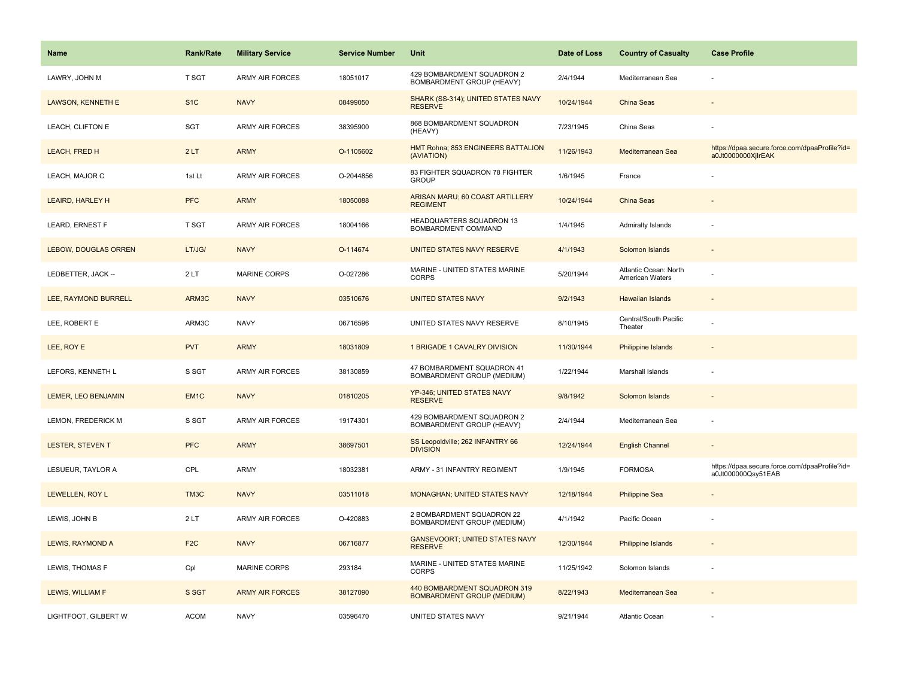| <b>Name</b>                 | <b>Rank/Rate</b> | <b>Military Service</b> | <b>Service Number</b> | Unit                                                              | Date of Loss | <b>Country of Casualty</b>               | <b>Case Profile</b>                                                 |
|-----------------------------|------------------|-------------------------|-----------------------|-------------------------------------------------------------------|--------------|------------------------------------------|---------------------------------------------------------------------|
| LAWRY, JOHN M               | <b>T SGT</b>     | <b>ARMY AIR FORCES</b>  | 18051017              | 429 BOMBARDMENT SQUADRON 2<br><b>BOMBARDMENT GROUP (HEAVY)</b>    | 2/4/1944     | Mediterranean Sea                        |                                                                     |
| <b>LAWSON, KENNETH E</b>    | S <sub>1</sub> C | <b>NAVY</b>             | 08499050              | SHARK (SS-314); UNITED STATES NAVY<br><b>RESERVE</b>              | 10/24/1944   | <b>China Seas</b>                        |                                                                     |
| LEACH, CLIFTON E            | SGT              | <b>ARMY AIR FORCES</b>  | 38395900              | 868 BOMBARDMENT SQUADRON<br>(HEAVY)                               | 7/23/1945    | China Seas                               |                                                                     |
| LEACH, FRED H               | 2LT              | <b>ARMY</b>             | O-1105602             | HMT Rohna; 853 ENGINEERS BATTALION<br>(AVIATION)                  | 11/26/1943   | Mediterranean Sea                        | https://dpaa.secure.force.com/dpaaProfile?id=<br>a0Jt0000000XjlrEAK |
| LEACH, MAJOR C              | 1st Lt           | <b>ARMY AIR FORCES</b>  | O-2044856             | 83 FIGHTER SQUADRON 78 FIGHTER<br><b>GROUP</b>                    | 1/6/1945     | France                                   |                                                                     |
| <b>LEAIRD, HARLEY H</b>     | <b>PFC</b>       | <b>ARMY</b>             | 18050088              | ARISAN MARU; 60 COAST ARTILLERY<br><b>REGIMENT</b>                | 10/24/1944   | China Seas                               |                                                                     |
| LEARD, ERNEST F             | <b>T SGT</b>     | <b>ARMY AIR FORCES</b>  | 18004166              | HEADQUARTERS SQUADRON 13<br>BOMBARDMENT COMMAND                   | 1/4/1945     | <b>Admiralty Islands</b>                 |                                                                     |
| <b>LEBOW, DOUGLAS ORREN</b> | LT/JG/           | <b>NAVY</b>             | O-114674              | UNITED STATES NAVY RESERVE                                        | 4/1/1943     | Solomon Islands                          |                                                                     |
| LEDBETTER, JACK --          | 2LT              | MARINE CORPS            | O-027286              | MARINE - UNITED STATES MARINE<br><b>CORPS</b>                     | 5/20/1944    | Atlantic Ocean: North<br>American Waters |                                                                     |
| LEE, RAYMOND BURRELL        | ARM3C            | <b>NAVY</b>             | 03510676              | <b>UNITED STATES NAVY</b>                                         | 9/2/1943     | Hawaiian Islands                         |                                                                     |
| LEE, ROBERT E               | ARM3C            | <b>NAVY</b>             | 06716596              | UNITED STATES NAVY RESERVE                                        | 8/10/1945    | Central/South Pacific<br>Theater         |                                                                     |
| LEE, ROY E                  | <b>PVT</b>       | <b>ARMY</b>             | 18031809              | 1 BRIGADE 1 CAVALRY DIVISION                                      | 11/30/1944   | <b>Philippine Islands</b>                |                                                                     |
| LEFORS, KENNETH L           | S SGT            | <b>ARMY AIR FORCES</b>  | 38130859              | 47 BOMBARDMENT SQUADRON 41<br>BOMBARDMENT GROUP (MEDIUM)          | 1/22/1944    | Marshall Islands                         |                                                                     |
| LEMER, LEO BENJAMIN         | EM <sub>1C</sub> | <b>NAVY</b>             | 01810205              | YP-346; UNITED STATES NAVY<br><b>RESERVE</b>                      | 9/8/1942     | Solomon Islands                          |                                                                     |
| LEMON, FREDERICK M          | S SGT            | <b>ARMY AIR FORCES</b>  | 19174301              | 429 BOMBARDMENT SQUADRON 2<br>BOMBARDMENT GROUP (HEAVY)           | 2/4/1944     | Mediterranean Sea                        | $\sim$                                                              |
| <b>LESTER, STEVEN T</b>     | <b>PFC</b>       | <b>ARMY</b>             | 38697501              | SS Leopoldville; 262 INFANTRY 66<br><b>DIVISION</b>               | 12/24/1944   | <b>English Channel</b>                   |                                                                     |
| LESUEUR, TAYLOR A           | CPL              | <b>ARMY</b>             | 18032381              | ARMY - 31 INFANTRY REGIMENT                                       | 1/9/1945     | <b>FORMOSA</b>                           | https://dpaa.secure.force.com/dpaaProfile?id=<br>a0Jt000000Qsy51EAB |
| LEWELLEN, ROY L             | TM3C             | <b>NAVY</b>             | 03511018              | <b>MONAGHAN; UNITED STATES NAVY</b>                               | 12/18/1944   | <b>Philippine Sea</b>                    |                                                                     |
| LEWIS, JOHN B               | 2LT              | <b>ARMY AIR FORCES</b>  | O-420883              | 2 BOMBARDMENT SQUADRON 22<br>BOMBARDMENT GROUP (MEDIUM)           | 4/1/1942     | Pacific Ocean                            |                                                                     |
| LEWIS, RAYMOND A            | F <sub>2</sub> C | <b>NAVY</b>             | 06716877              | <b>GANSEVOORT; UNITED STATES NAVY</b><br><b>RESERVE</b>           | 12/30/1944   | Philippine Islands                       |                                                                     |
| LEWIS, THOMAS F             | Cpl              | <b>MARINE CORPS</b>     | 293184                | MARINE - UNITED STATES MARINE<br><b>CORPS</b>                     | 11/25/1942   | Solomon Islands                          |                                                                     |
| LEWIS, WILLIAM F            | S SGT            | <b>ARMY AIR FORCES</b>  | 38127090              | 440 BOMBARDMENT SQUADRON 319<br><b>BOMBARDMENT GROUP (MEDIUM)</b> | 8/22/1943    | Mediterranean Sea                        |                                                                     |
| LIGHTFOOT, GILBERT W        | <b>ACOM</b>      | <b>NAVY</b>             | 03596470              | UNITED STATES NAVY                                                | 9/21/1944    | <b>Atlantic Ocean</b>                    |                                                                     |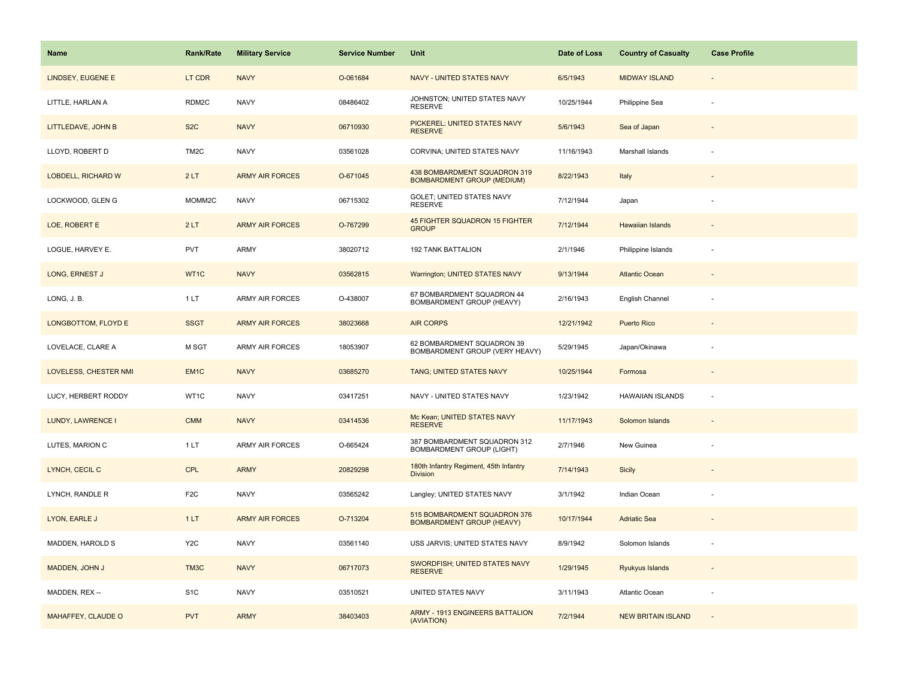| Name                      | <b>Rank/Rate</b>  | <b>Military Service</b> | <b>Service Number</b> | Unit                                                              | Date of Loss | <b>Country of Casualty</b> | <b>Case Profile</b> |
|---------------------------|-------------------|-------------------------|-----------------------|-------------------------------------------------------------------|--------------|----------------------------|---------------------|
| LINDSEY, EUGENE E         | LT CDR            | <b>NAVY</b>             | O-061684              | <b>NAVY - UNITED STATES NAVY</b>                                  | 6/5/1943     | <b>MIDWAY ISLAND</b>       |                     |
| LITTLE, HARLAN A          | RDM2C             | <b>NAVY</b>             | 08486402              | JOHNSTON; UNITED STATES NAVY<br><b>RESERVE</b>                    | 10/25/1944   | Philippine Sea             |                     |
| LITTLEDAVE, JOHN B        | S <sub>2</sub> C  | <b>NAVY</b>             | 06710930              | PICKEREL; UNITED STATES NAVY<br><b>RESERVE</b>                    | 5/6/1943     | Sea of Japan               |                     |
| LLOYD, ROBERT D           | TM <sub>2</sub> C | <b>NAVY</b>             | 03561028              | CORVINA; UNITED STATES NAVY                                       | 11/16/1943   | Marshall Islands           |                     |
| <b>LOBDELL, RICHARD W</b> | 2LT               | <b>ARMY AIR FORCES</b>  | O-671045              | 438 BOMBARDMENT SQUADRON 319<br><b>BOMBARDMENT GROUP (MEDIUM)</b> | 8/22/1943    | Italy                      |                     |
| LOCKWOOD, GLEN G          | MOMM2C            | <b>NAVY</b>             | 06715302              | GOLET; UNITED STATES NAVY<br><b>RESERVE</b>                       | 7/12/1944    | Japan                      |                     |
| LOE, ROBERT E             | 2LT               | <b>ARMY AIR FORCES</b>  | O-767299              | 45 FIGHTER SQUADRON 15 FIGHTER<br><b>GROUP</b>                    | 7/12/1944    | <b>Hawaiian Islands</b>    |                     |
| LOGUE, HARVEY E.          | <b>PVT</b>        | ARMY                    | 38020712              | 192 TANK BATTALION                                                | 2/1/1946     | Philippine Islands         |                     |
| LONG, ERNEST J            | WT1C              | <b>NAVY</b>             | 03562815              | <b>Warrington; UNITED STATES NAVY</b>                             | 9/13/1944    | <b>Atlantic Ocean</b>      |                     |
| LONG, J.B.                | 1LT               | ARMY AIR FORCES         | O-438007              | 67 BOMBARDMENT SQUADRON 44<br>BOMBARDMENT GROUP (HEAVY)           | 2/16/1943    | English Channel            |                     |
| LONGBOTTOM, FLOYD E       | <b>SSGT</b>       | <b>ARMY AIR FORCES</b>  | 38023668              | <b>AIR CORPS</b>                                                  | 12/21/1942   | <b>Puerto Rico</b>         |                     |
| LOVELACE, CLARE A         | M SGT             | ARMY AIR FORCES         | 18053907              | 62 BOMBARDMENT SQUADRON 39<br>BOMBARDMENT GROUP (VERY HEAVY)      | 5/29/1945    | Japan/Okinawa              |                     |
| LOVELESS, CHESTER NMI     | EM <sub>1</sub> C | <b>NAVY</b>             | 03685270              | TANG; UNITED STATES NAVY                                          | 10/25/1944   | Formosa                    |                     |
| LUCY, HERBERT RODDY       | WT1C              | <b>NAVY</b>             | 03417251              | NAVY - UNITED STATES NAVY                                         | 1/23/1942    | <b>HAWAIIAN ISLANDS</b>    |                     |
| LUNDY, LAWRENCE I         | <b>CMM</b>        | <b>NAVY</b>             | 03414536              | Mc Kean; UNITED STATES NAVY<br><b>RESERVE</b>                     | 11/17/1943   | Solomon Islands            |                     |
| LUTES, MARION C           | 1LT               | ARMY AIR FORCES         | O-665424              | 387 BOMBARDMENT SQUADRON 312<br><b>BOMBARDMENT GROUP (LIGHT)</b>  | 2/7/1946     | New Guinea                 |                     |
| LYNCH, CECIL C            | <b>CPL</b>        | <b>ARMY</b>             | 20829298              | 180th Infantry Regiment, 45th Infantry<br><b>Division</b>         | 7/14/1943    | <b>Sicily</b>              |                     |
| LYNCH, RANDLE R           | F <sub>2</sub> C  | <b>NAVY</b>             | 03565242              | Langley; UNITED STATES NAVY                                       | 3/1/1942     | Indian Ocean               |                     |
| LYON, EARLE J             | 1LT               | <b>ARMY AIR FORCES</b>  | O-713204              | 515 BOMBARDMENT SQUADRON 376<br><b>BOMBARDMENT GROUP (HEAVY)</b>  | 10/17/1944   | <b>Adriatic Sea</b>        |                     |
| MADDEN, HAROLD S          | Y <sub>2</sub> C  | <b>NAVY</b>             | 03561140              | USS JARVIS; UNITED STATES NAVY                                    | 8/9/1942     | Solomon Islands            |                     |
| MADDEN, JOHN J            | TM3C              | <b>NAVY</b>             | 06717073              | SWORDFISH; UNITED STATES NAVY<br><b>RESERVE</b>                   | 1/29/1945    | Ryukyus Islands            |                     |
| MADDEN, REX --            | S <sub>1</sub> C  | <b>NAVY</b>             | 03510521              | UNITED STATES NAVY                                                | 3/11/1943    | <b>Atlantic Ocean</b>      |                     |
| MAHAFFEY, CLAUDE O        | <b>PVT</b>        | <b>ARMY</b>             | 38403403              | ARMY - 1913 ENGINEERS BATTALION<br>(AVIATION)                     | 7/2/1944     | <b>NEW BRITAIN ISLAND</b>  |                     |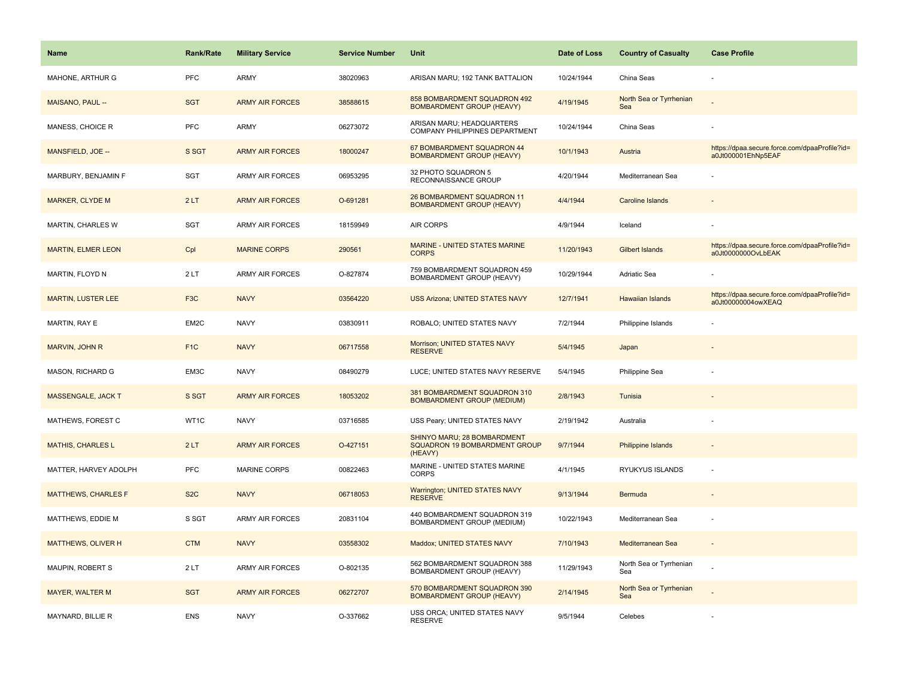| <b>Name</b>                | Rank/Rate         | <b>Military Service</b> | <b>Service Number</b> | Unit                                                                    | Date of Loss | <b>Country of Casualty</b>     | <b>Case Profile</b>                                                 |
|----------------------------|-------------------|-------------------------|-----------------------|-------------------------------------------------------------------------|--------------|--------------------------------|---------------------------------------------------------------------|
| MAHONE, ARTHUR G           | <b>PFC</b>        | <b>ARMY</b>             | 38020963              | ARISAN MARU; 192 TANK BATTALION                                         | 10/24/1944   | China Seas                     |                                                                     |
| MAISANO, PAUL --           | <b>SGT</b>        | <b>ARMY AIR FORCES</b>  | 38588615              | 858 BOMBARDMENT SQUADRON 492<br><b>BOMBARDMENT GROUP (HEAVY)</b>        | 4/19/1945    | North Sea or Tyrrhenian<br>Sea |                                                                     |
| MANESS, CHOICE R           | <b>PFC</b>        | <b>ARMY</b>             | 06273072              | ARISAN MARU; HEADQUARTERS<br>COMPANY PHILIPPINES DEPARTMENT             | 10/24/1944   | China Seas                     |                                                                     |
| MANSFIELD, JOE --          | S SGT             | <b>ARMY AIR FORCES</b>  | 18000247              | 67 BOMBARDMENT SQUADRON 44<br><b>BOMBARDMENT GROUP (HEAVY)</b>          | 10/1/1943    | Austria                        | https://dpaa.secure.force.com/dpaaProfile?id=<br>a0Jt000001EhNp5EAF |
| MARBURY, BENJAMIN F        | SGT               | <b>ARMY AIR FORCES</b>  | 06953295              | 32 PHOTO SQUADRON 5<br>RECONNAISSANCE GROUP                             | 4/20/1944    | Mediterranean Sea              |                                                                     |
| <b>MARKER, CLYDE M</b>     | 2LT               | <b>ARMY AIR FORCES</b>  | O-691281              | 26 BOMBARDMENT SQUADRON 11<br><b>BOMBARDMENT GROUP (HEAVY)</b>          | 4/4/1944     | <b>Caroline Islands</b>        |                                                                     |
| MARTIN, CHARLES W          | SGT               | ARMY AIR FORCES         | 18159949              | AIR CORPS                                                               | 4/9/1944     | Iceland                        |                                                                     |
| <b>MARTIN, ELMER LEON</b>  | Cpl               | <b>MARINE CORPS</b>     | 290561                | <b>MARINE - UNITED STATES MARINE</b><br><b>CORPS</b>                    | 11/20/1943   | Gilbert Islands                | https://dpaa.secure.force.com/dpaaProfile?id=<br>a0Jt0000000OvLbEAK |
| MARTIN, FLOYD N            | 2LT               | <b>ARMY AIR FORCES</b>  | O-827874              | 759 BOMBARDMENT SQUADRON 459<br>BOMBARDMENT GROUP (HEAVY)               | 10/29/1944   | Adriatic Sea                   |                                                                     |
| <b>MARTIN, LUSTER LEE</b>  | F <sub>3</sub> C  | <b>NAVY</b>             | 03564220              | <b>USS Arizona: UNITED STATES NAVY</b>                                  | 12/7/1941    | <b>Hawaiian Islands</b>        | https://dpaa.secure.force.com/dpaaProfile?id=<br>a0Jt00000004owXEAQ |
| <b>MARTIN, RAY E</b>       | EM <sub>2</sub> C | <b>NAVY</b>             | 03830911              | ROBALO; UNITED STATES NAVY                                              | 7/2/1944     | Philippine Islands             |                                                                     |
| MARVIN, JOHN R             | F <sub>1C</sub>   | <b>NAVY</b>             | 06717558              | Morrison; UNITED STATES NAVY<br><b>RESERVE</b>                          | 5/4/1945     | Japan                          |                                                                     |
| MASON, RICHARD G           | EM3C              | <b>NAVY</b>             | 08490279              | LUCE; UNITED STATES NAVY RESERVE                                        | 5/4/1945     | Philippine Sea                 |                                                                     |
| <b>MASSENGALE, JACK T</b>  | S SGT             | <b>ARMY AIR FORCES</b>  | 18053202              | 381 BOMBARDMENT SQUADRON 310<br><b>BOMBARDMENT GROUP (MEDIUM)</b>       | 2/8/1943     | Tunisia                        |                                                                     |
| MATHEWS, FOREST C          | WT1C              | <b>NAVY</b>             | 03716585              | USS Peary; UNITED STATES NAVY                                           | 2/19/1942    | Australia                      |                                                                     |
| <b>MATHIS, CHARLES L</b>   | 2LT               | <b>ARMY AIR FORCES</b>  | O-427151              | SHINYO MARU; 28 BOMBARDMENT<br>SQUADRON 19 BOMBARDMENT GROUP<br>(HEAVY) | 9/7/1944     | <b>Philippine Islands</b>      |                                                                     |
| MATTER, HARVEY ADOLPH      | PFC               | MARINE CORPS            | 00822463              | MARINE - UNITED STATES MARINE<br><b>CORPS</b>                           | 4/1/1945     | RYUKYUS ISLANDS                |                                                                     |
| <b>MATTHEWS, CHARLES F</b> | S <sub>2</sub> C  | <b>NAVY</b>             | 06718053              | Warrington; UNITED STATES NAVY<br><b>RESERVE</b>                        | 9/13/1944    | Bermuda                        |                                                                     |
| MATTHEWS, EDDIE M          | S SGT             | <b>ARMY AIR FORCES</b>  | 20831104              | 440 BOMBARDMENT SQUADRON 319<br>BOMBARDMENT GROUP (MEDIUM)              | 10/22/1943   | Mediterranean Sea              | $\overline{\phantom{a}}$                                            |
| <b>MATTHEWS, OLIVER H</b>  | <b>CTM</b>        | <b>NAVY</b>             | 03558302              | Maddox; UNITED STATES NAVY                                              | 7/10/1943    | Mediterranean Sea              | $\sim$                                                              |
| MAUPIN, ROBERT S           | 2LT               | <b>ARMY AIR FORCES</b>  | O-802135              | 562 BOMBARDMENT SQUADRON 388<br>BOMBARDMENT GROUP (HEAVY)               | 11/29/1943   | North Sea or Tyrrhenian<br>Sea |                                                                     |
| <b>MAYER, WALTER M</b>     | <b>SGT</b>        | <b>ARMY AIR FORCES</b>  | 06272707              | 570 BOMBARDMENT SQUADRON 390<br><b>BOMBARDMENT GROUP (HEAVY)</b>        | 2/14/1945    | North Sea or Tyrrhenian<br>Sea |                                                                     |
| MAYNARD, BILLIE R          | <b>ENS</b>        | <b>NAVY</b>             | O-337662              | USS ORCA; UNITED STATES NAVY<br><b>RESERVE</b>                          | 9/5/1944     | Celebes                        |                                                                     |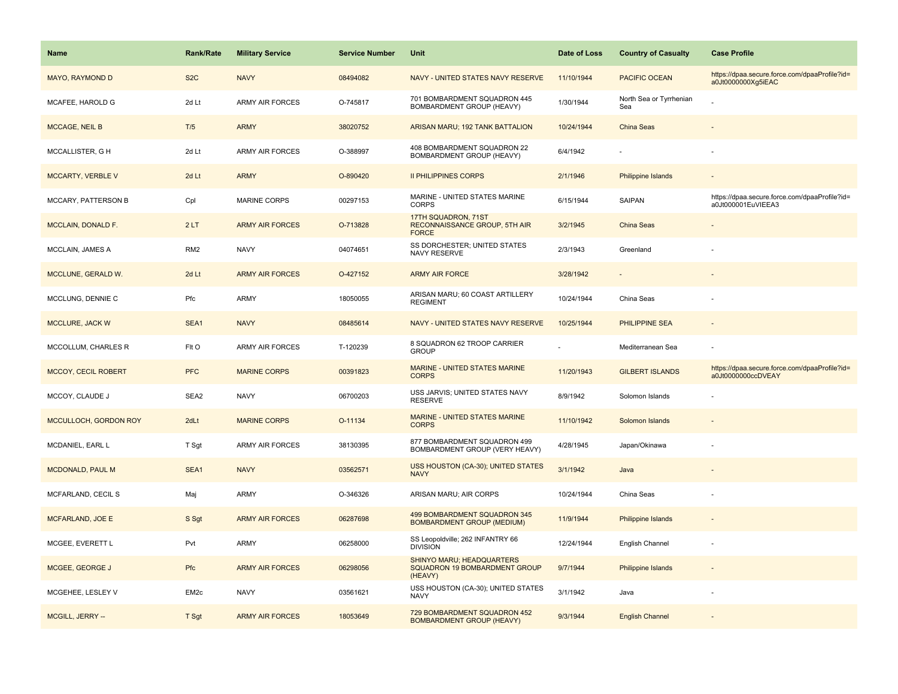| <b>Name</b>               | Rank/Rate        | <b>Military Service</b> | <b>Service Number</b> | Unit                                                                  | Date of Loss | <b>Country of Casualty</b>     | <b>Case Profile</b>                                                 |
|---------------------------|------------------|-------------------------|-----------------------|-----------------------------------------------------------------------|--------------|--------------------------------|---------------------------------------------------------------------|
| MAYO, RAYMOND D           | S <sub>2</sub> C | <b>NAVY</b>             | 08494082              | NAVY - UNITED STATES NAVY RESERVE                                     | 11/10/1944   | <b>PACIFIC OCEAN</b>           | https://dpaa.secure.force.com/dpaaProfile?id=<br>a0Jt0000000Xg5iEAC |
| MCAFEE, HAROLD G          | 2d Lt            | <b>ARMY AIR FORCES</b>  | O-745817              | 701 BOMBARDMENT SQUADRON 445<br>BOMBARDMENT GROUP (HEAVY)             | 1/30/1944    | North Sea or Tyrrhenian<br>Sea |                                                                     |
| <b>MCCAGE, NEIL B</b>     | T/5              | <b>ARMY</b>             | 38020752              | ARISAN MARU; 192 TANK BATTALION                                       | 10/24/1944   | <b>China Seas</b>              |                                                                     |
| MCCALLISTER, G H          | 2d Lt            | <b>ARMY AIR FORCES</b>  | O-388997              | 408 BOMBARDMENT SQUADRON 22<br>BOMBARDMENT GROUP (HEAVY)              | 6/4/1942     |                                |                                                                     |
| <b>MCCARTY, VERBLE V</b>  | 2d Lt            | <b>ARMY</b>             | O-890420              | <b>II PHILIPPINES CORPS</b>                                           | 2/1/1946     | <b>Philippine Islands</b>      |                                                                     |
| MCCARY, PATTERSON B       | Cpl              | MARINE CORPS            | 00297153              | MARINE - UNITED STATES MARINE<br><b>CORPS</b>                         | 6/15/1944    | SAIPAN                         | https://dpaa.secure.force.com/dpaaProfile?id=<br>a0Jt000001EuVIEEA3 |
| <b>MCCLAIN, DONALD F.</b> | 2LT              | <b>ARMY AIR FORCES</b>  | O-713828              | 17TH SQUADRON, 71ST<br>RECONNAISSANCE GROUP, 5TH AIR<br><b>FORCE</b>  | 3/2/1945     | <b>China Seas</b>              |                                                                     |
| MCCLAIN, JAMES A          | RM <sub>2</sub>  | <b>NAVY</b>             | 04074651              | SS DORCHESTER; UNITED STATES<br>NAVY RESERVE                          | 2/3/1943     | Greenland                      |                                                                     |
| MCCLUNE, GERALD W.        | 2d Lt            | <b>ARMY AIR FORCES</b>  | O-427152              | <b>ARMY AIR FORCE</b>                                                 | 3/28/1942    |                                |                                                                     |
| MCCLUNG, DENNIE C         | Pfc              | <b>ARMY</b>             | 18050055              | ARISAN MARU; 60 COAST ARTILLERY<br><b>REGIMENT</b>                    | 10/24/1944   | China Seas                     |                                                                     |
| MCCLURE, JACK W           | SEA1             | <b>NAVY</b>             | 08485614              | NAVY - UNITED STATES NAVY RESERVE                                     | 10/25/1944   | <b>PHILIPPINE SEA</b>          |                                                                     |
| MCCOLLUM, CHARLES R       | FIt O            | <b>ARMY AIR FORCES</b>  | T-120239              | 8 SQUADRON 62 TROOP CARRIER<br><b>GROUP</b>                           |              | Mediterranean Sea              |                                                                     |
| MCCOY, CECIL ROBERT       | <b>PFC</b>       | <b>MARINE CORPS</b>     | 00391823              | MARINE - UNITED STATES MARINE<br><b>CORPS</b>                         | 11/20/1943   | <b>GILBERT ISLANDS</b>         | https://dpaa.secure.force.com/dpaaProfile?id=<br>a0Jt0000000ccDVEAY |
| MCCOY, CLAUDE J           | SEA2             | <b>NAVY</b>             | 06700203              | USS JARVIS; UNITED STATES NAVY<br><b>RESERVE</b>                      | 8/9/1942     | Solomon Islands                |                                                                     |
| MCCULLOCH, GORDON ROY     | 2dLt             | <b>MARINE CORPS</b>     | O-11134               | MARINE - UNITED STATES MARINE<br><b>CORPS</b>                         | 11/10/1942   | Solomon Islands                |                                                                     |
| MCDANIEL, EARL L          | T Sgt            | <b>ARMY AIR FORCES</b>  | 38130395              | 877 BOMBARDMENT SQUADRON 499<br>BOMBARDMENT GROUP (VERY HEAVY)        | 4/28/1945    | Japan/Okinawa                  |                                                                     |
| MCDONALD, PAUL M          | SEA1             | <b>NAVY</b>             | 03562571              | USS HOUSTON (CA-30); UNITED STATES<br><b>NAVY</b>                     | 3/1/1942     | Java                           |                                                                     |
| MCFARLAND, CECIL S        | Maj              | ARMY                    | O-346326              | ARISAN MARU; AIR CORPS                                                | 10/24/1944   | China Seas                     |                                                                     |
| <b>MCFARLAND, JOE E</b>   | S Sgt            | <b>ARMY AIR FORCES</b>  | 06287698              | 499 BOMBARDMENT SQUADRON 345<br><b>BOMBARDMENT GROUP (MEDIUM)</b>     | 11/9/1944    | <b>Philippine Islands</b>      |                                                                     |
| MCGEE, EVERETT L          | Pvt              | <b>ARMY</b>             | 06258000              | SS Leopoldville; 262 INFANTRY 66<br><b>DIVISION</b>                   | 12/24/1944   | English Channel                |                                                                     |
| MCGEE, GEORGE J           | Pfc              | <b>ARMY AIR FORCES</b>  | 06298056              | SHINYO MARU; HEADQUARTERS<br>SQUADRON 19 BOMBARDMENT GROUP<br>(HEAVY) | 9/7/1944     | <b>Philippine Islands</b>      |                                                                     |
| MCGEHEE, LESLEY V         | EM <sub>2c</sub> | <b>NAVY</b>             | 03561621              | USS HOUSTON (CA-30); UNITED STATES<br><b>NAVY</b>                     | 3/1/1942     | Java                           |                                                                     |
| MCGILL, JERRY --          | T Sgt            | <b>ARMY AIR FORCES</b>  | 18053649              | 729 BOMBARDMENT SQUADRON 452<br><b>BOMBARDMENT GROUP (HEAVY)</b>      | 9/3/1944     | <b>English Channel</b>         |                                                                     |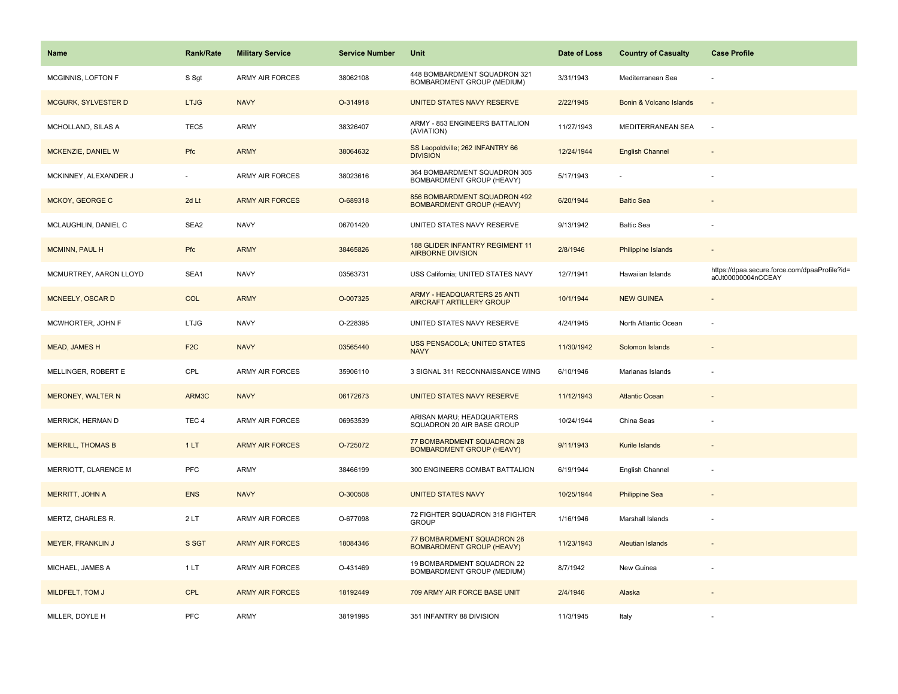| <b>Name</b>                | Rank/Rate        | <b>Military Service</b> | <b>Service Number</b> | Unit                                                                  | Date of Loss | <b>Country of Casualty</b> | <b>Case Profile</b>                                                 |
|----------------------------|------------------|-------------------------|-----------------------|-----------------------------------------------------------------------|--------------|----------------------------|---------------------------------------------------------------------|
| MCGINNIS, LOFTON F         | S Sgt            | <b>ARMY AIR FORCES</b>  | 38062108              | 448 BOMBARDMENT SQUADRON 321<br>BOMBARDMENT GROUP (MEDIUM)            | 3/31/1943    | Mediterranean Sea          | ÷,                                                                  |
| <b>MCGURK, SYLVESTER D</b> | <b>LTJG</b>      | <b>NAVY</b>             | O-314918              | UNITED STATES NAVY RESERVE                                            | 2/22/1945    | Bonin & Volcano Islands    | $\overline{\phantom{a}}$                                            |
| MCHOLLAND, SILAS A         | TEC <sub>5</sub> | ARMY                    | 38326407              | ARMY - 853 ENGINEERS BATTALION<br>(AVIATION)                          | 11/27/1943   | MEDITERRANEAN SEA          | $\sim$                                                              |
| MCKENZIE, DANIEL W         | Pfc              | <b>ARMY</b>             | 38064632              | SS Leopoldville; 262 INFANTRY 66<br><b>DIVISION</b>                   | 12/24/1944   | <b>English Channel</b>     |                                                                     |
| MCKINNEY, ALEXANDER J      |                  | <b>ARMY AIR FORCES</b>  | 38023616              | 364 BOMBARDMENT SQUADRON 305<br>BOMBARDMENT GROUP (HEAVY)             | 5/17/1943    |                            |                                                                     |
| MCKOY, GEORGE C            | 2d Lt            | <b>ARMY AIR FORCES</b>  | O-689318              | 856 BOMBARDMENT SQUADRON 492<br><b>BOMBARDMENT GROUP (HEAVY)</b>      | 6/20/1944    | <b>Baltic Sea</b>          |                                                                     |
| MCLAUGHLIN, DANIEL C       | SEA2             | <b>NAVY</b>             | 06701420              | UNITED STATES NAVY RESERVE                                            | 9/13/1942    | <b>Baltic Sea</b>          |                                                                     |
| MCMINN, PAUL H             | Pfc              | <b>ARMY</b>             | 38465826              | 188 GLIDER INFANTRY REGIMENT 11<br><b>AIRBORNE DIVISION</b>           | 2/8/1946     | <b>Philippine Islands</b>  |                                                                     |
| MCMURTREY, AARON LLOYD     | SEA1             | <b>NAVY</b>             | 03563731              | USS California; UNITED STATES NAVY                                    | 12/7/1941    | Hawaiian Islands           | https://dpaa.secure.force.com/dpaaProfile?id=<br>a0Jt00000004nCCEAY |
| MCNEELY, OSCAR D           | <b>COL</b>       | <b>ARMY</b>             | O-007325              | <b>ARMY - HEADQUARTERS 25 ANTI</b><br><b>AIRCRAFT ARTILLERY GROUP</b> | 10/1/1944    | <b>NEW GUINEA</b>          |                                                                     |
| MCWHORTER, JOHN F          | <b>LTJG</b>      | <b>NAVY</b>             | O-228395              | UNITED STATES NAVY RESERVE                                            | 4/24/1945    | North Atlantic Ocean       |                                                                     |
| MEAD, JAMES H              | F <sub>2</sub> C | <b>NAVY</b>             | 03565440              | <b>USS PENSACOLA; UNITED STATES</b><br><b>NAVY</b>                    | 11/30/1942   | Solomon Islands            |                                                                     |
| MELLINGER, ROBERT E        | CPL              | ARMY AIR FORCES         | 35906110              | 3 SIGNAL 311 RECONNAISSANCE WING                                      | 6/10/1946    | Marianas Islands           |                                                                     |
| <b>MERONEY, WALTER N</b>   | ARM3C            | <b>NAVY</b>             | 06172673              | <b>UNITED STATES NAVY RESERVE</b>                                     | 11/12/1943   | <b>Atlantic Ocean</b>      |                                                                     |
| MERRICK, HERMAN D          | TEC <sub>4</sub> | ARMY AIR FORCES         | 06953539              | ARISAN MARU; HEADQUARTERS<br>SQUADRON 20 AIR BASE GROUP               | 10/24/1944   | China Seas                 |                                                                     |
| <b>MERRILL, THOMAS B</b>   | 1LT              | <b>ARMY AIR FORCES</b>  | O-725072              | 77 BOMBARDMENT SQUADRON 28<br><b>BOMBARDMENT GROUP (HEAVY)</b>        | 9/11/1943    | Kurile Islands             |                                                                     |
| MERRIOTT, CLARENCE M       | <b>PFC</b>       | <b>ARMY</b>             | 38466199              | 300 ENGINEERS COMBAT BATTALION                                        | 6/19/1944    | English Channel            |                                                                     |
| MERRITT, JOHN A            | <b>ENS</b>       | <b>NAVY</b>             | O-300508              | <b>UNITED STATES NAVY</b>                                             | 10/25/1944   | <b>Philippine Sea</b>      | $\sim$                                                              |
| MERTZ, CHARLES R.          | 2LT              | <b>ARMY AIR FORCES</b>  | O-677098              | 72 FIGHTER SQUADRON 318 FIGHTER<br><b>GROUP</b>                       | 1/16/1946    | Marshall Islands           | ÷,                                                                  |
| <b>MEYER, FRANKLIN J</b>   | S SGT            | <b>ARMY AIR FORCES</b>  | 18084346              | 77 BOMBARDMENT SQUADRON 28<br><b>BOMBARDMENT GROUP (HEAVY)</b>        | 11/23/1943   | <b>Aleutian Islands</b>    |                                                                     |
| MICHAEL, JAMES A           | 1LT              | <b>ARMY AIR FORCES</b>  | O-431469              | 19 BOMBARDMENT SQUADRON 22<br>BOMBARDMENT GROUP (MEDIUM)              | 8/7/1942     | New Guinea                 |                                                                     |
| MILDFELT, TOM J            | <b>CPL</b>       | <b>ARMY AIR FORCES</b>  | 18192449              | 709 ARMY AIR FORCE BASE UNIT                                          | 2/4/1946     | Alaska                     |                                                                     |
| MILLER, DOYLE H            | <b>PFC</b>       | ARMY                    | 38191995              | 351 INFANTRY 88 DIVISION                                              | 11/3/1945    | Italy                      |                                                                     |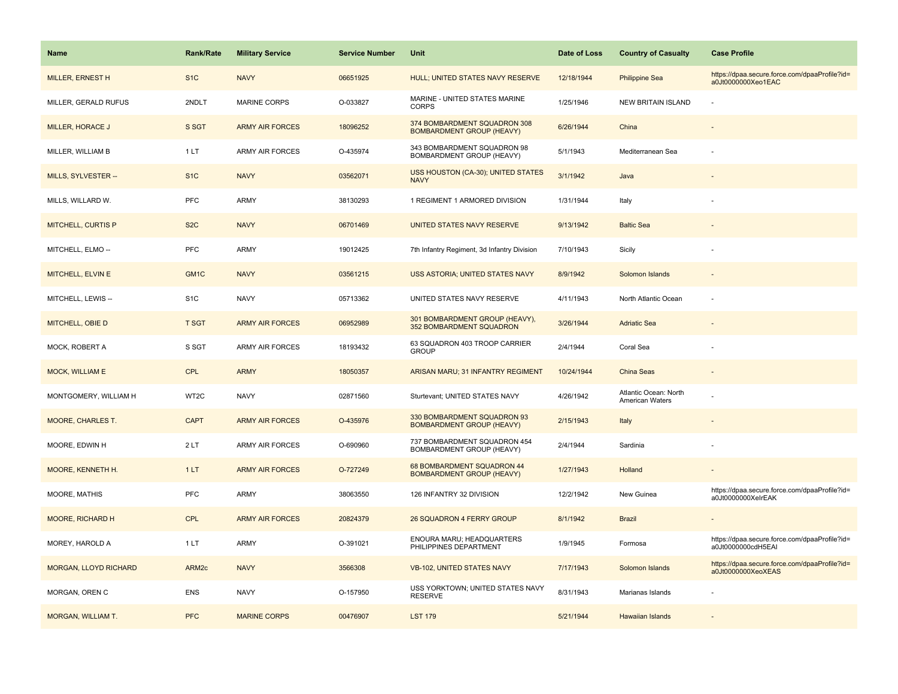| <b>Name</b>                  | <b>Rank/Rate</b>  | <b>Military Service</b> | <b>Service Number</b> | Unit                                                             | Date of Loss | <b>Country of Casualty</b>               | <b>Case Profile</b>                                                 |
|------------------------------|-------------------|-------------------------|-----------------------|------------------------------------------------------------------|--------------|------------------------------------------|---------------------------------------------------------------------|
| MILLER, ERNEST H             | S <sub>1</sub> C  | <b>NAVY</b>             | 06651925              | HULL; UNITED STATES NAVY RESERVE                                 | 12/18/1944   | <b>Philippine Sea</b>                    | https://dpaa.secure.force.com/dpaaProfile?id=<br>a0Jt0000000Xeo1EAC |
| MILLER, GERALD RUFUS         | 2NDLT             | <b>MARINE CORPS</b>     | O-033827              | MARINE - UNITED STATES MARINE<br><b>CORPS</b>                    | 1/25/1946    | <b>NEW BRITAIN ISLAND</b>                |                                                                     |
| MILLER, HORACE J             | S SGT             | <b>ARMY AIR FORCES</b>  | 18096252              | 374 BOMBARDMENT SQUADRON 308<br><b>BOMBARDMENT GROUP (HEAVY)</b> | 6/26/1944    | China                                    |                                                                     |
| MILLER, WILLIAM B            | 1 LT              | <b>ARMY AIR FORCES</b>  | O-435974              | 343 BOMBARDMENT SQUADRON 98<br>BOMBARDMENT GROUP (HEAVY)         | 5/1/1943     | Mediterranean Sea                        |                                                                     |
| MILLS, SYLVESTER --          | S <sub>1</sub> C  | <b>NAVY</b>             | 03562071              | USS HOUSTON (CA-30); UNITED STATES<br><b>NAVY</b>                | 3/1/1942     | Java                                     |                                                                     |
| MILLS, WILLARD W.            | <b>PFC</b>        | ARMY                    | 38130293              | 1 REGIMENT 1 ARMORED DIVISION                                    | 1/31/1944    | Italy                                    |                                                                     |
| <b>MITCHELL, CURTIS P</b>    | S <sub>2</sub> C  | <b>NAVY</b>             | 06701469              | UNITED STATES NAVY RESERVE                                       | 9/13/1942    | <b>Baltic Sea</b>                        |                                                                     |
| MITCHELL, ELMO --            | <b>PFC</b>        | ARMY                    | 19012425              | 7th Infantry Regiment, 3d Infantry Division                      | 7/10/1943    | Sicily                                   |                                                                     |
| MITCHELL, ELVIN E            | GM <sub>1</sub> C | <b>NAVY</b>             | 03561215              | <b>USS ASTORIA; UNITED STATES NAVY</b>                           | 8/9/1942     | Solomon Islands                          |                                                                     |
| MITCHELL, LEWIS --           | S <sub>1</sub> C  | <b>NAVY</b>             | 05713362              | UNITED STATES NAVY RESERVE                                       | 4/11/1943    | North Atlantic Ocean                     |                                                                     |
| MITCHELL, OBIE D             | <b>T SGT</b>      | <b>ARMY AIR FORCES</b>  | 06952989              | 301 BOMBARDMENT GROUP (HEAVY),<br>352 BOMBARDMENT SQUADRON       | 3/26/1944    | <b>Adriatic Sea</b>                      |                                                                     |
| MOCK, ROBERT A               | S SGT             | ARMY AIR FORCES         | 18193432              | 63 SQUADRON 403 TROOP CARRIER<br><b>GROUP</b>                    | 2/4/1944     | Coral Sea                                |                                                                     |
| <b>MOCK, WILLIAM E</b>       | <b>CPL</b>        | <b>ARMY</b>             | 18050357              | ARISAN MARU; 31 INFANTRY REGIMENT                                | 10/24/1944   | <b>China Seas</b>                        |                                                                     |
| MONTGOMERY, WILLIAM H        | WT2C              | <b>NAVY</b>             | 02871560              | Sturtevant; UNITED STATES NAVY                                   | 4/26/1942    | Atlantic Ocean: North<br>American Waters |                                                                     |
| <b>MOORE, CHARLES T.</b>     | <b>CAPT</b>       | <b>ARMY AIR FORCES</b>  | O-435976              | 330 BOMBARDMENT SQUADRON 93<br><b>BOMBARDMENT GROUP (HEAVY)</b>  | 2/15/1943    | Italy                                    |                                                                     |
| MOORE, EDWIN H               | 2LT               | <b>ARMY AIR FORCES</b>  | O-690960              | 737 BOMBARDMENT SQUADRON 454<br>BOMBARDMENT GROUP (HEAVY)        | 2/4/1944     | Sardinia                                 |                                                                     |
| MOORE, KENNETH H.            | 1LT               | <b>ARMY AIR FORCES</b>  | O-727249              | 68 BOMBARDMENT SQUADRON 44<br><b>BOMBARDMENT GROUP (HEAVY)</b>   | 1/27/1943    | Holland                                  |                                                                     |
| MOORE, MATHIS                | <b>PFC</b>        | ARMY                    | 38063550              | 126 INFANTRY 32 DIVISION                                         | 12/2/1942    | New Guinea                               | https://dpaa.secure.force.com/dpaaProfile?id=<br>a0Jt0000000XelrEAK |
| <b>MOORE, RICHARD H</b>      | <b>CPL</b>        | <b>ARMY AIR FORCES</b>  | 20824379              | 26 SQUADRON 4 FERRY GROUP                                        | 8/1/1942     | <b>Brazil</b>                            |                                                                     |
| MOREY, HAROLD A              | 1LT               | ARMY                    | O-391021              | ENOURA MARU; HEADQUARTERS<br>PHILIPPINES DEPARTMENT              | 1/9/1945     | Formosa                                  | https://dpaa.secure.force.com/dpaaProfile?id=<br>a0Jt0000000cdH5EAI |
| <b>MORGAN, LLOYD RICHARD</b> | ARM <sub>2c</sub> | <b>NAVY</b>             | 3566308               | <b>VB-102, UNITED STATES NAVY</b>                                | 7/17/1943    | Solomon Islands                          | https://dpaa.secure.force.com/dpaaProfile?id=<br>a0Jt0000000XeoXEAS |
| MORGAN, OREN C               | <b>ENS</b>        | <b>NAVY</b>             | O-157950              | USS YORKTOWN; UNITED STATES NAVY<br><b>RESERVE</b>               | 8/31/1943    | Marianas Islands                         |                                                                     |
| MORGAN, WILLIAM T.           | <b>PFC</b>        | <b>MARINE CORPS</b>     | 00476907              | <b>LST 179</b>                                                   | 5/21/1944    | <b>Hawaiian Islands</b>                  |                                                                     |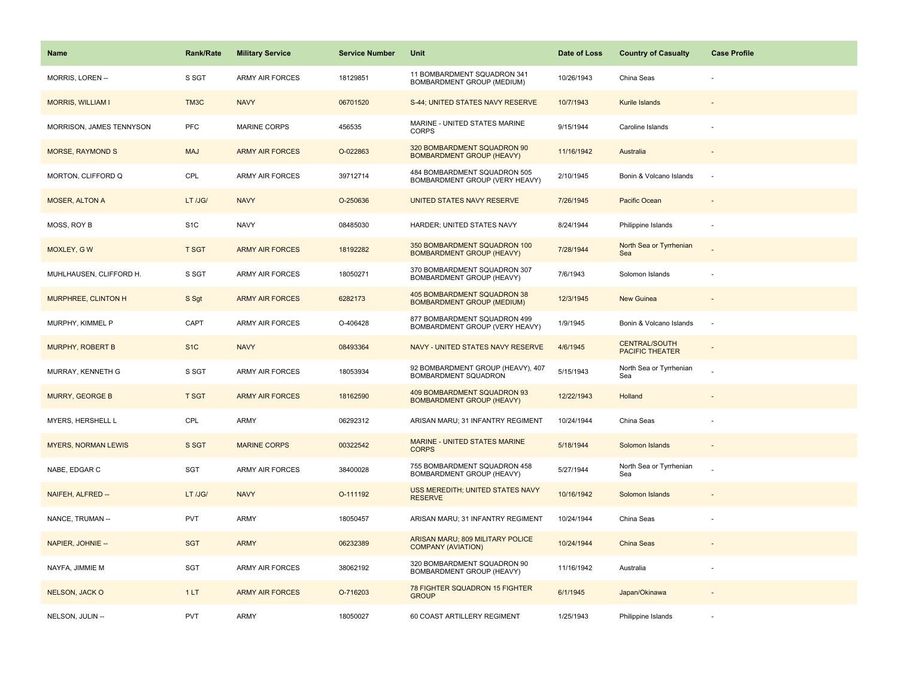| Name                       | <b>Rank/Rate</b> | <b>Military Service</b> | <b>Service Number</b> | Unit                                                             | Date of Loss | <b>Country of Casualty</b>                     | <b>Case Profile</b> |
|----------------------------|------------------|-------------------------|-----------------------|------------------------------------------------------------------|--------------|------------------------------------------------|---------------------|
| MORRIS, LOREN --           | S SGT            | <b>ARMY AIR FORCES</b>  | 18129851              | 11 BOMBARDMENT SQUADRON 341<br>BOMBARDMENT GROUP (MEDIUM)        | 10/26/1943   | China Seas                                     |                     |
| <b>MORRIS, WILLIAM I</b>   | TM3C             | <b>NAVY</b>             | 06701520              | S-44; UNITED STATES NAVY RESERVE                                 | 10/7/1943    | Kurile Islands                                 |                     |
| MORRISON, JAMES TENNYSON   | PFC              | <b>MARINE CORPS</b>     | 456535                | MARINE - UNITED STATES MARINE<br><b>CORPS</b>                    | 9/15/1944    | Caroline Islands                               |                     |
| <b>MORSE, RAYMOND S</b>    | <b>MAJ</b>       | <b>ARMY AIR FORCES</b>  | O-022863              | 320 BOMBARDMENT SQUADRON 90<br><b>BOMBARDMENT GROUP (HEAVY)</b>  | 11/16/1942   | Australia                                      |                     |
| MORTON, CLIFFORD Q         | CPL              | <b>ARMY AIR FORCES</b>  | 39712714              | 484 BOMBARDMENT SQUADRON 505<br>BOMBARDMENT GROUP (VERY HEAVY)   | 2/10/1945    | Bonin & Volcano Islands                        |                     |
| <b>MOSER, ALTON A</b>      | LT /JG/          | <b>NAVY</b>             | O-250636              | UNITED STATES NAVY RESERVE                                       | 7/26/1945    | Pacific Ocean                                  |                     |
| MOSS, ROY B                | S <sub>1</sub> C | <b>NAVY</b>             | 08485030              | HARDER; UNITED STATES NAVY                                       | 8/24/1944    | Philippine Islands                             | ÷.                  |
| MOXLEY, GW                 | <b>T SGT</b>     | <b>ARMY AIR FORCES</b>  | 18192282              | 350 BOMBARDMENT SQUADRON 100<br><b>BOMBARDMENT GROUP (HEAVY)</b> | 7/28/1944    | North Sea or Tyrrhenian<br>Sea                 |                     |
| MUHLHAUSEN, CLIFFORD H.    | S SGT            | <b>ARMY AIR FORCES</b>  | 18050271              | 370 BOMBARDMENT SQUADRON 307<br>BOMBARDMENT GROUP (HEAVY)        | 7/6/1943     | Solomon Islands                                |                     |
| MURPHREE, CLINTON H        | S Sgt            | <b>ARMY AIR FORCES</b>  | 6282173               | 405 BOMBARDMENT SQUADRON 38<br><b>BOMBARDMENT GROUP (MEDIUM)</b> | 12/3/1945    | <b>New Guinea</b>                              |                     |
| MURPHY, KIMMEL P           | CAPT             | <b>ARMY AIR FORCES</b>  | O-406428              | 877 BOMBARDMENT SQUADRON 499<br>BOMBARDMENT GROUP (VERY HEAVY)   | 1/9/1945     | Bonin & Volcano Islands                        | $\sim$              |
| MURPHY, ROBERT B           | S <sub>1</sub> C | <b>NAVY</b>             | 08493364              | NAVY - UNITED STATES NAVY RESERVE                                | 4/6/1945     | <b>CENTRAL/SOUTH</b><br><b>PACIFIC THEATER</b> |                     |
| MURRAY, KENNETH G          | S SGT            | <b>ARMY AIR FORCES</b>  | 18053934              | 92 BOMBARDMENT GROUP (HEAVY), 407<br>BOMBARDMENT SQUADRON        | 5/15/1943    | North Sea or Tyrrhenian<br>Sea                 |                     |
| MURRY, GEORGE B            | <b>T SGT</b>     | <b>ARMY AIR FORCES</b>  | 18162590              | 409 BOMBARDMENT SQUADRON 93<br><b>BOMBARDMENT GROUP (HEAVY)</b>  | 12/22/1943   | Holland                                        |                     |
| MYERS, HERSHELL L          | CPL              | <b>ARMY</b>             | 06292312              | ARISAN MARU; 31 INFANTRY REGIMENT                                | 10/24/1944   | China Seas                                     |                     |
| <b>MYERS, NORMAN LEWIS</b> | S SGT            | <b>MARINE CORPS</b>     | 00322542              | <b>MARINE - UNITED STATES MARINE</b><br><b>CORPS</b>             | 5/18/1944    | Solomon Islands                                |                     |
| NABE, EDGAR C              | SGT              | <b>ARMY AIR FORCES</b>  | 38400028              | 755 BOMBARDMENT SQUADRON 458<br>BOMBARDMENT GROUP (HEAVY)        | 5/27/1944    | North Sea or Tyrrhenian<br>Sea                 |                     |
| NAIFEH, ALFRED --          | LT /JG/          | <b>NAVY</b>             | O-111192              | USS MEREDITH; UNITED STATES NAVY<br><b>RESERVE</b>               | 10/16/1942   | Solomon Islands                                |                     |
| NANCE, TRUMAN --           | <b>PVT</b>       | <b>ARMY</b>             | 18050457              | ARISAN MARU; 31 INFANTRY REGIMENT                                | 10/24/1944   | China Seas                                     |                     |
| NAPIER, JOHNIE --          | <b>SGT</b>       | <b>ARMY</b>             | 06232389              | ARISAN MARU; 809 MILITARY POLICE<br><b>COMPANY (AVIATION)</b>    | 10/24/1944   | China Seas                                     |                     |
| NAYFA, JIMMIE M            | SGT              | <b>ARMY AIR FORCES</b>  | 38062192              | 320 BOMBARDMENT SQUADRON 90<br>BOMBARDMENT GROUP (HEAVY)         | 11/16/1942   | Australia                                      |                     |
| <b>NELSON, JACK O</b>      | 1LT              | <b>ARMY AIR FORCES</b>  | O-716203              | 78 FIGHTER SQUADRON 15 FIGHTER<br><b>GROUP</b>                   | 6/1/1945     | Japan/Okinawa                                  |                     |
| NELSON, JULIN --           | <b>PVT</b>       | <b>ARMY</b>             | 18050027              | 60 COAST ARTILLERY REGIMENT                                      | 1/25/1943    | Philippine Islands                             |                     |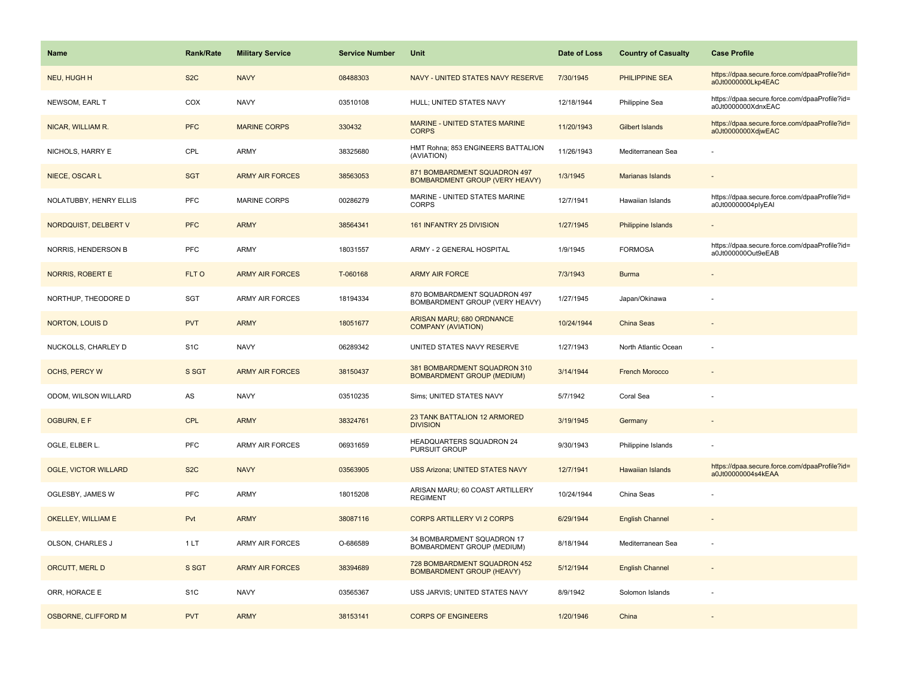| <b>Name</b>                 | Rank/Rate        | <b>Military Service</b> | <b>Service Number</b> | Unit                                                              | Date of Loss | <b>Country of Casualty</b> | <b>Case Profile</b>                                                 |
|-----------------------------|------------------|-------------------------|-----------------------|-------------------------------------------------------------------|--------------|----------------------------|---------------------------------------------------------------------|
| NEU, HUGH H                 | S <sub>2</sub> C | <b>NAVY</b>             | 08488303              | NAVY - UNITED STATES NAVY RESERVE                                 | 7/30/1945    | PHILIPPINE SEA             | https://dpaa.secure.force.com/dpaaProfile?id=<br>a0Jt0000000Lkp4EAC |
| NEWSOM, EARL T              | COX              | <b>NAVY</b>             | 03510108              | HULL; UNITED STATES NAVY                                          | 12/18/1944   | Philippine Sea             | https://dpaa.secure.force.com/dpaaProfile?id=<br>a0Jt0000000XdnxEAC |
| NICAR, WILLIAM R.           | <b>PFC</b>       | <b>MARINE CORPS</b>     | 330432                | <b>MARINE - UNITED STATES MARINE</b><br><b>CORPS</b>              | 11/20/1943   | Gilbert Islands            | https://dpaa.secure.force.com/dpaaProfile?id=<br>a0Jt0000000XdjwEAC |
| NICHOLS, HARRY E            | CPL              | ARMY                    | 38325680              | HMT Rohna; 853 ENGINEERS BATTALION<br>(AVIATION)                  | 11/26/1943   | Mediterranean Sea          |                                                                     |
| NIECE, OSCAR L              | <b>SGT</b>       | <b>ARMY AIR FORCES</b>  | 38563053              | 871 BOMBARDMENT SQUADRON 497<br>BOMBARDMENT GROUP (VERY HEAVY)    | 1/3/1945     | Marianas Islands           |                                                                     |
| NOLATUBBY, HENRY ELLIS      | PFC              | MARINE CORPS            | 00286279              | MARINE - UNITED STATES MARINE<br><b>CORPS</b>                     | 12/7/1941    | Hawaiian Islands           | https://dpaa.secure.force.com/dpaaProfile?id=<br>a0Jt00000004plyEAI |
| NORDQUIST, DELBERT V        | <b>PFC</b>       | <b>ARMY</b>             | 38564341              | 161 INFANTRY 25 DIVISION                                          | 1/27/1945    | Philippine Islands         |                                                                     |
| NORRIS, HENDERSON B         | <b>PFC</b>       | ARMY                    | 18031557              | ARMY - 2 GENERAL HOSPITAL                                         | 1/9/1945     | <b>FORMOSA</b>             | https://dpaa.secure.force.com/dpaaProfile?id=<br>a0Jt000000Out9eEAB |
| NORRIS, ROBERT E            | FLT O            | <b>ARMY AIR FORCES</b>  | T-060168              | <b>ARMY AIR FORCE</b>                                             | 7/3/1943     | <b>Burma</b>               |                                                                     |
| NORTHUP, THEODORE D         | SGT              | ARMY AIR FORCES         | 18194334              | 870 BOMBARDMENT SQUADRON 497<br>BOMBARDMENT GROUP (VERY HEAVY)    | 1/27/1945    | Japan/Okinawa              |                                                                     |
| <b>NORTON, LOUIS D</b>      | <b>PVT</b>       | <b>ARMY</b>             | 18051677              | ARISAN MARU; 680 ORDNANCE<br><b>COMPANY (AVIATION)</b>            | 10/24/1944   | China Seas                 |                                                                     |
| NUCKOLLS, CHARLEY D         | S <sub>1</sub> C | <b>NAVY</b>             | 06289342              | UNITED STATES NAVY RESERVE                                        | 1/27/1943    | North Atlantic Ocean       |                                                                     |
| <b>OCHS, PERCY W</b>        | S SGT            | <b>ARMY AIR FORCES</b>  | 38150437              | 381 BOMBARDMENT SQUADRON 310<br><b>BOMBARDMENT GROUP (MEDIUM)</b> | 3/14/1944    | <b>French Morocco</b>      |                                                                     |
| ODOM, WILSON WILLARD        | AS               | <b>NAVY</b>             | 03510235              | Sims; UNITED STATES NAVY                                          | 5/7/1942     | Coral Sea                  |                                                                     |
| OGBURN, E F                 | <b>CPL</b>       | <b>ARMY</b>             | 38324761              | 23 TANK BATTALION 12 ARMORED<br><b>DIVISION</b>                   | 3/19/1945    | Germany                    |                                                                     |
| OGLE, ELBER L.              | PFC              | <b>ARMY AIR FORCES</b>  | 06931659              | HEADQUARTERS SQUADRON 24<br>PURSUIT GROUP                         | 9/30/1943    | Philippine Islands         |                                                                     |
| <b>OGLE, VICTOR WILLARD</b> | S <sub>2</sub> C | <b>NAVY</b>             | 03563905              | <b>USS Arizona; UNITED STATES NAVY</b>                            | 12/7/1941    | <b>Hawaiian Islands</b>    | https://dpaa.secure.force.com/dpaaProfile?id=<br>a0Jt00000004s4kEAA |
| OGLESBY, JAMES W            | PFC              | <b>ARMY</b>             | 18015208              | ARISAN MARU; 60 COAST ARTILLERY<br><b>REGIMENT</b>                | 10/24/1944   | China Seas                 |                                                                     |
| OKELLEY, WILLIAM E          | Pvt              | <b>ARMY</b>             | 38087116              | <b>CORPS ARTILLERY VI 2 CORPS</b>                                 | 6/29/1944    | <b>English Channel</b>     |                                                                     |
| OLSON, CHARLES J            | 1LT              | <b>ARMY AIR FORCES</b>  | O-686589              | 34 BOMBARDMENT SQUADRON 17<br>BOMBARDMENT GROUP (MEDIUM)          | 8/18/1944    | Mediterranean Sea          |                                                                     |
| ORCUTT, MERL D              | S SGT            | <b>ARMY AIR FORCES</b>  | 38394689              | 728 BOMBARDMENT SQUADRON 452<br><b>BOMBARDMENT GROUP (HEAVY)</b>  | 5/12/1944    | <b>English Channel</b>     |                                                                     |
| ORR, HORACE E               | S <sub>1</sub> C | <b>NAVY</b>             | 03565367              | USS JARVIS; UNITED STATES NAVY                                    | 8/9/1942     | Solomon Islands            |                                                                     |
| OSBORNE, CLIFFORD M         | <b>PVT</b>       | <b>ARMY</b>             | 38153141              | <b>CORPS OF ENGINEERS</b>                                         | 1/20/1946    | China                      |                                                                     |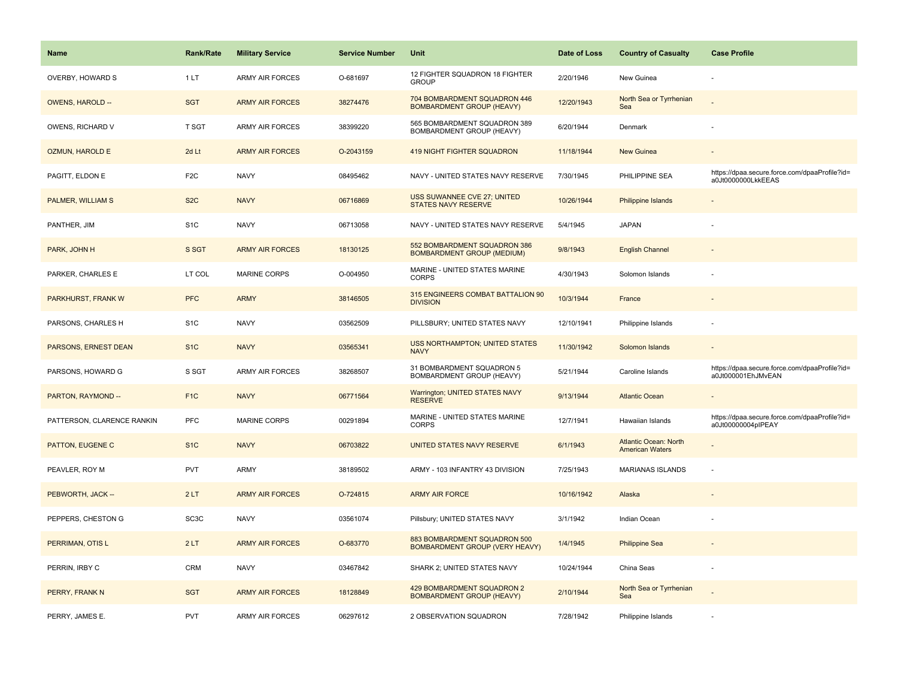| <b>Name</b>                | <b>Rank/Rate</b>  | <b>Military Service</b> | <b>Service Number</b> | Unit                                                                  | Date of Loss | <b>Country of Casualty</b>                             | <b>Case Profile</b>                                                 |
|----------------------------|-------------------|-------------------------|-----------------------|-----------------------------------------------------------------------|--------------|--------------------------------------------------------|---------------------------------------------------------------------|
| OVERBY, HOWARD S           | 1LT               | <b>ARMY AIR FORCES</b>  | O-681697              | 12 FIGHTER SQUADRON 18 FIGHTER<br><b>GROUP</b>                        | 2/20/1946    | New Guinea                                             |                                                                     |
| <b>OWENS, HAROLD --</b>    | <b>SGT</b>        | <b>ARMY AIR FORCES</b>  | 38274476              | 704 BOMBARDMENT SQUADRON 446<br><b>BOMBARDMENT GROUP (HEAVY)</b>      | 12/20/1943   | North Sea or Tyrrhenian<br>Sea                         |                                                                     |
| OWENS, RICHARD V           | <b>T SGT</b>      | <b>ARMY AIR FORCES</b>  | 38399220              | 565 BOMBARDMENT SQUADRON 389<br>BOMBARDMENT GROUP (HEAVY)             | 6/20/1944    | Denmark                                                |                                                                     |
| <b>OZMUN, HAROLD E</b>     | 2d Lt             | <b>ARMY AIR FORCES</b>  | O-2043159             | 419 NIGHT FIGHTER SQUADRON                                            | 11/18/1944   | New Guinea                                             |                                                                     |
| PAGITT, ELDON E            | F <sub>2</sub> C  | <b>NAVY</b>             | 08495462              | NAVY - UNITED STATES NAVY RESERVE                                     | 7/30/1945    | PHILIPPINE SEA                                         | https://dpaa.secure.force.com/dpaaProfile?id=<br>a0Jt0000000LkkEEAS |
| PALMER, WILLIAM S          | S <sub>2</sub> C  | <b>NAVY</b>             | 06716869              | USS SUWANNEE CVE 27; UNITED<br><b>STATES NAVY RESERVE</b>             | 10/26/1944   | Philippine Islands                                     |                                                                     |
| PANTHER, JIM               | S <sub>1</sub> C  | <b>NAVY</b>             | 06713058              | NAVY - UNITED STATES NAVY RESERVE                                     | 5/4/1945     | <b>JAPAN</b>                                           |                                                                     |
| PARK, JOHN H               | S SGT             | <b>ARMY AIR FORCES</b>  | 18130125              | 552 BOMBARDMENT SQUADRON 386<br><b>BOMBARDMENT GROUP (MEDIUM)</b>     | 9/8/1943     | <b>English Channel</b>                                 |                                                                     |
| PARKER, CHARLES E          | LT COL            | <b>MARINE CORPS</b>     | O-004950              | MARINE - UNITED STATES MARINE<br><b>CORPS</b>                         | 4/30/1943    | Solomon Islands                                        |                                                                     |
| PARKHURST, FRANK W         | <b>PFC</b>        | <b>ARMY</b>             | 38146505              | 315 ENGINEERS COMBAT BATTALION 90<br><b>DIVISION</b>                  | 10/3/1944    | France                                                 |                                                                     |
| PARSONS, CHARLES H         | S <sub>1</sub> C  | <b>NAVY</b>             | 03562509              | PILLSBURY; UNITED STATES NAVY                                         | 12/10/1941   | Philippine Islands                                     |                                                                     |
| PARSONS, ERNEST DEAN       | S <sub>1</sub> C  | <b>NAVY</b>             | 03565341              | <b>USS NORTHAMPTON; UNITED STATES</b><br><b>NAVY</b>                  | 11/30/1942   | Solomon Islands                                        |                                                                     |
| PARSONS, HOWARD G          | S SGT             | <b>ARMY AIR FORCES</b>  | 38268507              | 31 BOMBARDMENT SQUADRON 5<br>BOMBARDMENT GROUP (HEAVY)                | 5/21/1944    | Caroline Islands                                       | https://dpaa.secure.force.com/dpaaProfile?id=<br>a0Jt000001EhJMvEAN |
| PARTON, RAYMOND --         | F <sub>1</sub> C  | <b>NAVY</b>             | 06771564              | Warrington; UNITED STATES NAVY<br><b>RESERVE</b>                      | 9/13/1944    | <b>Atlantic Ocean</b>                                  |                                                                     |
| PATTERSON, CLARENCE RANKIN | PFC               | MARINE CORPS            | 00291894              | MARINE - UNITED STATES MARINE<br><b>CORPS</b>                         | 12/7/1941    | Hawaiian Islands                                       | https://dpaa.secure.force.com/dpaaProfile?id=<br>a0Jt00000004pIPEAY |
| PATTON, EUGENE C           | S <sub>1</sub> C  | <b>NAVY</b>             | 06703822              | UNITED STATES NAVY RESERVE                                            | 6/1/1943     | <b>Atlantic Ocean: North</b><br><b>American Waters</b> |                                                                     |
| PEAVLER, ROY M             | <b>PVT</b>        | <b>ARMY</b>             | 38189502              | ARMY - 103 INFANTRY 43 DIVISION                                       | 7/25/1943    | MARIANAS ISLANDS                                       |                                                                     |
| PEBWORTH, JACK --          | 2LT               | <b>ARMY AIR FORCES</b>  | O-724815              | <b>ARMY AIR FORCE</b>                                                 | 10/16/1942   | Alaska                                                 |                                                                     |
| PEPPERS, CHESTON G         | SC <sub>3</sub> C | <b>NAVY</b>             | 03561074              | Pillsbury; UNITED STATES NAVY                                         | 3/1/1942     | Indian Ocean                                           |                                                                     |
| PERRIMAN, OTIS L           | 2LT               | <b>ARMY AIR FORCES</b>  | O-683770              | 883 BOMBARDMENT SQUADRON 500<br><b>BOMBARDMENT GROUP (VERY HEAVY)</b> | 1/4/1945     | <b>Philippine Sea</b>                                  |                                                                     |
| PERRIN, IRBY C             | CRM               | <b>NAVY</b>             | 03467842              | SHARK 2; UNITED STATES NAVY                                           | 10/24/1944   | China Seas                                             |                                                                     |
| PERRY, FRANK N             | <b>SGT</b>        | <b>ARMY AIR FORCES</b>  | 18128849              | 429 BOMBARDMENT SQUADRON 2<br><b>BOMBARDMENT GROUP (HEAVY)</b>        | 2/10/1944    | North Sea or Tyrrhenian<br>Sea                         |                                                                     |
| PERRY, JAMES E.            | <b>PVT</b>        | <b>ARMY AIR FORCES</b>  | 06297612              | 2 OBSERVATION SQUADRON                                                | 7/28/1942    | Philippine Islands                                     |                                                                     |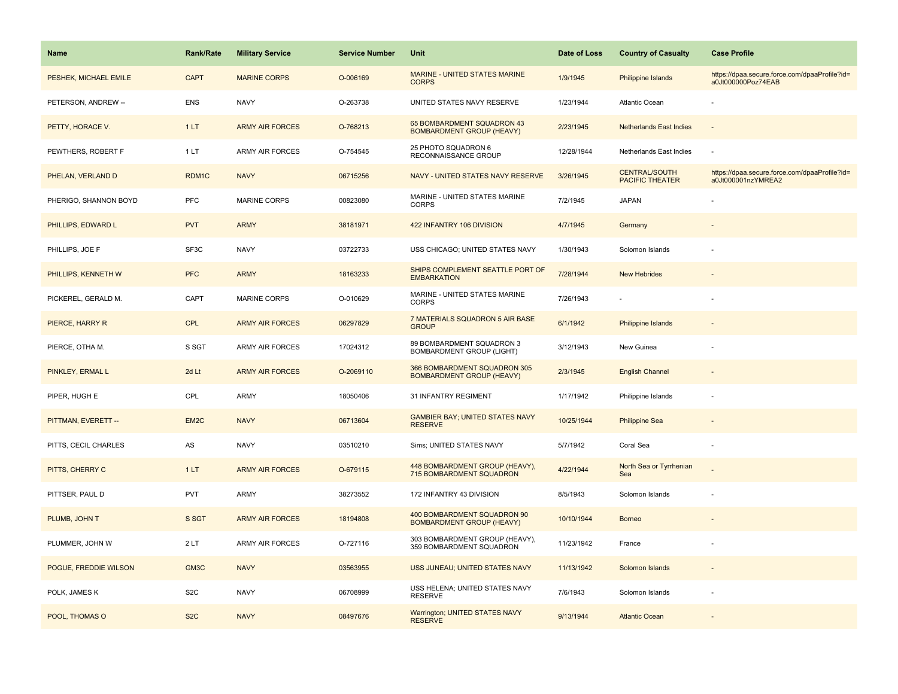| <b>Name</b>           | Rank/Rate        | <b>Military Service</b> | <b>Service Number</b> | Unit                                                             | Date of Loss | <b>Country of Casualty</b>                     | <b>Case Profile</b>                                                 |
|-----------------------|------------------|-------------------------|-----------------------|------------------------------------------------------------------|--------------|------------------------------------------------|---------------------------------------------------------------------|
| PESHEK, MICHAEL EMILE | <b>CAPT</b>      | <b>MARINE CORPS</b>     | O-006169              | <b>MARINE - UNITED STATES MARINE</b><br><b>CORPS</b>             | 1/9/1945     | Philippine Islands                             | https://dpaa.secure.force.com/dpaaProfile?id=<br>a0Jt000000Poz74EAB |
| PETERSON, ANDREW --   | <b>ENS</b>       | <b>NAVY</b>             | O-263738              | UNITED STATES NAVY RESERVE                                       | 1/23/1944    | Atlantic Ocean                                 |                                                                     |
| PETTY, HORACE V.      | 1LT              | <b>ARMY AIR FORCES</b>  | O-768213              | 65 BOMBARDMENT SQUADRON 43<br><b>BOMBARDMENT GROUP (HEAVY)</b>   | 2/23/1945    | <b>Netherlands East Indies</b>                 |                                                                     |
| PEWTHERS, ROBERT F    | 1LT              | <b>ARMY AIR FORCES</b>  | O-754545              | 25 PHOTO SQUADRON 6<br>RECONNAISSANCE GROUP                      | 12/28/1944   | Netherlands East Indies                        |                                                                     |
| PHELAN, VERLAND D     | RDM1C            | <b>NAVY</b>             | 06715256              | NAVY - UNITED STATES NAVY RESERVE                                | 3/26/1945    | <b>CENTRAL/SOUTH</b><br><b>PACIFIC THEATER</b> | https://dpaa.secure.force.com/dpaaProfile?id=<br>a0Jt000001nzYMREA2 |
| PHERIGO, SHANNON BOYD | <b>PFC</b>       | <b>MARINE CORPS</b>     | 00823080              | MARINE - UNITED STATES MARINE<br><b>CORPS</b>                    | 7/2/1945     | <b>JAPAN</b>                                   |                                                                     |
| PHILLIPS, EDWARD L    | <b>PVT</b>       | <b>ARMY</b>             | 38181971              | 422 INFANTRY 106 DIVISION                                        | 4/7/1945     | Germany                                        |                                                                     |
| PHILLIPS, JOE F       | SF3C             | <b>NAVY</b>             | 03722733              | USS CHICAGO; UNITED STATES NAVY                                  | 1/30/1943    | Solomon Islands                                |                                                                     |
| PHILLIPS, KENNETH W   | <b>PFC</b>       | <b>ARMY</b>             | 18163233              | SHIPS COMPLEMENT SEATTLE PORT OF<br><b>EMBARKATION</b>           | 7/28/1944    | <b>New Hebrides</b>                            |                                                                     |
| PICKEREL, GERALD M.   | CAPT             | <b>MARINE CORPS</b>     | O-010629              | MARINE - UNITED STATES MARINE<br><b>CORPS</b>                    | 7/26/1943    |                                                |                                                                     |
| PIERCE, HARRY R       | <b>CPL</b>       | <b>ARMY AIR FORCES</b>  | 06297829              | 7 MATERIALS SQUADRON 5 AIR BASE<br><b>GROUP</b>                  | 6/1/1942     | Philippine Islands                             |                                                                     |
| PIERCE, OTHA M.       | S SGT            | ARMY AIR FORCES         | 17024312              | 89 BOMBARDMENT SQUADRON 3<br><b>BOMBARDMENT GROUP (LIGHT)</b>    | 3/12/1943    | New Guinea                                     |                                                                     |
| PINKLEY, ERMAL L      | 2d Lt            | <b>ARMY AIR FORCES</b>  | O-2069110             | 366 BOMBARDMENT SQUADRON 305<br><b>BOMBARDMENT GROUP (HEAVY)</b> | 2/3/1945     | <b>English Channel</b>                         |                                                                     |
| PIPER, HUGH E         | CPL              | ARMY                    | 18050406              | 31 INFANTRY REGIMENT                                             | 1/17/1942    | Philippine Islands                             |                                                                     |
| PITTMAN, EVERETT --   | EM2C             | <b>NAVY</b>             | 06713604              | <b>GAMBIER BAY; UNITED STATES NAVY</b><br><b>RESERVE</b>         | 10/25/1944   | <b>Philippine Sea</b>                          |                                                                     |
| PITTS, CECIL CHARLES  | AS               | <b>NAVY</b>             | 03510210              | Sims; UNITED STATES NAVY                                         | 5/7/1942     | Coral Sea                                      | ÷,                                                                  |
| PITTS, CHERRY C       | 1LT              | <b>ARMY AIR FORCES</b>  | O-679115              | 448 BOMBARDMENT GROUP (HEAVY),<br>715 BOMBARDMENT SQUADRON       | 4/22/1944    | North Sea or Tyrrhenian<br>Sea                 |                                                                     |
| PITTSER, PAUL D       | <b>PVT</b>       | ARMY                    | 38273552              | 172 INFANTRY 43 DIVISION                                         | 8/5/1943     | Solomon Islands                                |                                                                     |
| PLUMB, JOHN T         | S SGT            | <b>ARMY AIR FORCES</b>  | 18194808              | 400 BOMBARDMENT SQUADRON 90<br><b>BOMBARDMENT GROUP (HEAVY)</b>  | 10/10/1944   | <b>Borneo</b>                                  |                                                                     |
| PLUMMER, JOHN W       | 2LT              | <b>ARMY AIR FORCES</b>  | O-727116              | 303 BOMBARDMENT GROUP (HEAVY),<br>359 BOMBARDMENT SQUADRON       | 11/23/1942   | France                                         |                                                                     |
| POGUE, FREDDIE WILSON | GM3C             | <b>NAVY</b>             | 03563955              | USS JUNEAU; UNITED STATES NAVY                                   | 11/13/1942   | Solomon Islands                                |                                                                     |
| POLK, JAMES K         | S <sub>2</sub> C | <b>NAVY</b>             | 06708999              | USS HELENA; UNITED STATES NAVY<br><b>RESERVE</b>                 | 7/6/1943     | Solomon Islands                                |                                                                     |
| POOL, THOMAS O        | S <sub>2</sub> C | <b>NAVY</b>             | 08497676              | <b>Warrington; UNITED STATES NAVY</b><br><b>RESERVE</b>          | 9/13/1944    | <b>Atlantic Ocean</b>                          |                                                                     |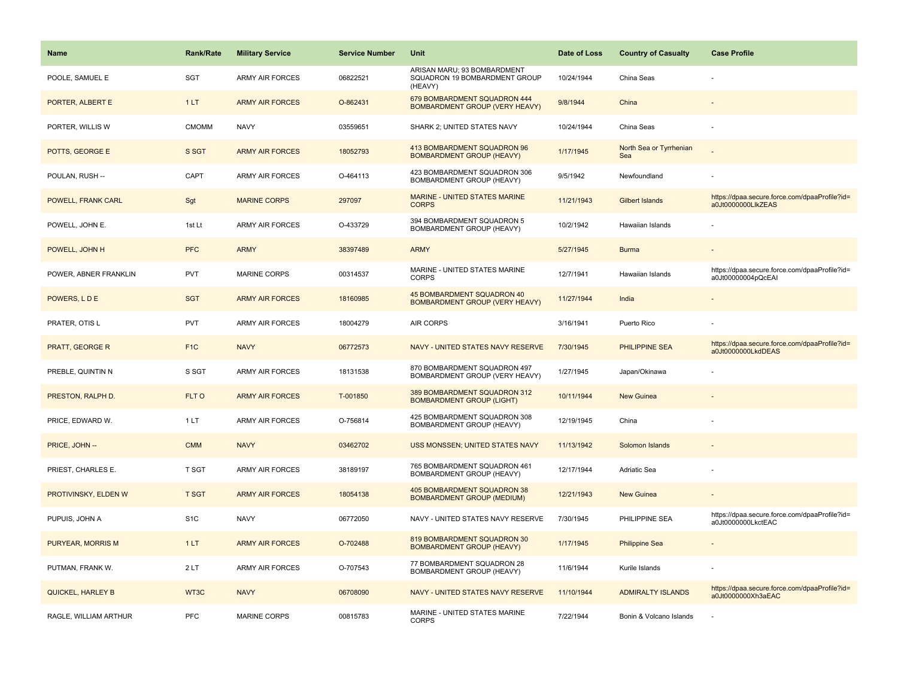| <b>Name</b>              | <b>Rank/Rate</b> | <b>Military Service</b> | <b>Service Number</b> | Unit                                                                    | Date of Loss | <b>Country of Casualty</b>     | <b>Case Profile</b>                                                 |
|--------------------------|------------------|-------------------------|-----------------------|-------------------------------------------------------------------------|--------------|--------------------------------|---------------------------------------------------------------------|
| POOLE. SAMUEL E          | <b>SGT</b>       | <b>ARMY AIR FORCES</b>  | 06822521              | ARISAN MARU; 93 BOMBARDMENT<br>SQUADRON 19 BOMBARDMENT GROUP<br>(HEAVY) | 10/24/1944   | China Seas                     |                                                                     |
| PORTER, ALBERT E         | 1LT              | <b>ARMY AIR FORCES</b>  | O-862431              | 679 BOMBARDMENT SQUADRON 444<br><b>BOMBARDMENT GROUP (VERY HEAVY)</b>   | 9/8/1944     | China                          |                                                                     |
| PORTER, WILLIS W         | <b>CMOMM</b>     | <b>NAVY</b>             | 03559651              | SHARK 2; UNITED STATES NAVY                                             | 10/24/1944   | China Seas                     |                                                                     |
| POTTS, GEORGE E          | S SGT            | <b>ARMY AIR FORCES</b>  | 18052793              | 413 BOMBARDMENT SQUADRON 96<br><b>BOMBARDMENT GROUP (HEAVY)</b>         | 1/17/1945    | North Sea or Tyrrhenian<br>Sea |                                                                     |
| POULAN, RUSH --          | CAPT             | <b>ARMY AIR FORCES</b>  | O-464113              | 423 BOMBARDMENT SQUADRON 306<br>BOMBARDMENT GROUP (HEAVY)               | 9/5/1942     | Newfoundland                   |                                                                     |
| POWELL, FRANK CARL       | Sgt              | <b>MARINE CORPS</b>     | 297097                | MARINE - UNITED STATES MARINE<br><b>CORPS</b>                           | 11/21/1943   | <b>Gilbert Islands</b>         | https://dpaa.secure.force.com/dpaaProfile?id=<br>a0Jt0000000LlkZEAS |
| POWELL, JOHN E.          | 1st Lt           | <b>ARMY AIR FORCES</b>  | O-433729              | 394 BOMBARDMENT SQUADRON 5<br><b>BOMBARDMENT GROUP (HEAVY)</b>          | 10/2/1942    | Hawaiian Islands               |                                                                     |
| POWELL, JOHN H           | <b>PFC</b>       | <b>ARMY</b>             | 38397489              | <b>ARMY</b>                                                             | 5/27/1945    | <b>Burma</b>                   |                                                                     |
| POWER, ABNER FRANKLIN    | PVT              | <b>MARINE CORPS</b>     | 00314537              | MARINE - UNITED STATES MARINE<br><b>CORPS</b>                           | 12/7/1941    | Hawaiian Islands               | https://dpaa.secure.force.com/dpaaProfile?id=<br>a0Jt00000004pQcEAI |
| POWERS, LDE              | <b>SGT</b>       | <b>ARMY AIR FORCES</b>  | 18160985              | 45 BOMBARDMENT SQUADRON 40<br><b>BOMBARDMENT GROUP (VERY HEAVY)</b>     | 11/27/1944   | India                          |                                                                     |
| PRATER, OTIS L           | <b>PVT</b>       | ARMY AIR FORCES         | 18004279              | <b>AIR CORPS</b>                                                        | 3/16/1941    | Puerto Rico                    |                                                                     |
| <b>PRATT, GEORGE R</b>   | F <sub>1C</sub>  | <b>NAVY</b>             | 06772573              | NAVY - UNITED STATES NAVY RESERVE                                       | 7/30/1945    | PHILIPPINE SEA                 | https://dpaa.secure.force.com/dpaaProfile?id=<br>a0Jt0000000LkdDEAS |
| PREBLE, QUINTIN N        | S SGT            | <b>ARMY AIR FORCES</b>  | 18131538              | 870 BOMBARDMENT SQUADRON 497<br>BOMBARDMENT GROUP (VERY HEAVY)          | 1/27/1945    | Japan/Okinawa                  |                                                                     |
| PRESTON, RALPH D.        | FLT O            | <b>ARMY AIR FORCES</b>  | T-001850              | 389 BOMBARDMENT SQUADRON 312<br><b>BOMBARDMENT GROUP (LIGHT)</b>        | 10/11/1944   | <b>New Guinea</b>              |                                                                     |
| PRICE, EDWARD W.         | 1LT              | <b>ARMY AIR FORCES</b>  | O-756814              | 425 BOMBARDMENT SQUADRON 308<br>BOMBARDMENT GROUP (HEAVY)               | 12/19/1945   | China                          |                                                                     |
| PRICE, JOHN --           | <b>CMM</b>       | <b>NAVY</b>             | 03462702              | USS MONSSEN; UNITED STATES NAVY                                         | 11/13/1942   | Solomon Islands                |                                                                     |
| PRIEST, CHARLES E.       | T SGT            | <b>ARMY AIR FORCES</b>  | 38189197              | 765 BOMBARDMENT SQUADRON 461<br>BOMBARDMENT GROUP (HEAVY)               | 12/17/1944   | Adriatic Sea                   |                                                                     |
| PROTIVINSKY, ELDEN W     | <b>T SGT</b>     | <b>ARMY AIR FORCES</b>  | 18054138              | 405 BOMBARDMENT SQUADRON 38<br><b>BOMBARDMENT GROUP (MEDIUM)</b>        | 12/21/1943   | <b>New Guinea</b>              |                                                                     |
| PUPUIS, JOHN A           | S <sub>1</sub> C | <b>NAVY</b>             | 06772050              | NAVY - UNITED STATES NAVY RESERVE                                       | 7/30/1945    | PHILIPPINE SEA                 | https://dpaa.secure.force.com/dpaaProfile?id=<br>a0Jt0000000LkctEAC |
| PURYEAR, MORRIS M        | 1LT              | <b>ARMY AIR FORCES</b>  | O-702488              | 819 BOMBARDMENT SQUADRON 30<br><b>BOMBARDMENT GROUP (HEAVY)</b>         | 1/17/1945    | <b>Philippine Sea</b>          |                                                                     |
| PUTMAN, FRANK W.         | 2LT              | <b>ARMY AIR FORCES</b>  | O-707543              | 77 BOMBARDMENT SQUADRON 28<br>BOMBARDMENT GROUP (HEAVY)                 | 11/6/1944    | Kurile Islands                 |                                                                     |
| <b>QUICKEL, HARLEY B</b> | WT3C             | <b>NAVY</b>             | 06708090              | NAVY - UNITED STATES NAVY RESERVE                                       | 11/10/1944   | <b>ADMIRALTY ISLANDS</b>       | https://dpaa.secure.force.com/dpaaProfile?id=<br>a0Jt0000000Xh3aEAC |
| RAGLE, WILLIAM ARTHUR    | PFC              | MARINE CORPS            | 00815783              | MARINE - UNITED STATES MARINE<br><b>CORPS</b>                           | 7/22/1944    | Bonin & Volcano Islands        |                                                                     |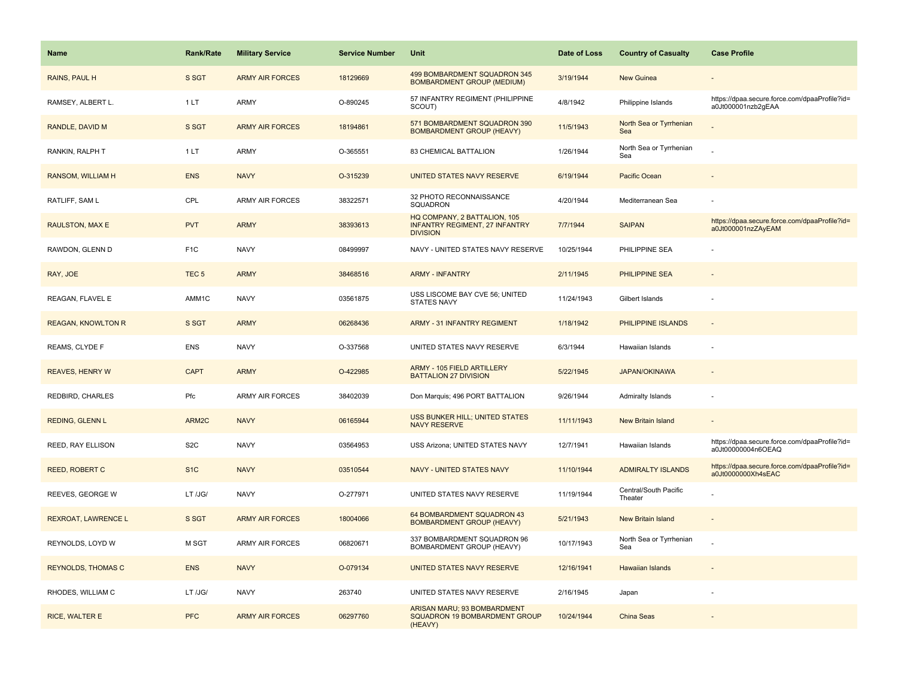| <b>Name</b>               | <b>Rank/Rate</b> | <b>Military Service</b> | <b>Service Number</b> | Unit                                                                                     | Date of Loss | <b>Country of Casualty</b>       | <b>Case Profile</b>                                                 |
|---------------------------|------------------|-------------------------|-----------------------|------------------------------------------------------------------------------------------|--------------|----------------------------------|---------------------------------------------------------------------|
| RAINS, PAUL H             | S SGT            | <b>ARMY AIR FORCES</b>  | 18129669              | 499 BOMBARDMENT SQUADRON 345<br><b>BOMBARDMENT GROUP (MEDIUM)</b>                        | 3/19/1944    | <b>New Guinea</b>                |                                                                     |
| RAMSEY, ALBERT L.         | 1LT              | ARMY                    | O-890245              | 57 INFANTRY REGIMENT (PHILIPPINE<br>SCOUT)                                               | 4/8/1942     | Philippine Islands               | https://dpaa.secure.force.com/dpaaProfile?id=<br>a0Jt000001nzb2gEAA |
| RANDLE, DAVID M           | S SGT            | <b>ARMY AIR FORCES</b>  | 18194861              | 571 BOMBARDMENT SQUADRON 390<br><b>BOMBARDMENT GROUP (HEAVY)</b>                         | 11/5/1943    | North Sea or Tyrrhenian<br>Sea   |                                                                     |
| RANKIN, RALPH T           | 1LT              | ARMY                    | O-365551              | 83 CHEMICAL BATTALION                                                                    | 1/26/1944    | North Sea or Tyrrhenian<br>Sea   |                                                                     |
| RANSOM, WILLIAM H         | <b>ENS</b>       | <b>NAVY</b>             | O-315239              | UNITED STATES NAVY RESERVE                                                               | 6/19/1944    | Pacific Ocean                    |                                                                     |
| RATLIFF, SAM L            | CPL              | <b>ARMY AIR FORCES</b>  | 38322571              | 32 PHOTO RECONNAISSANCE<br>SQUADRON                                                      | 4/20/1944    | Mediterranean Sea                |                                                                     |
| RAULSTON, MAX E           | <b>PVT</b>       | <b>ARMY</b>             | 38393613              | HQ COMPANY, 2 BATTALION, 105<br><b>INFANTRY REGIMENT, 27 INFANTRY</b><br><b>DIVISION</b> | 7/7/1944     | <b>SAIPAN</b>                    | https://dpaa.secure.force.com/dpaaProfile?id=<br>a0Jt000001nzZAyEAM |
| RAWDON, GLENN D           | F <sub>1</sub> C | <b>NAVY</b>             | 08499997              | NAVY - UNITED STATES NAVY RESERVE                                                        | 10/25/1944   | PHILIPPINE SEA                   |                                                                     |
| RAY, JOE                  | TEC <sub>5</sub> | <b>ARMY</b>             | 38468516              | <b>ARMY - INFANTRY</b>                                                                   | 2/11/1945    | PHILIPPINE SEA                   |                                                                     |
| REAGAN, FLAVEL E          | AMM1C            | <b>NAVY</b>             | 03561875              | USS LISCOME BAY CVE 56; UNITED<br><b>STATES NAVY</b>                                     | 11/24/1943   | Gilbert Islands                  |                                                                     |
| <b>REAGAN, KNOWLTON R</b> | S SGT            | <b>ARMY</b>             | 06268436              | <b>ARMY - 31 INFANTRY REGIMENT</b>                                                       | 1/18/1942    | PHILIPPINE ISLANDS               |                                                                     |
| REAMS, CLYDE F            | <b>ENS</b>       | <b>NAVY</b>             | O-337568              | UNITED STATES NAVY RESERVE                                                               | 6/3/1944     | Hawaiian Islands                 |                                                                     |
| <b>REAVES, HENRY W</b>    | <b>CAPT</b>      | <b>ARMY</b>             | O-422985              | ARMY - 105 FIELD ARTILLERY<br><b>BATTALION 27 DIVISION</b>                               | 5/22/1945    | <b>JAPAN/OKINAWA</b>             |                                                                     |
| REDBIRD, CHARLES          | Pfc              | <b>ARMY AIR FORCES</b>  | 38402039              | Don Marquis; 496 PORT BATTALION                                                          | 9/26/1944    | Admiralty Islands                |                                                                     |
| REDING, GLENN L           | ARM2C            | <b>NAVY</b>             | 06165944              | USS BUNKER HILL; UNITED STATES<br><b>NAVY RESERVE</b>                                    | 11/11/1943   | New Britain Island               |                                                                     |
| REED, RAY ELLISON         | S <sub>2</sub> C | <b>NAVY</b>             | 03564953              | USS Arizona; UNITED STATES NAVY                                                          | 12/7/1941    | Hawaiian Islands                 | https://dpaa.secure.force.com/dpaaProfile?id=<br>a0Jt00000004n6OEAQ |
| <b>REED, ROBERT C</b>     | S <sub>1C</sub>  | <b>NAVY</b>             | 03510544              | NAVY - UNITED STATES NAVY                                                                | 11/10/1944   | <b>ADMIRALTY ISLANDS</b>         | https://dpaa.secure.force.com/dpaaProfile?id=<br>a0Jt0000000Xh4sEAC |
| REEVES, GEORGE W          | LT /JG/          | <b>NAVY</b>             | O-277971              | UNITED STATES NAVY RESERVE                                                               | 11/19/1944   | Central/South Pacific<br>Theater |                                                                     |
| REXROAT, LAWRENCE L       | S SGT            | <b>ARMY AIR FORCES</b>  | 18004066              | 64 BOMBARDMENT SQUADRON 43<br><b>BOMBARDMENT GROUP (HEAVY)</b>                           | 5/21/1943    | New Britain Island               |                                                                     |
| REYNOLDS, LOYD W          | M SGT            | <b>ARMY AIR FORCES</b>  | 06820671              | 337 BOMBARDMENT SQUADRON 96<br>BOMBARDMENT GROUP (HEAVY)                                 | 10/17/1943   | North Sea or Tyrrhenian<br>Sea   |                                                                     |
| <b>REYNOLDS, THOMAS C</b> | <b>ENS</b>       | <b>NAVY</b>             | O-079134              | UNITED STATES NAVY RESERVE                                                               | 12/16/1941   | <b>Hawaiian Islands</b>          |                                                                     |
| RHODES, WILLIAM C         | LT /JG/          | <b>NAVY</b>             | 263740                | UNITED STATES NAVY RESERVE                                                               | 2/16/1945    | Japan                            |                                                                     |
| <b>RICE, WALTER E</b>     | <b>PFC</b>       | <b>ARMY AIR FORCES</b>  | 06297760              | ARISAN MARU; 93 BOMBARDMENT<br><b>SQUADRON 19 BOMBARDMENT GROUP</b><br>(HEAVY)           | 10/24/1944   | <b>China Seas</b>                |                                                                     |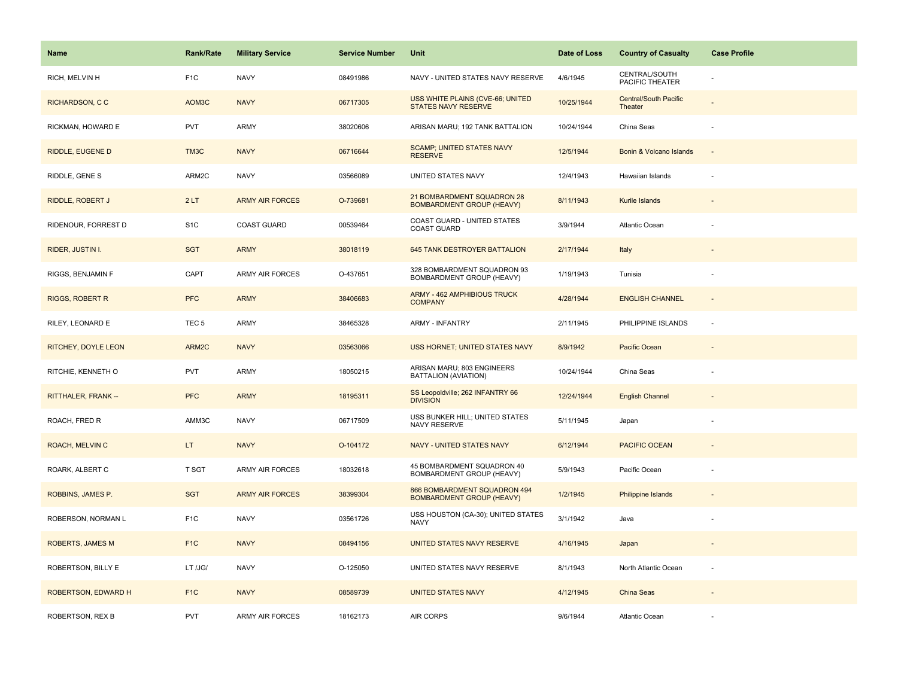| <b>Name</b>            | <b>Rank/Rate</b> | <b>Military Service</b> | <b>Service Number</b> | Unit                                                             | Date of Loss | <b>Country of Casualty</b>              | <b>Case Profile</b> |
|------------------------|------------------|-------------------------|-----------------------|------------------------------------------------------------------|--------------|-----------------------------------------|---------------------|
| RICH, MELVIN H         | F <sub>1</sub> C | <b>NAVY</b>             | 08491986              | NAVY - UNITED STATES NAVY RESERVE                                | 4/6/1945     | CENTRAL/SOUTH<br>PACIFIC THEATER        |                     |
| RICHARDSON, CC         | AOM3C            | <b>NAVY</b>             | 06717305              | USS WHITE PLAINS (CVE-66; UNITED<br>STATES NAVY RESERVE          | 10/25/1944   | <b>Central/South Pacific</b><br>Theater |                     |
| RICKMAN, HOWARD E      | <b>PVT</b>       | ARMY                    | 38020606              | ARISAN MARU; 192 TANK BATTALION                                  | 10/24/1944   | China Seas                              |                     |
| RIDDLE, EUGENE D       | TM3C             | <b>NAVY</b>             | 06716644              | <b>SCAMP; UNITED STATES NAVY</b><br><b>RESERVE</b>               | 12/5/1944    | Bonin & Volcano Islands                 |                     |
| RIDDLE, GENE S         | ARM2C            | <b>NAVY</b>             | 03566089              | UNITED STATES NAVY                                               | 12/4/1943    | Hawaiian Islands                        |                     |
| RIDDLE, ROBERT J       | 2LT              | <b>ARMY AIR FORCES</b>  | O-739681              | 21 BOMBARDMENT SQUADRON 28<br><b>BOMBARDMENT GROUP (HEAVY)</b>   | 8/11/1943    | Kurile Islands                          |                     |
| RIDENOUR, FORREST D    | S <sub>1</sub> C | <b>COAST GUARD</b>      | 00539464              | COAST GUARD - UNITED STATES<br><b>COAST GUARD</b>                | 3/9/1944     | Atlantic Ocean                          |                     |
| RIDER, JUSTIN I.       | <b>SGT</b>       | <b>ARMY</b>             | 38018119              | 645 TANK DESTROYER BATTALION                                     | 2/17/1944    | Italy                                   |                     |
| RIGGS, BENJAMIN F      | CAPT             | ARMY AIR FORCES         | O-437651              | 328 BOMBARDMENT SQUADRON 93<br>BOMBARDMENT GROUP (HEAVY)         | 1/19/1943    | Tunisia                                 |                     |
| <b>RIGGS, ROBERT R</b> | <b>PFC</b>       | <b>ARMY</b>             | 38406683              | ARMY - 462 AMPHIBIOUS TRUCK<br><b>COMPANY</b>                    | 4/28/1944    | <b>ENGLISH CHANNEL</b>                  |                     |
| RILEY, LEONARD E       | TEC <sub>5</sub> | ARMY                    | 38465328              | <b>ARMY - INFANTRY</b>                                           | 2/11/1945    | PHILIPPINE ISLANDS                      |                     |
| RITCHEY, DOYLE LEON    | ARM2C            | <b>NAVY</b>             | 03563066              | USS HORNET; UNITED STATES NAVY                                   | 8/9/1942     | Pacific Ocean                           |                     |
| RITCHIE, KENNETH O     | <b>PVT</b>       | ARMY                    | 18050215              | ARISAN MARU; 803 ENGINEERS<br>BATTALION (AVIATION)               | 10/24/1944   | China Seas                              |                     |
| RITTHALER, FRANK --    | <b>PFC</b>       | <b>ARMY</b>             | 18195311              | SS Leopoldville; 262 INFANTRY 66<br><b>DIVISION</b>              | 12/24/1944   | <b>English Channel</b>                  |                     |
| ROACH, FRED R          | AMM3C            | <b>NAVY</b>             | 06717509              | USS BUNKER HILL; UNITED STATES<br>NAVY RESERVE                   | 5/11/1945    | Japan                                   |                     |
| ROACH, MELVIN C        | LT.              | <b>NAVY</b>             | O-104172              | NAVY - UNITED STATES NAVY                                        | 6/12/1944    | <b>PACIFIC OCEAN</b>                    |                     |
| ROARK, ALBERT C        | T SGT            | <b>ARMY AIR FORCES</b>  | 18032618              | 45 BOMBARDMENT SQUADRON 40<br>BOMBARDMENT GROUP (HEAVY)          | 5/9/1943     | Pacific Ocean                           |                     |
| ROBBINS, JAMES P.      | <b>SGT</b>       | <b>ARMY AIR FORCES</b>  | 38399304              | 866 BOMBARDMENT SQUADRON 494<br><b>BOMBARDMENT GROUP (HEAVY)</b> | 1/2/1945     | <b>Philippine Islands</b>               |                     |
| ROBERSON, NORMAN L     | F <sub>1</sub> C | <b>NAVY</b>             | 03561726              | USS HOUSTON (CA-30); UNITED STATES<br><b>NAVY</b>                | 3/1/1942     | Java                                    |                     |
| ROBERTS, JAMES M       | F <sub>1C</sub>  | <b>NAVY</b>             | 08494156              | UNITED STATES NAVY RESERVE                                       | 4/16/1945    | Japan                                   |                     |
| ROBERTSON, BILLY E     | LT /JG/          | <b>NAVY</b>             | O-125050              | UNITED STATES NAVY RESERVE                                       | 8/1/1943     | North Atlantic Ocean                    |                     |
| ROBERTSON, EDWARD H    | F <sub>1C</sub>  | <b>NAVY</b>             | 08589739              | <b>UNITED STATES NAVY</b>                                        | 4/12/1945    | China Seas                              |                     |
| ROBERTSON, REX B       | <b>PVT</b>       | <b>ARMY AIR FORCES</b>  | 18162173              | <b>AIR CORPS</b>                                                 | 9/6/1944     | <b>Atlantic Ocean</b>                   |                     |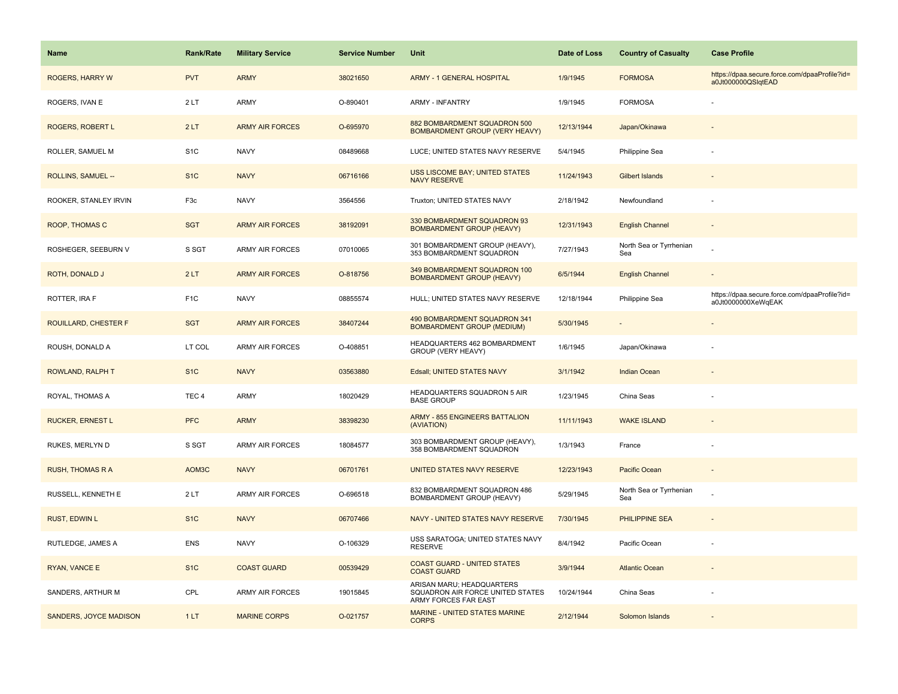| <b>Name</b>                   | Rank/Rate        | <b>Military Service</b> | <b>Service Number</b> | Unit                                                                                  | Date of Loss | <b>Country of Casualty</b>     | <b>Case Profile</b>                                                 |
|-------------------------------|------------------|-------------------------|-----------------------|---------------------------------------------------------------------------------------|--------------|--------------------------------|---------------------------------------------------------------------|
| <b>ROGERS, HARRY W</b>        | <b>PVT</b>       | <b>ARMY</b>             | 38021650              | <b>ARMY - 1 GENERAL HOSPITAL</b>                                                      | 1/9/1945     | <b>FORMOSA</b>                 | https://dpaa.secure.force.com/dpaaProfile?id=<br>a0Jt000000QSlqtEAD |
| ROGERS, IVAN E                | 2LT              | ARMY                    | O-890401              | <b>ARMY - INFANTRY</b>                                                                | 1/9/1945     | <b>FORMOSA</b>                 |                                                                     |
| ROGERS, ROBERT L              | 2LT              | <b>ARMY AIR FORCES</b>  | O-695970              | 882 BOMBARDMENT SQUADRON 500<br><b>BOMBARDMENT GROUP (VERY HEAVY)</b>                 | 12/13/1944   | Japan/Okinawa                  |                                                                     |
| ROLLER, SAMUEL M              | S <sub>1</sub> C | <b>NAVY</b>             | 08489668              | LUCE; UNITED STATES NAVY RESERVE                                                      | 5/4/1945     | Philippine Sea                 |                                                                     |
| ROLLINS, SAMUEL --            | S <sub>1</sub> C | <b>NAVY</b>             | 06716166              | USS LISCOME BAY; UNITED STATES<br><b>NAVY RESERVE</b>                                 | 11/24/1943   | <b>Gilbert Islands</b>         |                                                                     |
| ROOKER, STANLEY IRVIN         | F3c              | <b>NAVY</b>             | 3564556               | Truxton; UNITED STATES NAVY                                                           | 2/18/1942    | Newfoundland                   |                                                                     |
| ROOP, THOMAS C                | <b>SGT</b>       | <b>ARMY AIR FORCES</b>  | 38192091              | 330 BOMBARDMENT SQUADRON 93<br><b>BOMBARDMENT GROUP (HEAVY)</b>                       | 12/31/1943   | <b>English Channel</b>         | $\overline{\phantom{a}}$                                            |
| ROSHEGER, SEEBURN V           | S SGT            | <b>ARMY AIR FORCES</b>  | 07010065              | 301 BOMBARDMENT GROUP (HEAVY),<br>353 BOMBARDMENT SQUADRON                            | 7/27/1943    | North Sea or Tyrrhenian<br>Sea |                                                                     |
| ROTH, DONALD J                | 2LT              | <b>ARMY AIR FORCES</b>  | O-818756              | 349 BOMBARDMENT SQUADRON 100<br><b>BOMBARDMENT GROUP (HEAVY)</b>                      | 6/5/1944     | <b>English Channel</b>         |                                                                     |
| ROTTER, IRA F                 | F <sub>1</sub> C | <b>NAVY</b>             | 08855574              | HULL; UNITED STATES NAVY RESERVE                                                      | 12/18/1944   | Philippine Sea                 | https://dpaa.secure.force.com/dpaaProfile?id=<br>a0Jt0000000XeWqEAK |
| <b>ROUILLARD, CHESTER F</b>   | <b>SGT</b>       | <b>ARMY AIR FORCES</b>  | 38407244              | 490 BOMBARDMENT SQUADRON 341<br><b>BOMBARDMENT GROUP (MEDIUM)</b>                     | 5/30/1945    |                                |                                                                     |
| ROUSH, DONALD A               | LT COL           | <b>ARMY AIR FORCES</b>  | O-408851              | HEADQUARTERS 462 BOMBARDMENT<br>GROUP (VERY HEAVY)                                    | 1/6/1945     | Japan/Okinawa                  |                                                                     |
| ROWLAND, RALPH T              | S <sub>1</sub> C | <b>NAVY</b>             | 03563880              | Edsall; UNITED STATES NAVY                                                            | 3/1/1942     | <b>Indian Ocean</b>            |                                                                     |
| ROYAL, THOMAS A               | TEC <sub>4</sub> | ARMY                    | 18020429              | HEADQUARTERS SQUADRON 5 AIR<br><b>BASE GROUP</b>                                      | 1/23/1945    | China Seas                     |                                                                     |
| <b>RUCKER, ERNEST L</b>       | <b>PFC</b>       | <b>ARMY</b>             | 38398230              | <b>ARMY - 855 ENGINEERS BATTALION</b><br>(AVIATION)                                   | 11/11/1943   | <b>WAKE ISLAND</b>             |                                                                     |
| RUKES, MERLYN D               | S SGT            | <b>ARMY AIR FORCES</b>  | 18084577              | 303 BOMBARDMENT GROUP (HEAVY),<br>358 BOMBARDMENT SQUADRON                            | 1/3/1943     | France                         |                                                                     |
| <b>RUSH, THOMAS R A</b>       | AOM3C            | <b>NAVY</b>             | 06701761              | UNITED STATES NAVY RESERVE                                                            | 12/23/1943   | Pacific Ocean                  |                                                                     |
| RUSSELL, KENNETH E            | 2LT              | ARMY AIR FORCES         | O-696518              | 832 BOMBARDMENT SQUADRON 486<br>BOMBARDMENT GROUP (HEAVY)                             | 5/29/1945    | North Sea or Tyrrhenian<br>Sea |                                                                     |
| <b>RUST, EDWIN L</b>          | S <sub>1</sub> C | <b>NAVY</b>             | 06707466              | NAVY - UNITED STATES NAVY RESERVE                                                     | 7/30/1945    | PHILIPPINE SEA                 |                                                                     |
| RUTLEDGE, JAMES A             | <b>ENS</b>       | <b>NAVY</b>             | O-106329              | USS SARATOGA; UNITED STATES NAVY<br><b>RESERVE</b>                                    | 8/4/1942     | Pacific Ocean                  |                                                                     |
| RYAN, VANCE E                 | S <sub>1</sub> C | <b>COAST GUARD</b>      | 00539429              | <b>COAST GUARD - UNITED STATES</b><br><b>COAST GUARD</b>                              | 3/9/1944     | <b>Atlantic Ocean</b>          |                                                                     |
| SANDERS, ARTHUR M             | CPL              | <b>ARMY AIR FORCES</b>  | 19015845              | ARISAN MARU; HEADQUARTERS<br>SQUADRON AIR FORCE UNITED STATES<br>ARMY FORCES FAR EAST | 10/24/1944   | China Seas                     |                                                                     |
| <b>SANDERS, JOYCE MADISON</b> | 1LT              | <b>MARINE CORPS</b>     | O-021757              | <b>MARINE - UNITED STATES MARINE</b><br><b>CORPS</b>                                  | 2/12/1944    | Solomon Islands                |                                                                     |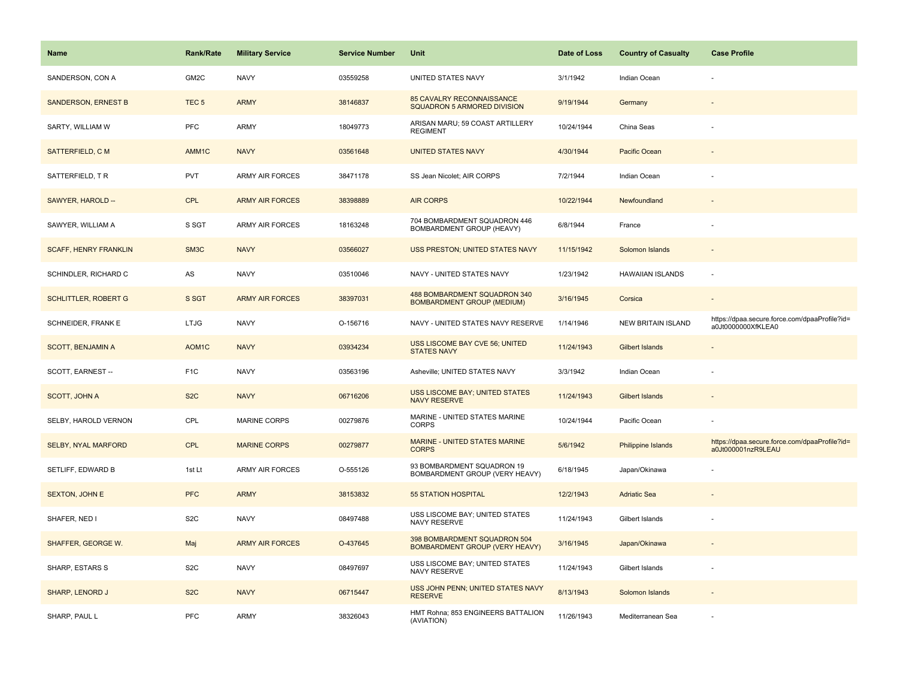| Name                         | <b>Rank/Rate</b>   | <b>Military Service</b> | <b>Service Number</b> | Unit                                                                  | Date of Loss | <b>Country of Casualty</b> | <b>Case Profile</b>                                                 |
|------------------------------|--------------------|-------------------------|-----------------------|-----------------------------------------------------------------------|--------------|----------------------------|---------------------------------------------------------------------|
| SANDERSON, CON A             | GM2C               | <b>NAVY</b>             | 03559258              | UNITED STATES NAVY                                                    | 3/1/1942     | Indian Ocean               |                                                                     |
| <b>SANDERSON, ERNEST B</b>   | TEC <sub>5</sub>   | <b>ARMY</b>             | 38146837              | 85 CAVALRY RECONNAISSANCE<br>SQUADRON 5 ARMORED DIVISION              | 9/19/1944    | Germany                    |                                                                     |
| SARTY, WILLIAM W             | PFC                | <b>ARMY</b>             | 18049773              | ARISAN MARU; 59 COAST ARTILLERY<br><b>REGIMENT</b>                    | 10/24/1944   | China Seas                 |                                                                     |
| SATTERFIELD, C M             | AMM <sub>1</sub> C | <b>NAVY</b>             | 03561648              | <b>UNITED STATES NAVY</b>                                             | 4/30/1944    | Pacific Ocean              |                                                                     |
| SATTERFIELD, TR              | <b>PVT</b>         | <b>ARMY AIR FORCES</b>  | 38471178              | SS Jean Nicolet; AIR CORPS                                            | 7/2/1944     | Indian Ocean               |                                                                     |
| SAWYER, HAROLD --            | <b>CPL</b>         | <b>ARMY AIR FORCES</b>  | 38398889              | <b>AIR CORPS</b>                                                      | 10/22/1944   | Newfoundland               |                                                                     |
| SAWYER, WILLIAM A            | S SGT              | <b>ARMY AIR FORCES</b>  | 18163248              | 704 BOMBARDMENT SQUADRON 446<br>BOMBARDMENT GROUP (HEAVY)             | 6/8/1944     | France                     |                                                                     |
| <b>SCAFF, HENRY FRANKLIN</b> | SM3C               | <b>NAVY</b>             | 03566027              | USS PRESTON; UNITED STATES NAVY                                       | 11/15/1942   | Solomon Islands            |                                                                     |
| SCHINDLER, RICHARD C         | AS                 | <b>NAVY</b>             | 03510046              | NAVY - UNITED STATES NAVY                                             | 1/23/1942    | <b>HAWAIIAN ISLANDS</b>    | $\sim$                                                              |
| <b>SCHLITTLER, ROBERT G</b>  | S SGT              | <b>ARMY AIR FORCES</b>  | 38397031              | 488 BOMBARDMENT SQUADRON 340<br><b>BOMBARDMENT GROUP (MEDIUM)</b>     | 3/16/1945    | Corsica                    |                                                                     |
| SCHNEIDER, FRANK E           | <b>LTJG</b>        | <b>NAVY</b>             | O-156716              | NAVY - UNITED STATES NAVY RESERVE                                     | 1/14/1946    | NEW BRITAIN ISLAND         | https://dpaa.secure.force.com/dpaaProfile?id=<br>a0Jt0000000XfKLEA0 |
| <b>SCOTT, BENJAMIN A</b>     | AOM1C              | <b>NAVY</b>             | 03934234              | USS LISCOME BAY CVE 56; UNITED<br><b>STATES NAVY</b>                  | 11/24/1943   | <b>Gilbert Islands</b>     |                                                                     |
| SCOTT, EARNEST --            | F <sub>1</sub> C   | <b>NAVY</b>             | 03563196              | Asheville; UNITED STATES NAVY                                         | 3/3/1942     | Indian Ocean               |                                                                     |
| SCOTT, JOHN A                | S <sub>2</sub> C   | <b>NAVY</b>             | 06716206              | <b>USS LISCOME BAY; UNITED STATES</b><br><b>NAVY RESERVE</b>          | 11/24/1943   | <b>Gilbert Islands</b>     |                                                                     |
| SELBY, HAROLD VERNON         | CPL                | <b>MARINE CORPS</b>     | 00279876              | MARINE - UNITED STATES MARINE<br><b>CORPS</b>                         | 10/24/1944   | Pacific Ocean              |                                                                     |
| <b>SELBY, NYAL MARFORD</b>   | <b>CPL</b>         | <b>MARINE CORPS</b>     | 00279877              | MARINE - UNITED STATES MARINE<br><b>CORPS</b>                         | 5/6/1942     | <b>Philippine Islands</b>  | https://dpaa.secure.force.com/dpaaProfile?id=<br>a0Jt000001nzR9LEAU |
| SETLIFF, EDWARD B            | 1st Lt             | ARMY AIR FORCES         | O-555126              | 93 BOMBARDMENT SQUADRON 19<br>BOMBARDMENT GROUP (VERY HEAVY)          | 6/18/1945    | Japan/Okinawa              |                                                                     |
| <b>SEXTON, JOHN E</b>        | <b>PFC</b>         | <b>ARMY</b>             | 38153832              | <b>55 STATION HOSPITAL</b>                                            | 12/2/1943    | <b>Adriatic Sea</b>        |                                                                     |
| SHAFER, NED I                | S <sub>2</sub> C   | <b>NAVY</b>             | 08497488              | USS LISCOME BAY; UNITED STATES<br><b>NAVY RESERVE</b>                 | 11/24/1943   | Gilbert Islands            |                                                                     |
| SHAFFER, GEORGE W.           | Maj                | <b>ARMY AIR FORCES</b>  | O-437645              | 398 BOMBARDMENT SQUADRON 504<br><b>BOMBARDMENT GROUP (VERY HEAVY)</b> | 3/16/1945    | Japan/Okinawa              |                                                                     |
| SHARP, ESTARS S              | S <sub>2</sub> C   | <b>NAVY</b>             | 08497697              | USS LISCOME BAY; UNITED STATES<br>NAVY RESERVE                        | 11/24/1943   | Gilbert Islands            |                                                                     |
| <b>SHARP, LENORD J</b>       | S <sub>2</sub> C   | <b>NAVY</b>             | 06715447              | USS JOHN PENN; UNITED STATES NAVY<br><b>RESERVE</b>                   | 8/13/1943    | Solomon Islands            |                                                                     |
| SHARP, PAUL L                | PFC                | ARMY                    | 38326043              | HMT Rohna; 853 ENGINEERS BATTALION<br>(AVIATION)                      | 11/26/1943   | Mediterranean Sea          |                                                                     |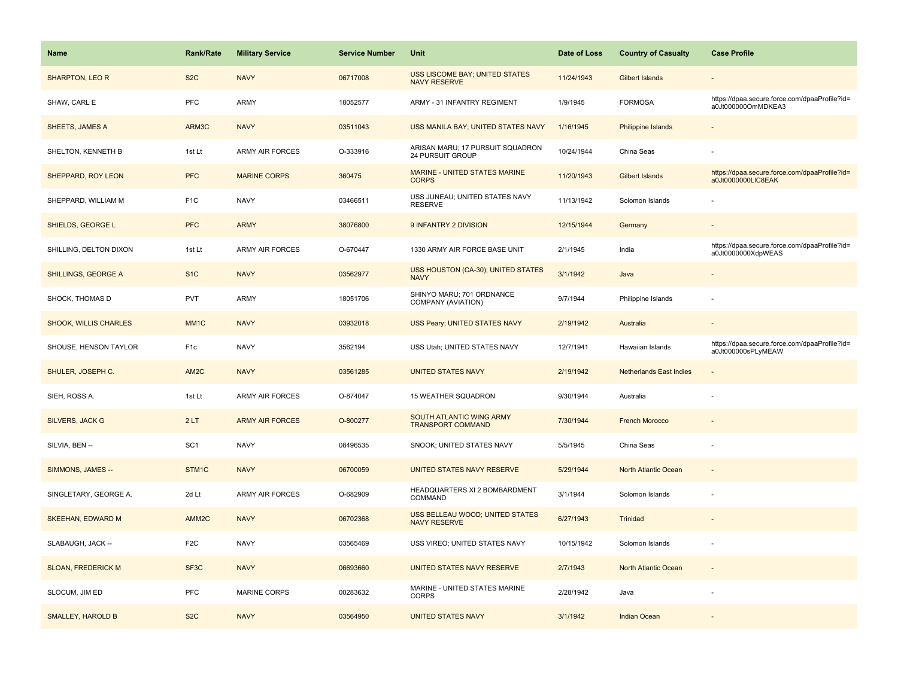| <b>Name</b>                  | <b>Rank/Rate</b>  | <b>Military Service</b> | <b>Service Number</b> | Unit                                                   | Date of Loss | <b>Country of Casualty</b>     | <b>Case Profile</b>                                                 |
|------------------------------|-------------------|-------------------------|-----------------------|--------------------------------------------------------|--------------|--------------------------------|---------------------------------------------------------------------|
| <b>SHARPTON, LEO R</b>       | S <sub>2</sub> C  | <b>NAVY</b>             | 06717008              | USS LISCOME BAY; UNITED STATES<br><b>NAVY RESERVE</b>  | 11/24/1943   | Gilbert Islands                |                                                                     |
| SHAW, CARL E                 | PFC               | ARMY                    | 18052577              | ARMY - 31 INFANTRY REGIMENT                            | 1/9/1945     | <b>FORMOSA</b>                 | https://dpaa.secure.force.com/dpaaProfile?id=<br>a0Jt000000OmMDKEA3 |
| <b>SHEETS, JAMES A</b>       | ARM3C             | <b>NAVY</b>             | 03511043              | USS MANILA BAY; UNITED STATES NAVY                     | 1/16/1945    | <b>Philippine Islands</b>      |                                                                     |
| SHELTON, KENNETH B           | 1st Lt            | <b>ARMY AIR FORCES</b>  | O-333916              | ARISAN MARU; 17 PURSUIT SQUADRON<br>24 PURSUIT GROUP   | 10/24/1944   | China Seas                     |                                                                     |
| SHEPPARD, ROY LEON           | <b>PFC</b>        | <b>MARINE CORPS</b>     | 360475                | MARINE - UNITED STATES MARINE<br><b>CORPS</b>          | 11/20/1943   | Gilbert Islands                | https://dpaa.secure.force.com/dpaaProfile?id=<br>a0Jt0000000LIC8EAK |
| SHEPPARD, WILLIAM M          | F <sub>1</sub> C  | <b>NAVY</b>             | 03466511              | USS JUNEAU; UNITED STATES NAVY<br><b>RESERVE</b>       | 11/13/1942   | Solomon Islands                |                                                                     |
| SHIELDS, GEORGE L            | <b>PFC</b>        | <b>ARMY</b>             | 38076800              | 9 INFANTRY 2 DIVISION                                  | 12/15/1944   | Germany                        | $\overline{\phantom{a}}$                                            |
| SHILLING, DELTON DIXON       | 1st Lt            | <b>ARMY AIR FORCES</b>  | O-670447              | 1330 ARMY AIR FORCE BASE UNIT                          | 2/1/1945     | India                          | https://dpaa.secure.force.com/dpaaProfile?id=<br>a0Jt0000000XdpWEAS |
| SHILLINGS, GEORGE A          | S <sub>1</sub> C  | <b>NAVY</b>             | 03562977              | USS HOUSTON (CA-30); UNITED STATES<br><b>NAVY</b>      | 3/1/1942     | Java                           |                                                                     |
| SHOCK, THOMAS D              | <b>PVT</b>        | <b>ARMY</b>             | 18051706              | SHINYO MARU; 701 ORDNANCE<br>COMPANY (AVIATION)        | 9/7/1944     | Philippine Islands             |                                                                     |
| <b>SHOOK, WILLIS CHARLES</b> | MM <sub>1</sub> C | <b>NAVY</b>             | 03932018              | USS Peary; UNITED STATES NAVY                          | 2/19/1942    | Australia                      |                                                                     |
| SHOUSE, HENSON TAYLOR        | F <sub>1c</sub>   | <b>NAVY</b>             | 3562194               | USS Utah; UNITED STATES NAVY                           | 12/7/1941    | Hawaiian Islands               | https://dpaa.secure.force.com/dpaaProfile?id=<br>a0Jt000000sPLyMEAW |
| SHULER, JOSEPH C.            | AM2C              | <b>NAVY</b>             | 03561285              | <b>UNITED STATES NAVY</b>                              | 2/19/1942    | <b>Netherlands East Indies</b> |                                                                     |
| SIEH, ROSS A.                | 1st Lt            | <b>ARMY AIR FORCES</b>  | O-874047              | 15 WEATHER SQUADRON                                    | 9/30/1944    | Australia                      |                                                                     |
| <b>SILVERS, JACK G</b>       | 2LT               | <b>ARMY AIR FORCES</b>  | O-800277              | SOUTH ATLANTIC WING ARMY<br><b>TRANSPORT COMMAND</b>   | 7/30/1944    | <b>French Morocco</b>          |                                                                     |
| SILVIA, BEN --               | SC <sub>1</sub>   | <b>NAVY</b>             | 08496535              | SNOOK; UNITED STATES NAVY                              | 5/5/1945     | China Seas                     |                                                                     |
| SIMMONS, JAMES --            | STM1C             | <b>NAVY</b>             | 06700059              | UNITED STATES NAVY RESERVE                             | 5/29/1944    | North Atlantic Ocean           |                                                                     |
| SINGLETARY, GEORGE A.        | 2d Lt             | <b>ARMY AIR FORCES</b>  | O-682909              | HEADQUARTERS XI 2 BOMBARDMENT<br>COMMAND               | 3/1/1944     | Solomon Islands                |                                                                     |
| SKEEHAN, EDWARD M            | AMM2C             | <b>NAVY</b>             | 06702368              | USS BELLEAU WOOD; UNITED STATES<br><b>NAVY RESERVE</b> | 6/27/1943    | Trinidad                       |                                                                     |
| SLABAUGH, JACK --            | F <sub>2</sub> C  | <b>NAVY</b>             | 03565469              | USS VIREO; UNITED STATES NAVY                          | 10/15/1942   | Solomon Islands                |                                                                     |
| <b>SLOAN, FREDERICK M</b>    | SF <sub>3</sub> C | <b>NAVY</b>             | 06693660              | UNITED STATES NAVY RESERVE                             | 2/7/1943     | North Atlantic Ocean           | $\sim$                                                              |
| SLOCUM, JIM ED               | <b>PFC</b>        | <b>MARINE CORPS</b>     | 00283632              | MARINE - UNITED STATES MARINE<br><b>CORPS</b>          | 2/28/1942    | Java                           |                                                                     |
| <b>SMALLEY, HAROLD B</b>     | S <sub>2</sub> C  | <b>NAVY</b>             | 03564950              | <b>UNITED STATES NAVY</b>                              | 3/1/1942     | <b>Indian Ocean</b>            |                                                                     |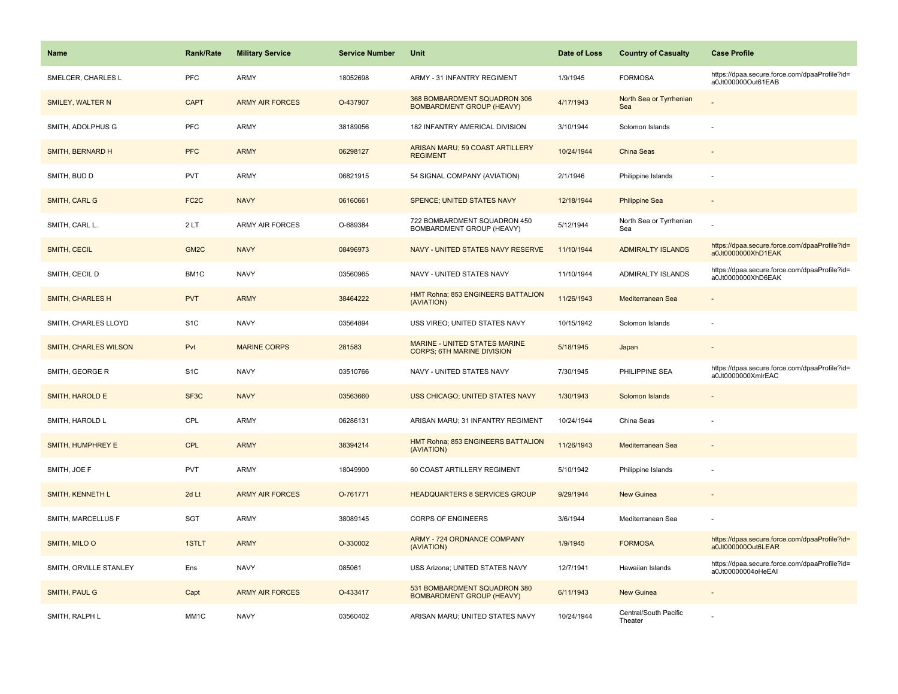| Name                         | <b>Rank/Rate</b>  | <b>Military Service</b> | <b>Service Number</b> | Unit                                                                      | Date of Loss | <b>Country of Casualty</b>       | <b>Case Profile</b>                                                 |
|------------------------------|-------------------|-------------------------|-----------------------|---------------------------------------------------------------------------|--------------|----------------------------------|---------------------------------------------------------------------|
| SMELCER, CHARLES L           | <b>PFC</b>        | <b>ARMY</b>             | 18052698              | ARMY - 31 INFANTRY REGIMENT                                               | 1/9/1945     | <b>FORMOSA</b>                   | https://dpaa.secure.force.com/dpaaProfile?id=<br>a0Jt000000Out61EAB |
| SMILEY, WALTER N             | <b>CAPT</b>       | <b>ARMY AIR FORCES</b>  | O-437907              | 368 BOMBARDMENT SQUADRON 306<br><b>BOMBARDMENT GROUP (HEAVY)</b>          | 4/17/1943    | North Sea or Tyrrhenian<br>Sea   |                                                                     |
| SMITH, ADOLPHUS G            | <b>PFC</b>        | <b>ARMY</b>             | 38189056              | 182 INFANTRY AMERICAL DIVISION                                            | 3/10/1944    | Solomon Islands                  |                                                                     |
| SMITH, BERNARD H             | <b>PFC</b>        | <b>ARMY</b>             | 06298127              | ARISAN MARU; 59 COAST ARTILLERY<br><b>REGIMENT</b>                        | 10/24/1944   | China Seas                       |                                                                     |
| SMITH, BUD D                 | <b>PVT</b>        | <b>ARMY</b>             | 06821915              | 54 SIGNAL COMPANY (AVIATION)                                              | 2/1/1946     | Philippine Islands               |                                                                     |
| SMITH, CARL G                | FC <sub>2</sub> C | <b>NAVY</b>             | 06160661              | SPENCE; UNITED STATES NAVY                                                | 12/18/1944   | <b>Philippine Sea</b>            |                                                                     |
| SMITH, CARL L.               | 2LT               | <b>ARMY AIR FORCES</b>  | O-689384              | 722 BOMBARDMENT SQUADRON 450<br>BOMBARDMENT GROUP (HEAVY)                 | 5/12/1944    | North Sea or Tyrrhenian<br>Sea   |                                                                     |
| SMITH, CECIL                 | GM <sub>2</sub> C | <b>NAVY</b>             | 08496973              | NAVY - UNITED STATES NAVY RESERVE                                         | 11/10/1944   | <b>ADMIRALTY ISLANDS</b>         | https://dpaa.secure.force.com/dpaaProfile?id=<br>a0Jt0000000XhD1EAK |
| SMITH, CECIL D               | BM1C              | <b>NAVY</b>             | 03560965              | NAVY - UNITED STATES NAVY                                                 | 11/10/1944   | ADMIRALTY ISLANDS                | https://dpaa.secure.force.com/dpaaProfile?id=<br>a0Jt0000000XhD6EAK |
| <b>SMITH, CHARLES H</b>      | <b>PVT</b>        | <b>ARMY</b>             | 38464222              | HMT Rohna; 853 ENGINEERS BATTALION<br>(AVIATION)                          | 11/26/1943   | Mediterranean Sea                |                                                                     |
| SMITH, CHARLES LLOYD         | S <sub>1</sub> C  | <b>NAVY</b>             | 03564894              | USS VIREO; UNITED STATES NAVY                                             | 10/15/1942   | Solomon Islands                  |                                                                     |
| <b>SMITH, CHARLES WILSON</b> | Pvt               | <b>MARINE CORPS</b>     | 281583                | <b>MARINE - UNITED STATES MARINE</b><br><b>CORPS; 6TH MARINE DIVISION</b> | 5/18/1945    | Japan                            |                                                                     |
| SMITH, GEORGE R              | S <sub>1</sub> C  | <b>NAVY</b>             | 03510766              | NAVY - UNITED STATES NAVY                                                 | 7/30/1945    | PHILIPPINE SEA                   | https://dpaa.secure.force.com/dpaaProfile?id=<br>a0Jt0000000XmlrEAC |
| SMITH, HAROLD E              | SF <sub>3</sub> C | <b>NAVY</b>             | 03563660              | <b>USS CHICAGO; UNITED STATES NAVY</b>                                    | 1/30/1943    | Solomon Islands                  |                                                                     |
| SMITH, HAROLD L              | CPL               | <b>ARMY</b>             | 06286131              | ARISAN MARU; 31 INFANTRY REGIMENT                                         | 10/24/1944   | China Seas                       |                                                                     |
| SMITH, HUMPHREY E            | <b>CPL</b>        | <b>ARMY</b>             | 38394214              | HMT Rohna; 853 ENGINEERS BATTALION<br>(AVIATION)                          | 11/26/1943   | Mediterranean Sea                |                                                                     |
| SMITH, JOE F                 | <b>PVT</b>        | <b>ARMY</b>             | 18049900              | 60 COAST ARTILLERY REGIMENT                                               | 5/10/1942    | Philippine Islands               |                                                                     |
| SMITH, KENNETH L             | 2d Lt             | <b>ARMY AIR FORCES</b>  | O-761771              | <b>HEADQUARTERS 8 SERVICES GROUP</b>                                      | 9/29/1944    | <b>New Guinea</b>                |                                                                     |
| SMITH, MARCELLUS F           | SGT               | <b>ARMY</b>             | 38089145              | <b>CORPS OF ENGINEERS</b>                                                 | 3/6/1944     | Mediterranean Sea                |                                                                     |
| SMITH, MILO O                | 1STLT             | <b>ARMY</b>             | O-330002              | ARMY - 724 ORDNANCE COMPANY<br>(AVIATION)                                 | 1/9/1945     | <b>FORMOSA</b>                   | https://dpaa.secure.force.com/dpaaProfile?id=<br>a0Jt000000Out6LEAR |
| SMITH, ORVILLE STANLEY       | Ens               | <b>NAVY</b>             | 085061                | USS Arizona; UNITED STATES NAVY                                           | 12/7/1941    | Hawaiian Islands                 | https://dpaa.secure.force.com/dpaaProfile?id=<br>a0Jt00000004oHeEAI |
| SMITH, PAUL G                | Capt              | <b>ARMY AIR FORCES</b>  | O-433417              | 531 BOMBARDMENT SQUADRON 380<br><b>BOMBARDMENT GROUP (HEAVY)</b>          | 6/11/1943    | New Guinea                       |                                                                     |
| SMITH, RALPH L               | MM <sub>1</sub> C | <b>NAVY</b>             | 03560402              | ARISAN MARU; UNITED STATES NAVY                                           | 10/24/1944   | Central/South Pacific<br>Theater |                                                                     |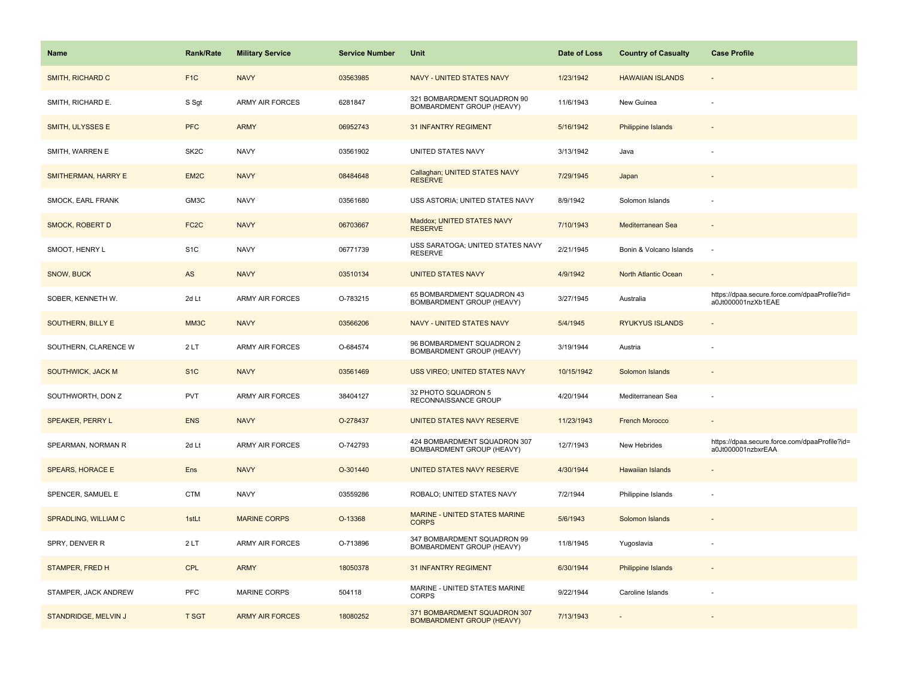| <b>Name</b>              | <b>Rank/Rate</b>  | <b>Military Service</b> | <b>Service Number</b> | Unit                                                             | Date of Loss | <b>Country of Casualty</b> | <b>Case Profile</b>                                                 |
|--------------------------|-------------------|-------------------------|-----------------------|------------------------------------------------------------------|--------------|----------------------------|---------------------------------------------------------------------|
| <b>SMITH, RICHARD C</b>  | F <sub>1</sub> C  | <b>NAVY</b>             | 03563985              | <b>NAVY - UNITED STATES NAVY</b>                                 | 1/23/1942    | <b>HAWAIIAN ISLANDS</b>    |                                                                     |
| SMITH, RICHARD E.        | S Sgt             | <b>ARMY AIR FORCES</b>  | 6281847               | 321 BOMBARDMENT SQUADRON 90<br>BOMBARDMENT GROUP (HEAVY)         | 11/6/1943    | New Guinea                 |                                                                     |
| SMITH, ULYSSES E         | <b>PFC</b>        | <b>ARMY</b>             | 06952743              | <b>31 INFANTRY REGIMENT</b>                                      | 5/16/1942    | <b>Philippine Islands</b>  |                                                                     |
| SMITH, WARREN E          | SK <sub>2</sub> C | <b>NAVY</b>             | 03561902              | UNITED STATES NAVY                                               | 3/13/1942    | Java                       |                                                                     |
| SMITHERMAN, HARRY E      | EM <sub>2</sub> C | <b>NAVY</b>             | 08484648              | Callaghan; UNITED STATES NAVY<br><b>RESERVE</b>                  | 7/29/1945    | Japan                      |                                                                     |
| <b>SMOCK, EARL FRANK</b> | GM3C              | <b>NAVY</b>             | 03561680              | USS ASTORIA; UNITED STATES NAVY                                  | 8/9/1942     | Solomon Islands            |                                                                     |
| <b>SMOCK, ROBERT D</b>   | FC <sub>2</sub> C | <b>NAVY</b>             | 06703667              | Maddox; UNITED STATES NAVY<br><b>RESERVE</b>                     | 7/10/1943    | Mediterranean Sea          | $\overline{\phantom{a}}$                                            |
| SMOOT, HENRY L           | S <sub>1</sub> C  | <b>NAVY</b>             | 06771739              | USS SARATOGA; UNITED STATES NAVY<br><b>RESERVE</b>               | 2/21/1945    | Bonin & Volcano Islands    | $\sim$                                                              |
| <b>SNOW, BUCK</b>        | AS                | <b>NAVY</b>             | 03510134              | <b>UNITED STATES NAVY</b>                                        | 4/9/1942     | North Atlantic Ocean       |                                                                     |
| SOBER, KENNETH W.        | 2d Lt             | <b>ARMY AIR FORCES</b>  | O-783215              | 65 BOMBARDMENT SQUADRON 43<br>BOMBARDMENT GROUP (HEAVY)          | 3/27/1945    | Australia                  | https://dpaa.secure.force.com/dpaaProfile?id=<br>a0Jt000001nzXb1EAE |
| SOUTHERN, BILLY E        | MM3C              | <b>NAVY</b>             | 03566206              | <b>NAVY - UNITED STATES NAVY</b>                                 | 5/4/1945     | <b>RYUKYUS ISLANDS</b>     |                                                                     |
| SOUTHERN, CLARENCE W     | 2LT               | <b>ARMY AIR FORCES</b>  | O-684574              | 96 BOMBARDMENT SQUADRON 2<br>BOMBARDMENT GROUP (HEAVY)           | 3/19/1944    | Austria                    |                                                                     |
| SOUTHWICK, JACK M        | S <sub>1</sub> C  | <b>NAVY</b>             | 03561469              | <b>USS VIREO; UNITED STATES NAVY</b>                             | 10/15/1942   | Solomon Islands            |                                                                     |
| SOUTHWORTH, DON Z        | <b>PVT</b>        | <b>ARMY AIR FORCES</b>  | 38404127              | 32 PHOTO SQUADRON 5<br>RECONNAISSANCE GROUP                      | 4/20/1944    | Mediterranean Sea          |                                                                     |
| SPEAKER, PERRY L         | <b>ENS</b>        | <b>NAVY</b>             | O-278437              | UNITED STATES NAVY RESERVE                                       | 11/23/1943   | <b>French Morocco</b>      |                                                                     |
| SPEARMAN, NORMAN R       | 2d Lt             | <b>ARMY AIR FORCES</b>  | O-742793              | 424 BOMBARDMENT SQUADRON 307<br>BOMBARDMENT GROUP (HEAVY)        | 12/7/1943    | New Hebrides               | https://dpaa.secure.force.com/dpaaProfile?id=<br>a0Jt000001nzbxrEAA |
| SPEARS, HORACE E         | Ens               | <b>NAVY</b>             | O-301440              | UNITED STATES NAVY RESERVE                                       | 4/30/1944    | <b>Hawaiian Islands</b>    |                                                                     |
| SPENCER, SAMUEL E        | <b>CTM</b>        | <b>NAVY</b>             | 03559286              | ROBALO; UNITED STATES NAVY                                       | 7/2/1944     | Philippine Islands         |                                                                     |
| SPRADLING, WILLIAM C     | 1stLt             | <b>MARINE CORPS</b>     | O-13368               | MARINE - UNITED STATES MARINE<br><b>CORPS</b>                    | 5/6/1943     | Solomon Islands            |                                                                     |
| SPRY, DENVER R           | 2LT               | <b>ARMY AIR FORCES</b>  | O-713896              | 347 BOMBARDMENT SQUADRON 99<br>BOMBARDMENT GROUP (HEAVY)         | 11/8/1945    | Yugoslavia                 |                                                                     |
| STAMPER, FRED H          | <b>CPL</b>        | <b>ARMY</b>             | 18050378              | <b>31 INFANTRY REGIMENT</b>                                      | 6/30/1944    | Philippine Islands         |                                                                     |
| STAMPER, JACK ANDREW     | <b>PFC</b>        | <b>MARINE CORPS</b>     | 504118                | MARINE - UNITED STATES MARINE<br><b>CORPS</b>                    | 9/22/1944    | Caroline Islands           |                                                                     |
| STANDRIDGE, MELVIN J     | <b>T SGT</b>      | <b>ARMY AIR FORCES</b>  | 18080252              | 371 BOMBARDMENT SQUADRON 307<br><b>BOMBARDMENT GROUP (HEAVY)</b> | 7/13/1943    |                            |                                                                     |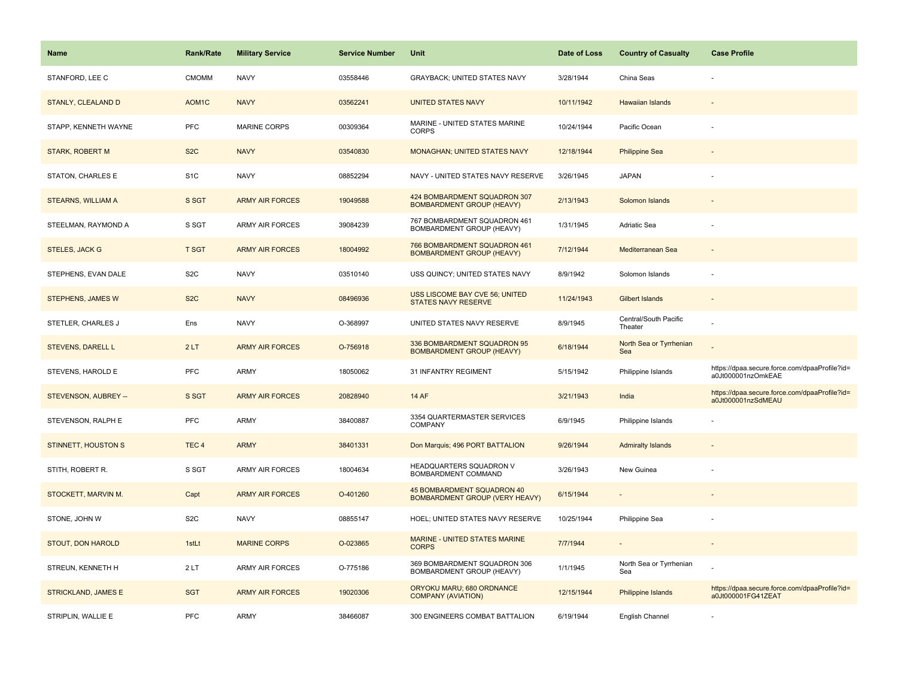| <b>Name</b>                | <b>Rank/Rate</b> | <b>Military Service</b> | <b>Service Number</b> | Unit                                                                | Date of Loss | <b>Country of Casualty</b>       | <b>Case Profile</b>                                                 |
|----------------------------|------------------|-------------------------|-----------------------|---------------------------------------------------------------------|--------------|----------------------------------|---------------------------------------------------------------------|
| STANFORD, LEE C            | <b>CMOMM</b>     | <b>NAVY</b>             | 03558446              | GRAYBACK; UNITED STATES NAVY                                        | 3/28/1944    | China Seas                       |                                                                     |
| STANLY, CLEALAND D         | AOM1C            | <b>NAVY</b>             | 03562241              | <b>UNITED STATES NAVY</b>                                           | 10/11/1942   | <b>Hawaiian Islands</b>          |                                                                     |
| STAPP, KENNETH WAYNE       | PFC              | <b>MARINE CORPS</b>     | 00309364              | MARINE - UNITED STATES MARINE<br><b>CORPS</b>                       | 10/24/1944   | Pacific Ocean                    |                                                                     |
| <b>STARK, ROBERT M</b>     | S <sub>2</sub> C | <b>NAVY</b>             | 03540830              | MONAGHAN; UNITED STATES NAVY                                        | 12/18/1944   | <b>Philippine Sea</b>            |                                                                     |
| STATON, CHARLES E          | S <sub>1</sub> C | <b>NAVY</b>             | 08852294              | NAVY - UNITED STATES NAVY RESERVE                                   | 3/26/1945    | <b>JAPAN</b>                     |                                                                     |
| STEARNS, WILLIAM A         | S SGT            | <b>ARMY AIR FORCES</b>  | 19049588              | 424 BOMBARDMENT SQUADRON 307<br><b>BOMBARDMENT GROUP (HEAVY)</b>    | 2/13/1943    | Solomon Islands                  |                                                                     |
| STEELMAN, RAYMOND A        | S SGT            | <b>ARMY AIR FORCES</b>  | 39084239              | 767 BOMBARDMENT SQUADRON 461<br>BOMBARDMENT GROUP (HEAVY)           | 1/31/1945    | Adriatic Sea                     |                                                                     |
| <b>STELES, JACK G</b>      | <b>T SGT</b>     | <b>ARMY AIR FORCES</b>  | 18004992              | 766 BOMBARDMENT SQUADRON 461<br><b>BOMBARDMENT GROUP (HEAVY)</b>    | 7/12/1944    | Mediterranean Sea                |                                                                     |
| STEPHENS, EVAN DALE        | S <sub>2</sub> C | <b>NAVY</b>             | 03510140              | USS QUINCY; UNITED STATES NAVY                                      | 8/9/1942     | Solomon Islands                  |                                                                     |
| <b>STEPHENS, JAMES W</b>   | S <sub>2</sub> C | <b>NAVY</b>             | 08496936              | USS LISCOME BAY CVE 56; UNITED<br><b>STATES NAVY RESERVE</b>        | 11/24/1943   | <b>Gilbert Islands</b>           |                                                                     |
| STETLER, CHARLES J         | Ens              | <b>NAVY</b>             | O-368997              | UNITED STATES NAVY RESERVE                                          | 8/9/1945     | Central/South Pacific<br>Theater |                                                                     |
| <b>STEVENS, DARELL L</b>   | 2LT              | <b>ARMY AIR FORCES</b>  | O-756918              | 336 BOMBARDMENT SQUADRON 95<br><b>BOMBARDMENT GROUP (HEAVY)</b>     | 6/18/1944    | North Sea or Tyrrhenian<br>Sea   |                                                                     |
| STEVENS, HAROLD E          | <b>PFC</b>       | ARMY                    | 18050062              | 31 INFANTRY REGIMENT                                                | 5/15/1942    | Philippine Islands               | https://dpaa.secure.force.com/dpaaProfile?id=<br>a0Jt000001nzOmkEAE |
| STEVENSON, AUBREY --       | S SGT            | <b>ARMY AIR FORCES</b>  | 20828940              | <b>14 AF</b>                                                        | 3/21/1943    | India                            | https://dpaa.secure.force.com/dpaaProfile?id=<br>a0Jt000001nzSdMEAU |
| STEVENSON, RALPH E         | <b>PFC</b>       | <b>ARMY</b>             | 38400887              | 3354 QUARTERMASTER SERVICES<br><b>COMPANY</b>                       | 6/9/1945     | Philippine Islands               |                                                                     |
| <b>STINNETT, HOUSTON S</b> | TEC <sub>4</sub> | <b>ARMY</b>             | 38401331              | Don Marquis; 496 PORT BATTALION                                     | 9/26/1944    | <b>Admiralty Islands</b>         |                                                                     |
| STITH, ROBERT R.           | S SGT            | ARMY AIR FORCES         | 18004634              | HEADQUARTERS SQUADRON V<br>BOMBARDMENT COMMAND                      | 3/26/1943    | New Guinea                       |                                                                     |
| STOCKETT, MARVIN M.        | Capt             | <b>ARMY AIR FORCES</b>  | O-401260              | 45 BOMBARDMENT SQUADRON 40<br><b>BOMBARDMENT GROUP (VERY HEAVY)</b> | 6/15/1944    |                                  |                                                                     |
| STONE, JOHN W              | S <sub>2</sub> C | <b>NAVY</b>             | 08855147              | HOEL; UNITED STATES NAVY RESERVE                                    | 10/25/1944   | Philippine Sea                   |                                                                     |
| STOUT, DON HAROLD          | 1stLt            | <b>MARINE CORPS</b>     | O-023865              | MARINE - UNITED STATES MARINE<br><b>CORPS</b>                       | 7/7/1944     | $\overline{\phantom{a}}$         |                                                                     |
| STREUN, KENNETH H          | 2LT              | ARMY AIR FORCES         | O-775186              | 369 BOMBARDMENT SQUADRON 306<br>BOMBARDMENT GROUP (HEAVY)           | 1/1/1945     | North Sea or Tyrrhenian<br>Sea   |                                                                     |
| STRICKLAND, JAMES E        | <b>SGT</b>       | <b>ARMY AIR FORCES</b>  | 19020306              | ORYOKU MARU; 680 ORDNANCE<br><b>COMPANY (AVIATION)</b>              | 12/15/1944   | Philippine Islands               | https://dpaa.secure.force.com/dpaaProfile?id=<br>a0Jt000001FG41ZEAT |
| STRIPLIN, WALLIE E         | PFC              | <b>ARMY</b>             | 38466087              | 300 ENGINEERS COMBAT BATTALION                                      | 6/19/1944    | English Channel                  |                                                                     |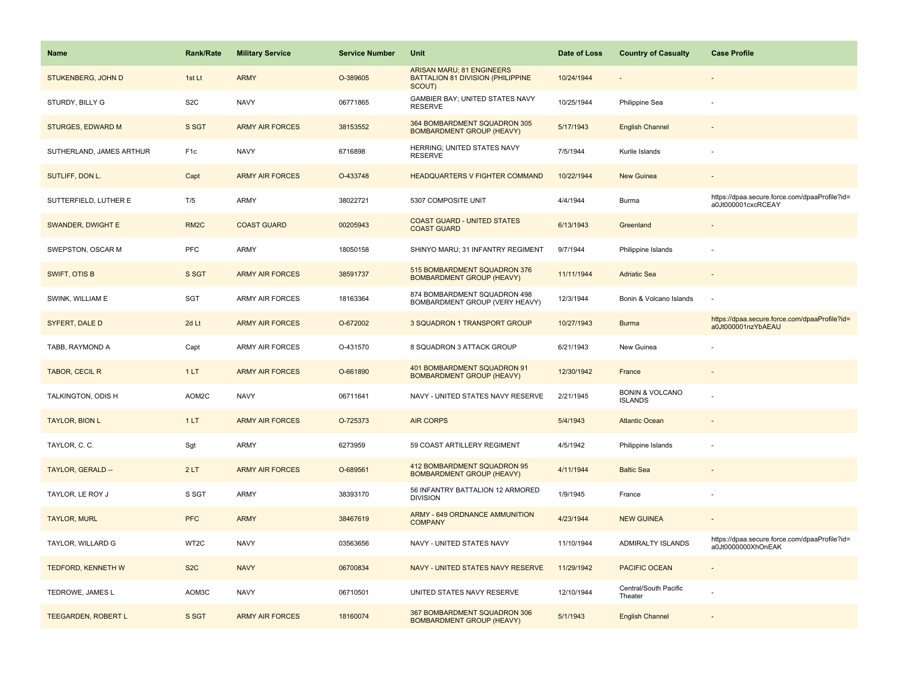| <b>Name</b>                | <b>Rank/Rate</b>  | <b>Military Service</b> | <b>Service Number</b> | Unit                                                                                   | Date of Loss | <b>Country of Casualty</b>                   | <b>Case Profile</b>                                                 |
|----------------------------|-------------------|-------------------------|-----------------------|----------------------------------------------------------------------------------------|--------------|----------------------------------------------|---------------------------------------------------------------------|
| STUKENBERG, JOHN D         | 1st Lt            | <b>ARMY</b>             | O-389605              | <b>ARISAN MARU; 81 ENGINEERS</b><br><b>BATTALION 81 DIVISION (PHILIPPINE</b><br>SCOUT) | 10/24/1944   |                                              |                                                                     |
| STURDY, BILLY G            | S <sub>2</sub> C  | <b>NAVY</b>             | 06771865              | GAMBIER BAY; UNITED STATES NAVY<br><b>RESERVE</b>                                      | 10/25/1944   | Philippine Sea                               |                                                                     |
| <b>STURGES, EDWARD M</b>   | S SGT             | <b>ARMY AIR FORCES</b>  | 38153552              | 364 BOMBARDMENT SQUADRON 305<br><b>BOMBARDMENT GROUP (HEAVY)</b>                       | 5/17/1943    | <b>English Channel</b>                       |                                                                     |
| SUTHERLAND, JAMES ARTHUR   | F <sub>1c</sub>   | <b>NAVY</b>             | 6716898               | HERRING; UNITED STATES NAVY<br><b>RESERVE</b>                                          | 7/5/1944     | Kurile Islands                               |                                                                     |
| SUTLIFF, DON L.            | Capt              | <b>ARMY AIR FORCES</b>  | O-433748              | <b>HEADQUARTERS V FIGHTER COMMAND</b>                                                  | 10/22/1944   | <b>New Guinea</b>                            |                                                                     |
| SUTTERFIELD, LUTHER E      | T/5               | ARMY                    | 38022721              | 5307 COMPOSITE UNIT                                                                    | 4/4/1944     | Burma                                        | https://dpaa.secure.force.com/dpaaProfile?id=<br>a0Jt000001cxcRCEAY |
| SWANDER, DWIGHT E          | RM <sub>2</sub> C | <b>COAST GUARD</b>      | 00205943              | <b>COAST GUARD - UNITED STATES</b><br><b>COAST GUARD</b>                               | 6/13/1943    | Greenland                                    |                                                                     |
| SWEPSTON, OSCAR M          | <b>PFC</b>        | <b>ARMY</b>             | 18050158              | SHINYO MARU; 31 INFANTRY REGIMENT                                                      | 9/7/1944     | Philippine Islands                           |                                                                     |
| <b>SWIFT, OTIS B</b>       | S SGT             | <b>ARMY AIR FORCES</b>  | 38591737              | 515 BOMBARDMENT SQUADRON 376<br><b>BOMBARDMENT GROUP (HEAVY)</b>                       | 11/11/1944   | <b>Adriatic Sea</b>                          |                                                                     |
| SWINK, WILLIAM E           | SGT               | ARMY AIR FORCES         | 18163364              | 874 BOMBARDMENT SQUADRON 498<br>BOMBARDMENT GROUP (VERY HEAVY)                         | 12/3/1944    | Bonin & Volcano Islands                      |                                                                     |
| SYFERT, DALE D             | 2d Lt             | <b>ARMY AIR FORCES</b>  | O-672002              | 3 SQUADRON 1 TRANSPORT GROUP                                                           | 10/27/1943   | <b>Burma</b>                                 | https://dpaa.secure.force.com/dpaaProfile?id=<br>a0Jt000001nzYbAEAU |
| TABB, RAYMOND A            | Capt              | ARMY AIR FORCES         | O-431570              | 8 SQUADRON 3 ATTACK GROUP                                                              | 6/21/1943    | New Guinea                                   |                                                                     |
| TABOR, CECIL R             | 1LT               | <b>ARMY AIR FORCES</b>  | O-661890              | 401 BOMBARDMENT SQUADRON 91<br><b>BOMBARDMENT GROUP (HEAVY)</b>                        | 12/30/1942   | France                                       |                                                                     |
| TALKINGTON, ODIS H         | AOM2C             | <b>NAVY</b>             | 06711641              | NAVY - UNITED STATES NAVY RESERVE                                                      | 2/21/1945    | <b>BONIN &amp; VOLCANO</b><br><b>ISLANDS</b> |                                                                     |
| <b>TAYLOR, BION L</b>      | 1LT               | <b>ARMY AIR FORCES</b>  | O-725373              | <b>AIR CORPS</b>                                                                       | 5/4/1943     | <b>Atlantic Ocean</b>                        |                                                                     |
| TAYLOR, C. C.              | Sgt               | <b>ARMY</b>             | 6273959               | 59 COAST ARTILLERY REGIMENT                                                            | 4/5/1942     | Philippine Islands                           |                                                                     |
| TAYLOR, GERALD --          | 2LT               | <b>ARMY AIR FORCES</b>  | O-689561              | 412 BOMBARDMENT SQUADRON 95<br><b>BOMBARDMENT GROUP (HEAVY)</b>                        | 4/11/1944    | <b>Baltic Sea</b>                            |                                                                     |
| TAYLOR, LE ROY J           | S SGT             | ARMY                    | 38393170              | 56 INFANTRY BATTALION 12 ARMORED<br><b>DIVISION</b>                                    | 1/9/1945     | France                                       |                                                                     |
| <b>TAYLOR, MURL</b>        | <b>PFC</b>        | <b>ARMY</b>             | 38467619              | <b>ARMY - 649 ORDNANCE AMMUNITION</b><br><b>COMPANY</b>                                | 4/23/1944    | <b>NEW GUINEA</b>                            |                                                                     |
| TAYLOR, WILLARD G          | WT <sub>2</sub> C | <b>NAVY</b>             | 03563656              | NAVY - UNITED STATES NAVY                                                              | 11/10/1944   | <b>ADMIRALTY ISLANDS</b>                     | https://dpaa.secure.force.com/dpaaProfile?id=<br>a0Jt0000000XhOnEAK |
| <b>TEDFORD, KENNETH W</b>  | S <sub>2</sub> C  | <b>NAVY</b>             | 06700834              | NAVY - UNITED STATES NAVY RESERVE                                                      | 11/29/1942   | <b>PACIFIC OCEAN</b>                         |                                                                     |
| TEDROWE, JAMES L           | AOM3C             | <b>NAVY</b>             | 06710501              | UNITED STATES NAVY RESERVE                                                             | 12/10/1944   | Central/South Pacific<br>Theater             |                                                                     |
| <b>TEEGARDEN, ROBERT L</b> | S SGT             | <b>ARMY AIR FORCES</b>  | 18160074              | 367 BOMBARDMENT SQUADRON 306<br><b>BOMBARDMENT GROUP (HEAVY)</b>                       | 5/1/1943     | <b>English Channel</b>                       |                                                                     |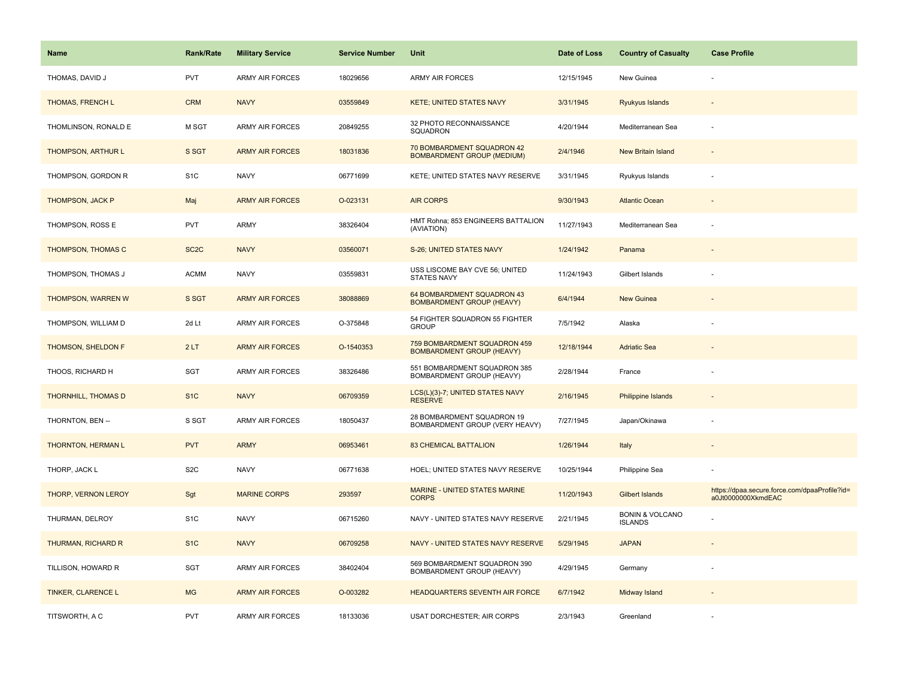| <b>Name</b>                | <b>Rank/Rate</b>  | <b>Military Service</b> | <b>Service Number</b> | Unit                                                             | Date of Loss | <b>Country of Casualty</b>                   | <b>Case Profile</b>                                                 |
|----------------------------|-------------------|-------------------------|-----------------------|------------------------------------------------------------------|--------------|----------------------------------------------|---------------------------------------------------------------------|
| THOMAS, DAVID J            | <b>PVT</b>        | <b>ARMY AIR FORCES</b>  | 18029656              | ARMY AIR FORCES                                                  | 12/15/1945   | New Guinea                                   |                                                                     |
| THOMAS, FRENCH L           | <b>CRM</b>        | <b>NAVY</b>             | 03559849              | <b>KETE; UNITED STATES NAVY</b>                                  | 3/31/1945    | Ryukyus Islands                              |                                                                     |
| THOMLINSON, RONALD E       | M SGT             | <b>ARMY AIR FORCES</b>  | 20849255              | 32 PHOTO RECONNAISSANCE<br>SQUADRON                              | 4/20/1944    | Mediterranean Sea                            |                                                                     |
| <b>THOMPSON, ARTHUR L</b>  | S SGT             | <b>ARMY AIR FORCES</b>  | 18031836              | 70 BOMBARDMENT SQUADRON 42<br><b>BOMBARDMENT GROUP (MEDIUM)</b>  | 2/4/1946     | <b>New Britain Island</b>                    |                                                                     |
| THOMPSON, GORDON R         | S <sub>1</sub> C  | <b>NAVY</b>             | 06771699              | KETE; UNITED STATES NAVY RESERVE                                 | 3/31/1945    | Ryukyus Islands                              |                                                                     |
| <b>THOMPSON, JACK P</b>    | Maj               | <b>ARMY AIR FORCES</b>  | O-023131              | <b>AIR CORPS</b>                                                 | 9/30/1943    | <b>Atlantic Ocean</b>                        |                                                                     |
| THOMPSON, ROSS E           | <b>PVT</b>        | ARMY                    | 38326404              | HMT Rohna; 853 ENGINEERS BATTALION<br>(AVIATION)                 | 11/27/1943   | Mediterranean Sea                            |                                                                     |
| THOMPSON, THOMAS C         | SC <sub>2</sub> C | <b>NAVY</b>             | 03560071              | S-26; UNITED STATES NAVY                                         | 1/24/1942    | Panama                                       |                                                                     |
| THOMPSON, THOMAS J         | <b>ACMM</b>       | <b>NAVY</b>             | 03559831              | USS LISCOME BAY CVE 56; UNITED<br>STATES NAVY                    | 11/24/1943   | Gilbert Islands                              |                                                                     |
| THOMPSON, WARREN W         | S SGT             | <b>ARMY AIR FORCES</b>  | 38088869              | 64 BOMBARDMENT SQUADRON 43<br><b>BOMBARDMENT GROUP (HEAVY)</b>   | 6/4/1944     | New Guinea                                   |                                                                     |
| THOMPSON, WILLIAM D        | 2d Lt             | <b>ARMY AIR FORCES</b>  | O-375848              | 54 FIGHTER SQUADRON 55 FIGHTER<br><b>GROUP</b>                   | 7/5/1942     | Alaska                                       |                                                                     |
| <b>THOMSON, SHELDON F</b>  | 2LT               | <b>ARMY AIR FORCES</b>  | O-1540353             | 759 BOMBARDMENT SQUADRON 459<br><b>BOMBARDMENT GROUP (HEAVY)</b> | 12/18/1944   | <b>Adriatic Sea</b>                          |                                                                     |
| THOOS, RICHARD H           | <b>SGT</b>        | <b>ARMY AIR FORCES</b>  | 38326486              | 551 BOMBARDMENT SQUADRON 385<br>BOMBARDMENT GROUP (HEAVY)        | 2/28/1944    | France                                       |                                                                     |
| <b>THORNHILL, THOMAS D</b> | S <sub>1</sub> C  | <b>NAVY</b>             | 06709359              | LCS(L)(3)-7; UNITED STATES NAVY<br><b>RESERVE</b>                | 2/16/1945    | <b>Philippine Islands</b>                    |                                                                     |
| THORNTON, BEN --           | S SGT             | <b>ARMY AIR FORCES</b>  | 18050437              | 28 BOMBARDMENT SQUADRON 19<br>BOMBARDMENT GROUP (VERY HEAVY)     | 7/27/1945    | Japan/Okinawa                                |                                                                     |
| THORNTON, HERMAN L         | <b>PVT</b>        | <b>ARMY</b>             | 06953461              | <b>83 CHEMICAL BATTALION</b>                                     | 1/26/1944    | Italy                                        |                                                                     |
| THORP, JACK L              | S <sub>2</sub> C  | <b>NAVY</b>             | 06771638              | HOEL; UNITED STATES NAVY RESERVE                                 | 10/25/1944   | Philippine Sea                               |                                                                     |
| THORP, VERNON LEROY        | Sgt               | <b>MARINE CORPS</b>     | 293597                | <b>MARINE - UNITED STATES MARINE</b><br><b>CORPS</b>             | 11/20/1943   | <b>Gilbert Islands</b>                       | https://dpaa.secure.force.com/dpaaProfile?id=<br>a0Jt0000000XkmdEAC |
| THURMAN, DELROY            | S <sub>1</sub> C  | <b>NAVY</b>             | 06715260              | NAVY - UNITED STATES NAVY RESERVE                                | 2/21/1945    | <b>BONIN &amp; VOLCANO</b><br><b>ISLANDS</b> |                                                                     |
| THURMAN, RICHARD R         | S <sub>1C</sub>   | <b>NAVY</b>             | 06709258              | NAVY - UNITED STATES NAVY RESERVE                                | 5/29/1945    | <b>JAPAN</b>                                 |                                                                     |
| TILLISON, HOWARD R         | <b>SGT</b>        | <b>ARMY AIR FORCES</b>  | 38402404              | 569 BOMBARDMENT SQUADRON 390<br>BOMBARDMENT GROUP (HEAVY)        | 4/29/1945    | Germany                                      |                                                                     |
| <b>TINKER, CLARENCE L</b>  | <b>MG</b>         | <b>ARMY AIR FORCES</b>  | O-003282              | <b>HEADQUARTERS SEVENTH AIR FORCE</b>                            | 6/7/1942     | Midway Island                                |                                                                     |
| TITSWORTH, A C             | <b>PVT</b>        | <b>ARMY AIR FORCES</b>  | 18133036              | <b>USAT DORCHESTER; AIR CORPS</b>                                | 2/3/1943     | Greenland                                    |                                                                     |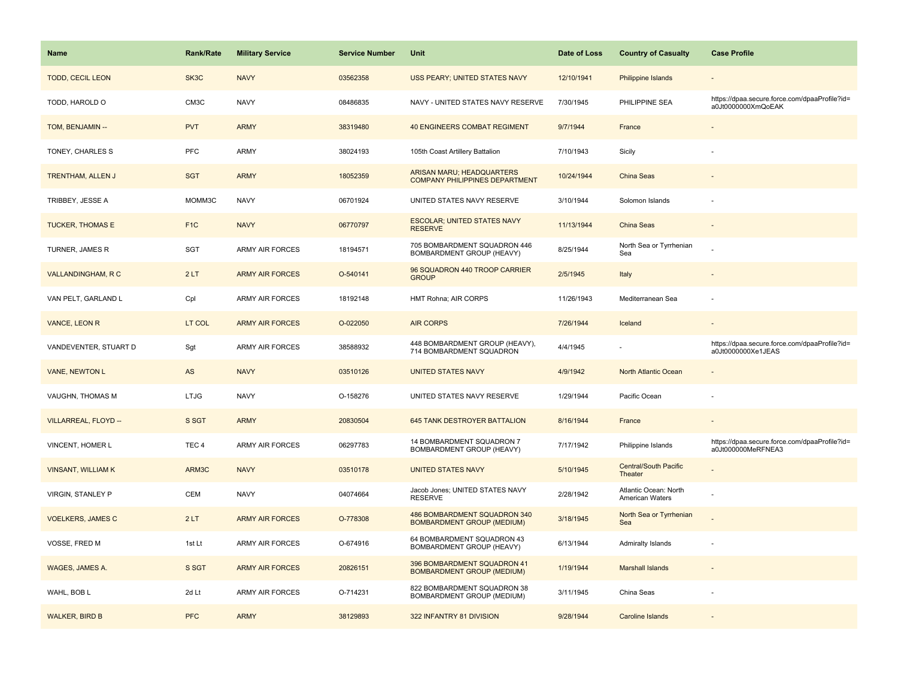| Name                      | <b>Rank/Rate</b> | <b>Military Service</b> | <b>Service Number</b> | Unit                                                                      | Date of Loss | <b>Country of Casualty</b>               | <b>Case Profile</b>                                                 |
|---------------------------|------------------|-------------------------|-----------------------|---------------------------------------------------------------------------|--------------|------------------------------------------|---------------------------------------------------------------------|
| <b>TODD, CECIL LEON</b>   | SK3C             | <b>NAVY</b>             | 03562358              | <b>USS PEARY; UNITED STATES NAVY</b>                                      | 12/10/1941   | Philippine Islands                       |                                                                     |
| TODD, HAROLD O            | CM3C             | <b>NAVY</b>             | 08486835              | NAVY - UNITED STATES NAVY RESERVE                                         | 7/30/1945    | PHILIPPINE SEA                           | https://dpaa.secure.force.com/dpaaProfile?id=<br>a0Jt0000000XmQoEAK |
| TOM, BENJAMIN --          | <b>PVT</b>       | <b>ARMY</b>             | 38319480              | <b>40 ENGINEERS COMBAT REGIMENT</b>                                       | 9/7/1944     | France                                   |                                                                     |
| TONEY, CHARLES S          | <b>PFC</b>       | ARMY                    | 38024193              | 105th Coast Artillery Battalion                                           | 7/10/1943    | Sicily                                   |                                                                     |
| <b>TRENTHAM, ALLEN J</b>  | <b>SGT</b>       | <b>ARMY</b>             | 18052359              | <b>ARISAN MARU; HEADQUARTERS</b><br><b>COMPANY PHILIPPINES DEPARTMENT</b> | 10/24/1944   | <b>China Seas</b>                        |                                                                     |
| TRIBBEY, JESSE A          | MOMM3C           | <b>NAVY</b>             | 06701924              | UNITED STATES NAVY RESERVE                                                | 3/10/1944    | Solomon Islands                          |                                                                     |
| <b>TUCKER, THOMAS E</b>   | F <sub>1</sub> C | <b>NAVY</b>             | 06770797              | <b>ESCOLAR: UNITED STATES NAVY</b><br><b>RESERVE</b>                      | 11/13/1944   | China Seas                               |                                                                     |
| TURNER, JAMES R           | <b>SGT</b>       | <b>ARMY AIR FORCES</b>  | 18194571              | 705 BOMBARDMENT SQUADRON 446<br>BOMBARDMENT GROUP (HEAVY)                 | 8/25/1944    | North Sea or Tyrrhenian<br>Sea           |                                                                     |
| <b>VALLANDINGHAM, R C</b> | 2LT              | <b>ARMY AIR FORCES</b>  | O-540141              | 96 SQUADRON 440 TROOP CARRIER<br><b>GROUP</b>                             | 2/5/1945     | Italy                                    |                                                                     |
| VAN PELT, GARLAND L       | Cpl              | ARMY AIR FORCES         | 18192148              | HMT Rohna; AIR CORPS                                                      | 11/26/1943   | Mediterranean Sea                        |                                                                     |
| VANCE, LEON R             | LT COL           | <b>ARMY AIR FORCES</b>  | O-022050              | <b>AIR CORPS</b>                                                          | 7/26/1944    | Iceland                                  |                                                                     |
| VANDEVENTER, STUART D     | Sgt              | ARMY AIR FORCES         | 38588932              | 448 BOMBARDMENT GROUP (HEAVY),<br>714 BOMBARDMENT SQUADRON                | 4/4/1945     |                                          | https://dpaa.secure.force.com/dpaaProfile?id=<br>a0Jt0000000Xe1JEAS |
| <b>VANE, NEWTON L</b>     | AS               | <b>NAVY</b>             | 03510126              | <b>UNITED STATES NAVY</b>                                                 | 4/9/1942     | North Atlantic Ocean                     |                                                                     |
| VAUGHN, THOMAS M          | <b>LTJG</b>      | <b>NAVY</b>             | O-158276              | UNITED STATES NAVY RESERVE                                                | 1/29/1944    | Pacific Ocean                            |                                                                     |
| VILLARREAL, FLOYD --      | S SGT            | <b>ARMY</b>             | 20830504              | 645 TANK DESTROYER BATTALION                                              | 8/16/1944    | France                                   |                                                                     |
| VINCENT, HOMER L          | TEC <sub>4</sub> | ARMY AIR FORCES         | 06297783              | 14 BOMBARDMENT SQUADRON 7<br>BOMBARDMENT GROUP (HEAVY)                    | 7/17/1942    | Philippine Islands                       | https://dpaa.secure.force.com/dpaaProfile?id=<br>a0Jt000000MeRFNEA3 |
| <b>VINSANT, WILLIAM K</b> | ARM3C            | <b>NAVY</b>             | 03510178              | <b>UNITED STATES NAVY</b>                                                 | 5/10/1945    | <b>Central/South Pacific</b><br>Theater  |                                                                     |
| VIRGIN, STANLEY P         | CEM              | <b>NAVY</b>             | 04074664              | Jacob Jones; UNITED STATES NAVY<br><b>RESERVE</b>                         | 2/28/1942    | Atlantic Ocean: North<br>American Waters |                                                                     |
| <b>VOELKERS, JAMES C</b>  | 2LT              | <b>ARMY AIR FORCES</b>  | O-778308              | 486 BOMBARDMENT SQUADRON 340<br><b>BOMBARDMENT GROUP (MEDIUM)</b>         | 3/18/1945    | North Sea or Tyrrhenian<br>Sea           |                                                                     |
| VOSSE, FRED M             | 1st Lt           | <b>ARMY AIR FORCES</b>  | O-674916              | 64 BOMBARDMENT SQUADRON 43<br>BOMBARDMENT GROUP (HEAVY)                   | 6/13/1944    | Admiralty Islands                        |                                                                     |
| WAGES, JAMES A.           | S SGT            | <b>ARMY AIR FORCES</b>  | 20826151              | 396 BOMBARDMENT SQUADRON 41<br><b>BOMBARDMENT GROUP (MEDIUM)</b>          | 1/19/1944    | <b>Marshall Islands</b>                  |                                                                     |
| WAHL, BOB L               | 2d Lt            | <b>ARMY AIR FORCES</b>  | O-714231              | 822 BOMBARDMENT SQUADRON 38<br>BOMBARDMENT GROUP (MEDIUM)                 | 3/11/1945    | China Seas                               |                                                                     |
| <b>WALKER, BIRD B</b>     | <b>PFC</b>       | <b>ARMY</b>             | 38129893              | 322 INFANTRY 81 DIVISION                                                  | 9/28/1944    | <b>Caroline Islands</b>                  |                                                                     |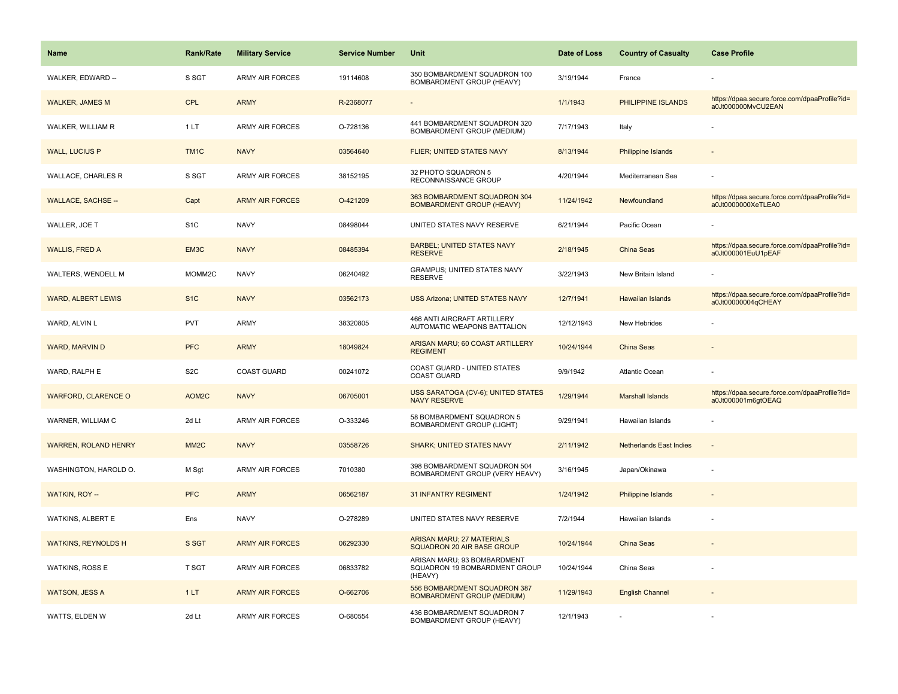| <b>Name</b>                 | <b>Rank/Rate</b>  | <b>Military Service</b> | <b>Service Number</b> | Unit                                                                    | Date of Loss | <b>Country of Casualty</b>     | <b>Case Profile</b>                                                 |
|-----------------------------|-------------------|-------------------------|-----------------------|-------------------------------------------------------------------------|--------------|--------------------------------|---------------------------------------------------------------------|
| WALKER, EDWARD --           | S SGT             | <b>ARMY AIR FORCES</b>  | 19114608              | 350 BOMBARDMENT SQUADRON 100<br>BOMBARDMENT GROUP (HEAVY)               | 3/19/1944    | France                         |                                                                     |
| <b>WALKER, JAMES M</b>      | <b>CPL</b>        | <b>ARMY</b>             | R-2368077             |                                                                         | 1/1/1943     | PHILIPPINE ISLANDS             | https://dpaa.secure.force.com/dpaaProfile?id=<br>a0Jt000000MvCU2EAN |
| WALKER, WILLIAM R           | 1LT               | <b>ARMY AIR FORCES</b>  | O-728136              | 441 BOMBARDMENT SQUADRON 320<br>BOMBARDMENT GROUP (MEDIUM)              | 7/17/1943    | Italy                          |                                                                     |
| <b>WALL, LUCIUS P</b>       | TM <sub>1C</sub>  | <b>NAVY</b>             | 03564640              | FLIER; UNITED STATES NAVY                                               | 8/13/1944    | <b>Philippine Islands</b>      |                                                                     |
| <b>WALLACE, CHARLES R</b>   | S SGT             | <b>ARMY AIR FORCES</b>  | 38152195              | 32 PHOTO SQUADRON 5<br>RECONNAISSANCE GROUP                             | 4/20/1944    | Mediterranean Sea              |                                                                     |
| <b>WALLACE, SACHSE --</b>   | Capt              | <b>ARMY AIR FORCES</b>  | O-421209              | 363 BOMBARDMENT SQUADRON 304<br><b>BOMBARDMENT GROUP (HEAVY)</b>        | 11/24/1942   | Newfoundland                   | https://dpaa.secure.force.com/dpaaProfile?id=<br>a0Jt0000000XeTLEA0 |
| WALLER, JOE T               | S <sub>1</sub> C  | <b>NAVY</b>             | 08498044              | UNITED STATES NAVY RESERVE                                              | 6/21/1944    | Pacific Ocean                  |                                                                     |
| <b>WALLIS, FRED A</b>       | EM3C              | <b>NAVY</b>             | 08485394              | <b>BARBEL; UNITED STATES NAVY</b><br><b>RESERVE</b>                     | 2/18/1945    | China Seas                     | https://dpaa.secure.force.com/dpaaProfile?id=<br>a0Jt000001EuU1pEAF |
| WALTERS, WENDELL M          | MOMM2C            | <b>NAVY</b>             | 06240492              | <b>GRAMPUS; UNITED STATES NAVY</b><br><b>RESERVE</b>                    | 3/22/1943    | New Britain Island             |                                                                     |
| <b>WARD, ALBERT LEWIS</b>   | S <sub>1</sub> C  | <b>NAVY</b>             | 03562173              | <b>USS Arizona: UNITED STATES NAVY</b>                                  | 12/7/1941    | <b>Hawaiian Islands</b>        | https://dpaa.secure.force.com/dpaaProfile?id=<br>a0Jt00000004qCHEAY |
| WARD, ALVIN L               | <b>PVT</b>        | <b>ARMY</b>             | 38320805              | 466 ANTI AIRCRAFT ARTILLERY<br>AUTOMATIC WEAPONS BATTALION              | 12/12/1943   | New Hebrides                   |                                                                     |
| WARD, MARVIN D              | <b>PFC</b>        | <b>ARMY</b>             | 18049824              | ARISAN MARU; 60 COAST ARTILLERY<br><b>REGIMENT</b>                      | 10/24/1944   | China Seas                     |                                                                     |
| WARD, RALPH E               | S <sub>2</sub> C  | <b>COAST GUARD</b>      | 00241072              | COAST GUARD - UNITED STATES<br><b>COAST GUARD</b>                       | 9/9/1942     | Atlantic Ocean                 |                                                                     |
| <b>WARFORD, CLARENCE O</b>  | AOM2C             | <b>NAVY</b>             | 06705001              | USS SARATOGA (CV-6); UNITED STATES<br><b>NAVY RESERVE</b>               | 1/29/1944    | <b>Marshall Islands</b>        | https://dpaa.secure.force.com/dpaaProfile?id=<br>a0Jt000001m6gtOEAQ |
| WARNER, WILLIAM C           | 2d Lt             | <b>ARMY AIR FORCES</b>  | O-333246              | 58 BOMBARDMENT SQUADRON 5<br><b>BOMBARDMENT GROUP (LIGHT)</b>           | 9/29/1941    | Hawaiian Islands               |                                                                     |
| <b>WARREN, ROLAND HENRY</b> | MM <sub>2</sub> C | <b>NAVY</b>             | 03558726              | <b>SHARK; UNITED STATES NAVY</b>                                        | 2/11/1942    | <b>Netherlands East Indies</b> |                                                                     |
| WASHINGTON, HAROLD O.       | M Sgt             | ARMY AIR FORCES         | 7010380               | 398 BOMBARDMENT SQUADRON 504<br>BOMBARDMENT GROUP (VERY HEAVY)          | 3/16/1945    | Japan/Okinawa                  |                                                                     |
| <b>WATKIN, ROY --</b>       | <b>PFC</b>        | <b>ARMY</b>             | 06562187              | <b>31 INFANTRY REGIMENT</b>                                             | 1/24/1942    | Philippine Islands             |                                                                     |
| WATKINS, ALBERT E           | Ens               | <b>NAVY</b>             | O-278289              | UNITED STATES NAVY RESERVE                                              | 7/2/1944     | Hawaiian Islands               |                                                                     |
| <b>WATKINS, REYNOLDS H</b>  | S SGT             | <b>ARMY AIR FORCES</b>  | 06292330              | <b>ARISAN MARU; 27 MATERIALS</b><br>SQUADRON 20 AIR BASE GROUP          | 10/24/1944   | China Seas                     |                                                                     |
| <b>WATKINS, ROSS E</b>      | <b>T SGT</b>      | <b>ARMY AIR FORCES</b>  | 06833782              | ARISAN MARU; 93 BOMBARDMENT<br>SQUADRON 19 BOMBARDMENT GROUP<br>(HEAVY) | 10/24/1944   | China Seas                     |                                                                     |
| <b>WATSON, JESS A</b>       | 1LT               | <b>ARMY AIR FORCES</b>  | O-662706              | 556 BOMBARDMENT SQUADRON 387<br><b>BOMBARDMENT GROUP (MEDIUM)</b>       | 11/29/1943   | <b>English Channel</b>         |                                                                     |
| WATTS, ELDEN W              | 2d Lt             | <b>ARMY AIR FORCES</b>  | O-680554              | 436 BOMBARDMENT SQUADRON 7<br>BOMBARDMENT GROUP (HEAVY)                 | 12/1/1943    |                                |                                                                     |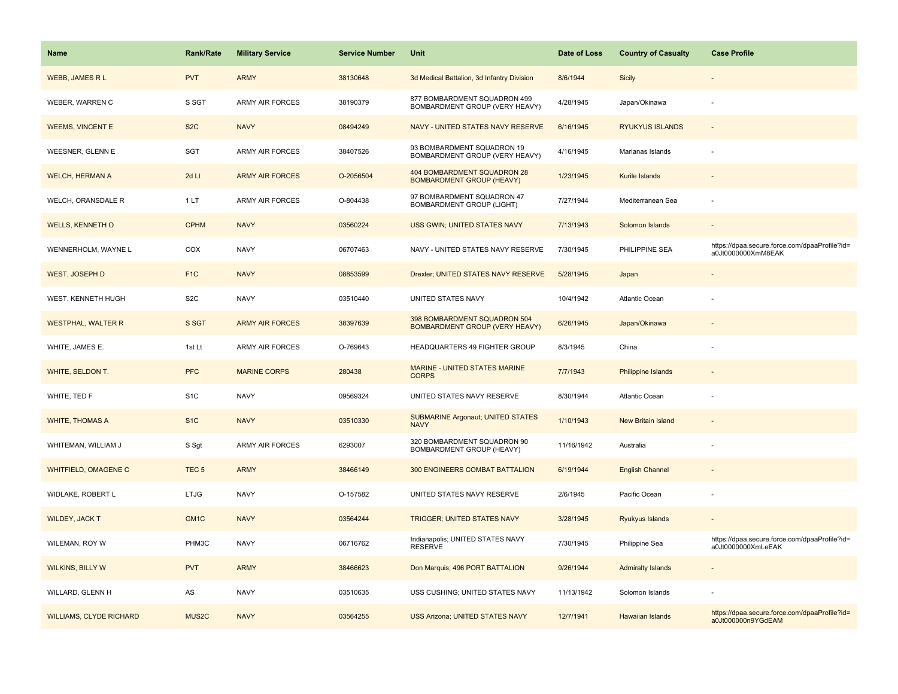| <b>Name</b>                    | <b>Rank/Rate</b> | <b>Military Service</b> | <b>Service Number</b> | Unit                                                                  | Date of Loss | <b>Country of Casualty</b> | <b>Case Profile</b>                                                 |
|--------------------------------|------------------|-------------------------|-----------------------|-----------------------------------------------------------------------|--------------|----------------------------|---------------------------------------------------------------------|
| <b>WEBB, JAMES R L</b>         | <b>PVT</b>       | <b>ARMY</b>             | 38130648              | 3d Medical Battalion, 3d Infantry Division                            | 8/6/1944     | Sicily                     |                                                                     |
| WEBER, WARREN C                | S SGT            | <b>ARMY AIR FORCES</b>  | 38190379              | 877 BOMBARDMENT SQUADRON 499<br>BOMBARDMENT GROUP (VERY HEAVY)        | 4/28/1945    | Japan/Okinawa              |                                                                     |
| <b>WEEMS, VINCENT E</b>        | S <sub>2</sub> C | <b>NAVY</b>             | 08494249              | NAVY - UNITED STATES NAVY RESERVE                                     | 6/16/1945    | <b>RYUKYUS ISLANDS</b>     |                                                                     |
| WEESNER, GLENN E               | <b>SGT</b>       | ARMY AIR FORCES         | 38407526              | 93 BOMBARDMENT SQUADRON 19<br>BOMBARDMENT GROUP (VERY HEAVY)          | 4/16/1945    | Marianas Islands           |                                                                     |
| <b>WELCH, HERMAN A</b>         | 2d Lt            | <b>ARMY AIR FORCES</b>  | O-2056504             | 404 BOMBARDMENT SQUADRON 28<br><b>BOMBARDMENT GROUP (HEAVY)</b>       | 1/23/1945    | Kurile Islands             |                                                                     |
| WELCH, ORANSDALE R             | 1 LT             | <b>ARMY AIR FORCES</b>  | O-804438              | 97 BOMBARDMENT SQUADRON 47<br>BOMBARDMENT GROUP (LIGHT)               | 7/27/1944    | Mediterranean Sea          |                                                                     |
| <b>WELLS, KENNETH O</b>        | <b>CPHM</b>      | <b>NAVY</b>             | 03560224              | USS GWIN; UNITED STATES NAVY                                          | 7/13/1943    | Solomon Islands            |                                                                     |
| WENNERHOLM, WAYNE L            | COX              | <b>NAVY</b>             | 06707463              | NAVY - UNITED STATES NAVY RESERVE                                     | 7/30/1945    | PHILIPPINE SEA             | https://dpaa.secure.force.com/dpaaProfile?id=<br>a0Jt0000000XmM8EAK |
| <b>WEST, JOSEPH D</b>          | F <sub>1C</sub>  | <b>NAVY</b>             | 08853599              | Drexler; UNITED STATES NAVY RESERVE                                   | 5/28/1945    | Japan                      |                                                                     |
| WEST, KENNETH HUGH             | S <sub>2</sub> C | <b>NAVY</b>             | 03510440              | UNITED STATES NAVY                                                    | 10/4/1942    | Atlantic Ocean             |                                                                     |
| <b>WESTPHAL, WALTER R</b>      | S SGT            | <b>ARMY AIR FORCES</b>  | 38397639              | 398 BOMBARDMENT SQUADRON 504<br><b>BOMBARDMENT GROUP (VERY HEAVY)</b> | 6/26/1945    | Japan/Okinawa              |                                                                     |
| WHITE, JAMES E.                | 1st Lt           | <b>ARMY AIR FORCES</b>  | O-769643              | <b>HEADQUARTERS 49 FIGHTER GROUP</b>                                  | 8/3/1945     | China                      |                                                                     |
| WHITE, SELDON T.               | <b>PFC</b>       | <b>MARINE CORPS</b>     | 280438                | MARINE - UNITED STATES MARINE<br><b>CORPS</b>                         | 7/7/1943     | Philippine Islands         |                                                                     |
| WHITE, TED F                   | S <sub>1</sub> C | <b>NAVY</b>             | 09569324              | UNITED STATES NAVY RESERVE                                            | 8/30/1944    | <b>Atlantic Ocean</b>      |                                                                     |
| <b>WHITE, THOMAS A</b>         | S <sub>1C</sub>  | <b>NAVY</b>             | 03510330              | <b>SUBMARINE Argonaut; UNITED STATES</b><br><b>NAVY</b>               | 1/10/1943    | New Britain Island         |                                                                     |
| WHITEMAN, WILLIAM J            | S Sgt            | ARMY AIR FORCES         | 6293007               | 320 BOMBARDMENT SQUADRON 90<br>BOMBARDMENT GROUP (HEAVY)              | 11/16/1942   | Australia                  |                                                                     |
| <b>WHITFIELD, OMAGENE C</b>    | TEC <sub>5</sub> | <b>ARMY</b>             | 38466149              | 300 ENGINEERS COMBAT BATTALION                                        | 6/19/1944    | <b>English Channel</b>     |                                                                     |
| WIDLAKE, ROBERT L              | <b>LTJG</b>      | <b>NAVY</b>             | O-157582              | UNITED STATES NAVY RESERVE                                            | 2/6/1945     | Pacific Ocean              |                                                                     |
| <b>WILDEY, JACK T</b>          | GM <sub>1C</sub> | <b>NAVY</b>             | 03564244              | <b>TRIGGER; UNITED STATES NAVY</b>                                    | 3/28/1945    | <b>Ryukyus Islands</b>     |                                                                     |
| WILEMAN, ROY W                 | PHM3C            | <b>NAVY</b>             | 06716762              | Indianapolis; UNITED STATES NAVY<br><b>RESERVE</b>                    | 7/30/1945    | Philippine Sea             | https://dpaa.secure.force.com/dpaaProfile?id=<br>a0Jt0000000XmLeEAK |
| <b>WILKINS, BILLY W</b>        | <b>PVT</b>       | <b>ARMY</b>             | 38466623              | Don Marquis; 496 PORT BATTALION                                       | 9/26/1944    | <b>Admiralty Islands</b>   |                                                                     |
| WILLARD, GLENN H               | AS               | <b>NAVY</b>             | 03510635              | USS CUSHING; UNITED STATES NAVY                                       | 11/13/1942   | Solomon Islands            |                                                                     |
| <b>WILLIAMS, CLYDE RICHARD</b> | MUS2C            | <b>NAVY</b>             | 03564255              | <b>USS Arizona; UNITED STATES NAVY</b>                                | 12/7/1941    | Hawaiian Islands           | https://dpaa.secure.force.com/dpaaProfile?id=<br>a0Jt000000n9YGdEAM |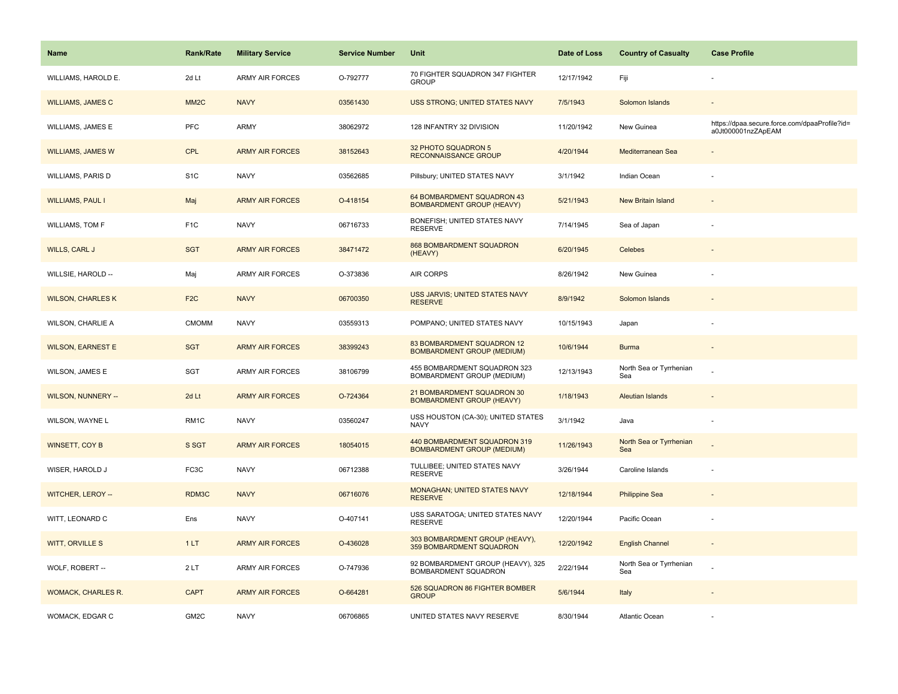| <b>Name</b>               | Rank/Rate         | <b>Military Service</b> | <b>Service Number</b> | Unit                                                              | Date of Loss | <b>Country of Casualty</b>     | <b>Case Profile</b>                                                 |
|---------------------------|-------------------|-------------------------|-----------------------|-------------------------------------------------------------------|--------------|--------------------------------|---------------------------------------------------------------------|
| WILLIAMS, HAROLD E.       | 2d Lt             | <b>ARMY AIR FORCES</b>  | O-792777              | 70 FIGHTER SQUADRON 347 FIGHTER<br><b>GROUP</b>                   | 12/17/1942   | Fiji                           |                                                                     |
| <b>WILLIAMS, JAMES C</b>  | MM <sub>2</sub> C | <b>NAVY</b>             | 03561430              | <b>USS STRONG; UNITED STATES NAVY</b>                             | 7/5/1943     | Solomon Islands                |                                                                     |
| WILLIAMS, JAMES E         | <b>PFC</b>        | ARMY                    | 38062972              | 128 INFANTRY 32 DIVISION                                          | 11/20/1942   | New Guinea                     | https://dpaa.secure.force.com/dpaaProfile?id=<br>a0Jt000001nzZApEAM |
| <b>WILLIAMS, JAMES W</b>  | <b>CPL</b>        | <b>ARMY AIR FORCES</b>  | 38152643              | 32 PHOTO SQUADRON 5<br><b>RECONNAISSANCE GROUP</b>                | 4/20/1944    | Mediterranean Sea              |                                                                     |
| <b>WILLIAMS, PARIS D</b>  | S <sub>1</sub> C  | <b>NAVY</b>             | 03562685              | Pillsbury; UNITED STATES NAVY                                     | 3/1/1942     | Indian Ocean                   |                                                                     |
| <b>WILLIAMS, PAUL I</b>   | Maj               | <b>ARMY AIR FORCES</b>  | O-418154              | 64 BOMBARDMENT SQUADRON 43<br><b>BOMBARDMENT GROUP (HEAVY)</b>    | 5/21/1943    | <b>New Britain Island</b>      |                                                                     |
| WILLIAMS, TOM F           | F <sub>1</sub> C  | <b>NAVY</b>             | 06716733              | BONEFISH; UNITED STATES NAVY<br><b>RESERVE</b>                    | 7/14/1945    | Sea of Japan                   |                                                                     |
| <b>WILLS, CARL J</b>      | <b>SGT</b>        | <b>ARMY AIR FORCES</b>  | 38471472              | 868 BOMBARDMENT SQUADRON<br>(HEAVY)                               | 6/20/1945    | Celebes                        |                                                                     |
| WILLSIE, HAROLD --        | Maj               | ARMY AIR FORCES         | O-373836              | AIR CORPS                                                         | 8/26/1942    | New Guinea                     |                                                                     |
| <b>WILSON, CHARLES K</b>  | F <sub>2</sub> C  | <b>NAVY</b>             | 06700350              | USS JARVIS; UNITED STATES NAVY<br><b>RESERVE</b>                  | 8/9/1942     | Solomon Islands                |                                                                     |
| WILSON, CHARLIE A         | <b>CMOMM</b>      | <b>NAVY</b>             | 03559313              | POMPANO; UNITED STATES NAVY                                       | 10/15/1943   | Japan                          |                                                                     |
| <b>WILSON, EARNEST E</b>  | <b>SGT</b>        | <b>ARMY AIR FORCES</b>  | 38399243              | 83 BOMBARDMENT SQUADRON 12<br><b>BOMBARDMENT GROUP (MEDIUM)</b>   | 10/6/1944    | <b>Burma</b>                   | $\blacksquare$                                                      |
| WILSON, JAMES E           | SGT               | <b>ARMY AIR FORCES</b>  | 38106799              | 455 BOMBARDMENT SQUADRON 323<br>BOMBARDMENT GROUP (MEDIUM)        | 12/13/1943   | North Sea or Tyrrhenian<br>Sea |                                                                     |
| <b>WILSON, NUNNERY --</b> | 2d Lt             | <b>ARMY AIR FORCES</b>  | O-724364              | 21 BOMBARDMENT SQUADRON 30<br><b>BOMBARDMENT GROUP (HEAVY)</b>    | 1/18/1943    | <b>Aleutian Islands</b>        |                                                                     |
| WILSON, WAYNE L           | RM1C              | <b>NAVY</b>             | 03560247              | USS HOUSTON (CA-30); UNITED STATES<br><b>NAVY</b>                 | 3/1/1942     | Java                           | ÷,                                                                  |
| WINSETT, COY B            | S SGT             | <b>ARMY AIR FORCES</b>  | 18054015              | 440 BOMBARDMENT SQUADRON 319<br><b>BOMBARDMENT GROUP (MEDIUM)</b> | 11/26/1943   | North Sea or Tyrrhenian<br>Sea |                                                                     |
| WISER, HAROLD J           | FC3C              | <b>NAVY</b>             | 06712388              | TULLIBEE; UNITED STATES NAVY<br><b>RESERVE</b>                    | 3/26/1944    | Caroline Islands               |                                                                     |
| WITCHER, LEROY --         | RDM3C             | <b>NAVY</b>             | 06716076              | MONAGHAN; UNITED STATES NAVY<br><b>RESERVE</b>                    | 12/18/1944   | <b>Philippine Sea</b>          |                                                                     |
| WITT, LEONARD C           | Ens               | <b>NAVY</b>             | O-407141              | USS SARATOGA; UNITED STATES NAVY<br><b>RESERVE</b>                | 12/20/1944   | Pacific Ocean                  | ÷,                                                                  |
| <b>WITT, ORVILLE S</b>    | 1LT               | <b>ARMY AIR FORCES</b>  | O-436028              | 303 BOMBARDMENT GROUP (HEAVY),<br>359 BOMBARDMENT SQUADRON        | 12/20/1942   | <b>English Channel</b>         |                                                                     |
| WOLF, ROBERT --           | 2LT               | ARMY AIR FORCES         | O-747936              | 92 BOMBARDMENT GROUP (HEAVY), 325<br>BOMBARDMENT SQUADRON         | 2/22/1944    | North Sea or Tyrrhenian<br>Sea |                                                                     |
| <b>WOMACK, CHARLES R.</b> | <b>CAPT</b>       | <b>ARMY AIR FORCES</b>  | O-664281              | 526 SQUADRON 86 FIGHTER BOMBER<br><b>GROUP</b>                    | 5/6/1944     | Italy                          |                                                                     |
| WOMACK, EDGAR C           | GM <sub>2</sub> C | <b>NAVY</b>             | 06706865              | UNITED STATES NAVY RESERVE                                        | 8/30/1944    | <b>Atlantic Ocean</b>          |                                                                     |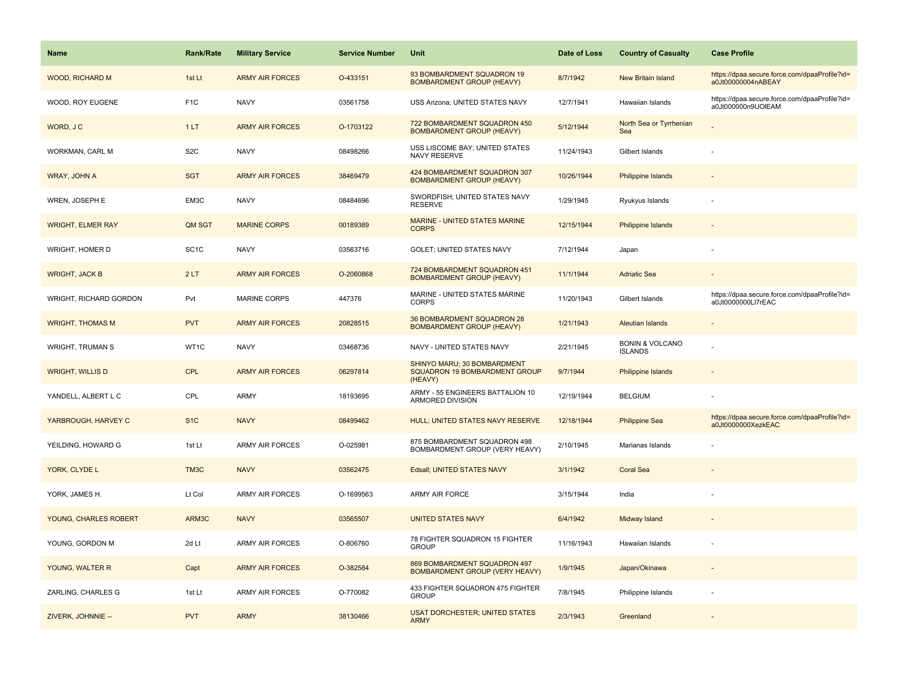| <b>Name</b>              | <b>Rank/Rate</b>  | <b>Military Service</b> | <b>Service Number</b> | Unit                                                                    | Date of Loss | <b>Country of Casualty</b>                   | <b>Case Profile</b>                                                 |
|--------------------------|-------------------|-------------------------|-----------------------|-------------------------------------------------------------------------|--------------|----------------------------------------------|---------------------------------------------------------------------|
| <b>WOOD, RICHARD M</b>   | 1st Lt            | <b>ARMY AIR FORCES</b>  | O-433151              | 93 BOMBARDMENT SQUADRON 19<br><b>BOMBARDMENT GROUP (HEAVY)</b>          | 8/7/1942     | New Britain Island                           | https://dpaa.secure.force.com/dpaaProfile?id=<br>a0Jt00000004nABEAY |
| WOOD, ROY EUGENE         | F <sub>1</sub> C  | <b>NAVY</b>             | 03561758              | USS Arizona; UNITED STATES NAVY                                         | 12/7/1941    | Hawaiian Islands                             | https://dpaa.secure.force.com/dpaaProfile?id=<br>a0Jt000000n9UOIEAM |
| WORD, J C                | 1LT               | <b>ARMY AIR FORCES</b>  | O-1703122             | 722 BOMBARDMENT SQUADRON 450<br><b>BOMBARDMENT GROUP (HEAVY)</b>        | 5/12/1944    | North Sea or Tyrrhenian<br>Sea               |                                                                     |
| WORKMAN, CARL M          | S <sub>2</sub> C  | <b>NAVY</b>             | 08498266              | USS LISCOME BAY; UNITED STATES<br>NAVY RESERVE                          | 11/24/1943   | Gilbert Islands                              |                                                                     |
| WRAY, JOHN A             | <b>SGT</b>        | <b>ARMY AIR FORCES</b>  | 38469479              | 424 BOMBARDMENT SQUADRON 307<br><b>BOMBARDMENT GROUP (HEAVY)</b>        | 10/26/1944   | <b>Philippine Islands</b>                    |                                                                     |
| WREN, JOSEPH E           | EM3C              | <b>NAVY</b>             | 08484696              | SWORDFISH; UNITED STATES NAVY<br><b>RESERVE</b>                         | 1/29/1945    | Ryukyus Islands                              |                                                                     |
| <b>WRIGHT, ELMER RAY</b> | QM SGT            | <b>MARINE CORPS</b>     | 00189389              | MARINE - UNITED STATES MARINE<br><b>CORPS</b>                           | 12/15/1944   | Philippine Islands                           |                                                                     |
| WRIGHT, HOMER D          | SC <sub>1</sub> C | <b>NAVY</b>             | 03563716              | GOLET; UNITED STATES NAVY                                               | 7/12/1944    | Japan                                        |                                                                     |
| <b>WRIGHT, JACK B</b>    | 2LT               | <b>ARMY AIR FORCES</b>  | O-2060868             | 724 BOMBARDMENT SQUADRON 451<br><b>BOMBARDMENT GROUP (HEAVY)</b>        | 11/1/1944    | <b>Adriatic Sea</b>                          |                                                                     |
| WRIGHT, RICHARD GORDON   | Pvt               | <b>MARINE CORPS</b>     | 447376                | MARINE - UNITED STATES MARINE<br><b>CORPS</b>                           | 11/20/1943   | Gilbert Islands                              | https://dpaa.secure.force.com/dpaaProfile?id=<br>a0Jt0000000LI7rEAC |
| <b>WRIGHT, THOMAS M</b>  | <b>PVT</b>        | <b>ARMY AIR FORCES</b>  | 20828515              | 36 BOMBARDMENT SQUADRON 28<br><b>BOMBARDMENT GROUP (HEAVY)</b>          | 1/21/1943    | <b>Aleutian Islands</b>                      |                                                                     |
| <b>WRIGHT, TRUMAN S</b>  | WT1C              | <b>NAVY</b>             | 03468736              | NAVY - UNITED STATES NAVY                                               | 2/21/1945    | <b>BONIN &amp; VOLCANO</b><br><b>ISLANDS</b> |                                                                     |
| <b>WRIGHT, WILLIS D</b>  | <b>CPL</b>        | <b>ARMY AIR FORCES</b>  | 06297814              | SHINYO MARU; 30 BOMBARDMENT<br>SQUADRON 19 BOMBARDMENT GROUP<br>(HEAVY) | 9/7/1944     | <b>Philippine Islands</b>                    |                                                                     |
| YANDELL, ALBERT L C      | <b>CPL</b>        | <b>ARMY</b>             | 18193695              | ARMY - 55 ENGINEERS BATTALION 10<br><b>ARMORED DIVISION</b>             | 12/19/1944   | <b>BELGIUM</b>                               |                                                                     |
| YARBROUGH, HARVEY C      | S <sub>1</sub> C  | <b>NAVY</b>             | 08499462              | HULL; UNITED STATES NAVY RESERVE                                        | 12/18/1944   | <b>Philippine Sea</b>                        | https://dpaa.secure.force.com/dpaaProfile?id=<br>a0Jt0000000XezkEAC |
| YEILDING, HOWARD G       | 1st Lt            | <b>ARMY AIR FORCES</b>  | O-025981              | 875 BOMBARDMENT SQUADRON 498<br>BOMBARDMENT GROUP (VERY HEAVY)          | 2/10/1945    | Marianas Islands                             |                                                                     |
| YORK, CLYDE L            | TM3C              | <b>NAVY</b>             | 03562475              | Edsall; UNITED STATES NAVY                                              | 3/1/1942     | <b>Coral Sea</b>                             |                                                                     |
| YORK, JAMES H.           | Lt Col            | <b>ARMY AIR FORCES</b>  | O-1699563             | <b>ARMY AIR FORCE</b>                                                   | 3/15/1944    | India                                        |                                                                     |
| YOUNG, CHARLES ROBERT    | ARM3C             | <b>NAVY</b>             | 03565507              | <b>UNITED STATES NAVY</b>                                               | 6/4/1942     | Midway Island                                |                                                                     |
| YOUNG, GORDON M          | 2d Lt             | <b>ARMY AIR FORCES</b>  | O-806760              | 78 FIGHTER SQUADRON 15 FIGHTER<br><b>GROUP</b>                          | 11/16/1943   | Hawaiian Islands                             |                                                                     |
| YOUNG, WALTER R          | Capt              | <b>ARMY AIR FORCES</b>  | O-382584              | 869 BOMBARDMENT SQUADRON 497<br><b>BOMBARDMENT GROUP (VERY HEAVY)</b>   | 1/9/1945     | Japan/Okinawa                                |                                                                     |
| ZARLING, CHARLES G       | 1st Lt            | <b>ARMY AIR FORCES</b>  | O-770082              | 433 FIGHTER SQUADRON 475 FIGHTER<br><b>GROUP</b>                        | 7/8/1945     | Philippine Islands                           |                                                                     |
| ZIVERK, JOHNNIE --       | <b>PVT</b>        | <b>ARMY</b>             | 38130466              | <b>USAT DORCHESTER; UNITED STATES</b><br><b>ARMY</b>                    | 2/3/1943     | Greenland                                    |                                                                     |